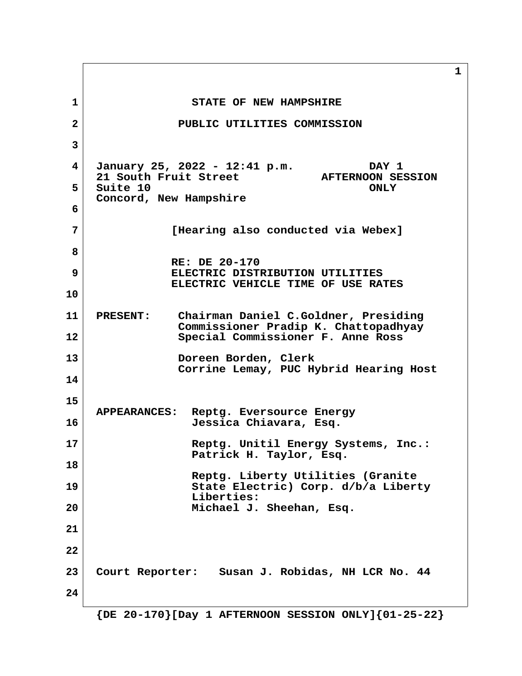**1** STATE OF NEW HAMPSHIRE  **2 PUBLIC UTILITIES COMMISSION 3 4 January 25, 2022 - 12:41 p.m. DAY 1 21 South Fruit Street AFTERNOON SESSION 5** Suite 10 ONLY  **Concord, New Hampshire 6 7 [Hearing also conducted via Webex] 8 RE: DE 20-170 9 ELECTRIC DISTRIBUTION UTILITIES ELECTRIC VEHICLE TIME OF USE RATES 10 11 PRESENT: Chairman Daniel C.Goldner, Presiding Commissioner Pradip K. Chattopadhyay 12 Special Commissioner F. Anne Ross 13 Doreen Borden, Clerk Corrine Lemay, PUC Hybrid Hearing Host 14 15 APPEARANCES: Reptg. Eversource Energy 16 Jessica Chiavara, Esq. 17 Reptg. Unitil Energy Systems, Inc.: Patrick H. Taylor, Esq. 18 Reptg. Liberty Utilities (Granite 19 State Electric) Corp. d/b/a Liberty Liberties: 20 Michael J. Sheehan, Esq. 21 22 23 Court Reporter: Susan J. Robidas, NH LCR No. 44 24**

 **{DE 20-170}[Day 1 AFTERNOON SESSION ONLY]{01-25-22}**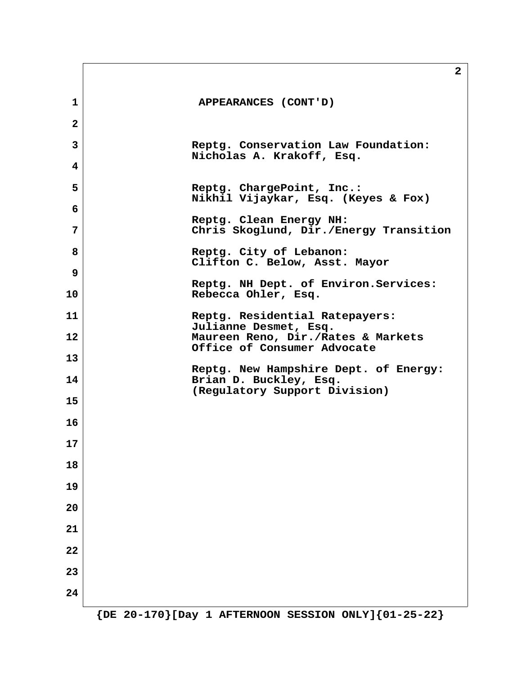|                | 2                                                                 |
|----------------|-------------------------------------------------------------------|
| 1              | APPEARANCES (CONT'D)                                              |
| $\overline{2}$ |                                                                   |
| 3              | Reptg. Conservation Law Foundation:<br>Nicholas A. Krakoff, Esq.  |
| 4              |                                                                   |
| 5              | Reptg. ChargePoint, Inc.:<br>Nikhil Vijaykar, Esq. (Keyes & Fox)  |
| 6              | Reptg. Clean Energy NH:                                           |
| 7              | Chris Skoglund, Dir./Energy Transition                            |
| 8              | Reptg. City of Lebanon:<br>Clifton C. Below, Asst. Mayor          |
| 9              |                                                                   |
| 10             | Reptg. NH Dept. of Environ. Services:<br>Rebecca Ohler, Esq.      |
| 11             | Reptg. Residential Ratepayers:<br>Julianne Desmet, Esq.           |
| 12             | Maureen Reno, Dir./Rates & Markets<br>Office of Consumer Advocate |
| 13             |                                                                   |
| 14             | Reptg. New Hampshire Dept. of Energy:<br>Brian D. Buckley, Esq.   |
| 15             | (Regulatory Support Division)                                     |
| 16             |                                                                   |
| 17             |                                                                   |
| 18             |                                                                   |
| 19             |                                                                   |
| 20             |                                                                   |
| 21             |                                                                   |
| 22             |                                                                   |
| 23             |                                                                   |
| 24             |                                                                   |

 $\mathsf{r}$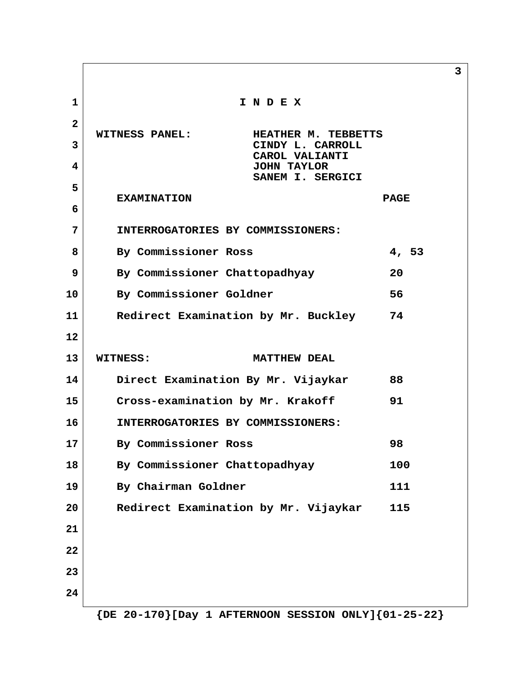**1 I N D E X 2 WITNESS PANEL: HEATHER M. TEBBETTS 3** CINDY L. CARROLL  **CAROL VALIANTI 4 JOHN TAYLOR SANEM I. SERGICI 5 EXAMINATION PAGE 6 7 INTERROGATORIES BY COMMISSIONERS: 8 By Commissioner Ross 4, 53 9 By Commissioner Chattopadhyay 20 10 By Commissioner Goldner 56 11 Redirect Examination by Mr. Buckley 74 12 13 WITNESS: MATTHEW DEAL 14 Direct Examination By Mr. Vijaykar 88 15 Cross-examination by Mr. Krakoff 91 16 INTERROGATORIES BY COMMISSIONERS: 17 By Commissioner Ross 98 18 By Commissioner Chattopadhyay 100 19 By Chairman Goldner 111 20 Redirect Examination by Mr. Vijaykar 115 21 22 23 24**

**3**

 **{DE 20-170}[Day 1 AFTERNOON SESSION ONLY]{01-25-22}**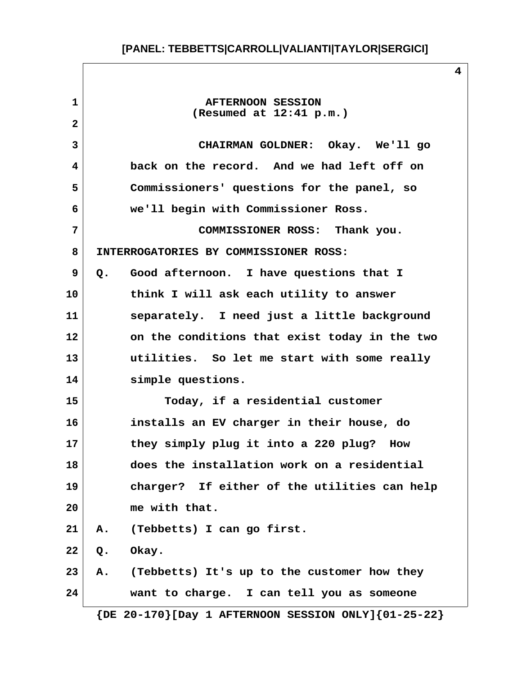**1 AFTERNOON SESSION (Resumed at 12:41 p.m.) 2 3 CHAIRMAN GOLDNER: Okay. We'll go 4 back on the record. And we had left off on 5 Commissioners' questions for the panel, so 6 we'll begin with Commissioner Ross. 7 COMMISSIONER ROSS: Thank you. 8 INTERROGATORIES BY COMMISSIONER ROSS: 9 Q. Good afternoon. I have questions that I 10 think I will ask each utility to answer 11 separately. I need just a little background 12 on the conditions that exist today in the two 13 utilities. So let me start with some really 14 simple questions. 15 Today, if a residential customer 16 installs an EV charger in their house, do 17 they simply plug it into a 220 plug? How 18 does the installation work on a residential 19 charger? If either of the utilities can help 20 me with that. 21 A. (Tebbetts) I can go first. 22 Q. Okay. 23 A. (Tebbetts) It's up to the customer how they 24 want to charge. I can tell you as someone**

 **{DE 20-170}[Day 1 AFTERNOON SESSION ONLY]{01-25-22}**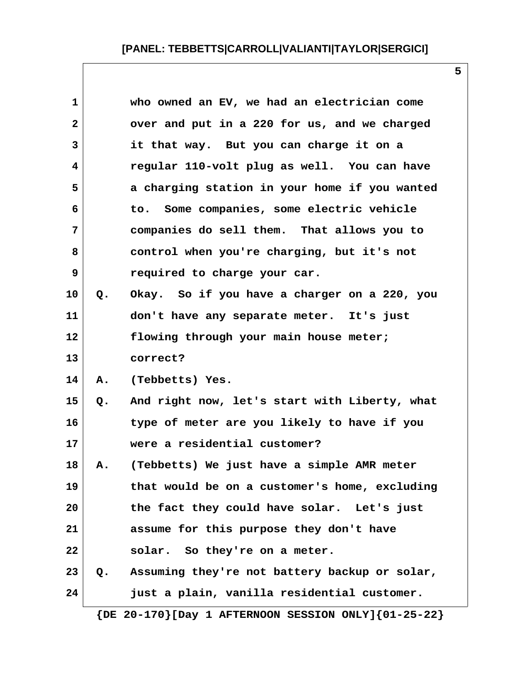| $\mathbf 1$  |    | who owned an EV, we had an electrician come   |
|--------------|----|-----------------------------------------------|
| $\mathbf{2}$ |    | over and put in a 220 for us, and we charged  |
| 3            |    | it that way. But you can charge it on a       |
| 4            |    | regular 110-volt plug as well. You can have   |
| 5            |    | a charging station in your home if you wanted |
| 6            |    | to. Some companies, some electric vehicle     |
| 7            |    | companies do sell them. That allows you to    |
| 8            |    | control when you're charging, but it's not    |
| 9            |    | required to charge your car.                  |
| 10           | Q. | Okay. So if you have a charger on a 220, you  |
| 11           |    | don't have any separate meter. It's just      |
| 12           |    | flowing through your main house meter;        |
| 13           |    | correct?                                      |
| 14           | Α. | (Tebbetts) Yes.                               |
| 15           | Q. | And right now, let's start with Liberty, what |
| 16           |    | type of meter are you likely to have if you   |
| 17           |    | were a residential customer?                  |
| 18           | А. | (Tebbetts) We just have a simple AMR meter    |
| 19           |    | that would be on a customer's home, excluding |
| 20           |    | the fact they could have solar. Let's just    |
| 21           |    | assume for this purpose they don't have       |
| 22           |    | solar. So they're on a meter.                 |
| 23           | Q. | Assuming they're not battery backup or solar, |
| 24           |    | just a plain, vanilla residential customer.   |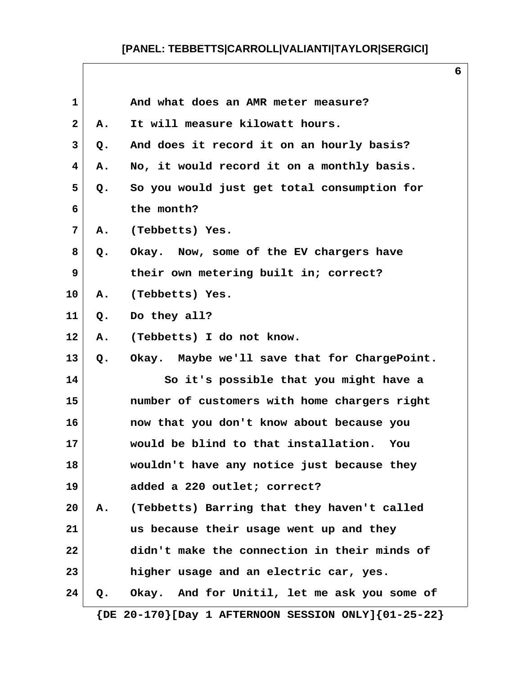| 1            |       | And what does an AMR meter measure?                           |
|--------------|-------|---------------------------------------------------------------|
| $\mathbf{2}$ | Α.    | It will measure kilowatt hours.                               |
| 3            | $Q$ . | And does it record it on an hourly basis?                     |
| 4            | Α.    | No, it would record it on a monthly basis.                    |
| 5            | Q.    | So you would just get total consumption for                   |
| 6            |       | the month?                                                    |
| 7            | А.    | (Tebbetts) Yes.                                               |
| 8            | Q.    | Okay. Now, some of the EV chargers have                       |
| 9            |       | their own metering built in; correct?                         |
| 10           | Α.    | (Tebbetts) Yes.                                               |
| 11           | Q.    | Do they all?                                                  |
| 12           | Α.    | (Tebbetts) I do not know.                                     |
| 13           | Q.    | Okay. Maybe we'll save that for ChargePoint.                  |
| 14           |       | So it's possible that you might have a                        |
| 15           |       | number of customers with home chargers right                  |
| 16           |       | now that you don't know about because you                     |
| 17           |       | would be blind to that installation. You                      |
| 18           |       | wouldn't have any notice just because they                    |
| 19           |       | added a 220 outlet; correct?                                  |
| 20           | Α.    | (Tebbetts) Barring that they haven't called                   |
| 21           |       | us because their usage went up and they                       |
| 22           |       | didn't make the connection in their minds of                  |
| 23           |       | higher usage and an electric car, yes.                        |
| 24           | Q.    | Okay. And for Unitil, let me ask you some of                  |
|              |       | $\{DE 20-170\}$ [Day 1 AFTERNOON SESSION ONLY] $\{01-25-22\}$ |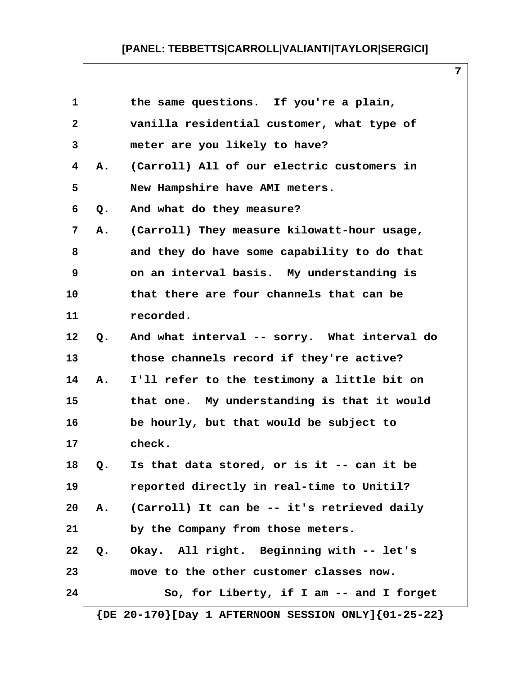| 1            |    | the same questions. If you're a plain,                        |
|--------------|----|---------------------------------------------------------------|
| $\mathbf{2}$ |    | vanilla residential customer, what type of                    |
| 3            |    | meter are you likely to have?                                 |
| 4            | Α. | (Carroll) All of our electric customers in                    |
| 5            |    | New Hampshire have AMI meters.                                |
| 6            | Q. | And what do they measure?                                     |
| 7            | Α. | (Carroll) They measure kilowatt-hour usage,                   |
| 8            |    | and they do have some capability to do that                   |
| 9            |    | on an interval basis. My understanding is                     |
| 10           |    | that there are four channels that can be                      |
| 11           |    | recorded.                                                     |
| 12           | Q. | And what interval -- sorry. What interval do                  |
| 13           |    | those channels record if they're active?                      |
| 14           | Α. | I'll refer to the testimony a little bit on                   |
| 15           |    | that one. My understanding is that it would                   |
| 16           |    | be hourly, but that would be subject to                       |
| 17           |    | check.                                                        |
| 18           | Q. | Is that data stored, or is it -- can it be                    |
| 19           |    | reported directly in real-time to Unitil?                     |
| 20           | A. | (Carroll) It can be -- it's retrieved daily                   |
| 21           |    | by the Company from those meters.                             |
| 22           | Q. | Okay. All right. Beginning with -- let's                      |
| 23           |    | move to the other customer classes now.                       |
| 24           |    | So, for Liberty, if I am -- and I forget                      |
|              |    | $\{DE 20-170\}$ [Day 1 AFTERNOON SESSION ONLY] $\{01-25-22\}$ |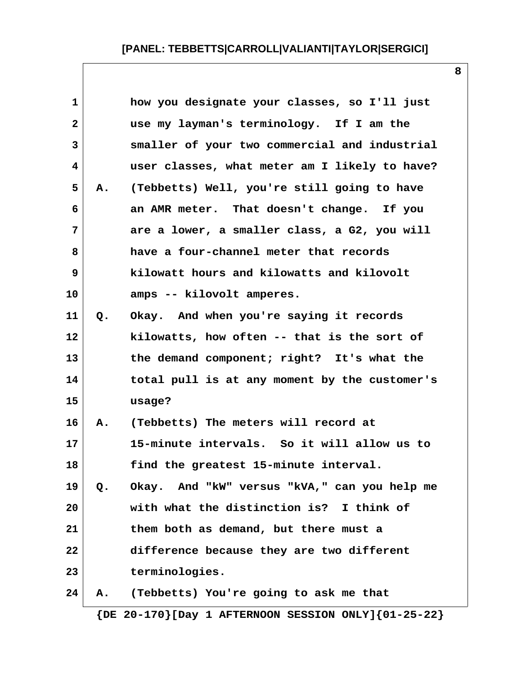| $\mathbf{1}$ |       | how you designate your classes, so I'll just  |
|--------------|-------|-----------------------------------------------|
| $\mathbf{2}$ |       | use my layman's terminology. If I am the      |
| 3            |       | smaller of your two commercial and industrial |
| 4            |       | user classes, what meter am I likely to have? |
| 5            | Α.    | (Tebbetts) Well, you're still going to have   |
| 6            |       | an AMR meter. That doesn't change. If you     |
| 7            |       | are a lower, a smaller class, a G2, you will  |
| 8            |       | have a four-channel meter that records        |
| 9            |       | kilowatt hours and kilowatts and kilovolt     |
| 10           |       | amps -- kilovolt amperes.                     |
| 11           | $Q$ . | Okay. And when you're saying it records       |
| 12           |       | kilowatts, how often -- that is the sort of   |
| 13           |       | the demand component; right? It's what the    |
| 14           |       | total pull is at any moment by the customer's |
| 15           |       | usage?                                        |
| 16           | Α.    | (Tebbetts) The meters will record at          |
| 17           |       | 15-minute intervals. So it will allow us to   |
| 18           |       | find the greatest 15-minute interval.         |
| 19           | Q.    | Okay. And "kW" versus "kVA," can you help me  |
| 20           |       | with what the distinction is? I think of      |
| 21           |       | them both as demand, but there must a         |
| 22           |       | difference because they are two different     |
| 23           |       | terminologies.                                |
| 24           | Α.    | (Tebbetts) You're going to ask me that        |
|              |       |                                               |

 **{DE 20-170}[Day 1 AFTERNOON SESSION ONLY]{01-25-22}**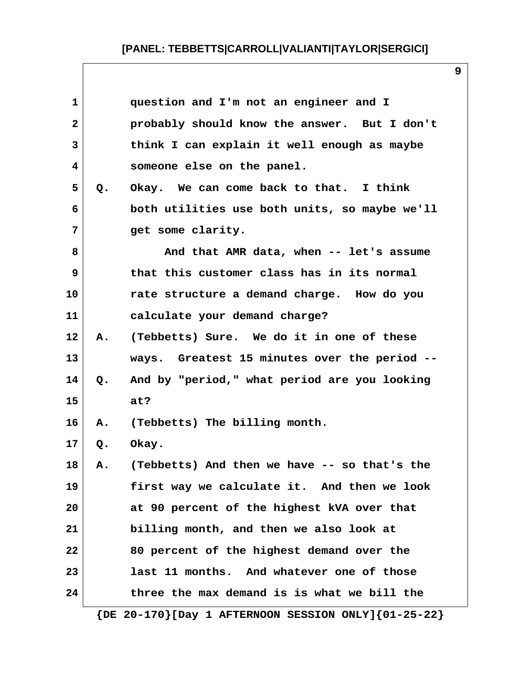| $\mathbf 1$    |       | question and I'm not an engineer and I                        |
|----------------|-------|---------------------------------------------------------------|
| $\overline{2}$ |       | probably should know the answer. But I don't                  |
| 3              |       | think I can explain it well enough as maybe                   |
| 4              |       | someone else on the panel.                                    |
| 5              | $Q$ . | Okay. We can come back to that. I think                       |
| 6              |       | both utilities use both units, so maybe we'll                 |
| 7              |       | get some clarity.                                             |
| 8              |       | And that AMR data, when -- let's assume                       |
| 9              |       | that this customer class has in its normal                    |
| 10             |       | rate structure a demand charge. How do you                    |
| 11             |       | calculate your demand charge?                                 |
| 12             | Α.    | (Tebbetts) Sure. We do it in one of these                     |
| 13             |       | ways. Greatest 15 minutes over the period --                  |
| 14             | Q.    | And by "period," what period are you looking                  |
| 15             |       | at?                                                           |
| 16             | Α.    | (Tebbetts) The billing month.                                 |
| 17             | $Q$ . | Okay.                                                         |
| 18             |       | A. (Tebbetts) And then we have -- so that's the               |
| 19             |       | first way we calculate it. And then we look                   |
| 20             |       | at 90 percent of the highest kVA over that                    |
| 21             |       | billing month, and then we also look at                       |
| 22             |       | 80 percent of the highest demand over the                     |
| 23             |       | last 11 months. And whatever one of those                     |
| 24             |       | three the max demand is is what we bill the                   |
|                |       | $\{DE 20-170\}$ [Day 1 AFTERNOON SESSION ONLY] $\{01-25-22\}$ |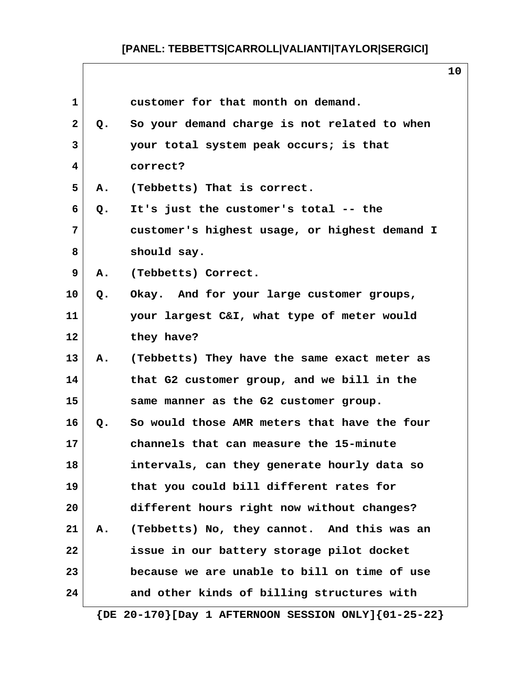$\mathbf{I}$ 

| $\mathbf{1}$<br>customer for that month on demand.<br>$\mathbf{2}$<br>So your demand charge is not related to when<br>Q.<br>3<br>your total system peak occurs; is that<br>correct?<br>4<br>5<br>(Tebbetts) That is correct.<br>Α.<br>6<br>It's just the customer's total -- the<br>Q.<br>7<br>customer's highest usage, or highest demand I<br>8<br>should say.<br>9<br>(Tebbetts) Correct.<br>Α.<br>10<br>Okay. And for your large customer groups,<br>Q.<br>11<br>your largest C&I, what type of meter would<br>12<br>they have?<br>13<br>Α.<br>(Tebbetts) They have the same exact meter as<br>14<br>that G2 customer group, and we bill in the<br>15<br>same manner as the G2 customer group.<br>16<br>So would those AMR meters that have the four<br>Q.<br>17<br>channels that can measure the 15-minute<br>18<br>intervals, can they generate hourly data so<br>19<br>that you could bill different rates for<br>different hours right now without changes?<br>20<br>21<br>(Tebbetts) No, they cannot. And this was an<br>Α.<br>22<br>issue in our battery storage pilot docket<br>23<br>because we are unable to bill on time of use<br>and other kinds of billing structures with<br>24 |  | ᅩ◡ |
|---------------------------------------------------------------------------------------------------------------------------------------------------------------------------------------------------------------------------------------------------------------------------------------------------------------------------------------------------------------------------------------------------------------------------------------------------------------------------------------------------------------------------------------------------------------------------------------------------------------------------------------------------------------------------------------------------------------------------------------------------------------------------------------------------------------------------------------------------------------------------------------------------------------------------------------------------------------------------------------------------------------------------------------------------------------------------------------------------------------------------------------------------------------------------------------------------|--|----|
|                                                                                                                                                                                                                                                                                                                                                                                                                                                                                                                                                                                                                                                                                                                                                                                                                                                                                                                                                                                                                                                                                                                                                                                                   |  |    |
|                                                                                                                                                                                                                                                                                                                                                                                                                                                                                                                                                                                                                                                                                                                                                                                                                                                                                                                                                                                                                                                                                                                                                                                                   |  |    |
|                                                                                                                                                                                                                                                                                                                                                                                                                                                                                                                                                                                                                                                                                                                                                                                                                                                                                                                                                                                                                                                                                                                                                                                                   |  |    |
|                                                                                                                                                                                                                                                                                                                                                                                                                                                                                                                                                                                                                                                                                                                                                                                                                                                                                                                                                                                                                                                                                                                                                                                                   |  |    |
|                                                                                                                                                                                                                                                                                                                                                                                                                                                                                                                                                                                                                                                                                                                                                                                                                                                                                                                                                                                                                                                                                                                                                                                                   |  |    |
|                                                                                                                                                                                                                                                                                                                                                                                                                                                                                                                                                                                                                                                                                                                                                                                                                                                                                                                                                                                                                                                                                                                                                                                                   |  |    |
|                                                                                                                                                                                                                                                                                                                                                                                                                                                                                                                                                                                                                                                                                                                                                                                                                                                                                                                                                                                                                                                                                                                                                                                                   |  |    |
|                                                                                                                                                                                                                                                                                                                                                                                                                                                                                                                                                                                                                                                                                                                                                                                                                                                                                                                                                                                                                                                                                                                                                                                                   |  |    |
|                                                                                                                                                                                                                                                                                                                                                                                                                                                                                                                                                                                                                                                                                                                                                                                                                                                                                                                                                                                                                                                                                                                                                                                                   |  |    |
|                                                                                                                                                                                                                                                                                                                                                                                                                                                                                                                                                                                                                                                                                                                                                                                                                                                                                                                                                                                                                                                                                                                                                                                                   |  |    |
|                                                                                                                                                                                                                                                                                                                                                                                                                                                                                                                                                                                                                                                                                                                                                                                                                                                                                                                                                                                                                                                                                                                                                                                                   |  |    |
|                                                                                                                                                                                                                                                                                                                                                                                                                                                                                                                                                                                                                                                                                                                                                                                                                                                                                                                                                                                                                                                                                                                                                                                                   |  |    |
|                                                                                                                                                                                                                                                                                                                                                                                                                                                                                                                                                                                                                                                                                                                                                                                                                                                                                                                                                                                                                                                                                                                                                                                                   |  |    |
|                                                                                                                                                                                                                                                                                                                                                                                                                                                                                                                                                                                                                                                                                                                                                                                                                                                                                                                                                                                                                                                                                                                                                                                                   |  |    |
|                                                                                                                                                                                                                                                                                                                                                                                                                                                                                                                                                                                                                                                                                                                                                                                                                                                                                                                                                                                                                                                                                                                                                                                                   |  |    |
|                                                                                                                                                                                                                                                                                                                                                                                                                                                                                                                                                                                                                                                                                                                                                                                                                                                                                                                                                                                                                                                                                                                                                                                                   |  |    |
|                                                                                                                                                                                                                                                                                                                                                                                                                                                                                                                                                                                                                                                                                                                                                                                                                                                                                                                                                                                                                                                                                                                                                                                                   |  |    |
|                                                                                                                                                                                                                                                                                                                                                                                                                                                                                                                                                                                                                                                                                                                                                                                                                                                                                                                                                                                                                                                                                                                                                                                                   |  |    |
|                                                                                                                                                                                                                                                                                                                                                                                                                                                                                                                                                                                                                                                                                                                                                                                                                                                                                                                                                                                                                                                                                                                                                                                                   |  |    |
|                                                                                                                                                                                                                                                                                                                                                                                                                                                                                                                                                                                                                                                                                                                                                                                                                                                                                                                                                                                                                                                                                                                                                                                                   |  |    |
|                                                                                                                                                                                                                                                                                                                                                                                                                                                                                                                                                                                                                                                                                                                                                                                                                                                                                                                                                                                                                                                                                                                                                                                                   |  |    |
|                                                                                                                                                                                                                                                                                                                                                                                                                                                                                                                                                                                                                                                                                                                                                                                                                                                                                                                                                                                                                                                                                                                                                                                                   |  |    |
|                                                                                                                                                                                                                                                                                                                                                                                                                                                                                                                                                                                                                                                                                                                                                                                                                                                                                                                                                                                                                                                                                                                                                                                                   |  |    |
|                                                                                                                                                                                                                                                                                                                                                                                                                                                                                                                                                                                                                                                                                                                                                                                                                                                                                                                                                                                                                                                                                                                                                                                                   |  |    |

 **{DE 20-170}[Day 1 AFTERNOON SESSION ONLY]{01-25-22}**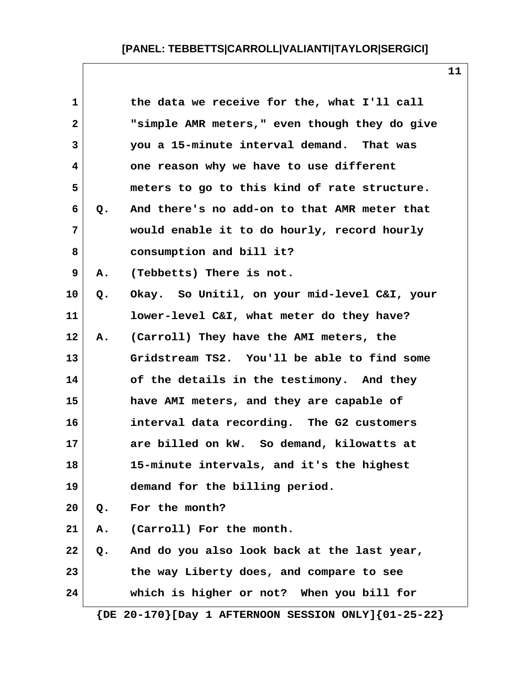| $\mathbf 1$             |               | the data we receive for the, what I'll call   |
|-------------------------|---------------|-----------------------------------------------|
| $\mathbf{2}$            |               | "simple AMR meters," even though they do give |
| 3                       |               | you a 15-minute interval demand. That was     |
| $\overline{\mathbf{4}}$ |               | one reason why we have to use different       |
| 5                       |               | meters to go to this kind of rate structure.  |
| 6                       | Q.            | And there's no add-on to that AMR meter that  |
| $\overline{7}$          |               | would enable it to do hourly, record hourly   |
| 8                       |               | consumption and bill it?                      |
| 9                       | Α.            | (Tebbetts) There is not.                      |
| 10                      | Q.            | Okay. So Unitil, on your mid-level C&I, your  |
| 11                      |               | lower-level C&I, what meter do they have?     |
| $12 \,$                 | Α.            | (Carroll) They have the AMI meters, the       |
| 13                      |               | Gridstream TS2. You'll be able to find some   |
| 14                      |               | of the details in the testimony. And they     |
| 15                      |               | have AMI meters, and they are capable of      |
| 16                      |               | interval data recording. The G2 customers     |
| 17                      |               | are billed on kW. So demand, kilowatts at     |
| 18                      |               | 15-minute intervals, and it's the highest     |
| 19                      |               | demand for the billing period.                |
| 20                      | Q.            | For the month?                                |
| 21                      | А.            | (Carroll) For the month.                      |
| 22                      | $Q_{\bullet}$ | And do you also look back at the last year,   |
| 23                      |               | the way Liberty does, and compare to see      |
| 24                      |               | which is higher or not? When you bill for     |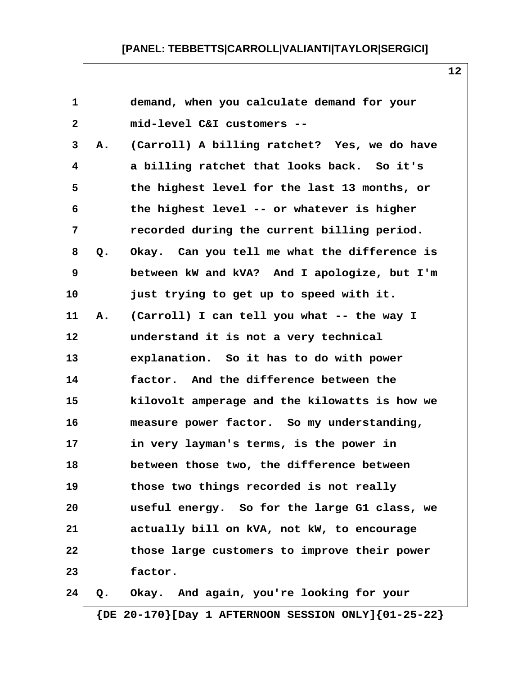| 1            |    | demand, when you calculate demand for your    |
|--------------|----|-----------------------------------------------|
| $\mathbf{2}$ |    | mid-level C&I customers --                    |
| 3            | А. | (Carroll) A billing ratchet? Yes, we do have  |
| 4            |    | a billing ratchet that looks back. So it's    |
| 5            |    | the highest level for the last 13 months, or  |
| 6            |    | the highest level -- or whatever is higher    |
| 7            |    | recorded during the current billing period.   |
| 8            | Q. | Okay. Can you tell me what the difference is  |
| 9            |    | between kW and kVA? And I apologize, but I'm  |
| 10           |    | just trying to get up to speed with it.       |
| 11           | Α. | (Carroll) I can tell you what -- the way I    |
| 12           |    | understand it is not a very technical         |
| 13           |    | explanation. So it has to do with power       |
| 14           |    | factor. And the difference between the        |
| 15           |    | kilovolt amperage and the kilowatts is how we |
| 16           |    | measure power factor. So my understanding,    |
| 17           |    | in very layman's terms, is the power in       |
| 18           |    | between those two, the difference between     |
| 19           |    | those two things recorded is not really       |
| 20           |    | useful energy. So for the large G1 class, we  |
| 21           |    | actually bill on kVA, not kW, to encourage    |
| 22           |    | those large customers to improve their power  |
| 23           |    | factor.                                       |
| 24           | Q. | Okay. And again, you're looking for your      |

 **{DE 20-170}[Day 1 AFTERNOON SESSION ONLY]{01-25-22}**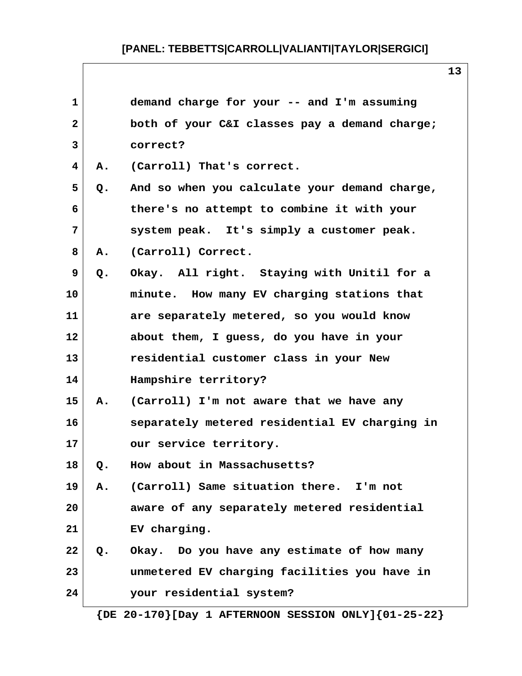| 1            |    | demand charge for your -- and I'm assuming    |
|--------------|----|-----------------------------------------------|
| $\mathbf{2}$ |    | both of your C&I classes pay a demand charge; |
| 3            |    | correct?                                      |
| 4            | А. | (Carroll) That's correct.                     |
| 5            | Q. | And so when you calculate your demand charge, |
| 6            |    | there's no attempt to combine it with your    |
| 7            |    | system peak. It's simply a customer peak.     |
| 8            | Α. | (Carroll) Correct.                            |
| 9            | Q. | Okay. All right. Staying with Unitil for a    |
| 10           |    | minute. How many EV charging stations that    |
| 11           |    | are separately metered, so you would know     |
| 12           |    | about them, I guess, do you have in your      |
| 13           |    | residential customer class in your New        |
| 14           |    | Hampshire territory?                          |
| 15           | Α. | (Carroll) I'm not aware that we have any      |
| 16           |    | separately metered residential EV charging in |
| 17           |    | our service territory.                        |
| 18           | Q. | How about in Massachusetts?                   |
| 19           | Α. | (Carroll) Same situation there. I'm not       |
| 20           |    | aware of any separately metered residential   |
| 21           |    | EV charging.                                  |
| 22           | Q. | Okay. Do you have any estimate of how many    |
| 23           |    | unmetered EV charging facilities you have in  |
| 24           |    | your residential system?                      |
|              |    |                                               |

 **{DE 20-170}[Day 1 AFTERNOON SESSION ONLY]{01-25-22}**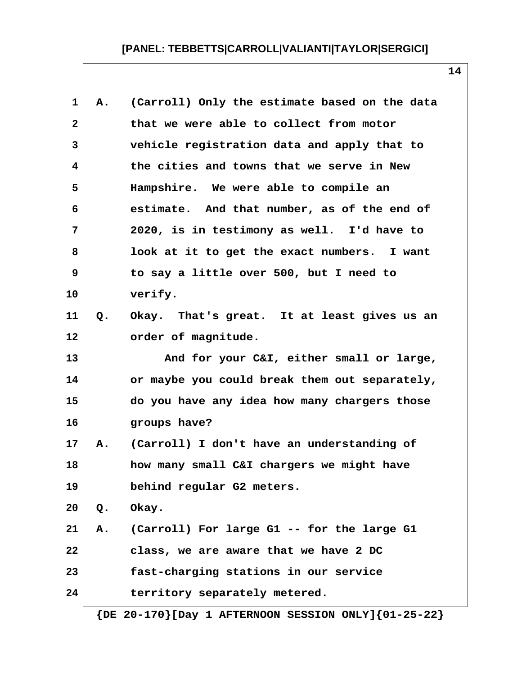| 1            | Α. | (Carroll) Only the estimate based on the data                 |
|--------------|----|---------------------------------------------------------------|
| $\mathbf{2}$ |    | that we were able to collect from motor                       |
| 3            |    | vehicle registration data and apply that to                   |
| 4            |    | the cities and towns that we serve in New                     |
| 5            |    | Hampshire. We were able to compile an                         |
| 6            |    | estimate. And that number, as of the end of                   |
| 7            |    | 2020, is in testimony as well. I'd have to                    |
| 8            |    | look at it to get the exact numbers. I want                   |
| 9            |    | to say a little over 500, but I need to                       |
| 10           |    | verify.                                                       |
| 11           | Q. | Okay. That's great. It at least gives us an                   |
| 12           |    | order of magnitude.                                           |
| 13           |    | And for your C&I, either small or large,                      |
| 14           |    | or maybe you could break them out separately,                 |
| 15           |    | do you have any idea how many chargers those                  |
| 16           |    | groups have?                                                  |
| 17           | Α. | (Carroll) I don't have an understanding of                    |
| 18           |    | how many small C&I chargers we might have                     |
| 19           |    | behind regular G2 meters.                                     |
| 20           | Q. | Okay.                                                         |
| 21           |    | A. (Carroll) For large G1 -- for the large G1                 |
| 22           |    | class, we are aware that we have 2 DC                         |
| 23           |    | fast-charging stations in our service                         |
| 24           |    | territory separately metered.                                 |
|              |    | $\{DE 20-170\}$ [Day 1 AFTERNOON SESSION ONLY] $\{01-25-22\}$ |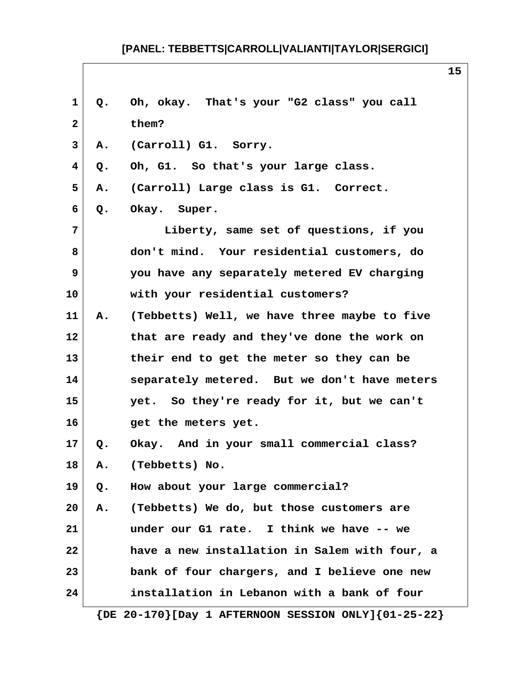| $\mathbf 1$     | Q. | Oh, okay. That's your "G2 class" you call                     |
|-----------------|----|---------------------------------------------------------------|
| $\mathbf{2}$    |    | them?                                                         |
| 3               | Α. | (Carroll) G1. Sorry.                                          |
| 4               | Q. | Oh, G1. So that's your large class.                           |
| 5               | А. | (Carroll) Large class is G1. Correct.                         |
| 6               | Q. | Okay. Super.                                                  |
| 7               |    | Liberty, same set of questions, if you                        |
| 8               |    | don't mind. Your residential customers, do                    |
| 9               |    | you have any separately metered EV charging                   |
| 10              |    | with your residential customers?                              |
| 11              | Α. | (Tebbetts) Well, we have three maybe to five                  |
| $12 \,$         |    | that are ready and they've done the work on                   |
| 13              |    | their end to get the meter so they can be                     |
| 14              |    | separately metered. But we don't have meters                  |
| 15              |    | yet. So they're ready for it, but we can't                    |
| 16              |    | get the meters yet.                                           |
| 17 <sub>2</sub> |    | Q. Okay. And in your small commercial class?                  |
| 18              | А. | (Tebbetts) No.                                                |
| 19              | Q. | How about your large commercial?                              |
| 20              | Α. | (Tebbetts) We do, but those customers are                     |
| 21              |    | under our G1 rate. I think we have -- we                      |
| 22              |    | have a new installation in Salem with four, a                 |
| 23              |    | bank of four chargers, and I believe one new                  |
| 24              |    | installation in Lebanon with a bank of four                   |
|                 |    | $\{DE 20-170\}$ [Day 1 AFTERNOON SESSION ONLY] $\{01-25-22\}$ |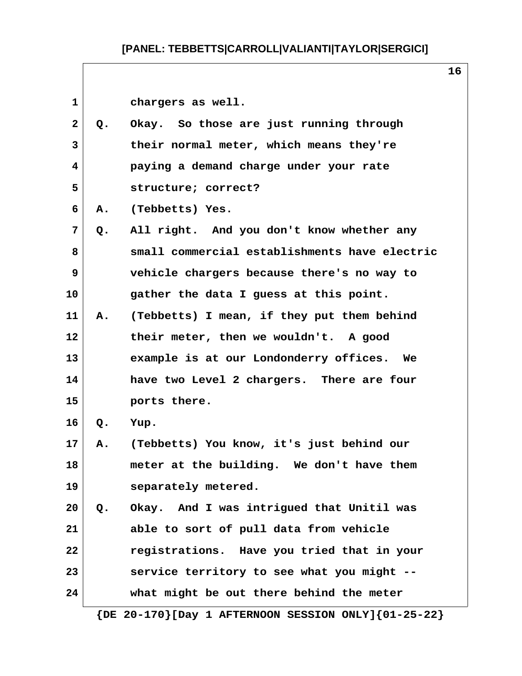1 **chargers** as well.  **2 Q. Okay. So those are just running through 3 their normal meter, which means they're 4 paying a demand charge under your rate 5 structure; correct? 6 A. (Tebbetts) Yes. 7 Q. All right. And you don't know whether any 8 small commercial establishments have electric 9 vehicle chargers because there's no way to 10 gather the data I guess at this point. 11 A. (Tebbetts) I mean, if they put them behind 12 their meter, then we wouldn't. A good 13 example is at our Londonderry offices. We 14 have two Level 2 chargers. There are four 15 ports there. 16 Q. Yup. 17 A. (Tebbetts) You know, it's just behind our 18 meter at the building. We don't have them 19 separately metered. 20 Q. Okay. And I was intrigued that Unitil was 21 able to sort of pull data from vehicle 22 registrations. Have you tried that in your 23 service territory to see what you might -- 24 what might be out there behind the meter**

 **{DE 20-170}[Day 1 AFTERNOON SESSION ONLY]{01-25-22}**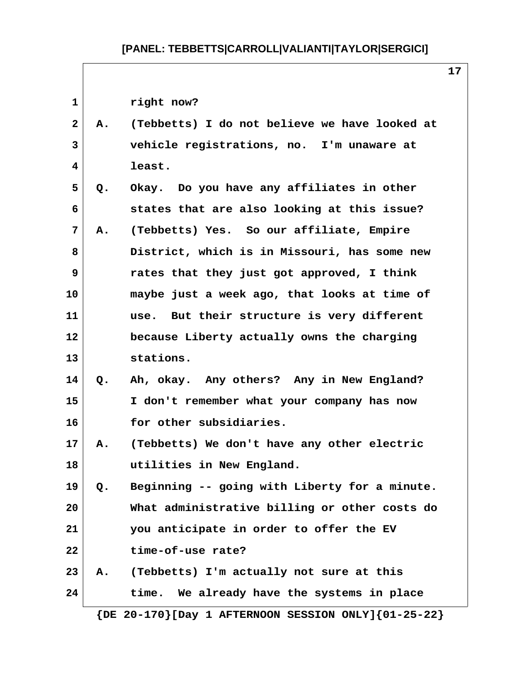| $\mathbf{1}$ |       | right now?                                    |
|--------------|-------|-----------------------------------------------|
| $\mathbf{2}$ | Α.    | (Tebbetts) I do not believe we have looked at |
| 3            |       | vehicle registrations, no. I'm unaware at     |
| 4            |       | least.                                        |
| 5            | Q.    | Okay. Do you have any affiliates in other     |
| 6            |       | states that are also looking at this issue?   |
| 7            | Α.    | (Tebbetts) Yes. So our affiliate, Empire      |
| 8            |       | District, which is in Missouri, has some new  |
| 9            |       | rates that they just got approved, I think    |
| 10           |       | maybe just a week ago, that looks at time of  |
| 11           |       | use. But their structure is very different    |
| 12           |       | because Liberty actually owns the charging    |
| 13           |       | stations.                                     |
| 14           | Q.    | Ah, okay. Any others? Any in New England?     |
| 15           |       | I don't remember what your company has now    |
| 16           |       | for other subsidiaries.                       |
| 17           | Α.    | (Tebbetts) We don't have any other electric   |
| 18           |       | utilities in New England.                     |
| 19           | $Q$ . | Beginning -- going with Liberty for a minute. |
| 20           |       | What administrative billing or other costs do |
| 21           |       | you anticipate in order to offer the EV       |
| 22           |       | time-of-use rate?                             |
| 23           | Α.    | (Tebbetts) I'm actually not sure at this      |
| 24           |       | We already have the systems in place<br>time. |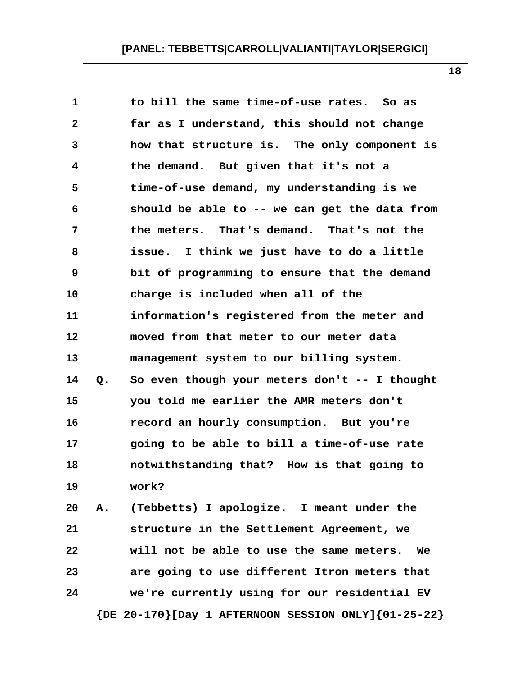| 1            |    | to bill the same time-of-use rates. So as      |
|--------------|----|------------------------------------------------|
| $\mathbf{2}$ |    | far as I understand, this should not change    |
| 3            |    | how that structure is. The only component is   |
| 4            |    | the demand. But given that it's not a          |
| 5            |    | time-of-use demand, my understanding is we     |
| 6            |    | should be able to -- we can get the data from  |
| 7            |    | the meters. That's demand. That's not the      |
| 8            |    | issue. I think we just have to do a little     |
| 9            |    | bit of programming to ensure that the demand   |
| 10           |    | charge is included when all of the             |
| 11           |    | information's registered from the meter and    |
| 12           |    | moved from that meter to our meter data        |
| 13           |    | management system to our billing system.       |
| 14           | Q. | So even though your meters don't -- I thought  |
| 15           |    | you told me earlier the AMR meters don't       |
| 16           |    | record an hourly consumption. But you're       |
| 17           |    | going to be able to bill a time-of-use rate    |
| 18           |    | notwithstanding that? How is that going to     |
| 19           |    | work?                                          |
| 20           |    | A. (Tebbetts) I apologize. I meant under the   |
| 21           |    | structure in the Settlement Agreement, we      |
| 22           |    | will not be able to use the same meters.<br>We |
| 23           |    | are going to use different Itron meters that   |
| 24           |    | we're currently using for our residential EV   |

 **{DE 20-170}[Day 1 AFTERNOON SESSION ONLY]{01-25-22}**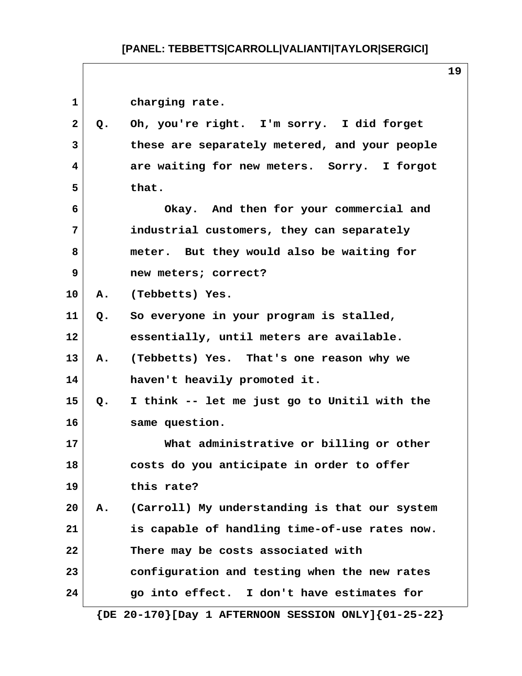$\sqrt{ }$ 

|              |    |                                                               | ᅩ |
|--------------|----|---------------------------------------------------------------|---|
| $\mathbf{1}$ |    | charging rate.                                                |   |
| $\mathbf{2}$ | Q. | Oh, you're right. I'm sorry. I did forget                     |   |
| 3            |    | these are separately metered, and your people                 |   |
| 4            |    | are waiting for new meters. Sorry. I forgot                   |   |
| 5            |    | that.                                                         |   |
| 6            |    | Okay. And then for your commercial and                        |   |
| 7            |    | industrial customers, they can separately                     |   |
| 8            |    | meter. But they would also be waiting for                     |   |
| 9            |    | new meters; correct?                                          |   |
| 10           |    | A. (Tebbetts) Yes.                                            |   |
| 11           | Q. | So everyone in your program is stalled,                       |   |
| 12           |    | essentially, until meters are available.                      |   |
| 13           | Α. | (Tebbetts) Yes. That's one reason why we                      |   |
| 14           |    | haven't heavily promoted it.                                  |   |
| 15           | Q. | I think -- let me just go to Unitil with the                  |   |
| 16           |    | same question.                                                |   |
| 17           |    | What administrative or billing or other                       |   |
| 18           |    | costs do you anticipate in order to offer                     |   |
| 19           |    | this rate?                                                    |   |
| 20           | Α. | (Carroll) My understanding is that our system                 |   |
| 21           |    | is capable of handling time-of-use rates now.                 |   |
| 22           |    | There may be costs associated with                            |   |
| 23           |    | configuration and testing when the new rates                  |   |
| 24           |    | go into effect. I don't have estimates for                    |   |
|              |    | $\{DE 20-170\}$ [Day 1 AFTERNOON SESSION ONLY] $\{01-25-22\}$ |   |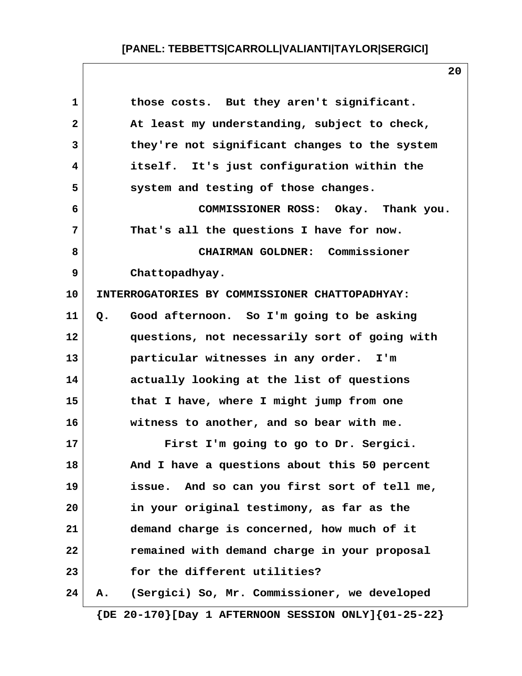| 1            | those costs. But they aren't significant.          |
|--------------|----------------------------------------------------|
| $\mathbf{2}$ | At least my understanding, subject to check,       |
| 3            | they're not significant changes to the system      |
| 4            | itself. It's just configuration within the         |
| 5            | system and testing of those changes.               |
| 6            | COMMISSIONER ROSS: Okay. Thank you.                |
| 7            | That's all the questions I have for now.           |
| 8            | CHAIRMAN GOLDNER: Commissioner                     |
| 9            | Chattopadhyay.                                     |
| 10           | INTERROGATORIES BY COMMISSIONER CHATTOPADHYAY:     |
| 11           | Good afternoon. So I'm going to be asking<br>$Q$ . |
| 12           | questions, not necessarily sort of going with      |
| 13           | particular witnesses in any order.<br>I'm          |
| 14           | actually looking at the list of questions          |
| 15           | that I have, where I might jump from one           |
| 16           | witness to another, and so bear with me.           |
| 17           | First I'm going to go to Dr. Sergici.              |
| 18           | And I have a questions about this 50 percent       |
| 19           | issue. And so can you first sort of tell me,       |
| 20           | in your original testimony, as far as the          |
| 21           | demand charge is concerned, how much of it         |
| 22           | remained with demand charge in your proposal       |
| 23           | for the different utilities?                       |
| 24           | (Sergici) So, Mr. Commissioner, we developed<br>А. |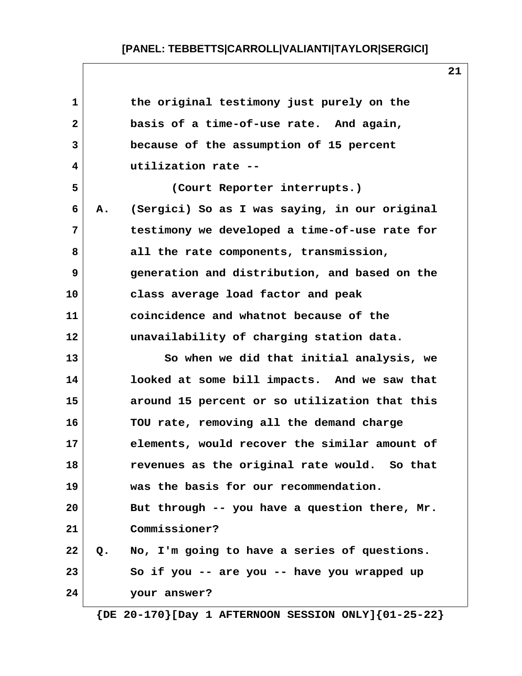| 1            |    | the original testimony just purely on the       |
|--------------|----|-------------------------------------------------|
| $\mathbf{2}$ |    | basis of a time-of-use rate. And again,         |
| 3            |    | because of the assumption of 15 percent         |
| 4            |    | utilization rate --                             |
| 5            |    | (Court Reporter interrupts.)                    |
| 6            | Α. | (Sergici) So as I was saying, in our original   |
| 7            |    | testimony we developed a time-of-use rate for   |
| 8            |    | all the rate components, transmission,          |
| 9            |    | generation and distribution, and based on the   |
| 10           |    | class average load factor and peak              |
| 11           |    | coincidence and whatnot because of the          |
| 12           |    | unavailability of charging station data.        |
| 13           |    | So when we did that initial analysis, we        |
| 14           |    | looked at some bill impacts. And we saw that    |
| 15           |    | around 15 percent or so utilization that this   |
| 16           |    | TOU rate, removing all the demand charge        |
| 17           |    | elements, would recover the similar amount of   |
| 18           |    | revenues as the original rate would.<br>So that |
| 19           |    | was the basis for our recommendation.           |
| 20           |    | But through -- you have a question there, Mr.   |
| 21           |    | Commissioner?                                   |
| 22           | Q. | No, I'm going to have a series of questions.    |
| 23           |    | So if you -- are you -- have you wrapped up     |
| 24           |    | your answer?                                    |
|              |    |                                                 |

 **{DE 20-170}[Day 1 AFTERNOON SESSION ONLY]{01-25-22}**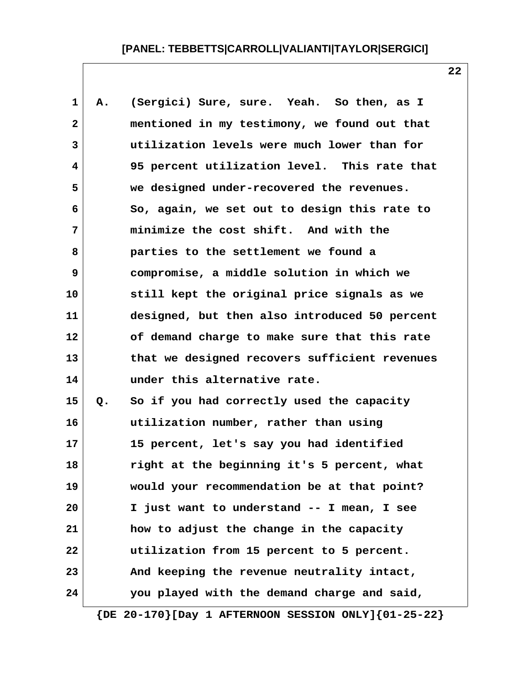| 1              | Α. | (Sergici) Sure, sure. Yeah. So then, as I     |
|----------------|----|-----------------------------------------------|
| $\mathbf{2}$   |    | mentioned in my testimony, we found out that  |
| $\overline{3}$ |    | utilization levels were much lower than for   |
| 4              |    | 95 percent utilization level. This rate that  |
| 5              |    | we designed under-recovered the revenues.     |
| 6              |    | So, again, we set out to design this rate to  |
| 7              |    | minimize the cost shift. And with the         |
| 8              |    | parties to the settlement we found a          |
| 9              |    | compromise, a middle solution in which we     |
| 10             |    | still kept the original price signals as we   |
| 11             |    | designed, but then also introduced 50 percent |
| 12             |    | of demand charge to make sure that this rate  |
| 13             |    | that we designed recovers sufficient revenues |
| 14             |    | under this alternative rate.                  |
| 15             | Q. | So if you had correctly used the capacity     |
| 16             |    | utilization number, rather than using         |
| 17             |    | 15 percent, let's say you had identified      |
| 18             |    | right at the beginning it's 5 percent, what   |
| 19             |    | would your recommendation be at that point?   |
| 20             |    | I just want to understand -- I mean, I see    |
| 21             |    | how to adjust the change in the capacity      |
| 22             |    | utilization from 15 percent to 5 percent.     |
| 23             |    | And keeping the revenue neutrality intact,    |
| 24             |    | you played with the demand charge and said,   |

 **{DE 20-170}[Day 1 AFTERNOON SESSION ONLY]{01-25-22}**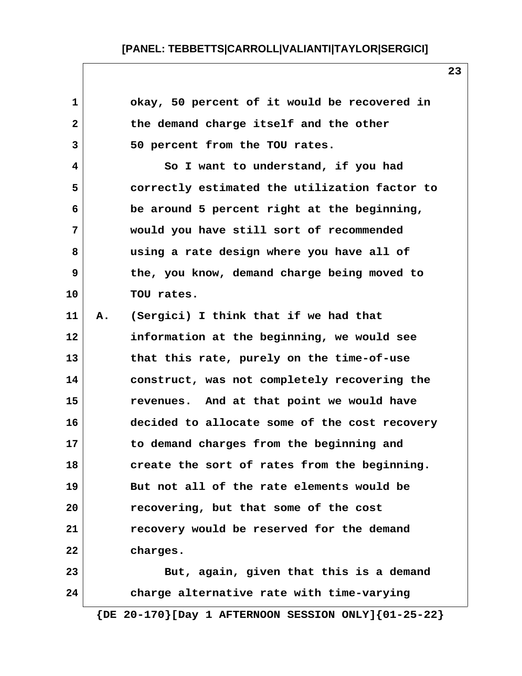| 1            | okay, 50 percent of it would be recovered in                  |
|--------------|---------------------------------------------------------------|
| $\mathbf{2}$ | the demand charge itself and the other                        |
| 3            | 50 percent from the TOU rates.                                |
| 4            | So I want to understand, if you had                           |
| 5            | correctly estimated the utilization factor to                 |
| 6            | be around 5 percent right at the beginning,                   |
| 7            | would you have still sort of recommended                      |
| 8            | using a rate design where you have all of                     |
| 9            | the, you know, demand charge being moved to                   |
| 10           | TOU rates.                                                    |
| 11           | (Sergici) I think that if we had that<br>Α.                   |
| 12           | information at the beginning, we would see                    |
| 13           | that this rate, purely on the time-of-use                     |
| 14           | construct, was not completely recovering the                  |
| 15           | revenues. And at that point we would have                     |
| 16           | decided to allocate some of the cost recovery                 |
| 17           | to demand charges from the beginning and                      |
| 18           | create the sort of rates from the beginning.                  |
| 19           | But not all of the rate elements would be                     |
| 20           | recovering, but that some of the cost                         |
| 21           | recovery would be reserved for the demand                     |
| 22           | charges.                                                      |
| 23           | But, again, given that this is a demand                       |
| 24           | charge alternative rate with time-varying                     |
|              | $\{DE 20-170\}$ [Day 1 AFTERNOON SESSION ONLY] $\{01-25-22\}$ |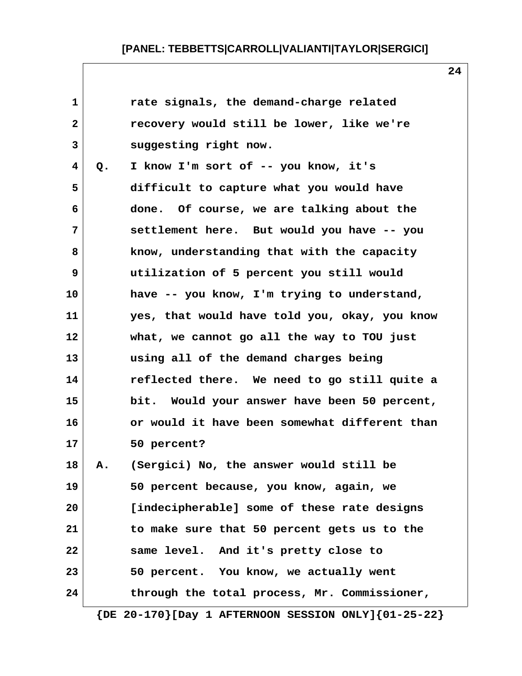| 1            |    | rate signals, the demand-charge related       |
|--------------|----|-----------------------------------------------|
| $\mathbf{2}$ |    | recovery would still be lower, like we're     |
| 3            |    | suggesting right now.                         |
| 4            | Q. | I know I'm sort of -- you know, it's          |
| 5            |    | difficult to capture what you would have      |
| 6            |    | done. Of course, we are talking about the     |
| 7            |    | settlement here. But would you have -- you    |
| 8            |    | know, understanding that with the capacity    |
| 9            |    | utilization of 5 percent you still would      |
| 10           |    | have -- you know, I'm trying to understand,   |
| 11           |    | yes, that would have told you, okay, you know |
| 12           |    | what, we cannot go all the way to TOU just    |
| 13           |    | using all of the demand charges being         |
| 14           |    | reflected there. We need to go still quite a  |
| 15           |    | bit. Would your answer have been 50 percent,  |
| 16           |    | or would it have been somewhat different than |
| 17           |    | 50 percent?                                   |
| 18           | Α. | (Sergici) No, the answer would still be       |
| 19           |    | 50 percent because, you know, again, we       |
| 20           |    | [indecipherable] some of these rate designs   |
| 21           |    | to make sure that 50 percent gets us to the   |
| 22           |    | same level. And it's pretty close to          |
| 23           |    | 50 percent. You know, we actually went        |
| 24           |    | through the total process, Mr. Commissioner,  |
|              |    |                                               |

 **{DE 20-170}[Day 1 AFTERNOON SESSION ONLY]{01-25-22}**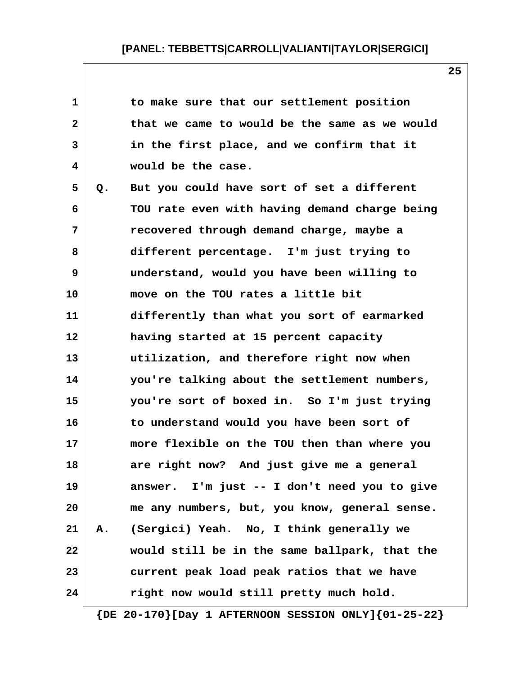| $\mathbf 1$  |    | to make sure that our settlement position     |  |
|--------------|----|-----------------------------------------------|--|
| $\mathbf{2}$ |    | that we came to would be the same as we would |  |
| 3            |    | in the first place, and we confirm that it    |  |
| 4            |    | would be the case.                            |  |
| 5            | Q. | But you could have sort of set a different    |  |
| 6            |    | TOU rate even with having demand charge being |  |
| 7            |    | recovered through demand charge, maybe a      |  |
| 8            |    | different percentage. I'm just trying to      |  |
| 9            |    | understand, would you have been willing to    |  |
| 10           |    | move on the TOU rates a little bit            |  |
| 11           |    | differently than what you sort of earmarked   |  |
| 12           |    | having started at 15 percent capacity         |  |
| 13           |    | utilization, and therefore right now when     |  |
| 14           |    | you're talking about the settlement numbers,  |  |
| 15           |    | you're sort of boxed in. So I'm just trying   |  |
| 16           |    | to understand would you have been sort of     |  |
| 17           |    | more flexible on the TOU then than where you  |  |
| 18           |    | are right now? And just give me a general     |  |
| 19           |    | answer. I'm just -- I don't need you to give  |  |
| 20           |    | me any numbers, but, you know, general sense. |  |
| 21           | А. | (Sergici) Yeah. No, I think generally we      |  |
| 22           |    | would still be in the same ballpark, that the |  |
| 23           |    | current peak load peak ratios that we have    |  |
| 24           |    | right now would still pretty much hold.       |  |

 **{DE 20-170}[Day 1 AFTERNOON SESSION ONLY]{01-25-22}**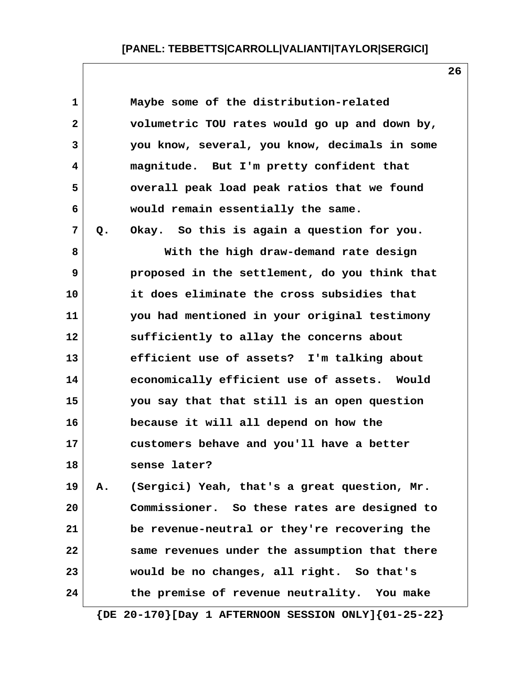| 1            |    | Maybe some of the distribution-related                        |
|--------------|----|---------------------------------------------------------------|
| $\mathbf{2}$ |    | volumetric TOU rates would go up and down by,                 |
| 3            |    | you know, several, you know, decimals in some                 |
| 4            |    | magnitude. But I'm pretty confident that                      |
| 5            |    | overall peak load peak ratios that we found                   |
| 6            |    | would remain essentially the same.                            |
| 7            | Q. | Okay. So this is again a question for you.                    |
| 8            |    | With the high draw-demand rate design                         |
| 9            |    | proposed in the settlement, do you think that                 |
| 10           |    | it does eliminate the cross subsidies that                    |
| 11           |    | you had mentioned in your original testimony                  |
| 12           |    | sufficiently to allay the concerns about                      |
| 13           |    | efficient use of assets? I'm talking about                    |
| 14           |    | economically efficient use of assets. Would                   |
| 15           |    | you say that that still is an open question                   |
| 16           |    | because it will all depend on how the                         |
| 17           |    | customers behave and you'll have a better                     |
| 18           |    | sense later?                                                  |
| 19           | Α. | (Sergici) Yeah, that's a great question, Mr.                  |
| 20           |    | Commissioner. So these rates are designed to                  |
| 21           |    | be revenue-neutral or they're recovering the                  |
| 22           |    | same revenues under the assumption that there                 |
|              |    | would be no changes, all right. So that's                     |
|              |    | the premise of revenue neutrality. You make                   |
| 23<br>24     |    | $\{DE 20-170\}$ [Day 1 AFTERNOON SESSION ONLY] $\{01-25-22\}$ |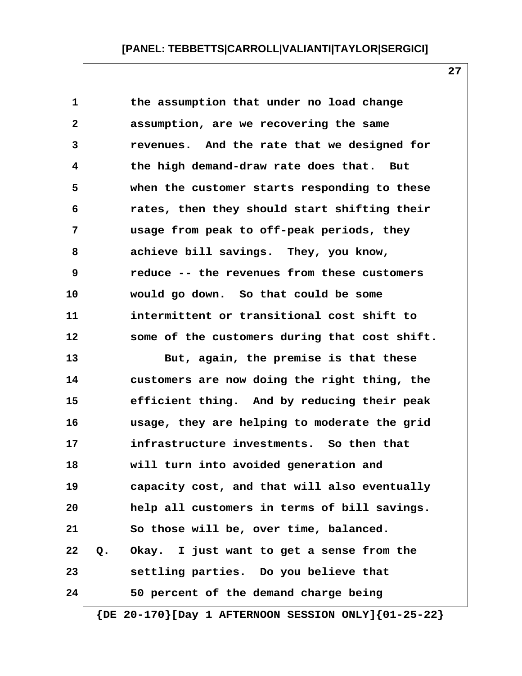**1 the assumption that under no load change 2 assumption, are we recovering the same 3 revenues. And the rate that we designed for 4 the high demand-draw rate does that. But 5 when the customer starts responding to these 6 rates, then they should start shifting their 7 usage from peak to off-peak periods, they 8 achieve bill savings. They, you know, 9 reduce -- the revenues from these customers 10 would go down. So that could be some 11 intermittent or transitional cost shift to 12 some of the customers during that cost shift.**

**13 But, again, the premise is that these 14 customers are now doing the right thing, the 15 efficient thing. And by reducing their peak 16 usage, they are helping to moderate the grid 17 infrastructure investments. So then that 18 will turn into avoided generation and 19 capacity cost, and that will also eventually 20 help all customers in terms of bill savings. 21 So those will be, over time, balanced. 22 Q. Okay. I just want to get a sense from the 23 settling parties. Do you believe that 24 50 percent of the demand charge being**

 **{DE 20-170}[Day 1 AFTERNOON SESSION ONLY]{01-25-22}**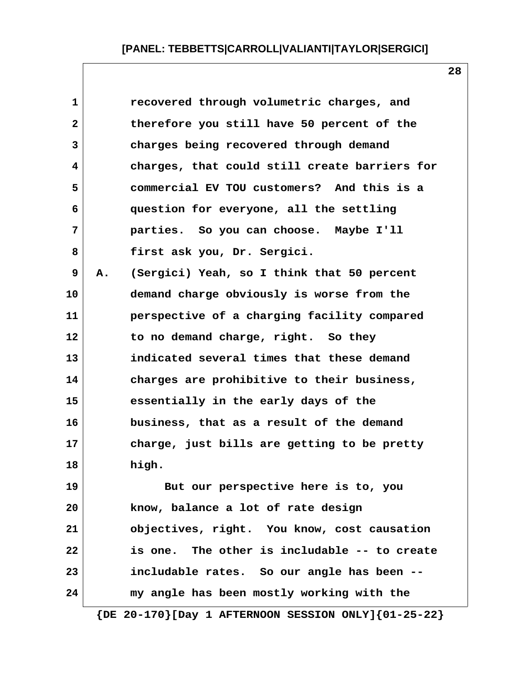| $\mathbf 1$  |    | recovered through volumetric charges, and                     |
|--------------|----|---------------------------------------------------------------|
| $\mathbf{2}$ |    | therefore you still have 50 percent of the                    |
| 3            |    | charges being recovered through demand                        |
| 4            |    | charges, that could still create barriers for                 |
| 5            |    | commercial EV TOU customers? And this is a                    |
| 6            |    | question for everyone, all the settling                       |
| 7            |    | parties. So you can choose. Maybe I'll                        |
| 8            |    | first ask you, Dr. Sergici.                                   |
| 9            | Α. | (Sergici) Yeah, so I think that 50 percent                    |
| 10           |    | demand charge obviously is worse from the                     |
| 11           |    | perspective of a charging facility compared                   |
| 12           |    | to no demand charge, right. So they                           |
| 13           |    | indicated several times that these demand                     |
| 14           |    | charges are prohibitive to their business,                    |
| 15           |    | essentially in the early days of the                          |
| 16           |    | business, that as a result of the demand                      |
| 17           |    | charge, just bills are getting to be pretty                   |
| 18           |    | high.                                                         |
| 19           |    | But our perspective here is to, you                           |
| 20           |    | know, balance a lot of rate design                            |
| 21           |    | objectives, right. You know, cost causation                   |
| 22           |    | is one. The other is includable -- to create                  |
| 23           |    | includable rates. So our angle has been --                    |
| 24           |    | my angle has been mostly working with the                     |
|              |    | $\{DE 20-170\}$ [Day 1 AFTERNOON SESSION ONLY] $\{01-25-22\}$ |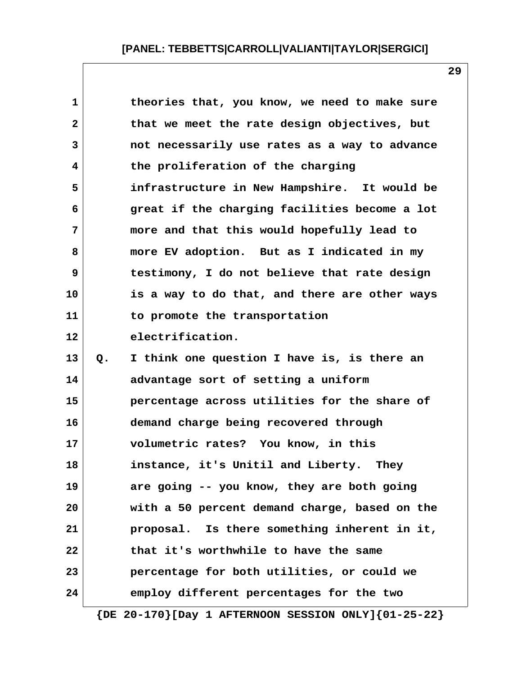| 1            | theories that, you know, we need to make sure                 |
|--------------|---------------------------------------------------------------|
| $\mathbf{2}$ | that we meet the rate design objectives, but                  |
| 3            | not necessarily use rates as a way to advance                 |
| 4            | the proliferation of the charging                             |
| 5            | infrastructure in New Hampshire. It would be                  |
| 6            | great if the charging facilities become a lot                 |
| 7            | more and that this would hopefully lead to                    |
| 8            | more EV adoption. But as I indicated in my                    |
| 9            | testimony, I do not believe that rate design                  |
| 10           | is a way to do that, and there are other ways                 |
| 11           | to promote the transportation                                 |
| 12           | electrification.                                              |
| 13           | I think one question I have is, is there an<br>$Q_{\bullet}$  |
| 14           | advantage sort of setting a uniform                           |
| 15           | percentage across utilities for the share of                  |
| 16           | demand charge being recovered through                         |
| 17           | volumetric rates? You know, in this                           |
| 18           | instance, it's Unitil and Liberty.<br>They                    |
| 19           | are going -- you know, they are both going                    |
| 20           | with a 50 percent demand charge, based on the                 |
| 21           | proposal. Is there something inherent in it,                  |
| 22           | that it's worthwhile to have the same                         |
| 23           | percentage for both utilities, or could we                    |
| 24           | employ different percentages for the two                      |
|              | $\{DE 20-170\}$ [Day 1 AFTERNOON SESSION ONLY] $\{01-25-22\}$ |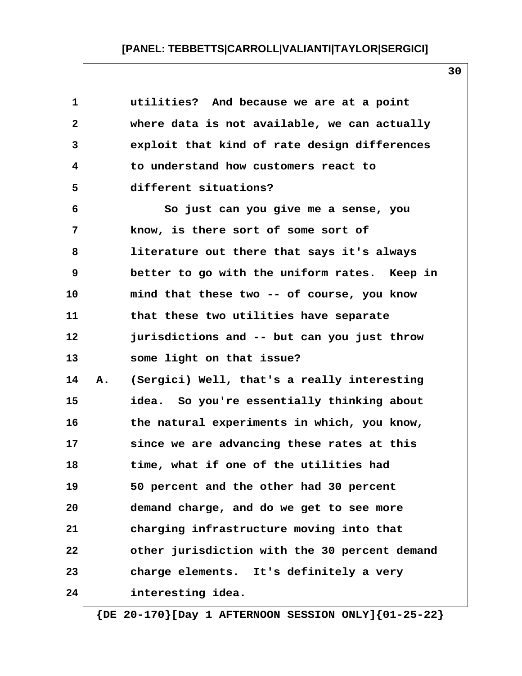| 1            |    | utilities? And because we are at a point      |
|--------------|----|-----------------------------------------------|
| $\mathbf{2}$ |    | where data is not available, we can actually  |
| 3            |    | exploit that kind of rate design differences  |
| 4            |    | to understand how customers react to          |
| 5            |    | different situations?                         |
| 6            |    | So just can you give me a sense, you          |
| 7            |    | know, is there sort of some sort of           |
| 8            |    | literature out there that says it's always    |
| 9            |    | better to go with the uniform rates. Keep in  |
| 10           |    | mind that these two -- of course, you know    |
| 11           |    | that these two utilities have separate        |
| 12           |    | jurisdictions and -- but can you just throw   |
| 13           |    | some light on that issue?                     |
| 14           | Α. | (Sergici) Well, that's a really interesting   |
| 15           |    | idea. So you're essentially thinking about    |
| 16           |    | the natural experiments in which, you know,   |
| 17           |    | since we are advancing these rates at this    |
| 18           |    | time, what if one of the utilities had        |
| 19           |    | 50 percent and the other had 30 percent       |
| 20           |    | demand charge, and do we get to see more      |
| 21           |    | charging infrastructure moving into that      |
| 22           |    | other jurisdiction with the 30 percent demand |
| 23           |    | charge elements. It's definitely a very       |
| 24           |    | interesting idea.                             |

 **{DE 20-170}[Day 1 AFTERNOON SESSION ONLY]{01-25-22}**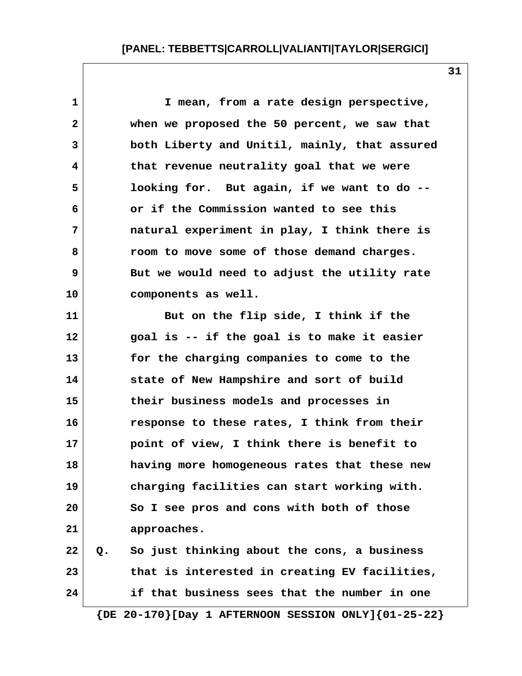**1 I mean, from a rate design perspective, 2 when we proposed the 50 percent, we saw that 3 both Liberty and Unitil, mainly, that assured 4 that revenue neutrality goal that we were 5 looking for. But again, if we want to do -- 6 or if the Commission wanted to see this 7 natural experiment in play, I think there is 8 room to move some of those demand charges. 9 But we would need to adjust the utility rate 10 components as well. 11 But on the flip side, I think if the 12 goal is -- if the goal is to make it easier 13 for the charging companies to come to the 14 state of New Hampshire and sort of build 15 their business models and processes in 16 response to these rates, I think from their 17 point of view, I think there is benefit to 18 having more homogeneous rates that these new 19 charging facilities can start working with. 20 So I see pros and cons with both of those 21 approaches. 22 Q. So just thinking about the cons, a business 23 that is interested in creating EV facilities, 24 if that business sees that the number in one {DE 20-170}[Day 1 AFTERNOON SESSION ONLY]{01-25-22}**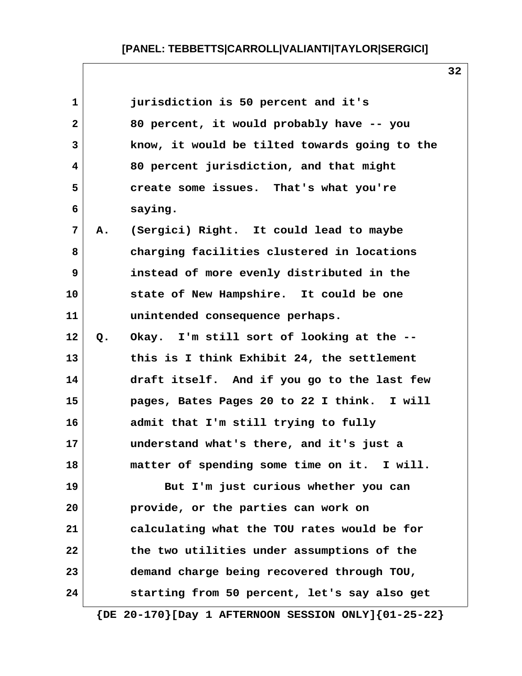| 1              |    | jurisdiction is 50 percent and it's                           |
|----------------|----|---------------------------------------------------------------|
| $\mathbf{2}$   |    | 80 percent, it would probably have -- you                     |
| 3              |    | know, it would be tilted towards going to the                 |
| 4              |    | 80 percent jurisdiction, and that might                       |
| 5              |    | create some issues. That's what you're                        |
| 6              |    | saying.                                                       |
| $\overline{7}$ | Α. | (Sergici) Right. It could lead to maybe                       |
| 8              |    | charging facilities clustered in locations                    |
| 9              |    | instead of more evenly distributed in the                     |
| 10             |    | state of New Hampshire. It could be one                       |
| 11             |    | unintended consequence perhaps.                               |
| 12             | Q. | Okay. I'm still sort of looking at the --                     |
| 13             |    | this is I think Exhibit 24, the settlement                    |
| 14             |    | draft itself. And if you go to the last few                   |
| 15             |    | pages, Bates Pages 20 to 22 I think. I will                   |
| 16             |    | admit that I'm still trying to fully                          |
| 17             |    | understand what's there, and it's just a                      |
| 18             |    | matter of spending some time on it. I will                    |
| 19             |    | But I'm just curious whether you can                          |
| 20             |    | provide, or the parties can work on                           |
| 21             |    | calculating what the TOU rates would be for                   |
| 22             |    | the two utilities under assumptions of the                    |
| 23             |    | demand charge being recovered through TOU,                    |
| 24             |    | starting from 50 percent, let's say also get                  |
|                |    | $\{DE 20-170\}$ [Day 1 AFTERNOON SESSION ONLY] $\{01-25-22\}$ |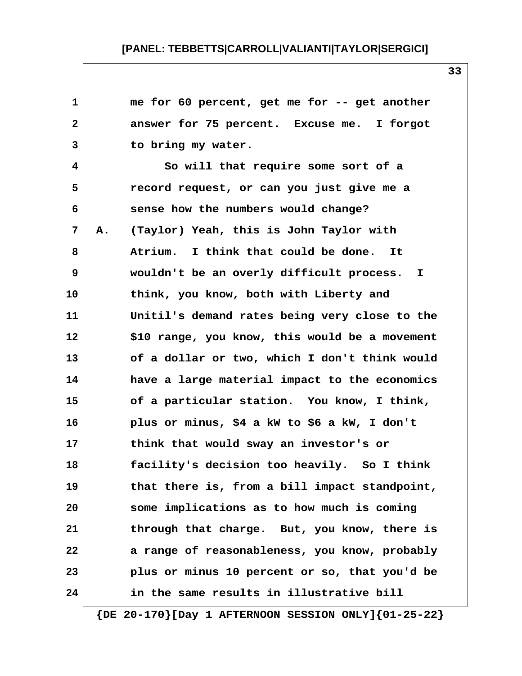| 1            |    | me for 60 percent, get me for -- get another   |
|--------------|----|------------------------------------------------|
| $\mathbf{2}$ |    | answer for 75 percent. Excuse me. I forgot     |
| 3            |    | to bring my water.                             |
| 4            |    | So will that require some sort of a            |
| 5            |    | record request, or can you just give me a      |
| 6            |    | sense how the numbers would change?            |
| 7            | Α. | (Taylor) Yeah, this is John Taylor with        |
| 8            |    | Atrium. I think that could be done.<br>It      |
| 9            |    | wouldn't be an overly difficult process. I     |
| 10           |    | think, you know, both with Liberty and         |
| 11           |    | Unitil's demand rates being very close to the  |
| 12           |    | \$10 range, you know, this would be a movement |
| 13           |    | of a dollar or two, which I don't think would  |
| 14           |    | have a large material impact to the economics  |
| 15           |    | of a particular station. You know, I think,    |
| 16           |    | plus or minus, \$4 a kW to \$6 a kW, I don't   |
| 17           |    | think that would sway an investor's or         |
| 18           |    | facility's decision too heavily. So I think    |
| 19           |    | that there is, from a bill impact standpoint,  |
| 20           |    | some implications as to how much is coming     |
| 21           |    | through that charge. But, you know, there is   |
| 22           |    | a range of reasonableness, you know, probably  |
| 23           |    | plus or minus 10 percent or so, that you'd be  |
| 24           |    | in the same results in illustrative bill       |

 **{DE 20-170}[Day 1 AFTERNOON SESSION ONLY]{01-25-22}**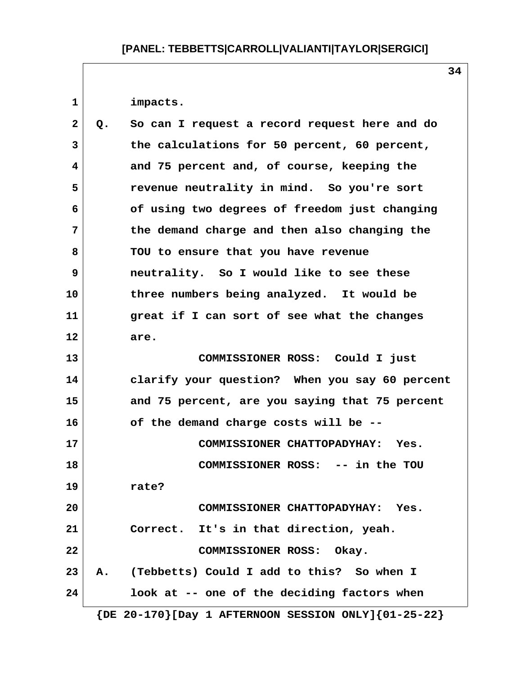1 impacts.

| $\mathbf{2}$ | Q. | So can I request a record request here and do                 |
|--------------|----|---------------------------------------------------------------|
| 3            |    | the calculations for 50 percent, 60 percent,                  |
| 4            |    | and 75 percent and, of course, keeping the                    |
| 5            |    | revenue neutrality in mind. So you're sort                    |
| 6            |    | of using two degrees of freedom just changing                 |
| 7            |    | the demand charge and then also changing the                  |
| 8            |    | TOU to ensure that you have revenue                           |
| 9            |    | neutrality. So I would like to see these                      |
| 10           |    | three numbers being analyzed. It would be                     |
| 11           |    | great if I can sort of see what the changes                   |
| 12           |    | are.                                                          |
| 13           |    | COMMISSIONER ROSS: Could I just                               |
| 14           |    | clarify your question? When you say 60 percent                |
| 15           |    | and 75 percent, are you saying that 75 percent                |
| 16           |    | of the demand charge costs will be --                         |
| 17           |    | COMMISSIONER CHATTOPADYHAY: Yes.                              |
| 18           |    | COMMISSIONER ROSS: -- in the TOU                              |
| 19           |    | rate?                                                         |
| 20           |    | COMMISSIONER CHATTOPADYHAY: Yes.                              |
| 21           |    | Correct. It's in that direction, yeah.                        |
| 22           |    | COMMISSIONER ROSS: Okay.                                      |
| 23           | A. | (Tebbetts) Could I add to this? So when I                     |
| 24           |    | look at -- one of the deciding factors when                   |
|              |    | $\{DE 20-170\}$ [Day 1 AFTERNOON SESSION ONLY] $\{01-25-22\}$ |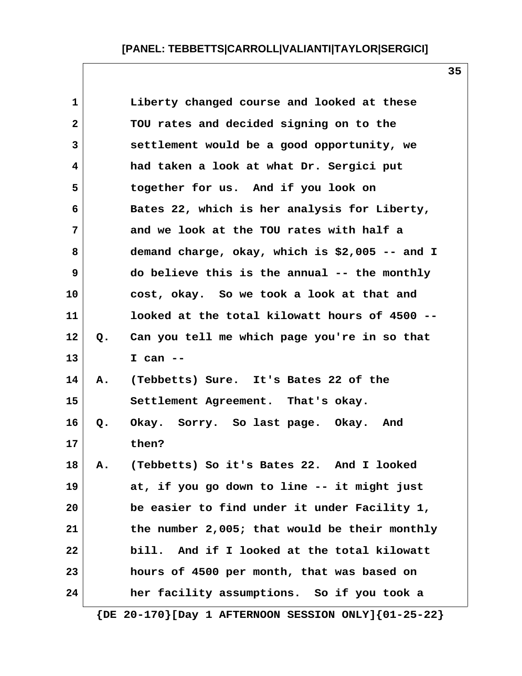| $\mathbf{1}$ |    | Liberty changed course and looked at these     |
|--------------|----|------------------------------------------------|
| $\mathbf{2}$ |    | TOU rates and decided signing on to the        |
| 3            |    | settlement would be a good opportunity, we     |
| 4            |    | had taken a look at what Dr. Sergici put       |
| 5            |    | together for us. And if you look on            |
| 6            |    | Bates 22, which is her analysis for Liberty,   |
| 7            |    | and we look at the TOU rates with half a       |
| 8            |    | demand charge, okay, which is \$2,005 -- and I |
| 9            |    | do believe this is the annual -- the monthly   |
| 10           |    | cost, okay. So we took a look at that and      |
| 11           |    | looked at the total kilowatt hours of 4500 --  |
| 12           | Q. | Can you tell me which page you're in so that   |
| 13           |    | I can $--$                                     |
| 14           | Α. | (Tebbetts) Sure. It's Bates 22 of the          |
| 15           |    | Settlement Agreement. That's okay.             |
| 16           | Q. | Okay. Sorry. So last page. Okay. And           |
| 17           |    | then?                                          |
| 18           | Α. | (Tebbetts) So it's Bates 22. And I looked      |
| 19           |    | at, if you go down to line -- it might just    |
| 20           |    | be easier to find under it under Facility 1,   |
| 21           |    | the number 2,005; that would be their monthly  |
| 22           |    | bill. And if I looked at the total kilowatt    |
| 23           |    | hours of 4500 per month, that was based on     |
| 24           |    | her facility assumptions. So if you took a     |

 **{DE 20-170}[Day 1 AFTERNOON SESSION ONLY]{01-25-22}**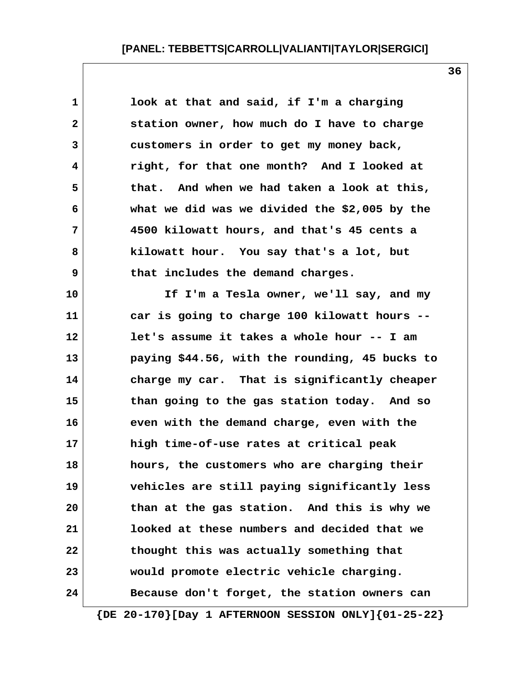1 **1** look at that and said, if I'm a charging  **2 station owner, how much do I have to charge 3 customers in order to get my money back, 4 right, for that one month? And I looked at 5 that. And when we had taken a look at this, 6 what we did was we divided the \$2,005 by the 7 4500 kilowatt hours, and that's 45 cents a 8 kilowatt hour. You say that's a lot, but 9 that includes the demand charges. 10 If I'm a Tesla owner, we'll say, and my 11 car is going to charge 100 kilowatt hours -- 12 let's assume it takes a whole hour -- I am 13 paying \$44.56, with the rounding, 45 bucks to 14 charge my car. That is significantly cheaper 15 than going to the gas station today. And so 16 even with the demand charge, even with the 17 high time-of-use rates at critical peak 18 hours, the customers who are charging their 19 vehicles are still paying significantly less 20 than at the gas station. And this is why we 21 looked at these numbers and decided that we 22 thought this was actually something that 23 would promote electric vehicle charging. 24 Because don't forget, the station owners can**

 **{DE 20-170}[Day 1 AFTERNOON SESSION ONLY]{01-25-22}**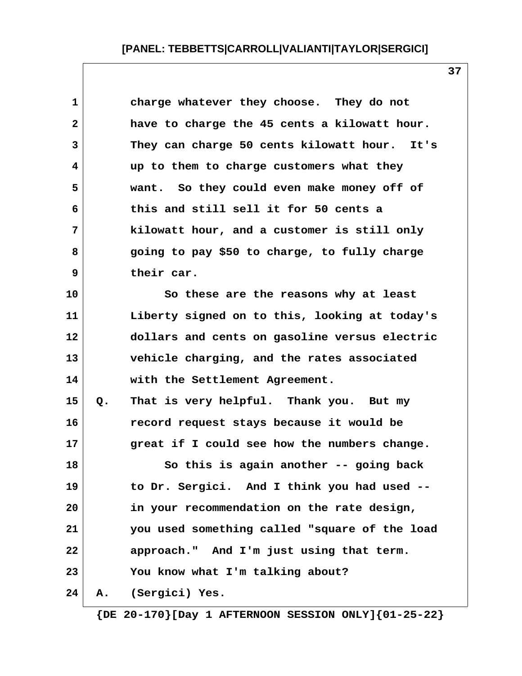| 1            |    | charge whatever they choose. They do not        |
|--------------|----|-------------------------------------------------|
| $\mathbf{2}$ |    | have to charge the 45 cents a kilowatt hour.    |
| 3            |    | They can charge 50 cents kilowatt hour.<br>It's |
| 4            |    | up to them to charge customers what they        |
| 5            |    | want. So they could even make money off of      |
| 6            |    | this and still sell it for 50 cents a           |
| 7            |    | kilowatt hour, and a customer is still only     |
| 8            |    | going to pay \$50 to charge, to fully charge    |
| 9            |    | their car.                                      |
| 10           |    | So these are the reasons why at least           |
| 11           |    | Liberty signed on to this, looking at today's   |
| 12           |    | dollars and cents on gasoline versus electric   |
| 13           |    | vehicle charging, and the rates associated      |
| 14           |    | with the Settlement Agreement.                  |
| 15           | Q. | That is very helpful. Thank you. But my         |
| 16           |    | record request stays because it would be        |
| 17           |    | great if I could see how the numbers change.    |
| 18           |    | So this is again another -- going back          |
| 19           |    | to Dr. Sergici. And I think you had used --     |
| 20           |    | in your recommendation on the rate design,      |
| 21           |    | you used something called "square of the load   |
| 22           |    | approach." And I'm just using that term.        |
| 23           |    | You know what I'm talking about?                |
| 24           | Α. | (Sergici) Yes.                                  |
|              |    |                                                 |

 **{DE 20-170}[Day 1 AFTERNOON SESSION ONLY]{01-25-22}**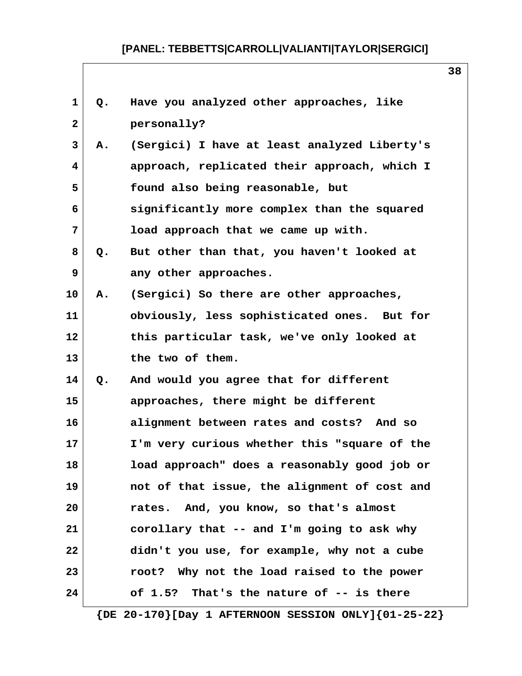| 1<br>Have you analyzed other approaches, like<br>Q.<br>$\mathbf{2}$<br>personally?<br>3<br>(Sergici) I have at least analyzed Liberty's<br>А.<br>approach, replicated their approach, which I<br>4<br>5<br>found also being reasonable, but<br>significantly more complex than the squared<br>6<br>7<br>load approach that we came up with.<br>8<br>But other than that, you haven't looked at<br>Q.<br>9<br>any other approaches.<br>10<br>(Sergici) So there are other approaches,<br>Α.<br>11<br>obviously, less sophisticated ones. But for<br>12<br>this particular task, we've only looked at<br>13<br>the two of them.<br>And would you agree that for different<br>14<br>Q.<br>15<br>approaches, there might be different<br>16<br>alignment between rates and costs? And so<br>17<br>I'm very curious whether this "square of the<br>load approach" does a reasonably good job or<br>18<br>19<br>not of that issue, the alignment of cost and<br>rates. And, you know, so that's almost<br>20<br>corollary that -- and I'm going to ask why<br>21<br>22<br>didn't you use, for example, why not a cube<br>23<br>root? Why not the load raised to the power<br>24<br>of $1.5$ ? That's the nature of $-$ is there |  |  |
|---------------------------------------------------------------------------------------------------------------------------------------------------------------------------------------------------------------------------------------------------------------------------------------------------------------------------------------------------------------------------------------------------------------------------------------------------------------------------------------------------------------------------------------------------------------------------------------------------------------------------------------------------------------------------------------------------------------------------------------------------------------------------------------------------------------------------------------------------------------------------------------------------------------------------------------------------------------------------------------------------------------------------------------------------------------------------------------------------------------------------------------------------------------------------------------------------------------------------|--|--|
|                                                                                                                                                                                                                                                                                                                                                                                                                                                                                                                                                                                                                                                                                                                                                                                                                                                                                                                                                                                                                                                                                                                                                                                                                           |  |  |
|                                                                                                                                                                                                                                                                                                                                                                                                                                                                                                                                                                                                                                                                                                                                                                                                                                                                                                                                                                                                                                                                                                                                                                                                                           |  |  |
|                                                                                                                                                                                                                                                                                                                                                                                                                                                                                                                                                                                                                                                                                                                                                                                                                                                                                                                                                                                                                                                                                                                                                                                                                           |  |  |
|                                                                                                                                                                                                                                                                                                                                                                                                                                                                                                                                                                                                                                                                                                                                                                                                                                                                                                                                                                                                                                                                                                                                                                                                                           |  |  |
|                                                                                                                                                                                                                                                                                                                                                                                                                                                                                                                                                                                                                                                                                                                                                                                                                                                                                                                                                                                                                                                                                                                                                                                                                           |  |  |
|                                                                                                                                                                                                                                                                                                                                                                                                                                                                                                                                                                                                                                                                                                                                                                                                                                                                                                                                                                                                                                                                                                                                                                                                                           |  |  |
|                                                                                                                                                                                                                                                                                                                                                                                                                                                                                                                                                                                                                                                                                                                                                                                                                                                                                                                                                                                                                                                                                                                                                                                                                           |  |  |
|                                                                                                                                                                                                                                                                                                                                                                                                                                                                                                                                                                                                                                                                                                                                                                                                                                                                                                                                                                                                                                                                                                                                                                                                                           |  |  |
|                                                                                                                                                                                                                                                                                                                                                                                                                                                                                                                                                                                                                                                                                                                                                                                                                                                                                                                                                                                                                                                                                                                                                                                                                           |  |  |
|                                                                                                                                                                                                                                                                                                                                                                                                                                                                                                                                                                                                                                                                                                                                                                                                                                                                                                                                                                                                                                                                                                                                                                                                                           |  |  |
|                                                                                                                                                                                                                                                                                                                                                                                                                                                                                                                                                                                                                                                                                                                                                                                                                                                                                                                                                                                                                                                                                                                                                                                                                           |  |  |
|                                                                                                                                                                                                                                                                                                                                                                                                                                                                                                                                                                                                                                                                                                                                                                                                                                                                                                                                                                                                                                                                                                                                                                                                                           |  |  |
|                                                                                                                                                                                                                                                                                                                                                                                                                                                                                                                                                                                                                                                                                                                                                                                                                                                                                                                                                                                                                                                                                                                                                                                                                           |  |  |
|                                                                                                                                                                                                                                                                                                                                                                                                                                                                                                                                                                                                                                                                                                                                                                                                                                                                                                                                                                                                                                                                                                                                                                                                                           |  |  |
|                                                                                                                                                                                                                                                                                                                                                                                                                                                                                                                                                                                                                                                                                                                                                                                                                                                                                                                                                                                                                                                                                                                                                                                                                           |  |  |
|                                                                                                                                                                                                                                                                                                                                                                                                                                                                                                                                                                                                                                                                                                                                                                                                                                                                                                                                                                                                                                                                                                                                                                                                                           |  |  |
|                                                                                                                                                                                                                                                                                                                                                                                                                                                                                                                                                                                                                                                                                                                                                                                                                                                                                                                                                                                                                                                                                                                                                                                                                           |  |  |
|                                                                                                                                                                                                                                                                                                                                                                                                                                                                                                                                                                                                                                                                                                                                                                                                                                                                                                                                                                                                                                                                                                                                                                                                                           |  |  |
|                                                                                                                                                                                                                                                                                                                                                                                                                                                                                                                                                                                                                                                                                                                                                                                                                                                                                                                                                                                                                                                                                                                                                                                                                           |  |  |
|                                                                                                                                                                                                                                                                                                                                                                                                                                                                                                                                                                                                                                                                                                                                                                                                                                                                                                                                                                                                                                                                                                                                                                                                                           |  |  |
|                                                                                                                                                                                                                                                                                                                                                                                                                                                                                                                                                                                                                                                                                                                                                                                                                                                                                                                                                                                                                                                                                                                                                                                                                           |  |  |
|                                                                                                                                                                                                                                                                                                                                                                                                                                                                                                                                                                                                                                                                                                                                                                                                                                                                                                                                                                                                                                                                                                                                                                                                                           |  |  |
|                                                                                                                                                                                                                                                                                                                                                                                                                                                                                                                                                                                                                                                                                                                                                                                                                                                                                                                                                                                                                                                                                                                                                                                                                           |  |  |
|                                                                                                                                                                                                                                                                                                                                                                                                                                                                                                                                                                                                                                                                                                                                                                                                                                                                                                                                                                                                                                                                                                                                                                                                                           |  |  |

 **{DE 20-170}[Day 1 AFTERNOON SESSION ONLY]{01-25-22}**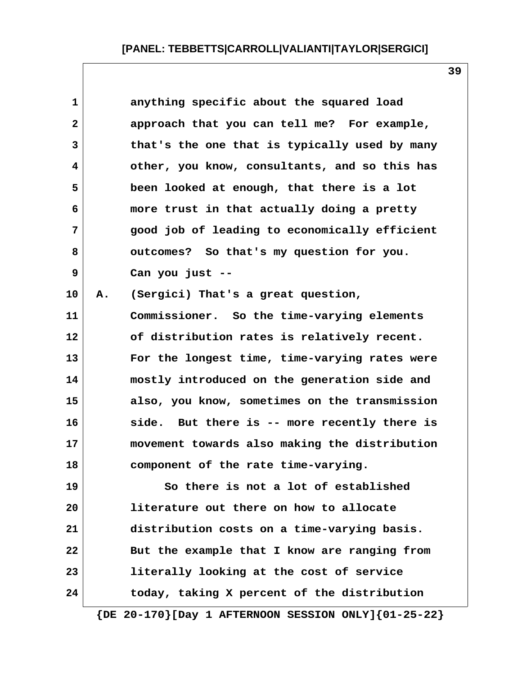| $\mathbf 1$  |    | anything specific about the squared load      |
|--------------|----|-----------------------------------------------|
| $\mathbf{2}$ |    | approach that you can tell me? For example,   |
| 3            |    | that's the one that is typically used by many |
| 4            |    | other, you know, consultants, and so this has |
| 5            |    | been looked at enough, that there is a lot    |
| 6            |    | more trust in that actually doing a pretty    |
| 7            |    | good job of leading to economically efficient |
| 8            |    | outcomes? So that's my question for you.      |
| 9            |    | Can you just --                               |
| 10           | Α. | (Sergici) That's a great question,            |
| 11           |    | Commissioner. So the time-varying elements    |
| 12           |    | of distribution rates is relatively recent.   |
| 13           |    | For the longest time, time-varying rates were |
| 14           |    | mostly introduced on the generation side and  |
| 15           |    | also, you know, sometimes on the transmission |
| 16           |    | side. But there is -- more recently there is  |
| 17           |    | movement towards also making the distribution |
| 18           |    | component of the rate time-varying.           |
| 19           |    | So there is not a lot of established          |
| 20           |    | literature out there on how to allocate       |
| 21           |    | distribution costs on a time-varying basis.   |
| 22           |    | But the example that I know are ranging from  |
| 23           |    | literally looking at the cost of service      |
| 24           |    | today, taking X percent of the distribution   |

**39**

 **{DE 20-170}[Day 1 AFTERNOON SESSION ONLY]{01-25-22}**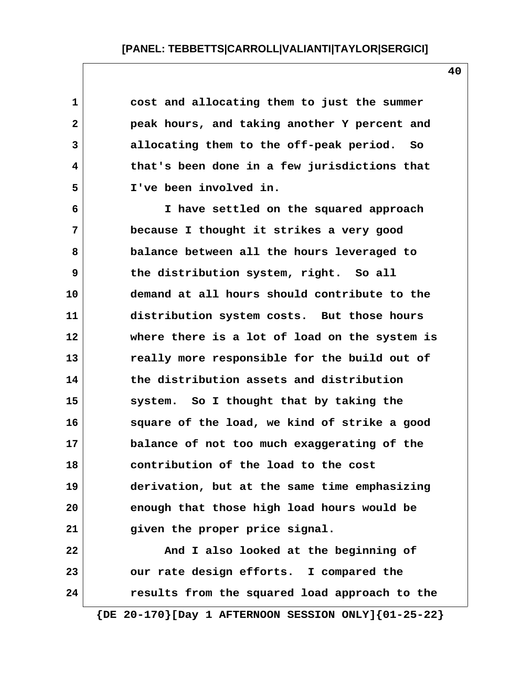**1 cost and allocating them to just the summer 2 peak hours, and taking another Y percent and 3 allocating them to the off-peak period. So 4 that's been done in a few jurisdictions that 5 I've been involved in. 6 I have settled on the squared approach 7 because I thought it strikes a very good 8 balance between all the hours leveraged to 9 the distribution system, right. So all 10 demand at all hours should contribute to the 11 distribution system costs. But those hours 12 where there is a lot of load on the system is 13 really more responsible for the build out of 14 the distribution assets and distribution 15 system. So I thought that by taking the 16 square of the load, we kind of strike a good 17 balance of not too much exaggerating of the 18 contribution of the load to the cost 19 derivation, but at the same time emphasizing 20 enough that those high load hours would be 21 given the proper price signal. 22 And I also looked at the beginning of 23 our rate design efforts. I compared the 24 results from the squared load approach to the**

 **{DE 20-170}[Day 1 AFTERNOON SESSION ONLY]{01-25-22}**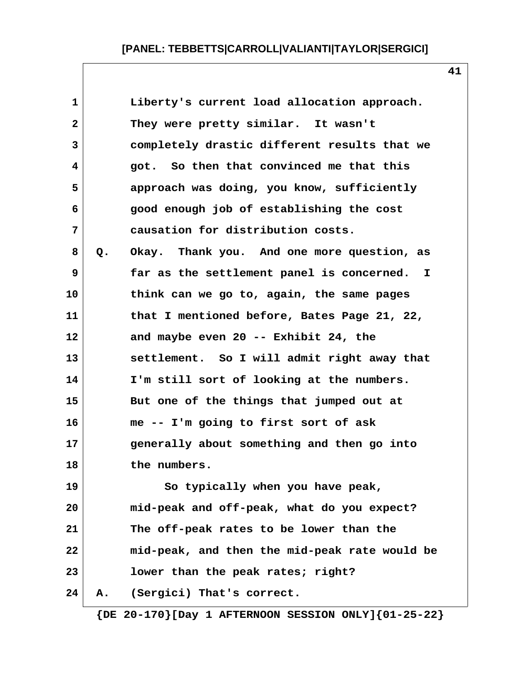| $\mathbf 1$  |    | Liberty's current load allocation approach.   |
|--------------|----|-----------------------------------------------|
| $\mathbf{2}$ |    | They were pretty similar. It wasn't           |
| 3            |    | completely drastic different results that we  |
| 4            |    | got. So then that convinced me that this      |
| 5            |    | approach was doing, you know, sufficiently    |
| 6            |    | good enough job of establishing the cost      |
| 7            |    | causation for distribution costs.             |
| 8            | Q. | Okay. Thank you. And one more question, as    |
| 9            |    | far as the settlement panel is concerned. I   |
| 10           |    | think can we go to, again, the same pages     |
| 11           |    | that I mentioned before, Bates Page 21, 22,   |
| 12           |    | and maybe even 20 -- Exhibit 24, the          |
| 13           |    | settlement. So I will admit right away that   |
| 14           |    | I'm still sort of looking at the numbers.     |
| 15           |    | But one of the things that jumped out at      |
| 16           |    | me -- I'm going to first sort of ask          |
| 17           |    | generally about something and then go into    |
| 18           |    | the numbers.                                  |
| 19           |    | So typically when you have peak,              |
| 20           |    | mid-peak and off-peak, what do you expect?    |
| 21           |    | The off-peak rates to be lower than the       |
| 22           |    | mid-peak, and then the mid-peak rate would be |
| 23           |    | lower than the peak rates; right?             |
| 24           | Α. | (Sergici) That's correct.                     |
|              |    |                                               |

 **{DE 20-170}[Day 1 AFTERNOON SESSION ONLY]{01-25-22}**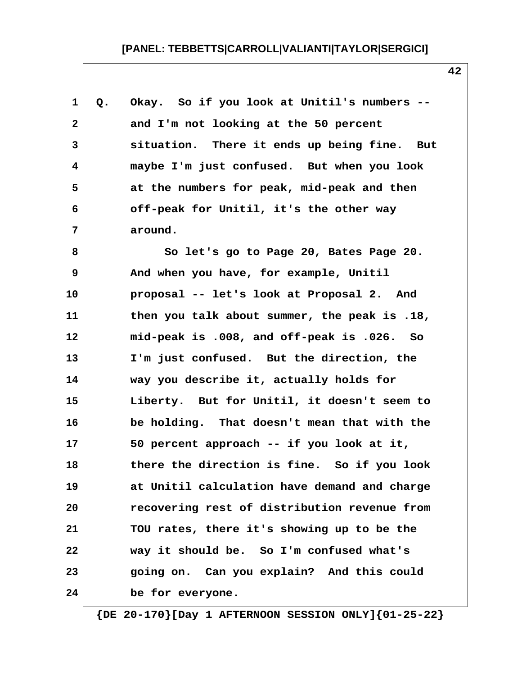| 1            | Q. | Okay. So if you look at Unitil's numbers --  |
|--------------|----|----------------------------------------------|
| $\mathbf{2}$ |    | and I'm not looking at the 50 percent        |
| 3            |    | situation. There it ends up being fine. But  |
| 4            |    | maybe I'm just confused. But when you look   |
| 5            |    | at the numbers for peak, mid-peak and then   |
| 6            |    | off-peak for Unitil, it's the other way      |
| 7            |    | around.                                      |
| 8            |    | So let's go to Page 20, Bates Page 20.       |
| 9            |    | And when you have, for example, Unitil       |
| 10           |    | proposal -- let's look at Proposal 2. And    |
| 11           |    | then you talk about summer, the peak is .18, |
| 12           |    | mid-peak is .008, and off-peak is .026. So   |
| 13           |    | I'm just confused. But the direction, the    |
| 14           |    | way you describe it, actually holds for      |
| 15           |    | Liberty. But for Unitil, it doesn't seem to  |
| 16           |    | be holding. That doesn't mean that with the  |
| 17           |    | 50 percent approach -- if you look at it,    |
| 18           |    | there the direction is fine. So if you look  |
| 19           |    | at Unitil calculation have demand and charge |
| 20           |    | recovering rest of distribution revenue from |
| 21           |    | TOU rates, there it's showing up to be the   |
| 22           |    | way it should be. So I'm confused what's     |
| 23           |    | going on. Can you explain? And this could    |
| 24           |    | be for everyone.                             |

 **{DE 20-170}[Day 1 AFTERNOON SESSION ONLY]{01-25-22}**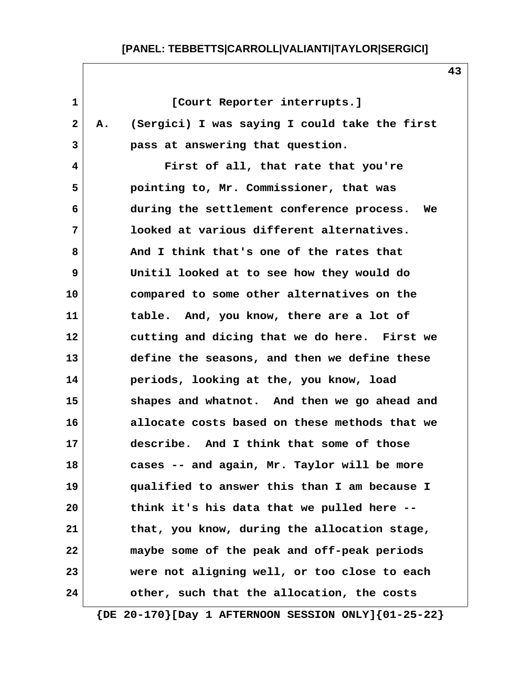**1 [Court Reporter interrupts.] 2 A. (Sergici) I was saying I could take the first 3 pass at answering that question. 4 First of all, that rate that you're 5 pointing to, Mr. Commissioner, that was 6 during the settlement conference process. We 7 looked at various different alternatives. 8 And I think that's one of the rates that 9 Unitil looked at to see how they would do 10 compared to some other alternatives on the 11 table. And, you know, there are a lot of 12 cutting and dicing that we do here. First we 13 define the seasons, and then we define these 14 periods, looking at the, you know, load 15 shapes and whatnot. And then we go ahead and 16 allocate costs based on these methods that we 17 describe. And I think that some of those 18 cases -- and again, Mr. Taylor will be more 19 qualified to answer this than I am because I 20 think it's his data that we pulled here -- 21 that, you know, during the allocation stage, 22 maybe some of the peak and off-peak periods 23 were not aligning well, or too close to each 24 other, such that the allocation, the costs**

 **{DE 20-170}[Day 1 AFTERNOON SESSION ONLY]{01-25-22}**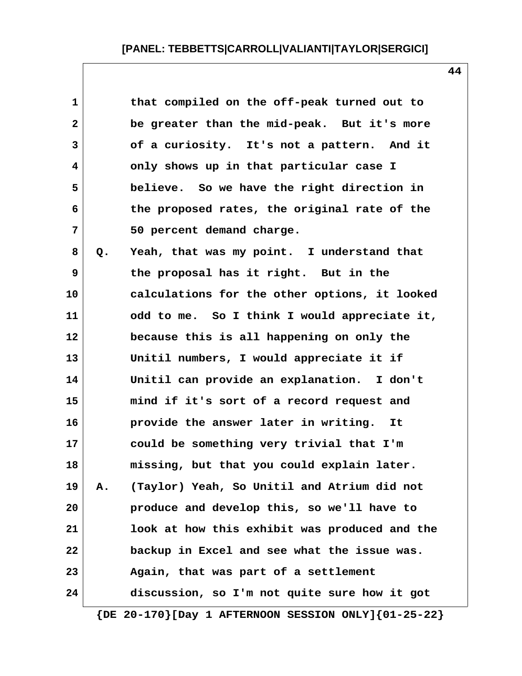| Q. | that compiled on the off-peak turned out to<br>be greater than the mid-peak. But it's more<br>of a curiosity. It's not a pattern. And it<br>only shows up in that particular case I<br>believe. So we have the right direction in<br>the proposed rates, the original rate of the<br>50 percent demand charge.<br>Yeah, that was my point. I understand that<br>the proposal has it right. But in the |
|----|-------------------------------------------------------------------------------------------------------------------------------------------------------------------------------------------------------------------------------------------------------------------------------------------------------------------------------------------------------------------------------------------------------|
|    |                                                                                                                                                                                                                                                                                                                                                                                                       |
|    |                                                                                                                                                                                                                                                                                                                                                                                                       |
|    |                                                                                                                                                                                                                                                                                                                                                                                                       |
|    |                                                                                                                                                                                                                                                                                                                                                                                                       |
|    |                                                                                                                                                                                                                                                                                                                                                                                                       |
|    |                                                                                                                                                                                                                                                                                                                                                                                                       |
|    |                                                                                                                                                                                                                                                                                                                                                                                                       |
|    |                                                                                                                                                                                                                                                                                                                                                                                                       |
|    |                                                                                                                                                                                                                                                                                                                                                                                                       |
|    | calculations for the other options, it looked                                                                                                                                                                                                                                                                                                                                                         |
|    | odd to me. So I think I would appreciate it,                                                                                                                                                                                                                                                                                                                                                          |
|    | because this is all happening on only the                                                                                                                                                                                                                                                                                                                                                             |
|    | Unitil numbers, I would appreciate it if                                                                                                                                                                                                                                                                                                                                                              |
|    | Unitil can provide an explanation. I don't                                                                                                                                                                                                                                                                                                                                                            |
|    | mind if it's sort of a record request and                                                                                                                                                                                                                                                                                                                                                             |
|    | provide the answer later in writing.<br>It                                                                                                                                                                                                                                                                                                                                                            |
|    | could be something very trivial that I'm                                                                                                                                                                                                                                                                                                                                                              |
|    | missing, but that you could explain later                                                                                                                                                                                                                                                                                                                                                             |
| Α. | (Taylor) Yeah, So Unitil and Atrium did not                                                                                                                                                                                                                                                                                                                                                           |
|    | produce and develop this, so we'll have to                                                                                                                                                                                                                                                                                                                                                            |
|    | look at how this exhibit was produced and the                                                                                                                                                                                                                                                                                                                                                         |
|    | backup in Excel and see what the issue was.                                                                                                                                                                                                                                                                                                                                                           |
|    | Again, that was part of a settlement                                                                                                                                                                                                                                                                                                                                                                  |
|    | discussion, so I'm not quite sure how it got                                                                                                                                                                                                                                                                                                                                                          |
|    | $\{DE 20-170\}$ [Day 1 AFTERNOON SESSION ONLY] $\{01-25-22\}$                                                                                                                                                                                                                                                                                                                                         |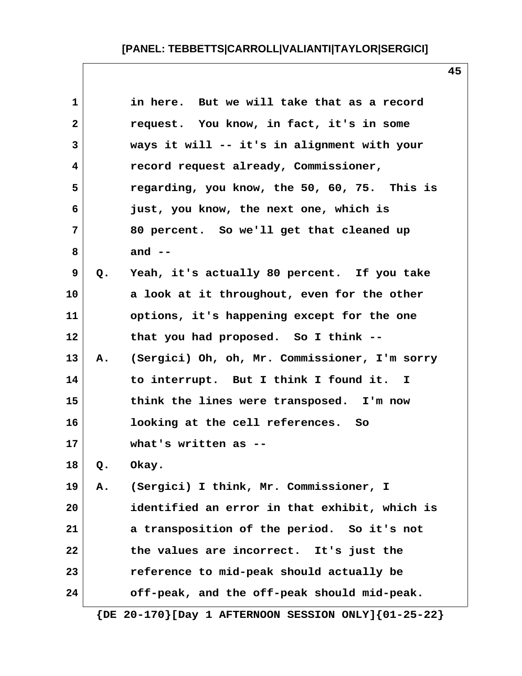|    | in here. But we will take that as a record    |
|----|-----------------------------------------------|
|    | request. You know, in fact, it's in some      |
|    | ways it will -- it's in alignment with your   |
|    | record request already, Commissioner,         |
|    | regarding, you know, the 50, 60, 75. This is  |
|    | just, you know, the next one, which is        |
|    | 80 percent. So we'll get that cleaned up      |
|    | and $--$                                      |
| Q. | Yeah, it's actually 80 percent. If you take   |
|    | a look at it throughout, even for the other   |
|    | options, it's happening except for the one    |
|    | that you had proposed. So I think --          |
| Α. | (Sergici) Oh, oh, Mr. Commissioner, I'm sorry |
|    | to interrupt. But I think I found it. I       |
|    | think the lines were transposed. I'm now      |
|    | looking at the cell references.<br>So         |
|    | what's written as --                          |
| Q. | Okay.                                         |
| Α. | (Sergici) I think, Mr. Commissioner, I        |
|    | identified an error in that exhibit, which is |
|    | a transposition of the period. So it's not    |
|    | the values are incorrect. It's just the       |
|    | reference to mid-peak should actually be      |
|    | off-peak, and the off-peak should mid-peak.   |
|    |                                               |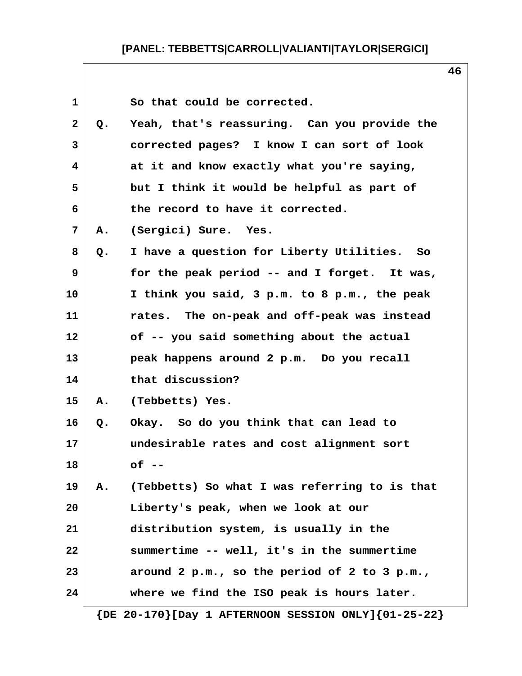|       | So that could be corrected.                   |
|-------|-----------------------------------------------|
| $Q$ . | Yeah, that's reassuring. Can you provide the  |
|       | corrected pages? I know I can sort of look    |
|       | at it and know exactly what you're saying,    |
|       | but I think it would be helpful as part of    |
|       | the record to have it corrected.              |
| Α.    | (Sergici) Sure. Yes.                          |
| Q.    | I have a question for Liberty Utilities. So   |
|       | for the peak period -- and I forget. It was,  |
|       | I think you said, 3 p.m. to 8 p.m., the peak  |
|       | rates. The on-peak and off-peak was instead   |
|       | of -- you said something about the actual     |
|       | peak happens around 2 p.m. Do you recall      |
|       | that discussion?                              |
| Α.    | (Tebbetts) Yes.                               |
| Q.    | Okay. So do you think that can lead to        |
|       | undesirable rates and cost alignment sort     |
|       | of                                            |
| Α.    | (Tebbetts) So what I was referring to is that |
|       | Liberty's peak, when we look at our           |
|       | distribution system, is usually in the        |
|       | summertime -- well, it's in the summertime    |
|       | around 2 p.m., so the period of 2 to 3 p.m.,  |
|       | where we find the ISO peak is hours later.    |
|       |                                               |

 **{DE 20-170}[Day 1 AFTERNOON SESSION ONLY]{01-25-22}**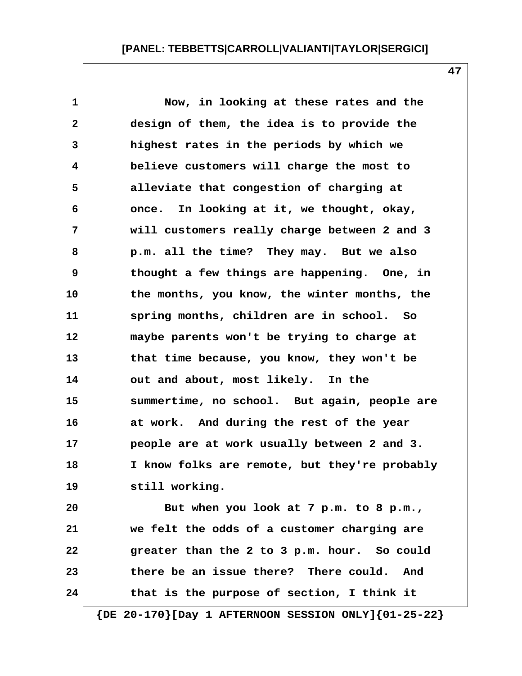**1 Now, in looking at these rates and the 2 design of them, the idea is to provide the 3 highest rates in the periods by which we 4 believe customers will charge the most to 5 alleviate that congestion of charging at 6 once. In looking at it, we thought, okay, 7 will customers really charge between 2 and 3 8 p.m. all the time? They may. But we also 9 thought a few things are happening. One, in 10 the months, you know, the winter months, the 11 spring months, children are in school. So 12 maybe parents won't be trying to charge at 13 that time because, you know, they won't be 14 out and about, most likely. In the 15 summertime, no school. But again, people are 16 at work. And during the rest of the year 17 people are at work usually between 2 and 3. 18 I know folks are remote, but they're probably 19 still working. 20 But when you look at 7 p.m. to 8 p.m., 21 we felt the odds of a customer charging are 22 greater than the 2 to 3 p.m. hour. So could 23 there be an issue there? There could. And**

 **{DE 20-170}[Day 1 AFTERNOON SESSION ONLY]{01-25-22}**

**24 that is the purpose of section, I think it**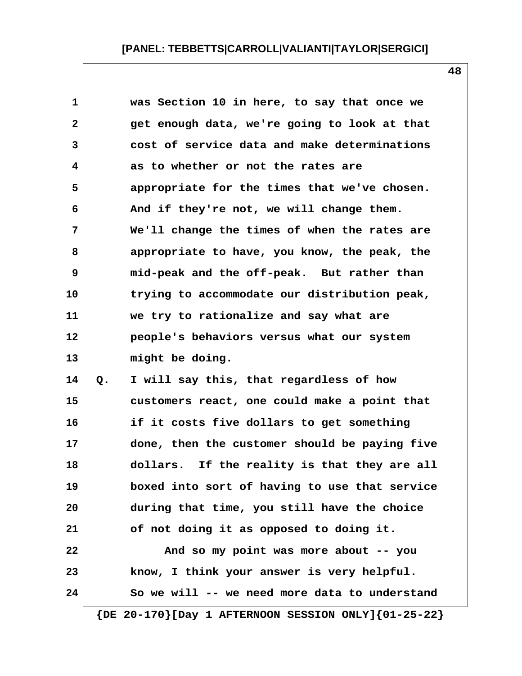**1 was Section 10 in here, to say that once we 2 get enough data, we're going to look at that 3 cost of service data and make determinations 4 as to whether or not the rates are 5 appropriate for the times that we've chosen. 6 And if they're not, we will change them. 7 We'll change the times of when the rates are 8 appropriate to have, you know, the peak, the 9 mid-peak and the off-peak. But rather than 10 trying to accommodate our distribution peak, 11 we try to rationalize and say what are 12 people's behaviors versus what our system 13 might be doing. 14 Q. I will say this, that regardless of how**

**15 customers react, one could make a point that 16 if it costs five dollars to get something 17 done, then the customer should be paying five 18 dollars. If the reality is that they are all 19 boxed into sort of having to use that service 20 during that time, you still have the choice 21 of not doing it as opposed to doing it. 22 And so my point was more about -- you**

**23 know, I think your answer is very helpful. 24 So we will -- we need more data to understand**

 **{DE 20-170}[Day 1 AFTERNOON SESSION ONLY]{01-25-22}**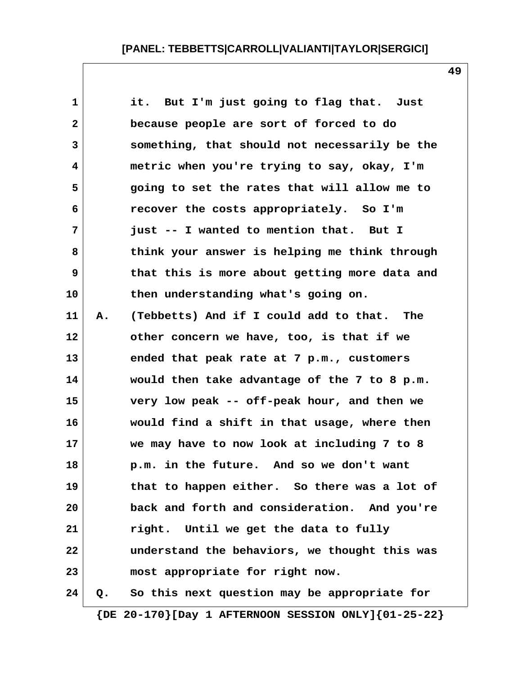**1 it. But I'm just going to flag that. Just 2 because people are sort of forced to do 3 something, that should not necessarily be the 4 metric when you're trying to say, okay, I'm 5 going to set the rates that will allow me to 6 recover the costs appropriately. So I'm 7 just -- I wanted to mention that. But I 8 think your answer is helping me think through 9 that this is more about getting more data and 10 then understanding what's going on. 11 A. (Tebbetts) And if I could add to that. The 12 other concern we have, too, is that if we 13 ended that peak rate at 7 p.m., customers 14 would then take advantage of the 7 to 8 p.m. 15 very low peak -- off-peak hour, and then we 16 would find a shift in that usage, where then 17 we may have to now look at including 7 to 8 18 p.m. in the future. And so we don't want 19 that to happen either. So there was a lot of 20 back and forth and consideration. And you're 21 right. Until we get the data to fully 22 understand the behaviors, we thought this was 23 most appropriate for right now. 24 Q. So this next question may be appropriate for**

 **{DE 20-170}[Day 1 AFTERNOON SESSION ONLY]{01-25-22}**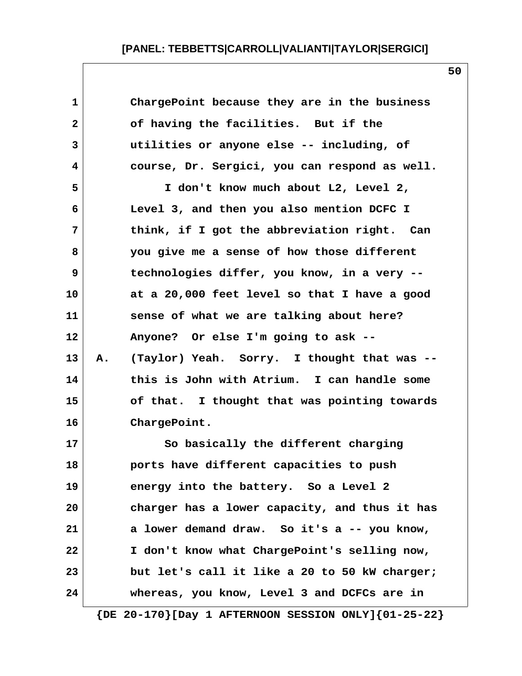| $\mathbf 1$  | ChargePoint because they are in the business                  |
|--------------|---------------------------------------------------------------|
| $\mathbf{2}$ | of having the facilities. But if the                          |
| 3            | utilities or anyone else -- including, of                     |
| 4            | course, Dr. Sergici, you can respond as well.                 |
| 5            | I don't know much about L2, Level 2,                          |
| 6            | Level 3, and then you also mention DCFC I                     |
| 7            | think, if I got the abbreviation right. Can                   |
| 8            | you give me a sense of how those different                    |
| 9            | technologies differ, you know, in a very --                   |
| 10           | at a 20,000 feet level so that I have a good                  |
| 11           | sense of what we are talking about here?                      |
| 12           | Anyone? Or else I'm going to ask --                           |
| 13           | (Taylor) Yeah. Sorry. I thought that was --<br>Α.             |
| 14           | this is John with Atrium. I can handle some                   |
| 15           | of that. I thought that was pointing towards                  |
| 16           | ChargePoint.                                                  |
| 17           | So basically the different charging                           |
| 18           | ports have different capacities to push                       |
| 19           | energy into the battery. So a Level 2                         |
| 20           | charger has a lower capacity, and thus it has                 |
| 21           | a lower demand draw. So it's a -- you know,                   |
| 22           | I don't know what ChargePoint's selling now,                  |
| 23           | but let's call it like a 20 to 50 kW charger;                 |
| 24           | whereas, you know, Level 3 and DCFCs are in                   |
|              | $\{DE 20-170\}$ [Day 1 AFTERNOON SESSION ONLY] $\{01-25-22\}$ |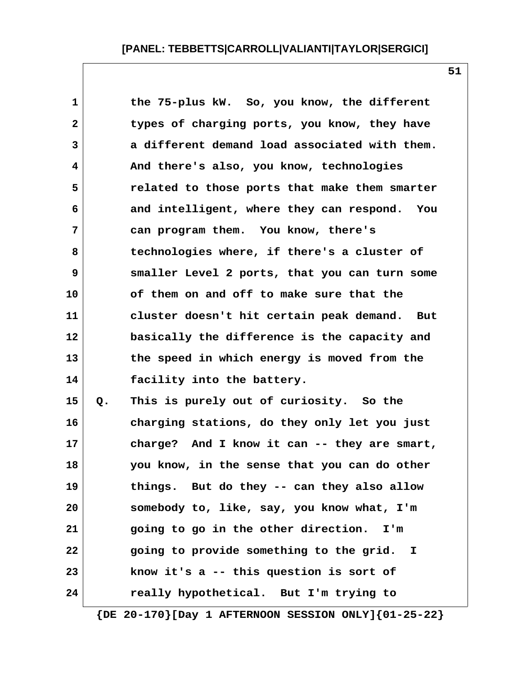|    | the 75-plus kW. So, you know, the different   |
|----|-----------------------------------------------|
|    | types of charging ports, you know, they have  |
|    | a different demand load associated with them. |
|    | And there's also, you know, technologies      |
|    | related to those ports that make them smarter |
|    | and intelligent, where they can respond. You  |
|    | can program them. You know, there's           |
|    | technologies where, if there's a cluster of   |
|    | smaller Level 2 ports, that you can turn some |
|    | of them on and off to make sure that the      |
|    | cluster doesn't hit certain peak demand. But  |
|    | basically the difference is the capacity and  |
|    | the speed in which energy is moved from the   |
|    | facility into the battery.                    |
| Q. | This is purely out of curiosity. So the       |
|    | charging stations, do they only let you just  |
|    | charge? And I know it can -- they are smart,  |
|    | you know, in the sense that you can do other  |
|    | things. But do they -- can they also allow    |
|    | somebody to, like, say, you know what, I'm    |
|    | going to go in the other direction.<br>I'm    |
|    | going to provide something to the grid. I     |
|    | know it's a -- this question is sort of       |
|    | really hypothetical. But I'm trying to        |
|    |                                               |

 **{DE 20-170}[Day 1 AFTERNOON SESSION ONLY]{01-25-22}**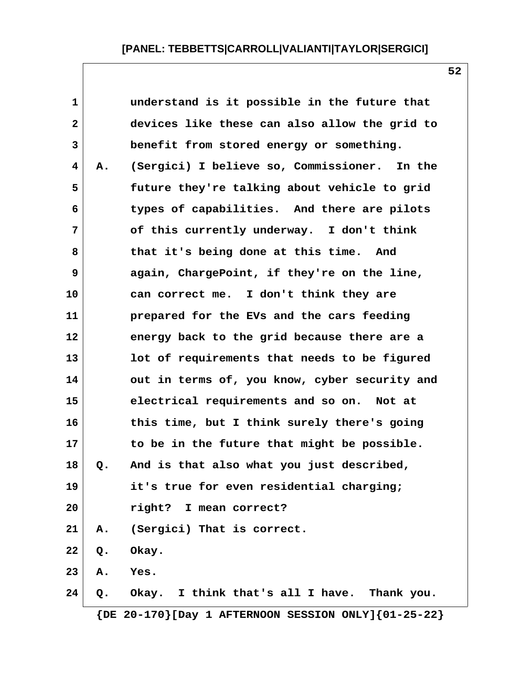| Α. | understand is it possible in the future that<br>devices like these can also allow the grid to<br>benefit from stored energy or something.<br>(Sergici) I believe so, Commissioner. In the<br>future they're talking about vehicle to grid<br>types of capabilities. And there are pilots<br>of this currently underway. I don't think |
|----|---------------------------------------------------------------------------------------------------------------------------------------------------------------------------------------------------------------------------------------------------------------------------------------------------------------------------------------|
|    |                                                                                                                                                                                                                                                                                                                                       |
|    |                                                                                                                                                                                                                                                                                                                                       |
|    |                                                                                                                                                                                                                                                                                                                                       |
|    |                                                                                                                                                                                                                                                                                                                                       |
|    |                                                                                                                                                                                                                                                                                                                                       |
|    |                                                                                                                                                                                                                                                                                                                                       |
|    |                                                                                                                                                                                                                                                                                                                                       |
|    | that it's being done at this time. And                                                                                                                                                                                                                                                                                                |
|    | again, ChargePoint, if they're on the line,                                                                                                                                                                                                                                                                                           |
|    | can correct me. I don't think they are                                                                                                                                                                                                                                                                                                |
|    | prepared for the EVs and the cars feeding                                                                                                                                                                                                                                                                                             |
|    | energy back to the grid because there are a                                                                                                                                                                                                                                                                                           |
|    | lot of requirements that needs to be figured                                                                                                                                                                                                                                                                                          |
|    | out in terms of, you know, cyber security and                                                                                                                                                                                                                                                                                         |
|    | electrical requirements and so on. Not at                                                                                                                                                                                                                                                                                             |
|    | this time, but I think surely there's going                                                                                                                                                                                                                                                                                           |
|    | to be in the future that might be possible.                                                                                                                                                                                                                                                                                           |
| Q. | And is that also what you just described,                                                                                                                                                                                                                                                                                             |
|    | it's true for even residential charging;                                                                                                                                                                                                                                                                                              |
|    | right? I mean correct?                                                                                                                                                                                                                                                                                                                |
|    | A. (Sergici) That is correct.                                                                                                                                                                                                                                                                                                         |
|    | Q. Okay.                                                                                                                                                                                                                                                                                                                              |
|    | A. Yes.                                                                                                                                                                                                                                                                                                                               |
|    | Q. Okay. I think that's all I have. Thank you.                                                                                                                                                                                                                                                                                        |
|    | $\{DE 20-170\}$ [Day 1 AFTERNOON SESSION ONLY] $\{01-25-22\}$                                                                                                                                                                                                                                                                         |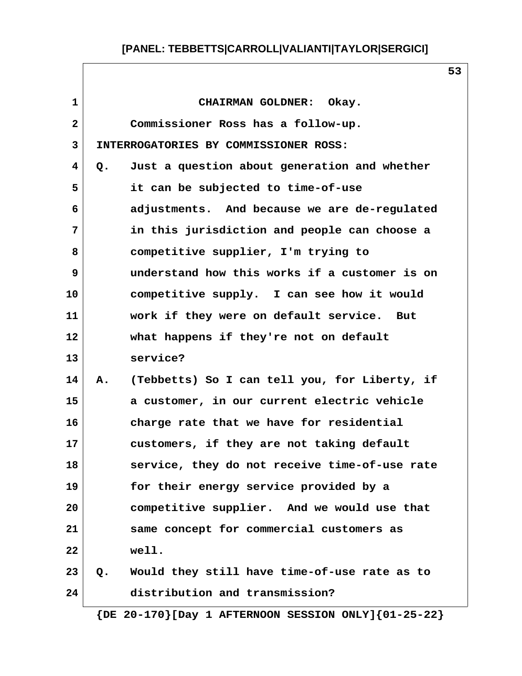| $\mathbf{1}$ |    | CHAIRMAN GOLDNER: Okay.                       |
|--------------|----|-----------------------------------------------|
| 2            |    | Commissioner Ross has a follow-up.            |
| 3            |    | INTERROGATORIES BY COMMISSIONER ROSS:         |
| 4            | Q. | Just a question about generation and whether  |
| 5            |    | it can be subjected to time-of-use            |
| 6            |    | adjustments. And because we are de-regulated  |
| 7            |    | in this jurisdiction and people can choose a  |
| 8            |    | competitive supplier, I'm trying to           |
| 9            |    | understand how this works if a customer is on |
| 10           |    | competitive supply. I can see how it would    |
| 11           |    | work if they were on default service. But     |
| 12           |    | what happens if they're not on default        |
| 13           |    | service?                                      |
| 14           | Α. | (Tebbetts) So I can tell you, for Liberty, if |
| 15           |    | a customer, in our current electric vehicle   |
| 16           |    | charge rate that we have for residential      |
| 17           |    | customers, if they are not taking default     |
| 18           |    | service, they do not receive time-of-use rate |
| 19           |    | for their energy service provided by a        |
| 20           |    | competitive supplier. And we would use that   |
| 21           |    | same concept for commercial customers as      |
| 22           |    | well.                                         |
| 23           | Q. | Would they still have time-of-use rate as to  |
| 24           |    | distribution and transmission?                |
|              |    |                                               |

 **{DE 20-170}[Day 1 AFTERNOON SESSION ONLY]{01-25-22}**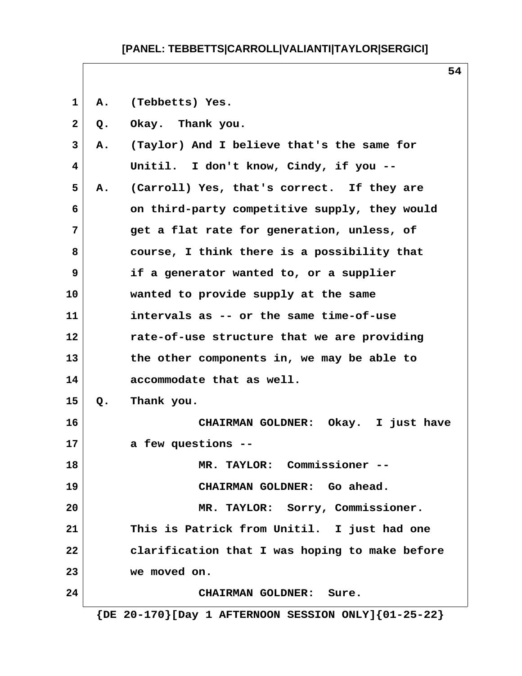**1 A. (Tebbetts) Yes.**

 **2 Q. Okay. Thank you.**

 **3 A. (Taylor) And I believe that's the same for 4 Unitil. I don't know, Cindy, if you -- 5 A. (Carroll) Yes, that's correct. If they are 6 on third-party competitive supply, they would 7 get a flat rate for generation, unless, of 8 course, I think there is a possibility that 9 if a generator wanted to, or a supplier 10 wanted to provide supply at the same 11 intervals as -- or the same time-of-use 12 rate-of-use structure that we are providing 13 the other components in, we may be able to 14 accommodate that as well. 15 Q. Thank you. 16 CHAIRMAN GOLDNER: Okay. I just have 17 a few questions -- 18 MR. TAYLOR: Commissioner -- 19 CHAIRMAN GOLDNER: Go ahead. 20 MR. TAYLOR: Sorry, Commissioner. 21 This is Patrick from Unitil. I just had one 22 clarification that I was hoping to make before 23 we moved on. 24 CHAIRMAN GOLDNER: Sure. {DE 20-170}[Day 1 AFTERNOON SESSION ONLY]{01-25-22}**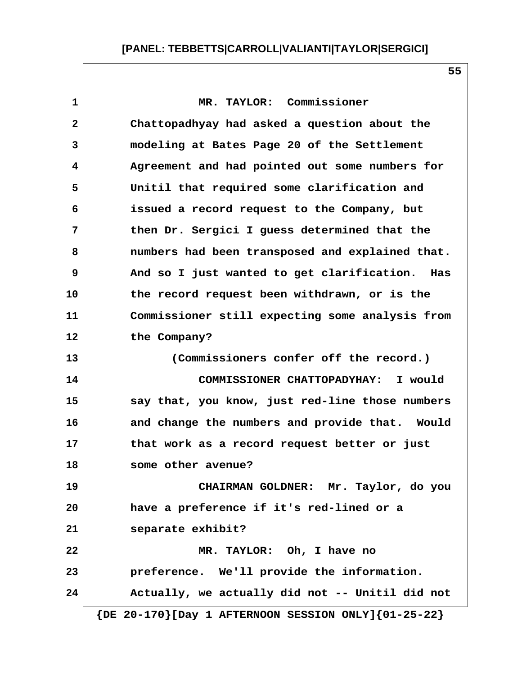**1 MR. TAYLOR: Commissioner 2 Chattopadhyay had asked a question about the 3 modeling at Bates Page 20 of the Settlement 4 Agreement and had pointed out some numbers for 5 Unitil that required some clarification and 6 issued a record request to the Company, but 7 then Dr. Sergici I guess determined that the 8 numbers had been transposed and explained that. 9 And so I just wanted to get clarification. Has 10 the record request been withdrawn, or is the 11 Commissioner still expecting some analysis from 12 the Company? 13 (Commissioners confer off the record.) 14 COMMISSIONER CHATTOPADYHAY: I would 15 say that, you know, just red-line those numbers 16 and change the numbers and provide that. Would 17 that work as a record request better or just 18 some other avenue? 19 CHAIRMAN GOLDNER: Mr. Taylor, do you 20 have a preference if it's red-lined or a 21 separate exhibit? 22 MR. TAYLOR: Oh, I have no 23 preference. We'll provide the information. 24 Actually, we actually did not -- Unitil did not**

 **{DE 20-170}[Day 1 AFTERNOON SESSION ONLY]{01-25-22}**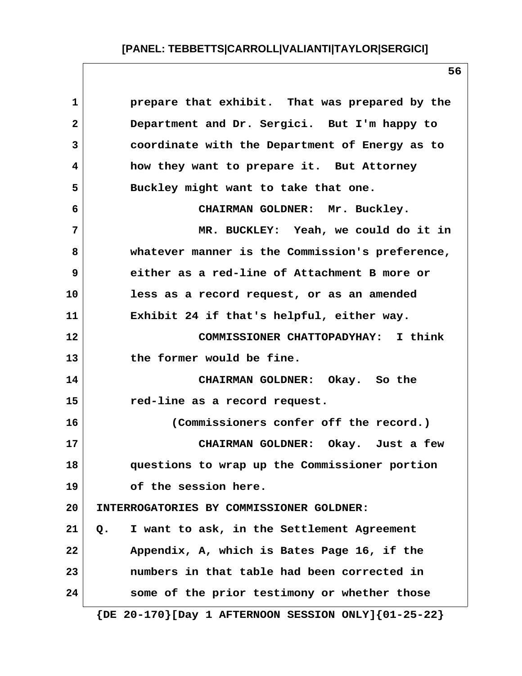| prepare that exhibit. That was prepared by the   |
|--------------------------------------------------|
| Department and Dr. Sergici. But I'm happy to     |
| coordinate with the Department of Energy as to   |
| how they want to prepare it. But Attorney        |
| Buckley might want to take that one.             |
| CHAIRMAN GOLDNER: Mr. Buckley.                   |
| MR. BUCKLEY: Yeah, we could do it in             |
| whatever manner is the Commission's preference,  |
| either as a red-line of Attachment B more or     |
| less as a record request, or as an amended       |
| Exhibit 24 if that's helpful, either way.        |
| COMMISSIONER CHATTOPADYHAY: I think              |
| the former would be fine.                        |
| CHAIRMAN GOLDNER: Okay. So the                   |
| red-line as a record request.                    |
| (Commissioners confer off the record.)           |
| CHAIRMAN GOLDNER: Okay. Just a few               |
| questions to wrap up the Commissioner portion    |
| of the session here.                             |
| INTERROGATORIES BY COMMISSIONER GOLDNER:         |
| I want to ask, in the Settlement Agreement<br>Q. |
| Appendix, A, which is Bates Page 16, if the      |
| numbers in that table had been corrected in      |
|                                                  |
|                                                  |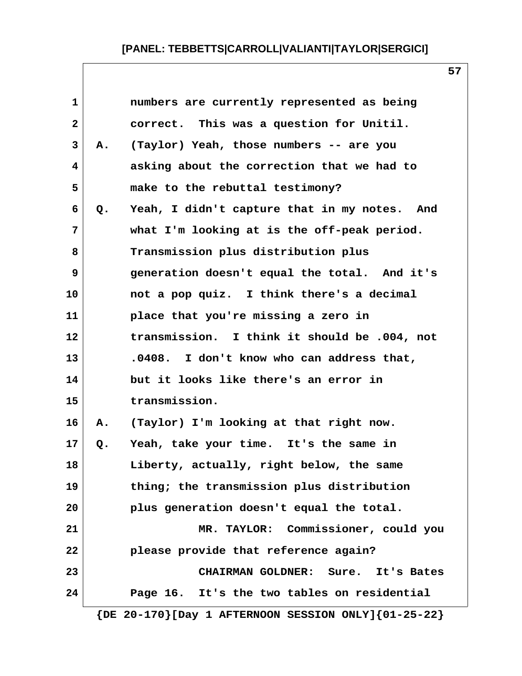| $\mathbf{1}$ |       | numbers are currently represented as being   |
|--------------|-------|----------------------------------------------|
| $\mathbf{2}$ |       | correct. This was a question for Unitil.     |
| 3            | Α.    | (Taylor) Yeah, those numbers -- are you      |
| 4            |       | asking about the correction that we had to   |
| 5            |       | make to the rebuttal testimony?              |
| 6            | Q.    | Yeah, I didn't capture that in my notes. And |
| 7            |       | what I'm looking at is the off-peak period.  |
| 8            |       | Transmission plus distribution plus          |
| 9            |       | generation doesn't equal the total. And it's |
| 10           |       | not a pop quiz. I think there's a decimal    |
| 11           |       | place that you're missing a zero in          |
| 12           |       | transmission. I think it should be .004, not |
| 13           |       | .0408. I don't know who can address that,    |
| 14           |       | but it looks like there's an error in        |
| 15           |       | transmission.                                |
| 16           | Α.    | (Taylor) I'm looking at that right now.      |
| 17           | $Q$ . | Yeah, take your time. It's the same in       |
| 18           |       | Liberty, actually, right below, the same     |
| 19           |       | thing; the transmission plus distribution    |
| 20           |       | plus generation doesn't equal the total.     |
| 21           |       | MR. TAYLOR: Commissioner, could you          |
| 22           |       | please provide that reference again?         |
| 23           |       | CHAIRMAN GOLDNER: Sure. It's Bates           |
| 24           |       | Page 16. It's the two tables on residential  |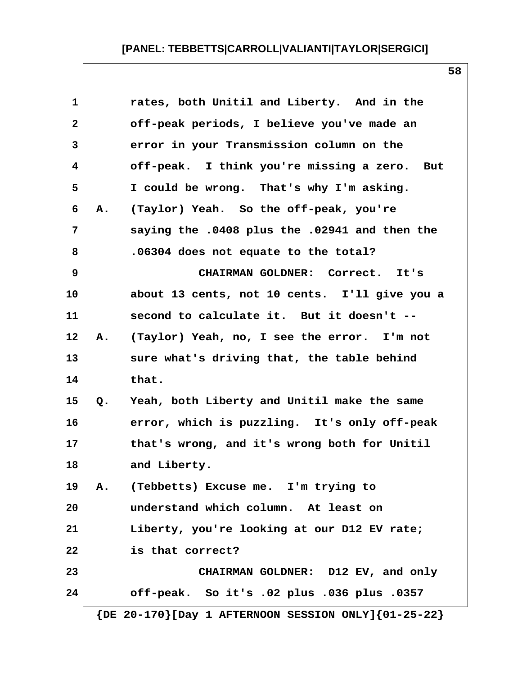| $\mathbf{1}$ |    | rates, both Unitil and Liberty. And in the    |
|--------------|----|-----------------------------------------------|
| $\mathbf{2}$ |    | off-peak periods, I believe you've made an    |
| 3            |    | error in your Transmission column on the      |
| 4            |    | off-peak. I think you're missing a zero. But  |
| 5            |    | I could be wrong. That's why I'm asking.      |
| 6            | Α. | (Taylor) Yeah. So the off-peak, you're        |
| 7            |    | saying the .0408 plus the .02941 and then the |
| 8            |    | .06304 does not equate to the total?          |
| 9            |    | CHAIRMAN GOLDNER: Correct. It's               |
| 10           |    | about 13 cents, not 10 cents. I'll give you a |
| 11           |    | second to calculate it. But it doesn't --     |
| 12           | A. | (Taylor) Yeah, no, I see the error. I'm not   |
| 13           |    | sure what's driving that, the table behind    |
| 14           |    | that.                                         |
| 15           | Q. | Yeah, both Liberty and Unitil make the same   |
| 16           |    | error, which is puzzling. It's only off-peak  |
| 17           |    | that's wrong, and it's wrong both for Unitil  |
| 18           |    | and Liberty.                                  |
| 19           | A. | (Tebbetts) Excuse me. I'm trying to           |
| 20           |    | understand which column. At least on          |
| 21           |    | Liberty, you're looking at our D12 EV rate;   |
| 22           |    | is that correct?                              |
| 23           |    | CHAIRMAN GOLDNER: D12 EV, and only            |
| 24           |    | off-peak. So it's .02 plus .036 plus .0357    |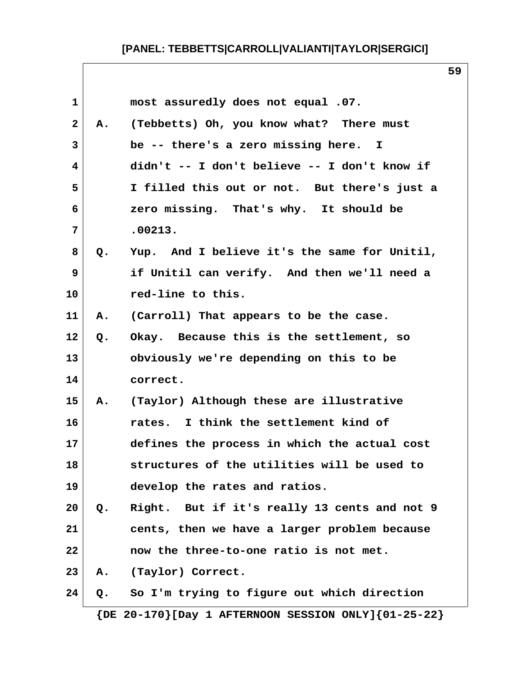|               | most assuredly does not equal .07.           |
|---------------|----------------------------------------------|
| A.            | (Tebbetts) Oh, you know what? There must     |
|               | be -- there's a zero missing here. I         |
|               | didn't -- I don't believe -- I don't know if |
|               | I filled this out or not. But there's just a |
|               | zero missing. That's why. It should be       |
|               | .00213.                                      |
| Q.            | Yup. And I believe it's the same for Unitil, |
|               | if Unitil can verify. And then we'll need a  |
|               | red-line to this.                            |
| Α.            | (Carroll) That appears to be the case.       |
| Q.            | Okay. Because this is the settlement, so     |
|               | obviously we're depending on this to be      |
|               | correct.                                     |
| Α.            | (Taylor) Although these are illustrative     |
|               | rates. I think the settlement kind of        |
|               | defines the process in which the actual cost |
|               | structures of the utilities will be used to  |
|               | develop the rates and ratios.                |
| $Q_{\bullet}$ | Right. But if it's really 13 cents and not 9 |
|               | cents, then we have a larger problem because |
|               | now the three-to-one ratio is not met.       |
| Α.            | (Taylor) Correct.                            |
| Q.            | So I'm trying to figure out which direction  |
|               |                                              |

 **{DE 20-170}[Day 1 AFTERNOON SESSION ONLY]{01-25-22}**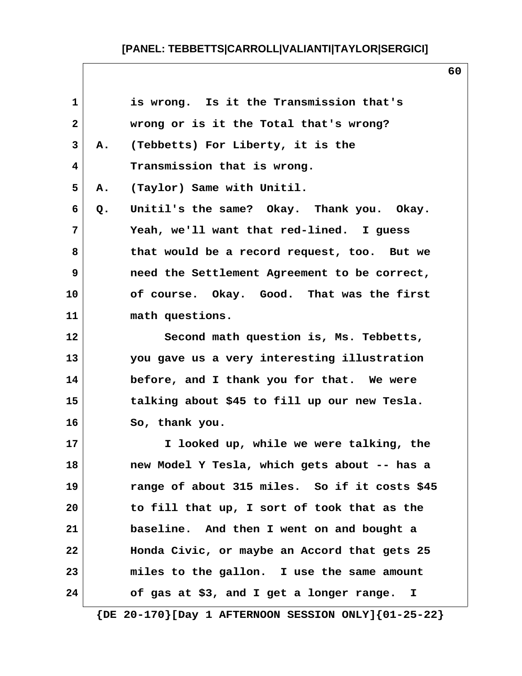|    | is wrong. Is it the Transmission that's        |
|----|------------------------------------------------|
|    | wrong or is it the Total that's wrong?         |
| Α. | (Tebbetts) For Liberty, it is the              |
|    | Transmission that is wrong.                    |
| Α. | (Taylor) Same with Unitil.                     |
| Q. | Unitil's the same? Okay. Thank you. Okay.      |
|    | Yeah, we'll want that red-lined. I guess       |
|    | that would be a record request, too. But we    |
|    | need the Settlement Agreement to be correct,   |
|    | of course. Okay. Good. That was the first      |
|    | math questions.                                |
|    | Second math question is, Ms. Tebbetts,         |
|    | you gave us a very interesting illustration    |
|    | before, and I thank you for that. We were      |
|    | talking about \$45 to fill up our new Tesla.   |
|    | So, thank you.                                 |
|    | I looked up, while we were talking, the        |
|    | new Model Y Tesla, which gets about -- has a   |
|    | range of about 315 miles. So if it costs \$45  |
|    | to fill that up, I sort of took that as the    |
|    | baseline. And then I went on and bought a      |
|    | Honda Civic, or maybe an Accord that gets 25   |
|    | miles to the gallon. I use the same amount     |
|    | of gas at \$3, and I get a longer range.<br>I. |
|    |                                                |

 **{DE 20-170}[Day 1 AFTERNOON SESSION ONLY]{01-25-22}**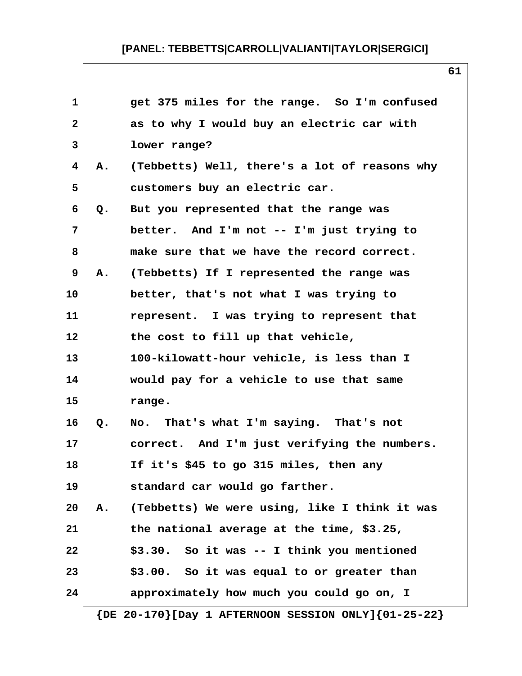| $\mathbf{1}$            |    | get 375 miles for the range. So I'm confused                  |
|-------------------------|----|---------------------------------------------------------------|
| $\overline{\mathbf{2}}$ |    | as to why I would buy an electric car with                    |
| 3                       |    | lower range?                                                  |
| 4                       | Α. | (Tebbetts) Well, there's a lot of reasons why                 |
| 5                       |    | customers buy an electric car.                                |
| 6                       | Q. | But you represented that the range was                        |
| 7                       |    | better. And I'm not -- I'm just trying to                     |
| 8                       |    | make sure that we have the record correct.                    |
| 9                       | Α. | (Tebbetts) If I represented the range was                     |
| 10                      |    | better, that's not what I was trying to                       |
| 11                      |    | represent. I was trying to represent that                     |
| 12                      |    | the cost to fill up that vehicle,                             |
| 13                      |    | 100-kilowatt-hour vehicle, is less than I                     |
| 14                      |    | would pay for a vehicle to use that same                      |
| 15                      |    | range.                                                        |
| 16                      | Q. | That's what I'm saying. That's not<br>No.                     |
| 17                      |    | correct. And I'm just verifying the numbers.                  |
| 18                      |    | If it's \$45 to go 315 miles, then any                        |
| 19                      |    | standard car would go farther.                                |
| 20                      | Α. | (Tebbetts) We were using, like I think it was                 |
| 21                      |    | the national average at the time, \$3.25,                     |
| 22                      |    | \$3.30. So it was -- I think you mentioned                    |
| 23                      |    | \$3.00. So it was equal to or greater than                    |
| 24                      |    | approximately how much you could go on, I                     |
|                         |    | $\{DE 20-170\}$ [Day 1 AFTERNOON SESSION ONLY] $\{01-25-22\}$ |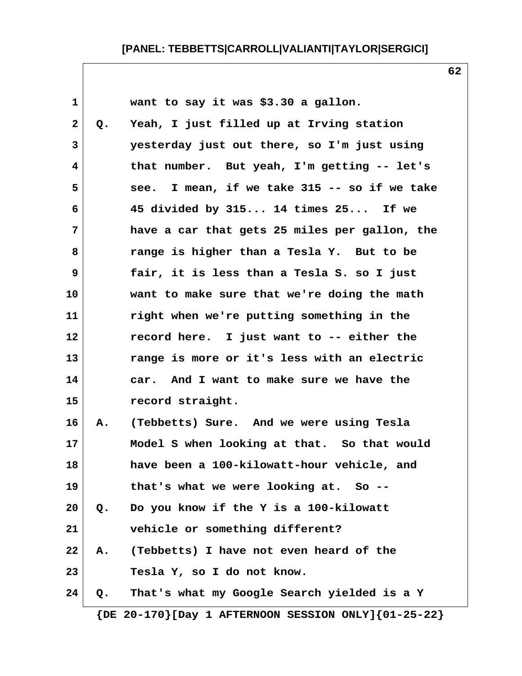| $\mathbf 1$  |       | want to say it was \$3.30 a gallon.           |
|--------------|-------|-----------------------------------------------|
| $\mathbf{2}$ | Q.    | Yeah, I just filled up at Irving station      |
| 3            |       | yesterday just out there, so I'm just using   |
| 4            |       | that number. But yeah, I'm getting -- let's   |
| 5            |       | see. I mean, if we take 315 -- so if we take  |
| 6            |       | 45 divided by 315 14 times 25 If we           |
| 7            |       | have a car that gets 25 miles per gallon, the |
| 8            |       | range is higher than a Tesla Y. But to be     |
| 9            |       | fair, it is less than a Tesla S. so I just    |
| 10           |       | want to make sure that we're doing the math   |
| 11           |       | right when we're putting something in the     |
| 12           |       | record here. I just want to -- either the     |
| 13           |       | range is more or it's less with an electric   |
| 14           |       | car. And I want to make sure we have the      |
| 15           |       | record straight.                              |
| 16           | Α.    | (Tebbetts) Sure. And we were using Tesla      |
| 17           |       | Model S when looking at that. So that would   |
| 18           |       | have been a 100-kilowatt-hour vehicle, and    |
| 19           |       | that's what we were looking at. So --         |
| 20           | $Q$ . | Do you know if the Y is a 100-kilowatt        |
| 21           |       | vehicle or something different?               |
| 22           | Α.    | (Tebbetts) I have not even heard of the       |
| 23           |       | Tesla Y, so I do not know.                    |
| 24           | Q.    | That's what my Google Search yielded is a Y   |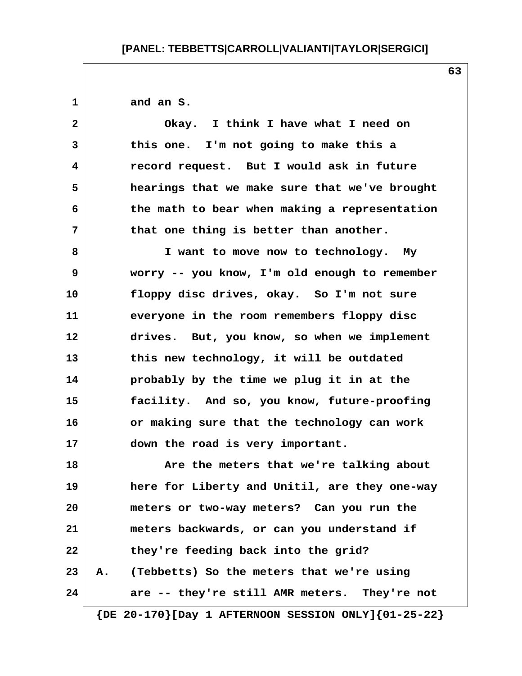**1 and an S.**

 **2 Okay. I think I have what I need on 3 this one. I'm not going to make this a 4 record request. But I would ask in future 5 hearings that we make sure that we've brought 6 the math to bear when making a representation 7 that one thing is better than another.**

 **8 I want to move now to technology. My 9 worry -- you know, I'm old enough to remember 10 floppy disc drives, okay. So I'm not sure 11 everyone in the room remembers floppy disc 12 drives. But, you know, so when we implement 13 this new technology, it will be outdated 14 probably by the time we plug it in at the 15 facility. And so, you know, future-proofing 16 or making sure that the technology can work 17 down the road is very important.**

**18 Are the meters that we're talking about 19 here for Liberty and Unitil, are they one-way 20 meters or two-way meters? Can you run the 21 meters backwards, or can you understand if 22 they're feeding back into the grid? 23 A. (Tebbetts) So the meters that we're using 24 are -- they're still AMR meters. They're not**

 **{DE 20-170}[Day 1 AFTERNOON SESSION ONLY]{01-25-22}**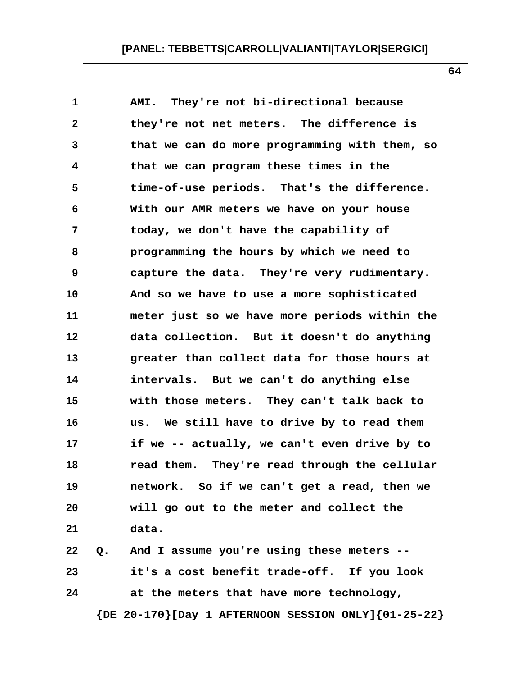**1 AMI. They're not bi-directional because 2 they're not net meters. The difference is 3 that we can do more programming with them, so 4 that we can program these times in the 5 time-of-use periods. That's the difference. 6 With our AMR meters we have on your house 7 today, we don't have the capability of 8 programming the hours by which we need to 9 capture the data. They're very rudimentary. 10 And so we have to use a more sophisticated 11 meter just so we have more periods within the 12 data collection. But it doesn't do anything 13 greater than collect data for those hours at 14 intervals. But we can't do anything else 15 with those meters. They can't talk back to 16 us. We still have to drive by to read them 17 if we -- actually, we can't even drive by to 18 read them. They're read through the cellular 19 network. So if we can't get a read, then we 20 will go out to the meter and collect the 21 data. 22 Q. And I assume you're using these meters -- 23 it's a cost benefit trade-off. If you look 24 at the meters that have more technology,**

 **{DE 20-170}[Day 1 AFTERNOON SESSION ONLY]{01-25-22}**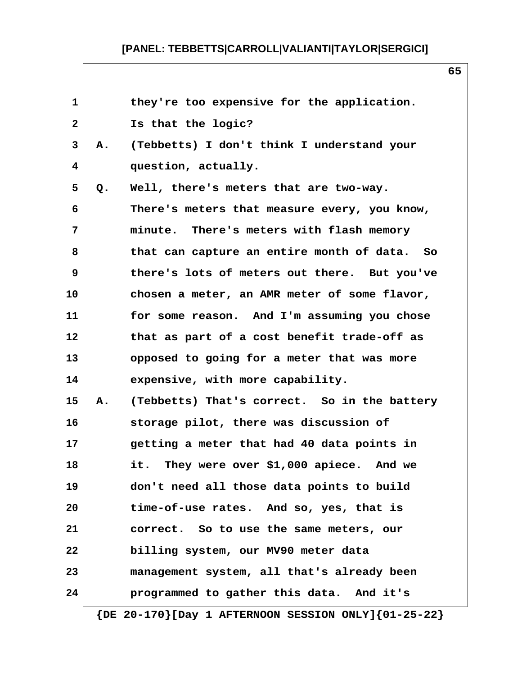| $\mathbf{1}$ |    | they're too expensive for the application.                    |
|--------------|----|---------------------------------------------------------------|
| $\mathbf 2$  |    | Is that the logic?                                            |
| 3            | А. | (Tebbetts) I don't think I understand your                    |
| 4            |    | question, actually.                                           |
| 5            | Q. | Well, there's meters that are two-way.                        |
| 6            |    | There's meters that measure every, you know,                  |
| 7            |    | minute. There's meters with flash memory                      |
| 8            |    | that can capture an entire month of data. So                  |
| 9            |    | there's lots of meters out there. But you've                  |
| 10           |    | chosen a meter, an AMR meter of some flavor,                  |
| 11           |    | for some reason. And I'm assuming you chose                   |
| 12           |    | that as part of a cost benefit trade-off as                   |
| 13           |    | opposed to going for a meter that was more                    |
| 14           |    | expensive, with more capability.                              |
| 15           | Α. | (Tebbetts) That's correct. So in the battery                  |
| 16           |    | storage pilot, there was discussion of                        |
| 17           |    | getting a meter that had 40 data points in                    |
| 18           |    | They were over \$1,000 apiece. And we<br>it.                  |
| 19           |    | don't need all those data points to build                     |
| 20           |    | time-of-use rates. And so, yes, that is                       |
| 21           |    | correct. So to use the same meters, our                       |
| 22           |    | billing system, our MV90 meter data                           |
| 23           |    | management system, all that's already been                    |
| 24           |    | programmed to gather this data. And it's                      |
|              |    | $\{DE 20-170\}$ [Day 1 AFTERNOON SESSION ONLY] $\{01-25-22\}$ |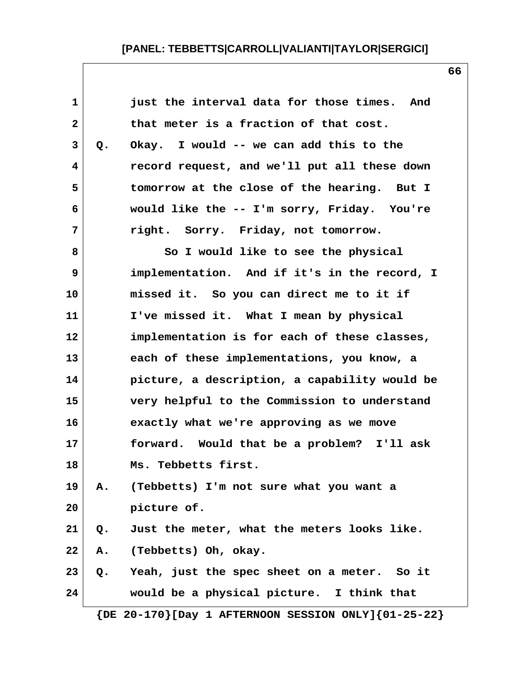| $\mathbf 1$  |    | just the interval data for those times.<br>And                |
|--------------|----|---------------------------------------------------------------|
| $\mathbf{2}$ |    | that meter is a fraction of that cost.                        |
| 3            | Q. | Okay. I would -- we can add this to the                       |
| 4            |    | record request, and we'll put all these down                  |
| 5            |    | tomorrow at the close of the hearing. But I                   |
| 6            |    | would like the -- I'm sorry, Friday. You're                   |
| 7            |    | right. Sorry. Friday, not tomorrow.                           |
| 8            |    | So I would like to see the physical                           |
| 9            |    | implementation. And if it's in the record, I                  |
| 10           |    | missed it. So you can direct me to it if                      |
| 11           |    | I've missed it. What I mean by physical                       |
| 12           |    | implementation is for each of these classes,                  |
| 13           |    | each of these implementations, you know, a                    |
| 14           |    | picture, a description, a capability would be                 |
| 15           |    | very helpful to the Commission to understand                  |
| 16           |    | exactly what we're approving as we move                       |
| 17           |    | forward. Would that be a problem? I'll ask                    |
| 18           |    | Ms. Tebbetts first.                                           |
| 19           | Α. | (Tebbetts) I'm not sure what you want a                       |
| 20           |    | picture of.                                                   |
| 21           | Q. | Just the meter, what the meters looks like.                   |
| 22           | Α. | (Tebbetts) Oh, okay.                                          |
| 23           | Q. | Yeah, just the spec sheet on a meter. So it                   |
| 24           |    | would be a physical picture. I think that                     |
|              |    | $\{DE 20-170\}$ [Day 1 AFTERNOON SESSION ONLY] $\{01-25-22\}$ |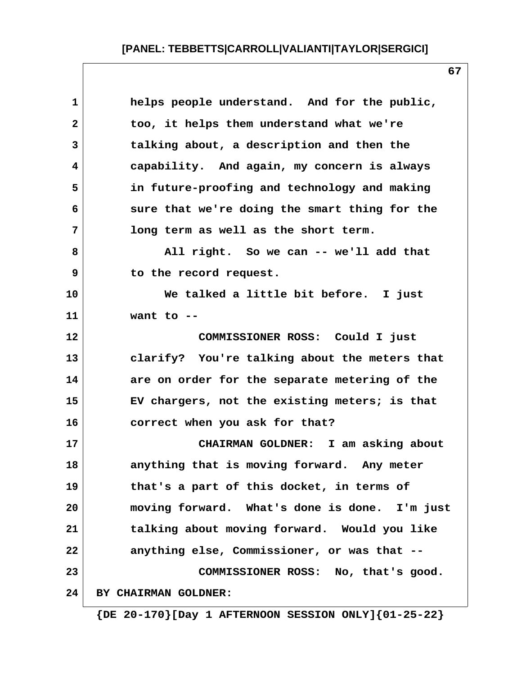| $\mathbf 1$  | helps people understand. And for the public,  |
|--------------|-----------------------------------------------|
| $\mathbf{2}$ | too, it helps them understand what we're      |
| 3            | talking about, a description and then the     |
| 4            | capability. And again, my concern is always   |
| 5            | in future-proofing and technology and making  |
| 6            | sure that we're doing the smart thing for the |
| 7            | long term as well as the short term.          |
| 8            | All right. So we can -- we'll add that        |
| 9            | to the record request.                        |
| 10           | We talked a little bit before. I just         |
| 11           | want to $-$                                   |
| 12           | COMMISSIONER ROSS: Could I just               |
| 13           | clarify? You're talking about the meters that |
| 14           | are on order for the separate metering of the |
| 15           | EV chargers, not the existing meters; is that |
| 16           | correct when you ask for that?                |
| 17           | CHAIRMAN GOLDNER: I am asking about           |
| 18           | anything that is moving forward. Any meter    |
| 19           | that's a part of this docket, in terms of     |
| 20           | moving forward. What's done is done. I'm just |
| 21           | talking about moving forward. Would you like  |
| 22           | anything else, Commissioner, or was that --   |
| 23           | COMMISSIONER ROSS: No, that's good.           |
| 24           | BY CHAIRMAN GOLDNER:                          |
|              |                                               |

 **{DE 20-170}[Day 1 AFTERNOON SESSION ONLY]{01-25-22}**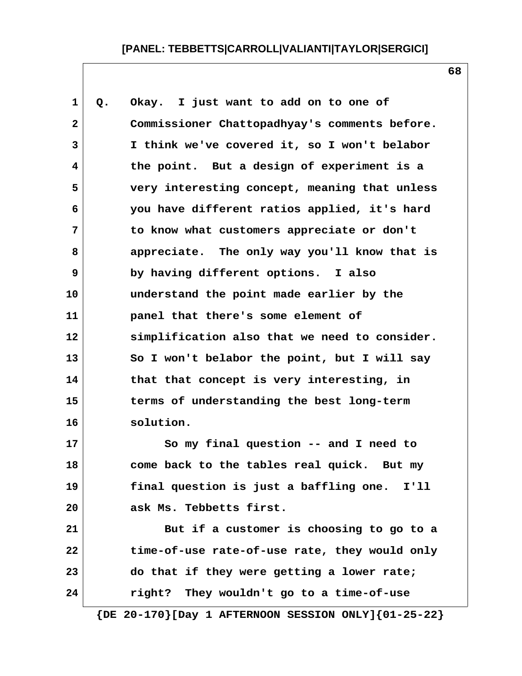**1 Q. Okay. I just want to add on to one of 2 Commissioner Chattopadhyay's comments before. 3 I think we've covered it, so I won't belabor 4 the point. But a design of experiment is a 5 very interesting concept, meaning that unless 6 you have different ratios applied, it's hard 7 to know what customers appreciate or don't 8 appreciate. The only way you'll know that is 9 by having different options. I also 10 understand the point made earlier by the 11 panel that there's some element of 12 simplification also that we need to consider. 13 So I won't belabor the point, but I will say 14 that that concept is very interesting, in 15 terms of understanding the best long-term 16 solution. 17 So my final question -- and I need to 18 come back to the tables real quick. But my 19 final question is just a baffling one. I'll 20 ask Ms. Tebbetts first. 21 But if a customer is choosing to go to a**

**22 time-of-use rate-of-use rate, they would only 23 do that if they were getting a lower rate; 24 right? They wouldn't go to a time-of-use**

 **{DE 20-170}[Day 1 AFTERNOON SESSION ONLY]{01-25-22}**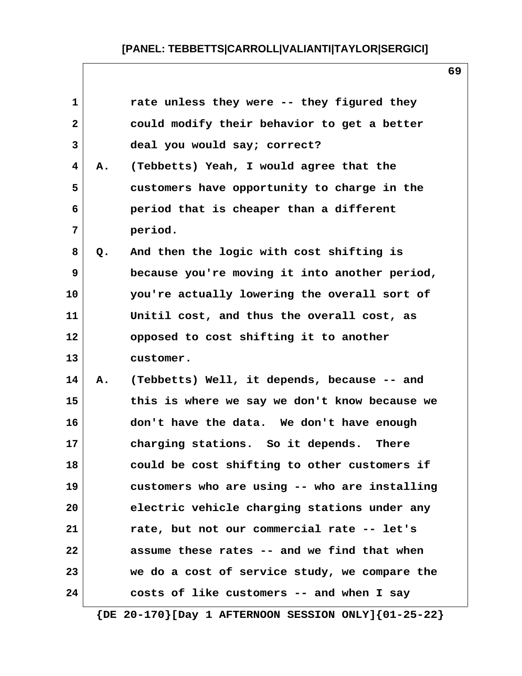| 1            |    | rate unless they were -- they figured they    |
|--------------|----|-----------------------------------------------|
| $\mathbf{2}$ |    | could modify their behavior to get a better   |
| 3            |    | deal you would say; correct?                  |
| 4            | Α. | (Tebbetts) Yeah, I would agree that the       |
| 5            |    | customers have opportunity to charge in the   |
| 6            |    | period that is cheaper than a different       |
| 7            |    | period.                                       |
| 8            | Q. | And then the logic with cost shifting is      |
| 9            |    | because you're moving it into another period, |
| 10           |    | you're actually lowering the overall sort of  |
| 11           |    | Unitil cost, and thus the overall cost, as    |
| 12           |    | opposed to cost shifting it to another        |
| 13           |    | customer.                                     |
| 14           | Α. | (Tebbetts) Well, it depends, because -- and   |
| 15           |    | this is where we say we don't know because we |
| 16           |    | don't have the data. We don't have enough     |
| 17           |    | charging stations. So it depends.<br>There    |
| 18           |    | could be cost shifting to other customers if  |
| 19           |    | customers who are using -- who are installing |
| 20           |    | electric vehicle charging stations under any  |
| 21           |    | rate, but not our commercial rate -- let's    |
| 22           |    | assume these rates -- and we find that when   |
| 23           |    | we do a cost of service study, we compare the |
| 24           |    | costs of like customers -- and when I say     |

**69**

 **{DE 20-170}[Day 1 AFTERNOON SESSION ONLY]{01-25-22}**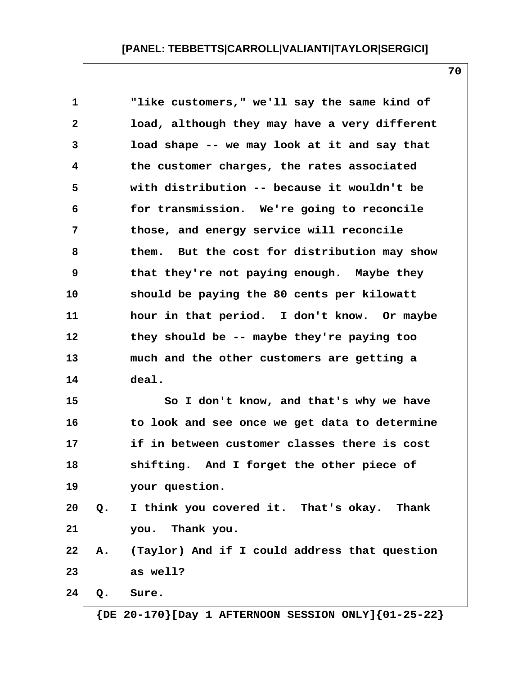| $\mathbf 1$  |               | "like customers," we'll say the same kind of     |
|--------------|---------------|--------------------------------------------------|
| $\mathbf{2}$ |               | load, although they may have a very different    |
| 3            |               | load shape -- we may look at it and say that     |
| 4            |               | the customer charges, the rates associated       |
| 5            |               | with distribution -- because it wouldn't be      |
| 6            |               | for transmission. We're going to reconcile       |
| 7            |               | those, and energy service will reconcile         |
| 8            |               | them. But the cost for distribution may show     |
| 9            |               | that they're not paying enough. Maybe they       |
| 10           |               | should be paying the 80 cents per kilowatt       |
| 11           |               | hour in that period. I don't know. Or maybe      |
| 12           |               | they should be -- maybe they're paying too       |
| 13           |               | much and the other customers are getting a       |
| 14           |               | deal.                                            |
| 15           |               | So I don't know, and that's why we have          |
| 16           |               | to look and see once we get data to determine    |
| 17           |               | if in between customer classes there is cost     |
| 18           |               | shifting. And I forget the other piece of        |
| 19           |               | your question.                                   |
| 20           | $Q_{\bullet}$ | I think you covered it. That's okay. Thank       |
| 21           |               | you. Thank you.                                  |
| 22           |               | A. (Taylor) And if I could address that question |
| 23           |               | as well?                                         |
| 24           | $Q$ .         | Sure.                                            |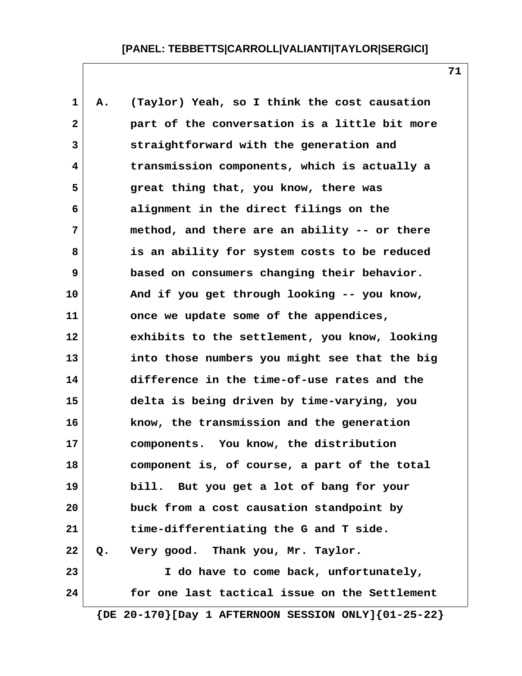| $\mathbf{1}$            | Α. | (Taylor) Yeah, so I think the cost causation  |
|-------------------------|----|-----------------------------------------------|
| $\overline{\mathbf{2}}$ |    | part of the conversation is a little bit more |
| 3                       |    | straightforward with the generation and       |
| 4                       |    | transmission components, which is actually a  |
| 5                       |    | great thing that, you know, there was         |
| 6                       |    | alignment in the direct filings on the        |
| 7                       |    | method, and there are an ability -- or there  |
| 8                       |    | is an ability for system costs to be reduced  |
| 9                       |    | based on consumers changing their behavior.   |
| 10                      |    | And if you get through looking -- you know,   |
| 11                      |    | once we update some of the appendices,        |
| 12                      |    | exhibits to the settlement, you know, looking |
| 13                      |    | into those numbers you might see that the big |
| 14                      |    | difference in the time-of-use rates and the   |
| 15                      |    | delta is being driven by time-varying, you    |
| 16                      |    | know, the transmission and the generation     |
| 17                      |    | components. You know, the distribution        |
| 18                      |    | component is, of course, a part of the total  |
| 19                      |    | bill. But you get a lot of bang for your      |
| 20                      |    | buck from a cost causation standpoint by      |
| 21                      |    | time-differentiating the G and T side.        |
| 22                      | Q. | Very good. Thank you, Mr. Taylor.             |
| 23                      |    | I do have to come back, unfortunately,        |
| 24                      |    | for one last tactical issue on the Settlement |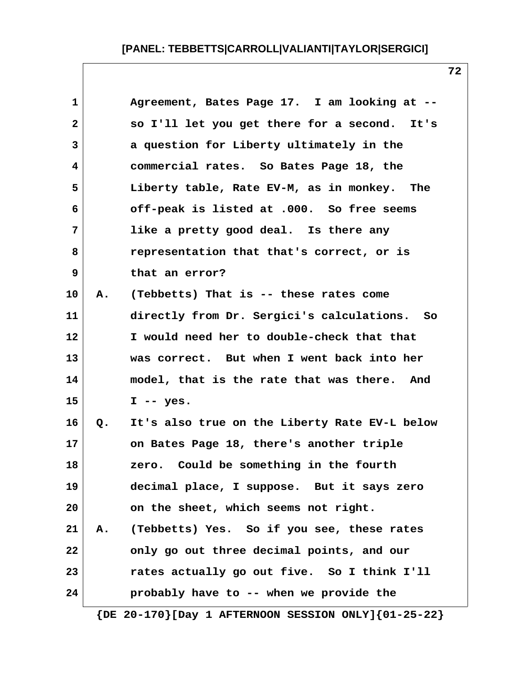| $\mathbf 1$  |    | Agreement, Bates Page 17. I am looking at --  |
|--------------|----|-----------------------------------------------|
| $\mathbf{2}$ |    | so I'll let you get there for a second. It's  |
| 3            |    | a question for Liberty ultimately in the      |
| 4            |    | commercial rates. So Bates Page 18, the       |
| 5            |    | Liberty table, Rate EV-M, as in monkey. The   |
| 6            |    | off-peak is listed at .000. So free seems     |
| 7            |    | like a pretty good deal. Is there any         |
| 8            |    | representation that that's correct, or is     |
| 9            |    | that an error?                                |
| 10           | Α. | (Tebbetts) That is -- these rates come        |
| 11           |    | directly from Dr. Sergici's calculations. So  |
| 12           |    | I would need her to double-check that that    |
| 13           |    | was correct. But when I went back into her    |
| 14           |    | model, that is the rate that was there. And   |
| 15           |    | $I - - yes.$                                  |
| 16           | Q. | It's also true on the Liberty Rate EV-L below |
| 17           |    | on Bates Page 18, there's another triple      |
| 18           |    | Could be something in the fourth<br>zero.     |
| 19           |    | decimal place, I suppose. But it says zero    |
| 20           |    | on the sheet, which seems not right.          |
| 21           |    | A. (Tebbetts) Yes. So if you see, these rates |
| 22           |    | only go out three decimal points, and our     |
| 23           |    | rates actually go out five. So I think I'll   |
| 24           |    | probably have to -- when we provide the       |
|              |    |                                               |

 **{DE 20-170}[Day 1 AFTERNOON SESSION ONLY]{01-25-22}**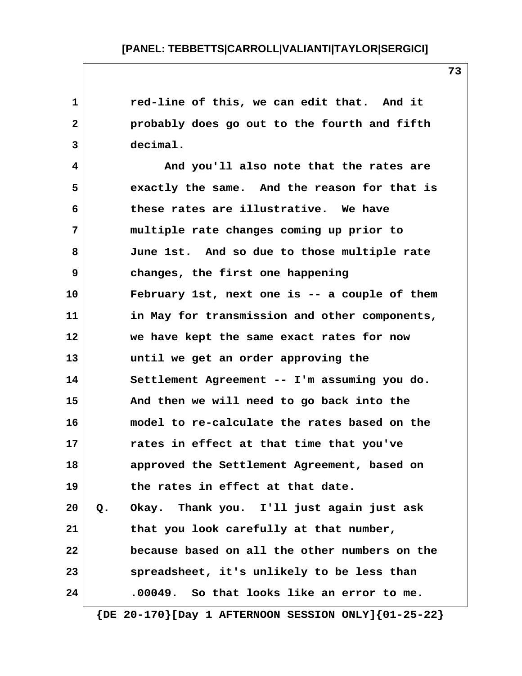1 **1** red-line of this, we can edit that. And it  **2 probably does go out to the fourth and fifth 3 decimal. 4 And you'll also note that the rates are 5 exactly the same. And the reason for that is 6 these rates are illustrative. We have 7 multiple rate changes coming up prior to 8 June 1st. And so due to those multiple rate 9 changes, the first one happening 10 February 1st, next one is -- a couple of them 11 in May for transmission and other components, 12 we have kept the same exact rates for now 13 until we get an order approving the 14 Settlement Agreement -- I'm assuming you do. 15 And then we will need to go back into the 16 model to re-calculate the rates based on the 17 rates in effect at that time that you've 18 approved the Settlement Agreement, based on 19 the rates in effect at that date. 20 Q. Okay. Thank you. I'll just again just ask 21 that you look carefully at that number, 22 because based on all the other numbers on the 23 spreadsheet, it's unlikely to be less than 24 .00049. So that looks like an error to me.**

 **{DE 20-170}[Day 1 AFTERNOON SESSION ONLY]{01-25-22}**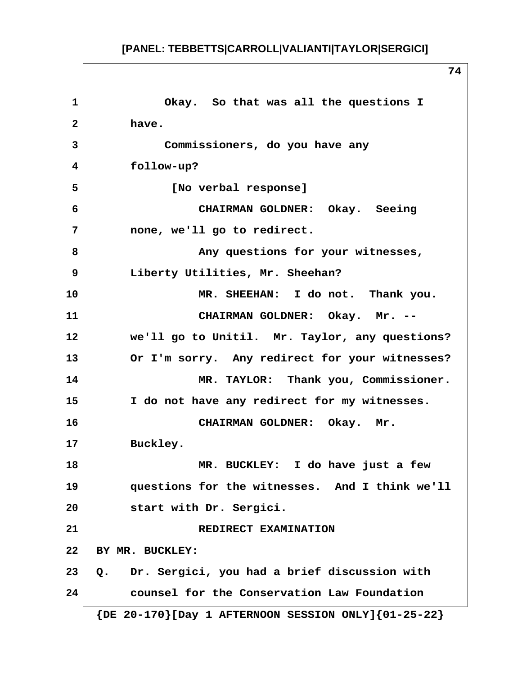**1 Okay. So that was all the questions I 2 have. 3 Commissioners, do you have any 4 follow-up? 5 [No verbal response] 6 CHAIRMAN GOLDNER: Okay. Seeing 7 none, we'll go to redirect. 8 Any questions for your witnesses, 9 Liberty Utilities, Mr. Sheehan? 10 MR. SHEEHAN: I do not. Thank you. 11 CHAIRMAN GOLDNER: Okay. Mr. -- 12 we'll go to Unitil. Mr. Taylor, any questions? 13 Or I'm sorry. Any redirect for your witnesses? 14 MR. TAYLOR: Thank you, Commissioner. 15 I do not have any redirect for my witnesses. 16 CHAIRMAN GOLDNER: Okay. Mr. 17 Buckley. 18 MR. BUCKLEY: I do have just a few 19 questions for the witnesses. And I think we'll 20 start with Dr. Sergici. 21** REDIRECT EXAMINATION **22 BY MR. BUCKLEY: 23 Q. Dr. Sergici, you had a brief discussion with 24 counsel for the Conservation Law Foundation {DE 20-170}[Day 1 AFTERNOON SESSION ONLY]{01-25-22}**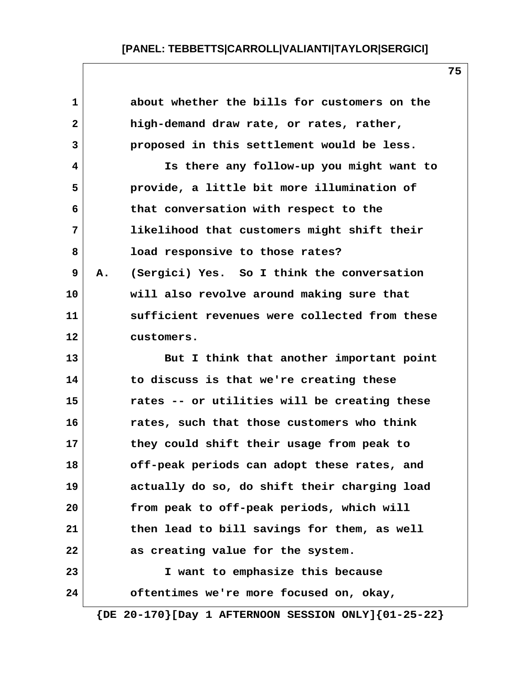| about whether the bills for customers on the<br>proposed in this settlement would be less.<br>Is there any follow-up you might want to<br>provide, a little bit more illumination of<br>likelihood that customers might shift their<br>(Sergici) Yes. So I think the conversation |
|-----------------------------------------------------------------------------------------------------------------------------------------------------------------------------------------------------------------------------------------------------------------------------------|
|                                                                                                                                                                                                                                                                                   |
|                                                                                                                                                                                                                                                                                   |
|                                                                                                                                                                                                                                                                                   |
|                                                                                                                                                                                                                                                                                   |
|                                                                                                                                                                                                                                                                                   |
|                                                                                                                                                                                                                                                                                   |
|                                                                                                                                                                                                                                                                                   |
|                                                                                                                                                                                                                                                                                   |
|                                                                                                                                                                                                                                                                                   |
| will also revolve around making sure that                                                                                                                                                                                                                                         |
| sufficient revenues were collected from these                                                                                                                                                                                                                                     |
|                                                                                                                                                                                                                                                                                   |
| But I think that another important point                                                                                                                                                                                                                                          |
|                                                                                                                                                                                                                                                                                   |
| rates -- or utilities will be creating these                                                                                                                                                                                                                                      |
| rates, such that those customers who think                                                                                                                                                                                                                                        |
| they could shift their usage from peak to                                                                                                                                                                                                                                         |
| off-peak periods can adopt these rates, and                                                                                                                                                                                                                                       |
| actually do so, do shift their charging load                                                                                                                                                                                                                                      |
| from peak to off-peak periods, which will                                                                                                                                                                                                                                         |
| then lead to bill savings for them, as well                                                                                                                                                                                                                                       |
|                                                                                                                                                                                                                                                                                   |
|                                                                                                                                                                                                                                                                                   |
|                                                                                                                                                                                                                                                                                   |
|                                                                                                                                                                                                                                                                                   |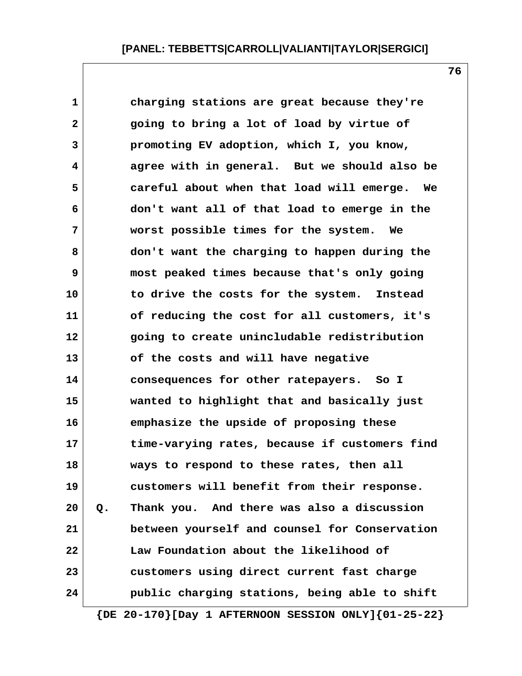**1 charging stations are great because they're 2 going to bring a lot of load by virtue of 3 promoting EV adoption, which I, you know, 4 agree with in general. But we should also be 5 careful about when that load will emerge. We 6 don't want all of that load to emerge in the 7 worst possible times for the system. We 8 don't want the charging to happen during the 9 most peaked times because that's only going 10 to drive the costs for the system. Instead 11 of reducing the cost for all customers, it's 12 going to create unincludable redistribution 13 of the costs and will have negative 14 consequences for other ratepayers. So I 15 wanted to highlight that and basically just 16 emphasize the upside of proposing these 17 time-varying rates, because if customers find 18 ways to respond to these rates, then all 19 customers will benefit from their response. 20 Q. Thank you. And there was also a discussion 21 between yourself and counsel for Conservation 22 Law Foundation about the likelihood of 23 customers using direct current fast charge 24 public charging stations, being able to shift**

 **{DE 20-170}[Day 1 AFTERNOON SESSION ONLY]{01-25-22}**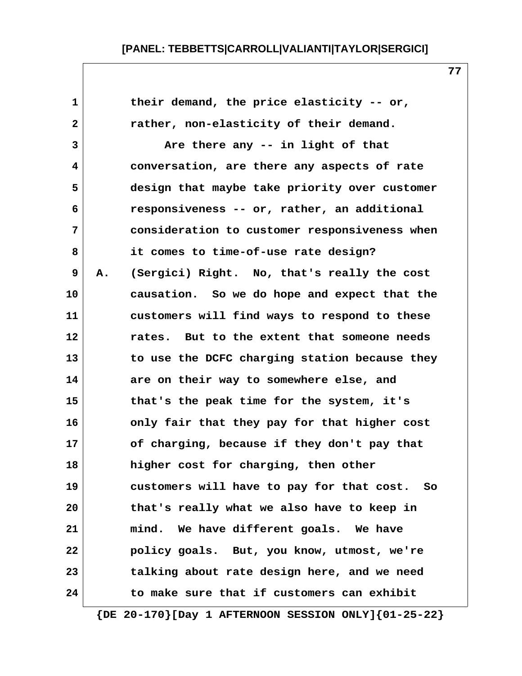**1 their demand, the price elasticity -- or, 2 rather, non-elasticity of their demand. 3** Are there any -- in light of that  **4 conversation, are there any aspects of rate 5 design that maybe take priority over customer 6 responsiveness -- or, rather, an additional 7 consideration to customer responsiveness when 8 it comes to time-of-use rate design? 9 A. (Sergici) Right. No, that's really the cost 10 causation. So we do hope and expect that the 11 customers will find ways to respond to these 12 rates. But to the extent that someone needs 13 to use the DCFC charging station because they 14 are on their way to somewhere else, and 15 that's the peak time for the system, it's 16 only fair that they pay for that higher cost 17 of charging, because if they don't pay that 18 higher cost for charging, then other 19 customers will have to pay for that cost. So 20 that's really what we also have to keep in 21 mind. We have different goals. We have 22 policy goals. But, you know, utmost, we're 23 talking about rate design here, and we need 24 to make sure that if customers can exhibit**

 **{DE 20-170}[Day 1 AFTERNOON SESSION ONLY]{01-25-22}**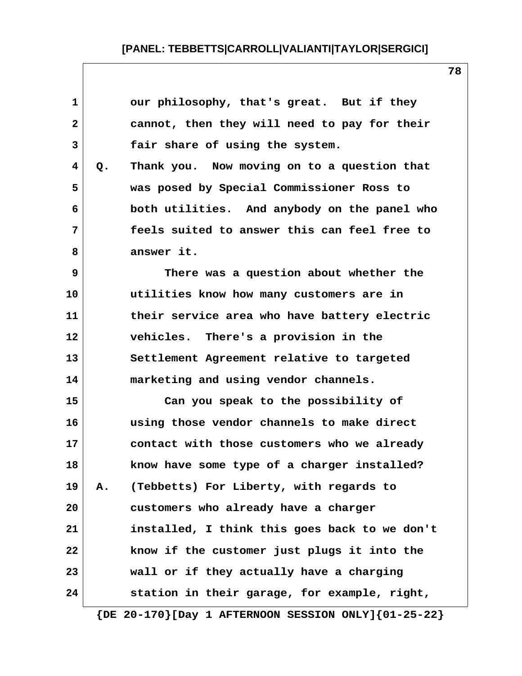| $\mathbf{1}$ |    | our philosophy, that's great. But if they     |
|--------------|----|-----------------------------------------------|
| $\mathbf{2}$ |    | cannot, then they will need to pay for their  |
| 3            |    | fair share of using the system.               |
| 4            | Q. | Thank you. Now moving on to a question that   |
| 5            |    | was posed by Special Commissioner Ross to     |
| 6            |    | both utilities. And anybody on the panel who  |
| 7            |    | feels suited to answer this can feel free to  |
| 8            |    | answer it.                                    |
| 9            |    | There was a question about whether the        |
| 10           |    | utilities know how many customers are in      |
| 11           |    | their service area who have battery electric  |
| 12           |    | vehicles. There's a provision in the          |
| 13           |    | Settlement Agreement relative to targeted     |
| 14           |    | marketing and using vendor channels.          |
| 15           |    | Can you speak to the possibility of           |
| 16           |    | using those vendor channels to make direct    |
| 17           |    | contact with those customers who we already   |
| 18           |    | know have some type of a charger installed?   |
| 19           | Α. | (Tebbetts) For Liberty, with regards to       |
| 20           |    | customers who already have a charger          |
| 21           |    | installed, I think this goes back to we don't |
| 22           |    | know if the customer just plugs it into the   |
| 23           |    | wall or if they actually have a charging      |
| 24           |    | station in their garage, for example, right,  |
|              |    |                                               |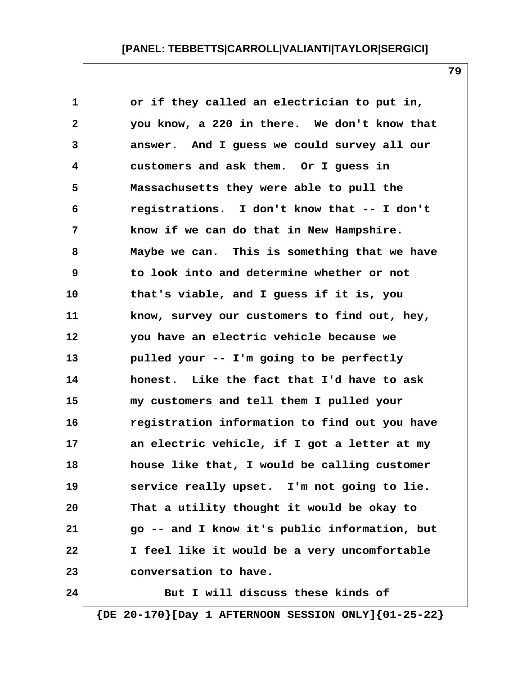| $\mathbf 1$  | or if they called an electrician to put in,   |
|--------------|-----------------------------------------------|
| $\mathbf{2}$ | you know, a 220 in there. We don't know that  |
| 3            | answer. And I guess we could survey all our   |
| 4            | customers and ask them. Or I guess in         |
| 5            | Massachusetts they were able to pull the      |
| 6            | registrations. I don't know that -- I don't   |
| 7            | know if we can do that in New Hampshire.      |
| 8            | Maybe we can. This is something that we have  |
| 9            | to look into and determine whether or not     |
| 10           | that's viable, and I guess if it is, you      |
| 11           | know, survey our customers to find out, hey,  |
| 12           | you have an electric vehicle because we       |
| 13           | pulled your -- I'm going to be perfectly      |
| 14           | honest. Like the fact that I'd have to ask    |
| 15           | my customers and tell them I pulled your      |
| 16           | registration information to find out you have |
| 17           | an electric vehicle, if I got a letter at my  |
| 18           | house like that, I would be calling customer  |
| 19           | service really upset. I'm not going to lie.   |
| 20           | That a utility thought it would be okay to    |
| 21           | go -- and I know it's public information, but |
| 22           | I feel like it would be a very uncomfortable  |
| 23           | conversation to have.                         |
| 24           | But I will discuss these kinds of             |

 **{DE 20-170}[Day 1 AFTERNOON SESSION ONLY]{01-25-22}**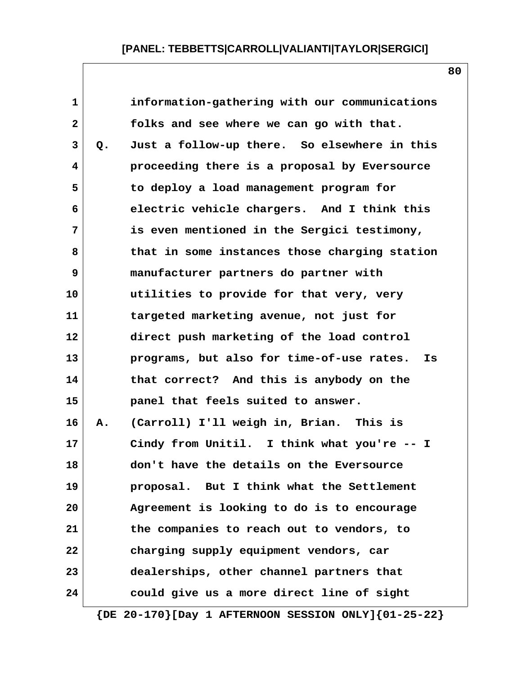| 1            |    | information-gathering with our communications   |
|--------------|----|-------------------------------------------------|
| $\mathbf{2}$ |    | folks and see where we can go with that.        |
| 3            | Q. | Just a follow-up there. So elsewhere in this    |
| 4            |    | proceeding there is a proposal by Eversource    |
| 5            |    | to deploy a load management program for         |
| 6            |    | electric vehicle chargers. And I think this     |
| 7            |    | is even mentioned in the Sergici testimony,     |
| 8            |    | that in some instances those charging station   |
| 9            |    | manufacturer partners do partner with           |
| 10           |    | utilities to provide for that very, very        |
| 11           |    | targeted marketing avenue, not just for         |
| 12           |    | direct push marketing of the load control       |
| 13           |    | programs, but also for time-of-use rates.<br>Is |
| 14           |    | that correct? And this is anybody on the        |
| 15           |    | panel that feels suited to answer.              |
| 16           | Α. | (Carroll) I'll weigh in, Brian. This is         |
| 17           |    | Cindy from Unitil. I think what you're -- I     |
| 18           |    | don't have the details on the Eversource        |
| 19           |    | proposal. But I think what the Settlement       |
| 20           |    | Agreement is looking to do is to encourage      |
| 21           |    | the companies to reach out to vendors, to       |
| 22           |    | charging supply equipment vendors, car          |
| 23           |    | dealerships, other channel partners that        |
| 24           |    | could give us a more direct line of sight       |
|              |    |                                                 |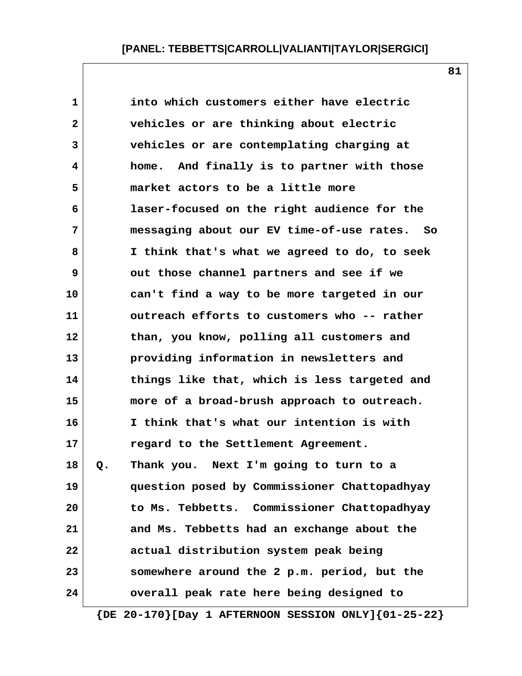| $\mathbf{1}$ |    | into which customers either have electric    |
|--------------|----|----------------------------------------------|
| $\mathbf{2}$ |    | vehicles or are thinking about electric      |
| 3            |    | vehicles or are contemplating charging at    |
| 4            |    | home. And finally is to partner with those   |
| 5            |    | market actors to be a little more            |
| 6            |    | laser-focused on the right audience for the  |
| 7            |    | messaging about our EV time-of-use rates. So |
| 8            |    | I think that's what we agreed to do, to seek |
| 9            |    | out those channel partners and see if we     |
| 10           |    | can't find a way to be more targeted in our  |
| 11           |    | outreach efforts to customers who -- rather  |
| 12           |    | than, you know, polling all customers and    |
| 13           |    | providing information in newsletters and     |
| 14           |    | things like that, which is less targeted and |
| 15           |    | more of a broad-brush approach to outreach.  |
| 16           |    | I think that's what our intention is with    |
| $17 \,$      |    | regard to the Settlement Agreement.          |
| 18           | Q. | Thank you. Next I'm going to turn to a       |
| 19           |    | question posed by Commissioner Chattopadhyay |
| 20           |    | to Ms. Tebbetts. Commissioner Chattopadhyay  |
| 21           |    | and Ms. Tebbetts had an exchange about the   |
| 22           |    | actual distribution system peak being        |
| 23           |    | somewhere around the 2 p.m. period, but the  |
| 24           |    | overall peak rate here being designed to     |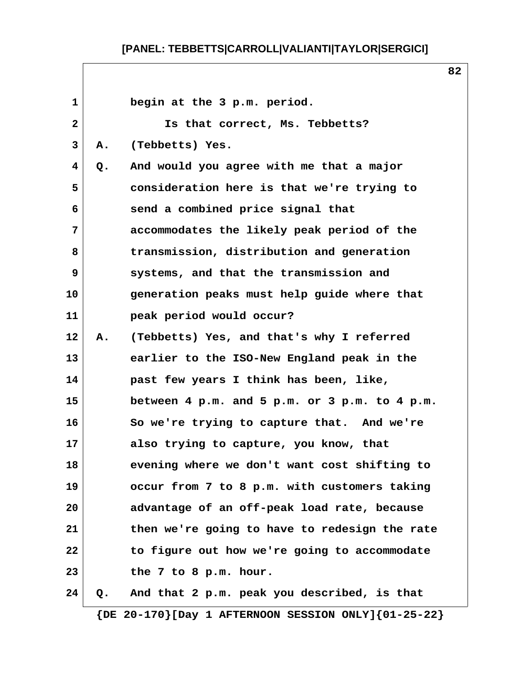1 **begin at the 3 p.m. period. 2 Is that correct, Ms. Tebbetts? 3 A. (Tebbetts) Yes. 4 Q. And would you agree with me that a major 5 consideration here is that we're trying to 6 send a combined price signal that 7 accommodates the likely peak period of the 8 transmission, distribution and generation 9 systems, and that the transmission and 10 generation peaks must help guide where that 11 peak period would occur? 12 A. (Tebbetts) Yes, and that's why I referred 13 earlier to the ISO-New England peak in the 14 past few years I think has been, like, 15 between 4 p.m. and 5 p.m. or 3 p.m. to 4 p.m. 16 So we're trying to capture that. And we're 17 also trying to capture, you know, that 18 evening where we don't want cost shifting to 19 occur from 7 to 8 p.m. with customers taking 20 advantage of an off-peak load rate, because 21 then we're going to have to redesign the rate 22 to figure out how we're going to accommodate 23 the 7 to 8 p.m. hour. 24 Q. And that 2 p.m. peak you described, is that {DE 20-170}[Day 1 AFTERNOON SESSION ONLY]{01-25-22}**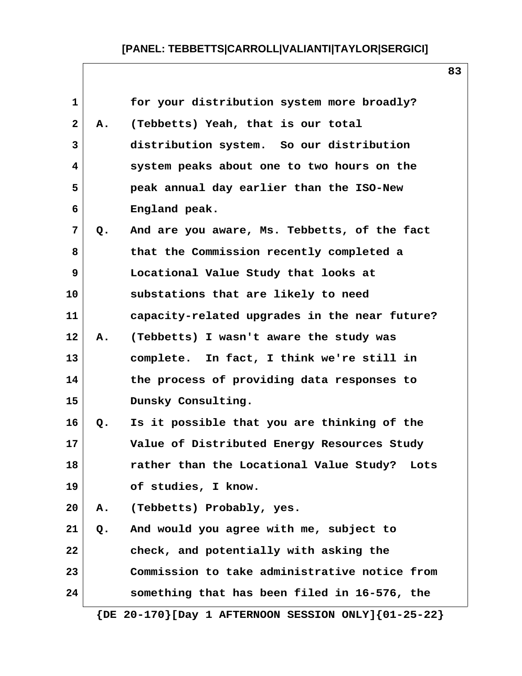| $\mathbf 1$    |    | for your distribution system more broadly?    |
|----------------|----|-----------------------------------------------|
| $\overline{2}$ | Α. | (Tebbetts) Yeah, that is our total            |
| 3              |    | distribution system. So our distribution      |
| 4              |    | system peaks about one to two hours on the    |
| 5              |    | peak annual day earlier than the ISO-New      |
| 6              |    | England peak.                                 |
| $\overline{7}$ | Q. | And are you aware, Ms. Tebbetts, of the fact  |
| 8              |    | that the Commission recently completed a      |
| 9              |    | Locational Value Study that looks at          |
| 10             |    | substations that are likely to need           |
| 11             |    | capacity-related upgrades in the near future? |
| 12             | Α. | (Tebbetts) I wasn't aware the study was       |
| 13             |    | complete. In fact, I think we're still in     |
| 14             |    | the process of providing data responses to    |
| 15             |    | Dunsky Consulting.                            |
| 16             | Q. | Is it possible that you are thinking of the   |
| 17             |    | Value of Distributed Energy Resources Study   |
| 18             |    | rather than the Locational Value Study? Lots  |
| 19             |    | of studies, I know.                           |
| 20             | Α. | (Tebbetts) Probably, yes.                     |
| 21             | Q. | And would you agree with me, subject to       |
| 22             |    | check, and potentially with asking the        |
| 23             |    | Commission to take administrative notice from |
| 24             |    | something that has been filed in 16-576, the  |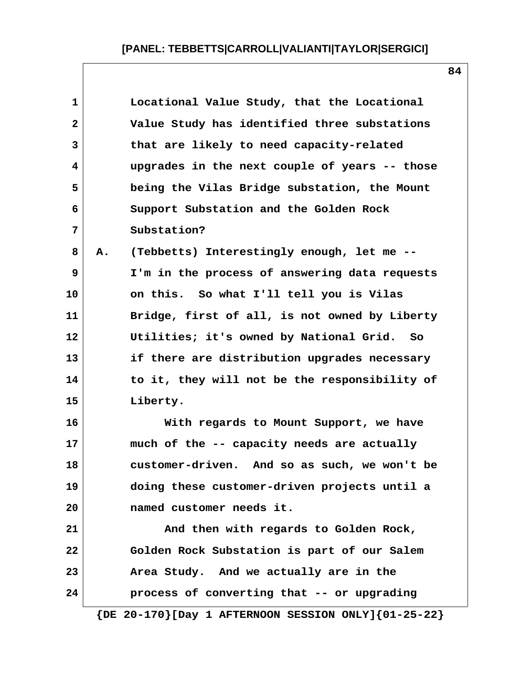| 1            |    | Locational Value Study, that the Locational   |
|--------------|----|-----------------------------------------------|
| $\mathbf{2}$ |    | Value Study has identified three substations  |
| 3            |    | that are likely to need capacity-related      |
| 4            |    | upgrades in the next couple of years -- those |
| 5            |    | being the Vilas Bridge substation, the Mount  |
| 6            |    | Support Substation and the Golden Rock        |
| 7            |    | Substation?                                   |
| 8            | Α. | (Tebbetts) Interestingly enough, let me --    |
| 9            |    | I'm in the process of answering data requests |
| 10           |    | on this. So what I'll tell you is Vilas       |
| 11           |    | Bridge, first of all, is not owned by Liberty |
| 12           |    | Utilities; it's owned by National Grid. So    |
| 13           |    | if there are distribution upgrades necessary  |
| 14           |    | to it, they will not be the responsibility of |
| 15           |    | Liberty.                                      |
| 16           |    | With regards to Mount Support, we have        |
| 17           |    | much of the -- capacity needs are actually    |
| 18           |    | customer-driven. And so as such, we won't be  |
| 19           |    | doing these customer-driven projects until a  |
| 20           |    | named customer needs it.                      |
| 21           |    | And then with regards to Golden Rock,         |
| 22           |    | Golden Rock Substation is part of our Salem   |
| 23           |    | Area Study. And we actually are in the        |
| 24           |    | process of converting that -- or upgrading    |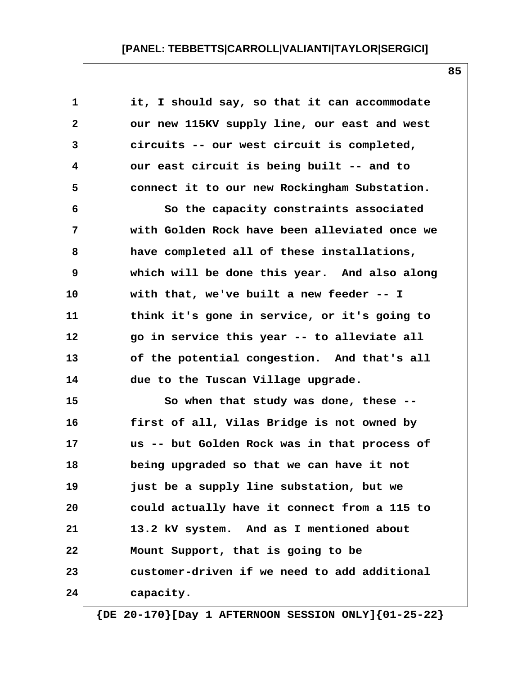| $\mathbf 1$  | it, I should say, so that it can accommodate  |
|--------------|-----------------------------------------------|
| $\mathbf{2}$ | our new 115KV supply line, our east and west  |
| 3            | circuits -- our west circuit is completed,    |
| 4            | our east circuit is being built -- and to     |
| 5            | connect it to our new Rockingham Substation.  |
| 6            | So the capacity constraints associated        |
| 7            | with Golden Rock have been alleviated once we |
| 8            | have completed all of these installations,    |
| 9            | which will be done this year. And also along  |
| 10           | with that, we've built a new feeder -- I      |
| 11           | think it's gone in service, or it's going to  |
| 12           | go in service this year -- to alleviate all   |
| 13           | of the potential congestion. And that's all   |
| 14           | due to the Tuscan Village upgrade.            |
| 15           | So when that study was done, these --         |
| 16           | first of all, Vilas Bridge is not owned by    |
| 17           | us -- but Golden Rock was in that process of  |
| 18           | being upgraded so that we can have it not     |
| 19           | just be a supply line substation, but we      |
| 20           | could actually have it connect from a 115 to  |
| 21           | 13.2 kV system. And as I mentioned about      |
| 22           | Mount Support, that is going to be            |
| 23           | customer-driven if we need to add additional  |
| 24           | capacity.                                     |

 **{DE 20-170}[Day 1 AFTERNOON SESSION ONLY]{01-25-22}**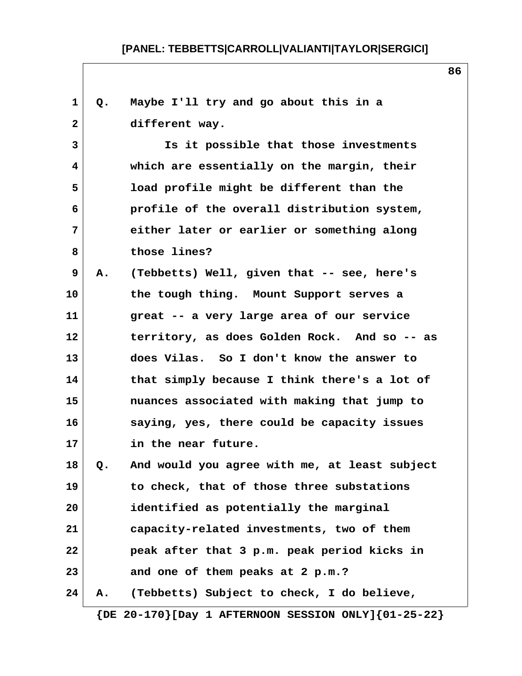**1 Q. Maybe I'll try and go about this in a 2 different way. 3 Is it possible that those investments 4 which are essentially on the margin, their 5 load profile might be different than the 6 profile of the overall distribution system, 7 either later or earlier or something along 8 those lines? 9 A. (Tebbetts) Well, given that -- see, here's 10 the tough thing. Mount Support serves a 11 great -- a very large area of our service 12 territory, as does Golden Rock. And so -- as 13 does Vilas. So I don't know the answer to 14 that simply because I think there's a lot of 15 nuances associated with making that jump to 16 saying, yes, there could be capacity issues 17 in the near future. 18 Q. And would you agree with me, at least subject 19 to check, that of those three substations 20 identified as potentially the marginal 21 capacity-related investments, two of them 22 peak after that 3 p.m. peak period kicks in 23 and one of them peaks at 2 p.m.? 24 A. (Tebbetts) Subject to check, I do believe, {DE 20-170}[Day 1 AFTERNOON SESSION ONLY]{01-25-22}**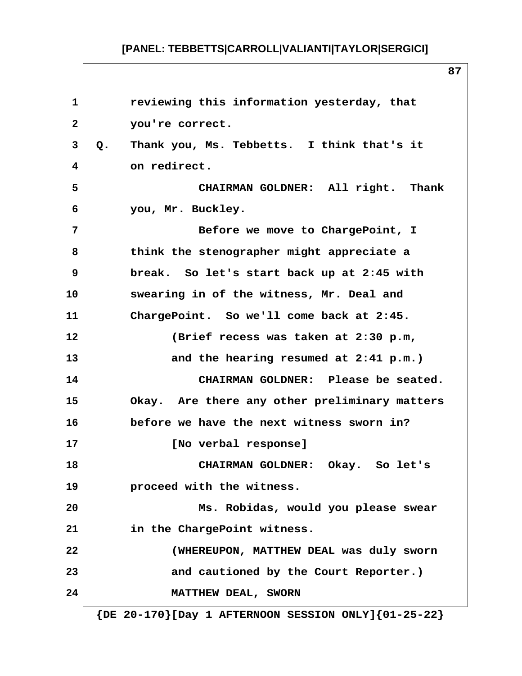**1 reviewing this information yesterday, that 2 you're correct. 3 Q. Thank you, Ms. Tebbetts. I think that's it 4 on redirect. 5 CHAIRMAN GOLDNER: All right. Thank 6 you, Mr. Buckley. 7 Before we move to ChargePoint, I 8 think the stenographer might appreciate a 9 break. So let's start back up at 2:45 with 10 swearing in of the witness, Mr. Deal and 11 ChargePoint. So we'll come back at 2:45. 12 (Brief recess was taken at 2:30 p.m, 13 and the hearing resumed at 2:41 p.m.) 14 CHAIRMAN GOLDNER: Please be seated. 15 Okay. Are there any other preliminary matters 16 before we have the next witness sworn in? 17 [No verbal response] 18 CHAIRMAN GOLDNER: Okay. So let's 19 proceed with the witness. 20 Ms. Robidas, would you please swear 21 in the ChargePoint witness. 22 (WHEREUPON, MATTHEW DEAL was duly sworn** 23 and cautioned by the Court Reporter.) **24** MATTHEW DEAL, SWORN  **{DE 20-170}[Day 1 AFTERNOON SESSION ONLY]{01-25-22}**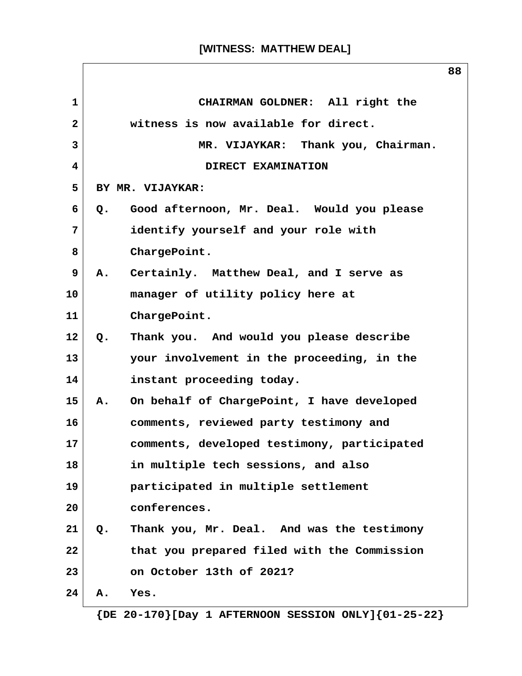|              |    |                                             | 88 |
|--------------|----|---------------------------------------------|----|
| $\mathbf{1}$ |    | CHAIRMAN GOLDNER: All right the             |    |
| $\mathbf{2}$ |    | witness is now available for direct.        |    |
| 3            |    | MR. VIJAYKAR: Thank you, Chairman.          |    |
| 4            |    | DIRECT EXAMINATION                          |    |
| 5            |    | BY MR. VIJAYKAR:                            |    |
| 6            | Q. | Good afternoon, Mr. Deal. Would you please  |    |
| 7            |    | identify yourself and your role with        |    |
| 8            |    | ChargePoint.                                |    |
| 9            | А. | Certainly. Matthew Deal, and I serve as     |    |
| 10           |    | manager of utility policy here at           |    |
| 11           |    | ChargePoint.                                |    |
| 12           | Q. | Thank you. And would you please describe    |    |
| 13           |    | your involvement in the proceeding, in the  |    |
| 14           |    | instant proceeding today.                   |    |
| 15           | A. | On behalf of ChargePoint, I have developed  |    |
| 16           |    | comments, reviewed party testimony and      |    |
| 17           |    | comments, developed testimony, participated |    |
| 18           |    | in multiple tech sessions, and also         |    |
| 19           |    | participated in multiple settlement         |    |
| 20           |    | conferences.                                |    |
| 21           | Q. | Thank you, Mr. Deal. And was the testimony  |    |
| 22           |    | that you prepared filed with the Commission |    |
| 23           |    | on October 13th of 2021?                    |    |
| 24           | Α. | Yes.                                        |    |

 **{DE 20-170}[Day 1 AFTERNOON SESSION ONLY]{01-25-22}**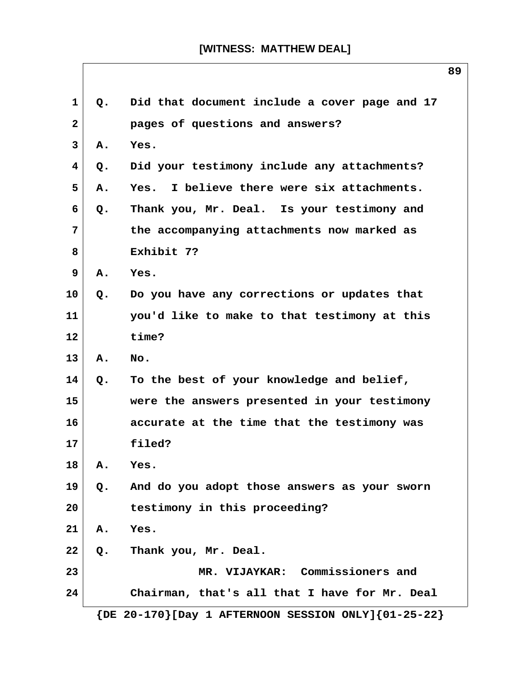| $\mathbf{1}$    | Q.            | Did that document include a cover page and 17 |
|-----------------|---------------|-----------------------------------------------|
| $\mathbf{2}$    |               | pages of questions and answers?               |
| 3               | Α.            | Yes.                                          |
| 4               | Q.            | Did your testimony include any attachments?   |
| 5               | Α.            | Yes. I believe there were six attachments.    |
| 6               | Q.            | Thank you, Mr. Deal. Is your testimony and    |
| 7               |               | the accompanying attachments now marked as    |
| 8               |               | Exhibit 7?                                    |
| 9               | Α.            | Yes.                                          |
| 10 <sup>°</sup> | $Q_{\bullet}$ | Do you have any corrections or updates that   |
| 11              |               | you'd like to make to that testimony at this  |
| 12              |               | time?                                         |
| 13              | Α.            | No.                                           |
| 14              | Q.            | To the best of your knowledge and belief,     |
| 15              |               | were the answers presented in your testimony  |
| 16              |               | accurate at the time that the testimony was   |
| 17              |               | filed?                                        |
| 18              | Α.            | Yes.                                          |
| 19              | $Q$ .         | And do you adopt those answers as your sworn  |
| 20              |               | testimony in this proceeding?                 |
| 21              | Α.            | Yes.                                          |
| 22              | Q.            | Thank you, Mr. Deal.                          |
| 23              |               | MR. VIJAYKAR: Commissioners and               |
| 24              |               | Chairman, that's all that I have for Mr. Deal |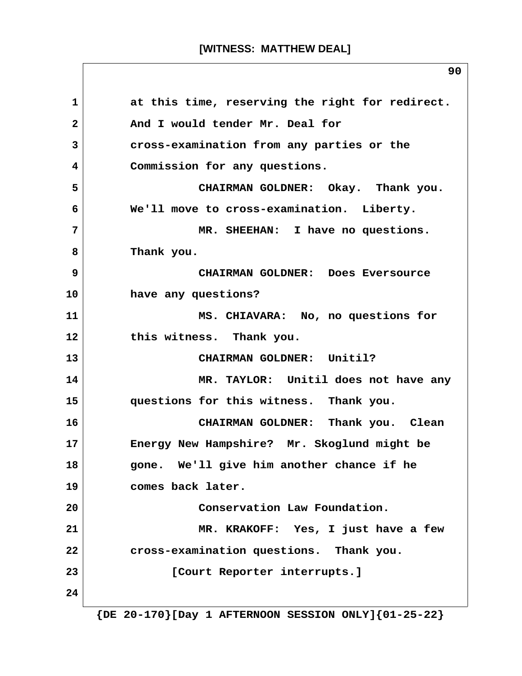1 at this time, reserving the right for redirect. 2 And I would tender Mr. Deal for  **3 cross-examination from any parties or the 4 Commission for any questions. 5 CHAIRMAN GOLDNER: Okay. Thank you. 6 We'll move to cross-examination. Liberty. 7 MR. SHEEHAN: I have no questions. 8 Thank you. 9 CHAIRMAN GOLDNER: Does Eversource 10 have any questions? 11 MS. CHIAVARA: No, no questions for 12 this witness. Thank you. 13 CHAIRMAN GOLDNER: Unitil? 14 MR. TAYLOR: Unitil does not have any 15 questions for this witness. Thank you. 16 CHAIRMAN GOLDNER: Thank you. Clean 17 Energy New Hampshire? Mr. Skoglund might be 18 gone. We'll give him another chance if he 19 comes back later. 20 Conservation Law Foundation. 21 MR. KRAKOFF: Yes, I just have a few 22 cross-examination questions. Thank you. 23 [Court Reporter interrupts.] 24 {DE 20-170}[Day 1 AFTERNOON SESSION ONLY]{01-25-22}**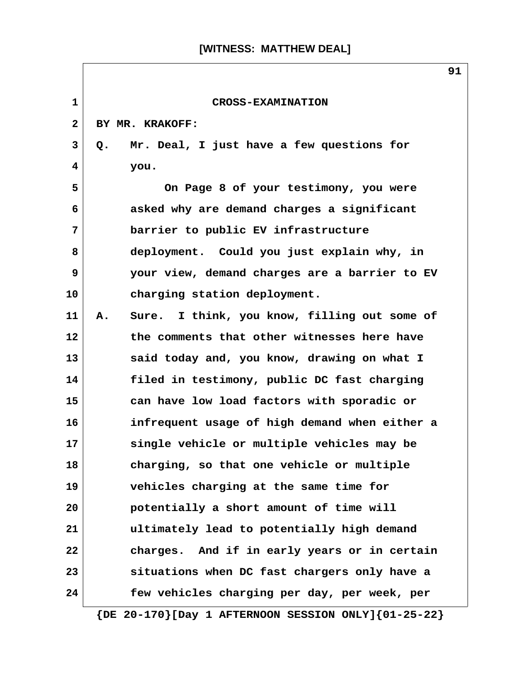$\overline{\phantom{a}}$ 

|              | ᇰᆂ                                                            |
|--------------|---------------------------------------------------------------|
| $\mathbf{1}$ | <b>CROSS-EXAMINATION</b>                                      |
| $\mathbf{2}$ | BY MR. KRAKOFF:                                               |
| 3            | Mr. Deal, I just have a few questions for<br>Q.               |
| 4            | you.                                                          |
| 5            | On Page 8 of your testimony, you were                         |
| 6            | asked why are demand charges a significant                    |
| 7            | barrier to public EV infrastructure                           |
| 8            | deployment. Could you just explain why, in                    |
| 9            | your view, demand charges are a barrier to EV                 |
| 10           | charging station deployment.                                  |
| 11           | Sure. I think, you know, filling out some of<br>Α.            |
| 12           | the comments that other witnesses here have                   |
| 13           | said today and, you know, drawing on what I                   |
| 14           | filed in testimony, public DC fast charging                   |
| 15           | can have low load factors with sporadic or                    |
| 16           | infrequent usage of high demand when either a                 |
| 17           | single vehicle or multiple vehicles may be                    |
| 18           | charging, so that one vehicle or multiple                     |
| 19           | vehicles charging at the same time for                        |
| 20           | potentially a short amount of time will                       |
| 21           | ultimately lead to potentially high demand                    |
| 22           | charges. And if in early years or in certain                  |
| 23           | situations when DC fast chargers only have a                  |
| 24           | few vehicles charging per day, per week, per                  |
|              | $\{DE 20-170\}$ [Day 1 AFTERNOON SESSION ONLY] $\{01-25-22\}$ |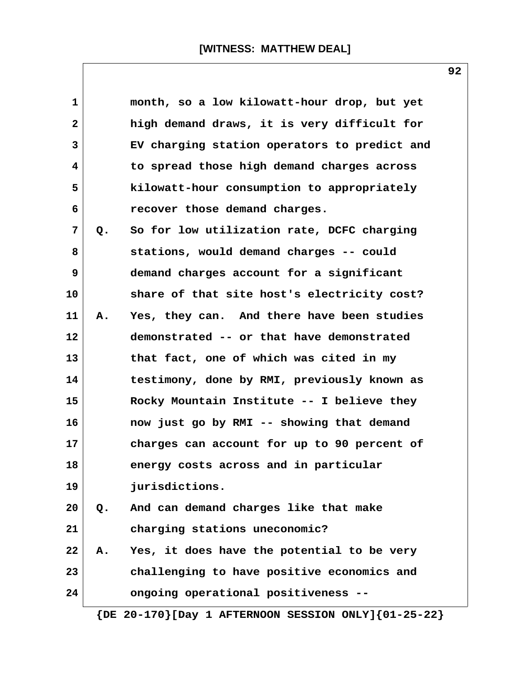| $\mathbf{1}$ |    | month, so a low kilowatt-hour drop, but yet                   |
|--------------|----|---------------------------------------------------------------|
| $\mathbf{2}$ |    | high demand draws, it is very difficult for                   |
| 3            |    | EV charging station operators to predict and                  |
| 4            |    | to spread those high demand charges across                    |
| 5            |    | kilowatt-hour consumption to appropriately                    |
| 6            |    | recover those demand charges.                                 |
| 7            | Q. | So for low utilization rate, DCFC charging                    |
| 8            |    | stations, would demand charges -- could                       |
| 9            |    | demand charges account for a significant                      |
| 10           |    | share of that site host's electricity cost?                   |
| 11           | А. | Yes, they can. And there have been studies                    |
| 12           |    | demonstrated -- or that have demonstrated                     |
| 13           |    | that fact, one of which was cited in my                       |
| 14           |    | testimony, done by RMI, previously known as                   |
| 15           |    | Rocky Mountain Institute -- I believe they                    |
| 16           |    | now just go by RMI -- showing that demand                     |
| 17           |    | charges can account for up to 90 percent of                   |
| 18           |    | energy costs across and in particular                         |
| 19           |    | jurisdictions.                                                |
| 20           | Q. | And can demand charges like that make                         |
| 21           |    | charging stations uneconomic?                                 |
| 22           | Α. | Yes, it does have the potential to be very                    |
| 23           |    | challenging to have positive economics and                    |
| 24           |    | ongoing operational positiveness --                           |
|              |    | $\{DE 20-170\}$ [Day 1 AFTERNOON SESSION ONLY] $\{01-25-22\}$ |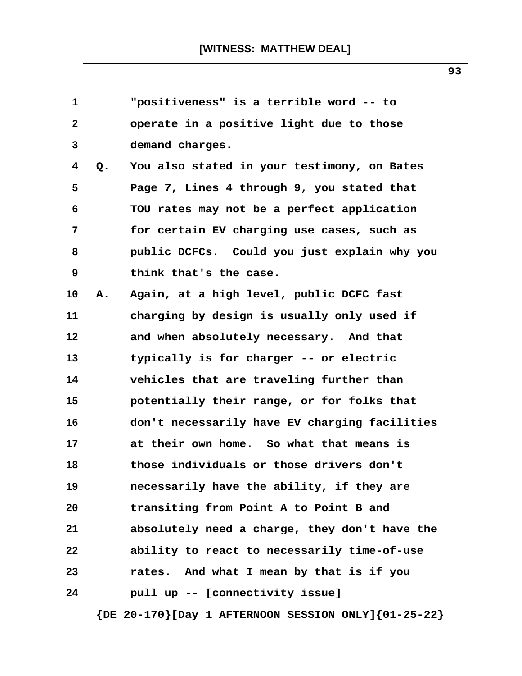| $\mathbf{1}$            |    | "positiveness" is a terrible word -- to       |
|-------------------------|----|-----------------------------------------------|
| $\overline{\mathbf{2}}$ |    | operate in a positive light due to those      |
| 3                       |    | demand charges.                               |
| $\overline{\mathbf{4}}$ | Q. | You also stated in your testimony, on Bates   |
| 5                       |    | Page 7, Lines 4 through 9, you stated that    |
| 6                       |    | TOU rates may not be a perfect application    |
| 7                       |    | for certain EV charging use cases, such as    |
| 8                       |    | public DCFCs. Could you just explain why you  |
| 9                       |    | think that's the case.                        |
| 10                      | Α. | Again, at a high level, public DCFC fast      |
| 11                      |    | charging by design is usually only used if    |
| 12                      |    | and when absolutely necessary. And that       |
| 13                      |    | typically is for charger -- or electric       |
| 14                      |    | vehicles that are traveling further than      |
| 15                      |    | potentially their range, or for folks that    |
| 16                      |    | don't necessarily have EV charging facilities |
| 17                      |    | at their own home. So what that means is      |
| 18                      |    | those individuals or those drivers don't      |
| 19                      |    | necessarily have the ability, if they are     |
| 20                      |    | transiting from Point A to Point B and        |
| 21                      |    | absolutely need a charge, they don't have the |
| 22                      |    | ability to react to necessarily time-of-use   |
| 23                      |    | rates. And what I mean by that is if you      |
| 24                      |    | pull up -- [connectivity issue]               |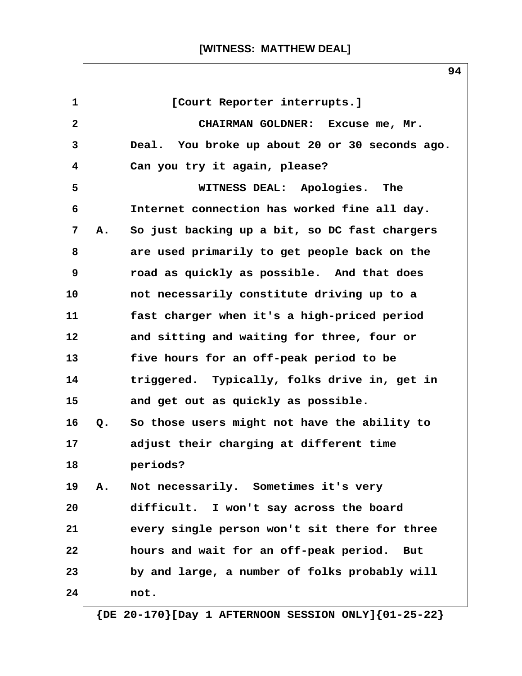| $\mathbf{1}$<br>[Court Reporter interrupts.]<br>$\mathbf{2}$<br>CHAIRMAN GOLDNER: Excuse me, Mr.<br>$\mathbf{3}$<br>Deal. You broke up about 20 or 30 seconds ago.<br>4<br>Can you try it again, please?<br>5<br>WITNESS DEAL: Apologies.<br>The<br>Internet connection has worked fine all day.<br>6<br>7<br>So just backing up a bit, so DC fast chargers<br>А.<br>are used primarily to get people back on the<br>8<br>9<br>road as quickly as possible. And that does<br>not necessarily constitute driving up to a<br>fast charger when it's a high-priced period<br>and sitting and waiting for three, four or<br>five hours for an off-peak period to be<br>triggered. Typically, folks drive in, get in<br>and get out as quickly as possible.<br>So those users might not have the ability to<br>Q.<br>adjust their charging at different time<br>periods?<br>Not necessarily. Sometimes it's very<br><b>A.</b><br>difficult. I won't say across the board<br>every single person won't sit there for three<br>hours and wait for an off-peak period. But<br>by and large, a number of folks probably will<br>not. |    |  |
|-----------------------------------------------------------------------------------------------------------------------------------------------------------------------------------------------------------------------------------------------------------------------------------------------------------------------------------------------------------------------------------------------------------------------------------------------------------------------------------------------------------------------------------------------------------------------------------------------------------------------------------------------------------------------------------------------------------------------------------------------------------------------------------------------------------------------------------------------------------------------------------------------------------------------------------------------------------------------------------------------------------------------------------------------------------------------------------------------------------------------------|----|--|
|                                                                                                                                                                                                                                                                                                                                                                                                                                                                                                                                                                                                                                                                                                                                                                                                                                                                                                                                                                                                                                                                                                                             |    |  |
|                                                                                                                                                                                                                                                                                                                                                                                                                                                                                                                                                                                                                                                                                                                                                                                                                                                                                                                                                                                                                                                                                                                             |    |  |
|                                                                                                                                                                                                                                                                                                                                                                                                                                                                                                                                                                                                                                                                                                                                                                                                                                                                                                                                                                                                                                                                                                                             |    |  |
|                                                                                                                                                                                                                                                                                                                                                                                                                                                                                                                                                                                                                                                                                                                                                                                                                                                                                                                                                                                                                                                                                                                             |    |  |
|                                                                                                                                                                                                                                                                                                                                                                                                                                                                                                                                                                                                                                                                                                                                                                                                                                                                                                                                                                                                                                                                                                                             |    |  |
|                                                                                                                                                                                                                                                                                                                                                                                                                                                                                                                                                                                                                                                                                                                                                                                                                                                                                                                                                                                                                                                                                                                             |    |  |
|                                                                                                                                                                                                                                                                                                                                                                                                                                                                                                                                                                                                                                                                                                                                                                                                                                                                                                                                                                                                                                                                                                                             |    |  |
|                                                                                                                                                                                                                                                                                                                                                                                                                                                                                                                                                                                                                                                                                                                                                                                                                                                                                                                                                                                                                                                                                                                             |    |  |
|                                                                                                                                                                                                                                                                                                                                                                                                                                                                                                                                                                                                                                                                                                                                                                                                                                                                                                                                                                                                                                                                                                                             |    |  |
|                                                                                                                                                                                                                                                                                                                                                                                                                                                                                                                                                                                                                                                                                                                                                                                                                                                                                                                                                                                                                                                                                                                             | 10 |  |
|                                                                                                                                                                                                                                                                                                                                                                                                                                                                                                                                                                                                                                                                                                                                                                                                                                                                                                                                                                                                                                                                                                                             | 11 |  |
|                                                                                                                                                                                                                                                                                                                                                                                                                                                                                                                                                                                                                                                                                                                                                                                                                                                                                                                                                                                                                                                                                                                             | 12 |  |
|                                                                                                                                                                                                                                                                                                                                                                                                                                                                                                                                                                                                                                                                                                                                                                                                                                                                                                                                                                                                                                                                                                                             | 13 |  |
|                                                                                                                                                                                                                                                                                                                                                                                                                                                                                                                                                                                                                                                                                                                                                                                                                                                                                                                                                                                                                                                                                                                             | 14 |  |
|                                                                                                                                                                                                                                                                                                                                                                                                                                                                                                                                                                                                                                                                                                                                                                                                                                                                                                                                                                                                                                                                                                                             | 15 |  |
|                                                                                                                                                                                                                                                                                                                                                                                                                                                                                                                                                                                                                                                                                                                                                                                                                                                                                                                                                                                                                                                                                                                             | 16 |  |
|                                                                                                                                                                                                                                                                                                                                                                                                                                                                                                                                                                                                                                                                                                                                                                                                                                                                                                                                                                                                                                                                                                                             | 17 |  |
|                                                                                                                                                                                                                                                                                                                                                                                                                                                                                                                                                                                                                                                                                                                                                                                                                                                                                                                                                                                                                                                                                                                             | 18 |  |
|                                                                                                                                                                                                                                                                                                                                                                                                                                                                                                                                                                                                                                                                                                                                                                                                                                                                                                                                                                                                                                                                                                                             | 19 |  |
|                                                                                                                                                                                                                                                                                                                                                                                                                                                                                                                                                                                                                                                                                                                                                                                                                                                                                                                                                                                                                                                                                                                             | 20 |  |
|                                                                                                                                                                                                                                                                                                                                                                                                                                                                                                                                                                                                                                                                                                                                                                                                                                                                                                                                                                                                                                                                                                                             | 21 |  |
|                                                                                                                                                                                                                                                                                                                                                                                                                                                                                                                                                                                                                                                                                                                                                                                                                                                                                                                                                                                                                                                                                                                             | 22 |  |
|                                                                                                                                                                                                                                                                                                                                                                                                                                                                                                                                                                                                                                                                                                                                                                                                                                                                                                                                                                                                                                                                                                                             | 23 |  |
|                                                                                                                                                                                                                                                                                                                                                                                                                                                                                                                                                                                                                                                                                                                                                                                                                                                                                                                                                                                                                                                                                                                             | 24 |  |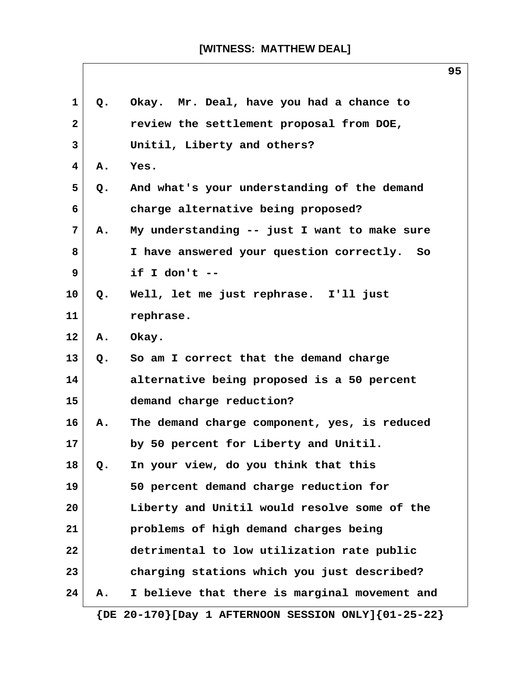| $\mathbf 1$  | Q. | Okay. Mr. Deal, have you had a chance to                      |
|--------------|----|---------------------------------------------------------------|
| $\mathbf{2}$ |    | review the settlement proposal from DOE,                      |
| 3            |    | Unitil, Liberty and others?                                   |
| 4            | Α. | Yes.                                                          |
| 5            | Q. | And what's your understanding of the demand                   |
| 6            |    | charge alternative being proposed?                            |
| 7            | A. | My understanding -- just I want to make sure                  |
| 8            |    | I have answered your question correctly. So                   |
| 9            |    | if I don't $-$                                                |
| 10           | Q. | Well, let me just rephrase. I'll just                         |
| 11           |    | rephrase.                                                     |
| 12           | Α. | Okay.                                                         |
| 13           | Q. | So am I correct that the demand charge                        |
| 14           |    | alternative being proposed is a 50 percent                    |
| 15           |    | demand charge reduction?                                      |
| 16           | Α. | The demand charge component, yes, is reduced                  |
| 17           |    | by 50 percent for Liberty and Unitil.                         |
| 18           | Q. | In your view, do you think that this                          |
| 19           |    | 50 percent demand charge reduction for                        |
| 20           |    | Liberty and Unitil would resolve some of the                  |
| 21           |    | problems of high demand charges being                         |
| 22           |    | detrimental to low utilization rate public                    |
| 23           |    | charging stations which you just described?                   |
| 24           | А. | I believe that there is marginal movement and                 |
|              |    | $\{DE 20-170\}$ [Day 1 AFTERNOON SESSION ONLY] $\{01-25-22\}$ |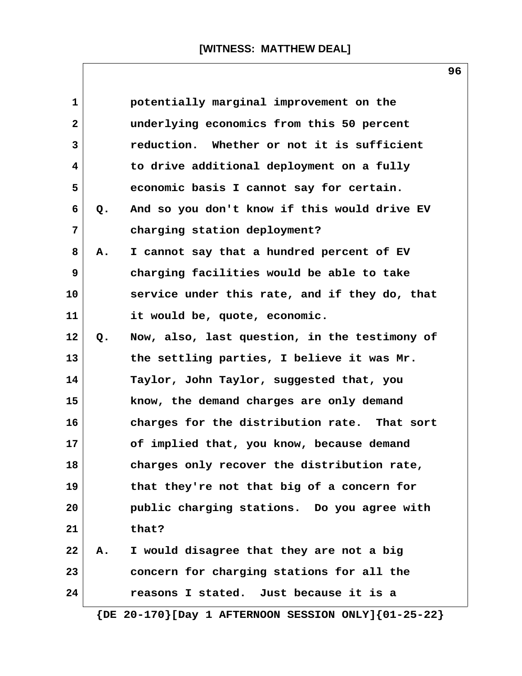| 1            |           | potentially marginal improvement on the       |
|--------------|-----------|-----------------------------------------------|
| $\mathbf{2}$ |           | underlying economics from this 50 percent     |
| 3            |           | reduction. Whether or not it is sufficient    |
| 4            |           | to drive additional deployment on a fully     |
| 5            |           | economic basis I cannot say for certain.      |
| 6            | Q.        | And so you don't know if this would drive EV  |
| 7            |           | charging station deployment?                  |
| 8            | Α.        | I cannot say that a hundred percent of EV     |
| 9            |           | charging facilities would be able to take     |
| 10           |           | service under this rate, and if they do, that |
| 11           |           | it would be, quote, economic.                 |
| 12           | Q.        | Now, also, last question, in the testimony of |
| 13           |           | the settling parties, I believe it was Mr.    |
| 14           |           | Taylor, John Taylor, suggested that, you      |
| 15           |           | know, the demand charges are only demand      |
| 16           |           | charges for the distribution rate. That sort  |
| 17           |           | of implied that, you know, because demand     |
| 18           |           | charges only recover the distribution rate,   |
| 19           |           | that they're not that big of a concern for    |
| 20           |           | public charging stations. Do you agree with   |
| 21           |           | that?                                         |
| 22           | <b>A.</b> | I would disagree that they are not a big      |
| 23           |           | concern for charging stations for all the     |
| 24           |           | reasons I stated. Just because it is a        |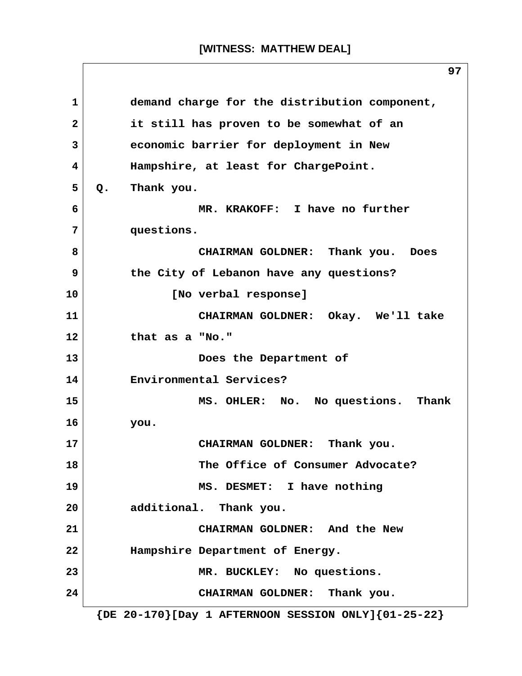**1 demand charge for the distribution component, 2 it still has proven to be somewhat of an 3 economic barrier for deployment in New 4 Hampshire, at least for ChargePoint. 5 Q. Thank you. 6 MR. KRAKOFF: I have no further 7 questions. 8 CHAIRMAN GOLDNER: Thank you. Does 9 the City of Lebanon have any questions? 10 [No verbal response] 11 CHAIRMAN GOLDNER: Okay. We'll take 12 that as a "No." 13 Does the Department of 14 Environmental Services? 15 MS. OHLER: No. No questions. Thank 16 you. 17 CHAIRMAN GOLDNER: Thank you. 18 The Office of Consumer Advocate? 19 MS. DESMET: I have nothing 20 additional. Thank you. 21 CHAIRMAN GOLDNER: And the New 22 Hampshire Department of Energy. 23 MR. BUCKLEY: No questions. 24 CHAIRMAN GOLDNER: Thank you. {DE 20-170}[Day 1 AFTERNOON SESSION ONLY]{01-25-22}**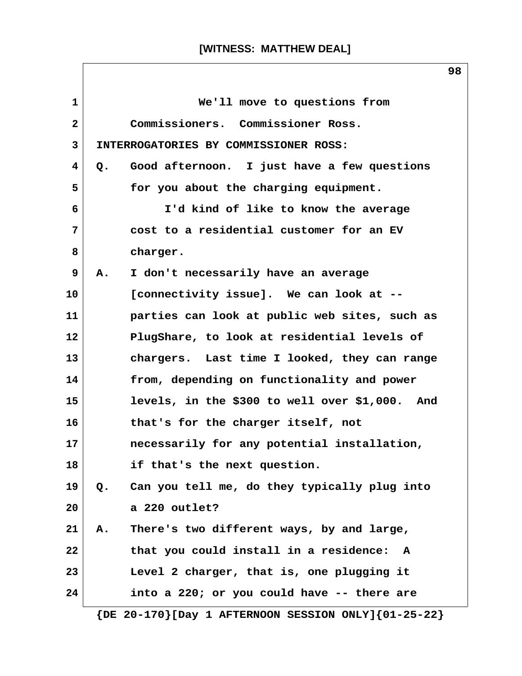| $\mathbf{1}$ |           | We'll move to questions from                                  |
|--------------|-----------|---------------------------------------------------------------|
| $\mathbf{2}$ |           | Commissioners. Commissioner Ross.                             |
| 3            |           | INTERROGATORIES BY COMMISSIONER ROSS:                         |
| 4            | Q.        | Good afternoon. I just have a few questions                   |
| 5            |           | for you about the charging equipment.                         |
| 6            |           | I'd kind of like to know the average                          |
| 7            |           | cost to a residential customer for an EV                      |
| 8            |           | charger.                                                      |
| 9            | <b>A.</b> | I don't necessarily have an average                           |
| 10           |           | [connectivity issue]. We can look at --                       |
| 11           |           | parties can look at public web sites, such as                 |
| 12           |           | PlugShare, to look at residential levels of                   |
| 13           |           | chargers. Last time I looked, they can range                  |
| 14           |           | from, depending on functionality and power                    |
| 15           |           | levels, in the \$300 to well over \$1,000. And                |
| 16           |           | that's for the charger itself, not                            |
| 17           |           | necessarily for any potential installation,                   |
| 18           |           | if that's the next question.                                  |
| 19           | Q.        | Can you tell me, do they typically plug into                  |
| 20           |           | a 220 outlet?                                                 |
| 21           | Α.        | There's two different ways, by and large,                     |
| 22           |           | that you could install in a residence:<br>A                   |
| 23           |           | Level 2 charger, that is, one plugging it                     |
| 24           |           | into a 220; or you could have -- there are                    |
|              |           | $\{DE 20-170\}$ [Day 1 AFTERNOON SESSION ONLY] $\{01-25-22\}$ |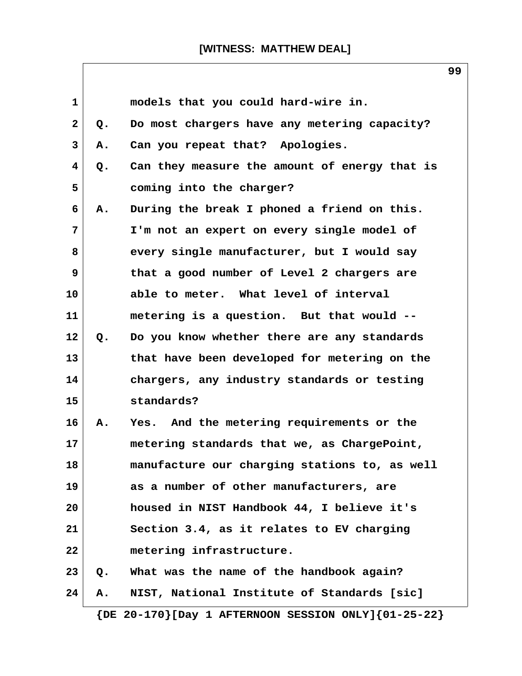$\sqrt{ }$ 

|                         |               |                                                               | ョョ |
|-------------------------|---------------|---------------------------------------------------------------|----|
| $\mathbf{1}$            |               | models that you could hard-wire in.                           |    |
| $\mathbf{2}$            | $Q$ .         | Do most chargers have any metering capacity?                  |    |
| 3                       | Α.            | Can you repeat that? Apologies.                               |    |
| $\overline{\mathbf{4}}$ | $Q$ .         | Can they measure the amount of energy that is                 |    |
| 5                       |               | coming into the charger?                                      |    |
| 6                       | Α.            | During the break I phoned a friend on this.                   |    |
| 7                       |               | I'm not an expert on every single model of                    |    |
| 8                       |               | every single manufacturer, but I would say                    |    |
| 9                       |               | that a good number of Level 2 chargers are                    |    |
| 10                      |               | able to meter. What level of interval                         |    |
| 11                      |               | metering is a question. But that would --                     |    |
| 12                      | $Q_{\bullet}$ | Do you know whether there are any standards                   |    |
| 13                      |               | that have been developed for metering on the                  |    |
| 14                      |               | chargers, any industry standards or testing                   |    |
| 15                      |               | standards?                                                    |    |
| 16                      | Α.            | Yes. And the metering requirements or the                     |    |
| 17                      |               | metering standards that we, as ChargePoint,                   |    |
| 18                      |               | manufacture our charging stations to, as well                 |    |
| 19                      |               | as a number of other manufacturers, are                       |    |
| 20                      |               | housed in NIST Handbook 44, I believe it's                    |    |
| 21                      |               | Section 3.4, as it relates to EV charging                     |    |
| 22                      |               | metering infrastructure.                                      |    |
| 23                      | Q.            | What was the name of the handbook again?                      |    |
| 24                      | А.            | NIST, National Institute of Standards [sic]                   |    |
|                         |               | $\{DE 20-170\}$ [Day 1 AFTERNOON SESSION ONLY] $\{01-25-22\}$ |    |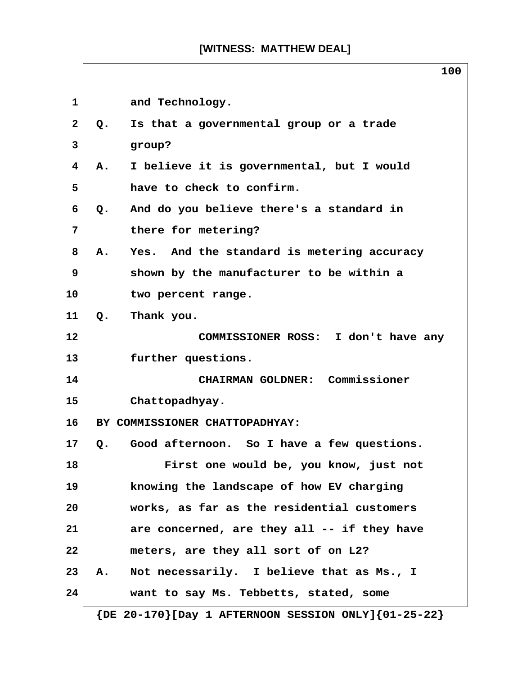|              | 100                                                           |
|--------------|---------------------------------------------------------------|
| $\mathbf{1}$ | and Technology.                                               |
| $\mathbf{2}$ | Is that a governmental group or a trade<br>Q.                 |
| 3            | group?                                                        |
| 4            | I believe it is governmental, but I would<br>Α.               |
| 5            | have to check to confirm.                                     |
| 6            | And do you believe there's a standard in<br>$Q$ .             |
| 7            | there for metering?                                           |
| 8            | Yes. And the standard is metering accuracy<br>A.              |
| 9            | shown by the manufacturer to be within a                      |
| 10           | two percent range.                                            |
| 11           | Thank you.<br>$Q_{\bullet}$                                   |
| $12 \,$      | COMMISSIONER ROSS: I don't have any                           |
| 13           | further questions.                                            |
| 14           | CHAIRMAN GOLDNER: Commissioner                                |
| 15           | Chattopadhyay.                                                |
| 16           | BY COMMISSIONER CHATTOPADHYAY:                                |
| 17           | Q. Good afternoon. So I have a few questions.                 |
| 18           | First one would be, you know, just not                        |
| 19           | knowing the landscape of how EV charging                      |
| 20           | works, as far as the residential customers                    |
| 21           | are concerned, are they all -- if they have                   |
| 22           | meters, are they all sort of on L2?                           |
| 23           | Not necessarily. I believe that as Ms., I<br>Α.               |
| 24           | want to say Ms. Tebbetts, stated, some                        |
|              | $\{DE 20-170\}$ [Day 1 AFTERNOON SESSION ONLY] $\{01-25-22\}$ |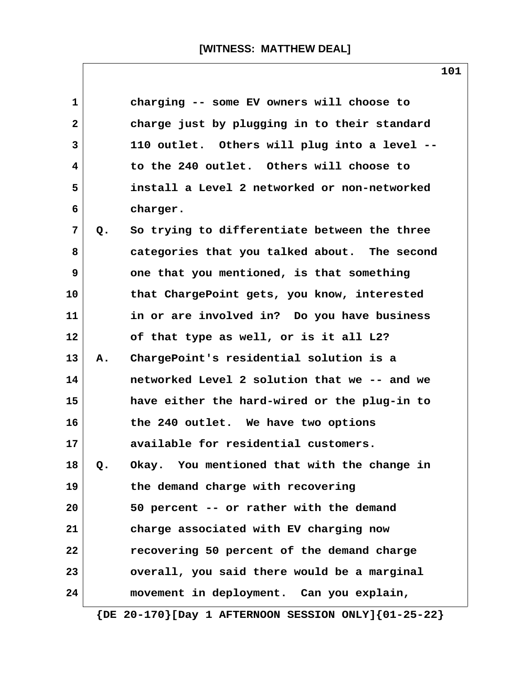| charging -- some EV owners will choose to<br>1<br>charge just by plugging in to their standard<br>2<br>3<br>110 outlet. Others will plug into a level --<br>to the 240 outlet. Others will choose to<br>4<br>5<br>install a Level 2 networked or non-networked<br>6<br>charger.<br>7<br>So trying to differentiate between the three<br>Q.<br>8<br>categories that you talked about. The second<br>9<br>one that you mentioned, is that something<br>10<br>that ChargePoint gets, you know, interested<br>in or are involved in? Do you have business<br>11<br>12<br>of that type as well, or is it all L2?<br>ChargePoint's residential solution is a<br>13<br>А.<br>networked Level 2 solution that we -- and we<br>14<br>have either the hard-wired or the plug-in to<br>15<br>the 240 outlet. We have two options<br>16<br>17<br>available for residential customers.<br>Okay. You mentioned that with the change in<br>18<br>Q.<br>19<br>the demand charge with recovering<br>50 percent -- or rather with the demand<br>20<br>charge associated with EV charging now<br>21<br>22<br>recovering 50 percent of the demand charge<br>23<br>overall, you said there would be a marginal<br>24<br>movement in deployment. Can you explain, |  |  |
|---------------------------------------------------------------------------------------------------------------------------------------------------------------------------------------------------------------------------------------------------------------------------------------------------------------------------------------------------------------------------------------------------------------------------------------------------------------------------------------------------------------------------------------------------------------------------------------------------------------------------------------------------------------------------------------------------------------------------------------------------------------------------------------------------------------------------------------------------------------------------------------------------------------------------------------------------------------------------------------------------------------------------------------------------------------------------------------------------------------------------------------------------------------------------------------------------------------------------------------------|--|--|
|                                                                                                                                                                                                                                                                                                                                                                                                                                                                                                                                                                                                                                                                                                                                                                                                                                                                                                                                                                                                                                                                                                                                                                                                                                             |  |  |
|                                                                                                                                                                                                                                                                                                                                                                                                                                                                                                                                                                                                                                                                                                                                                                                                                                                                                                                                                                                                                                                                                                                                                                                                                                             |  |  |
|                                                                                                                                                                                                                                                                                                                                                                                                                                                                                                                                                                                                                                                                                                                                                                                                                                                                                                                                                                                                                                                                                                                                                                                                                                             |  |  |
|                                                                                                                                                                                                                                                                                                                                                                                                                                                                                                                                                                                                                                                                                                                                                                                                                                                                                                                                                                                                                                                                                                                                                                                                                                             |  |  |
|                                                                                                                                                                                                                                                                                                                                                                                                                                                                                                                                                                                                                                                                                                                                                                                                                                                                                                                                                                                                                                                                                                                                                                                                                                             |  |  |
|                                                                                                                                                                                                                                                                                                                                                                                                                                                                                                                                                                                                                                                                                                                                                                                                                                                                                                                                                                                                                                                                                                                                                                                                                                             |  |  |
|                                                                                                                                                                                                                                                                                                                                                                                                                                                                                                                                                                                                                                                                                                                                                                                                                                                                                                                                                                                                                                                                                                                                                                                                                                             |  |  |
|                                                                                                                                                                                                                                                                                                                                                                                                                                                                                                                                                                                                                                                                                                                                                                                                                                                                                                                                                                                                                                                                                                                                                                                                                                             |  |  |
|                                                                                                                                                                                                                                                                                                                                                                                                                                                                                                                                                                                                                                                                                                                                                                                                                                                                                                                                                                                                                                                                                                                                                                                                                                             |  |  |
|                                                                                                                                                                                                                                                                                                                                                                                                                                                                                                                                                                                                                                                                                                                                                                                                                                                                                                                                                                                                                                                                                                                                                                                                                                             |  |  |
|                                                                                                                                                                                                                                                                                                                                                                                                                                                                                                                                                                                                                                                                                                                                                                                                                                                                                                                                                                                                                                                                                                                                                                                                                                             |  |  |
|                                                                                                                                                                                                                                                                                                                                                                                                                                                                                                                                                                                                                                                                                                                                                                                                                                                                                                                                                                                                                                                                                                                                                                                                                                             |  |  |
|                                                                                                                                                                                                                                                                                                                                                                                                                                                                                                                                                                                                                                                                                                                                                                                                                                                                                                                                                                                                                                                                                                                                                                                                                                             |  |  |
|                                                                                                                                                                                                                                                                                                                                                                                                                                                                                                                                                                                                                                                                                                                                                                                                                                                                                                                                                                                                                                                                                                                                                                                                                                             |  |  |
|                                                                                                                                                                                                                                                                                                                                                                                                                                                                                                                                                                                                                                                                                                                                                                                                                                                                                                                                                                                                                                                                                                                                                                                                                                             |  |  |
|                                                                                                                                                                                                                                                                                                                                                                                                                                                                                                                                                                                                                                                                                                                                                                                                                                                                                                                                                                                                                                                                                                                                                                                                                                             |  |  |
|                                                                                                                                                                                                                                                                                                                                                                                                                                                                                                                                                                                                                                                                                                                                                                                                                                                                                                                                                                                                                                                                                                                                                                                                                                             |  |  |
|                                                                                                                                                                                                                                                                                                                                                                                                                                                                                                                                                                                                                                                                                                                                                                                                                                                                                                                                                                                                                                                                                                                                                                                                                                             |  |  |
|                                                                                                                                                                                                                                                                                                                                                                                                                                                                                                                                                                                                                                                                                                                                                                                                                                                                                                                                                                                                                                                                                                                                                                                                                                             |  |  |
|                                                                                                                                                                                                                                                                                                                                                                                                                                                                                                                                                                                                                                                                                                                                                                                                                                                                                                                                                                                                                                                                                                                                                                                                                                             |  |  |
|                                                                                                                                                                                                                                                                                                                                                                                                                                                                                                                                                                                                                                                                                                                                                                                                                                                                                                                                                                                                                                                                                                                                                                                                                                             |  |  |
|                                                                                                                                                                                                                                                                                                                                                                                                                                                                                                                                                                                                                                                                                                                                                                                                                                                                                                                                                                                                                                                                                                                                                                                                                                             |  |  |
|                                                                                                                                                                                                                                                                                                                                                                                                                                                                                                                                                                                                                                                                                                                                                                                                                                                                                                                                                                                                                                                                                                                                                                                                                                             |  |  |
|                                                                                                                                                                                                                                                                                                                                                                                                                                                                                                                                                                                                                                                                                                                                                                                                                                                                                                                                                                                                                                                                                                                                                                                                                                             |  |  |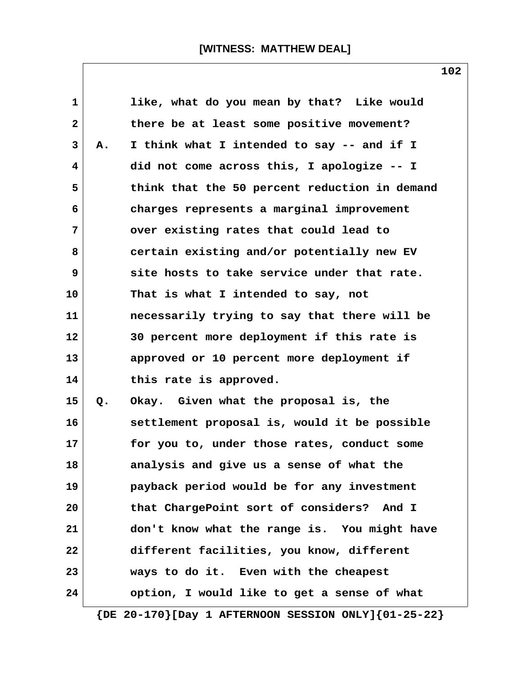| $\mathbf{1}$ |    | like, what do you mean by that? Like would                    |
|--------------|----|---------------------------------------------------------------|
| $\mathbf{2}$ |    | there be at least some positive movement?                     |
| 3            | Α. | I think what I intended to say -- and if I                    |
| 4            |    | did not come across this, I apologize -- I                    |
| 5            |    | think that the 50 percent reduction in demand                 |
| 6            |    | charges represents a marginal improvement                     |
| 7            |    | over existing rates that could lead to                        |
| 8            |    | certain existing and/or potentially new EV                    |
| 9            |    | site hosts to take service under that rate.                   |
| 10           |    | That is what I intended to say, not                           |
| 11           |    | necessarily trying to say that there will be                  |
| 12           |    | 30 percent more deployment if this rate is                    |
| 13           |    | approved or 10 percent more deployment if                     |
| 14           |    | this rate is approved.                                        |
| 15           | Q. | Okay. Given what the proposal is, the                         |
| 16           |    | settlement proposal is, would it be possible                  |
| 17           |    | for you to, under those rates, conduct some                   |
| 18           |    | analysis and give us a sense of what the                      |
| 19           |    | payback period would be for any investment                    |
| 20           |    | that ChargePoint sort of considers? And I                     |
| 21           |    | don't know what the range is. You might have                  |
| 22           |    | different facilities, you know, different                     |
| 23           |    | ways to do it. Even with the cheapest                         |
| 24           |    | option, I would like to get a sense of what                   |
|              |    | $\{DE 20-170\}$ [Day 1 AFTERNOON SESSION ONLY] $\{01-25-22\}$ |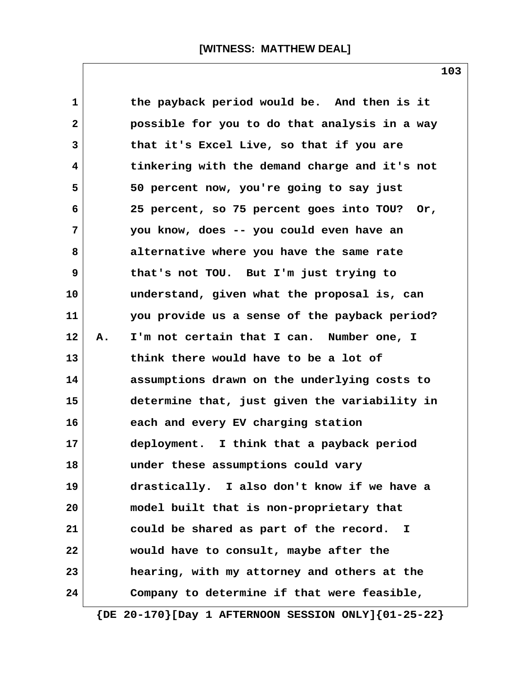| 1            |    | the payback period would be. And then is it   |
|--------------|----|-----------------------------------------------|
| $\mathbf{2}$ |    | possible for you to do that analysis in a way |
| 3            |    | that it's Excel Live, so that if you are      |
| 4            |    | tinkering with the demand charge and it's not |
| 5            |    | 50 percent now, you're going to say just      |
| 6            |    | 25 percent, so 75 percent goes into TOU? Or,  |
| 7            |    | you know, does -- you could even have an      |
| 8            |    | alternative where you have the same rate      |
| 9            |    | that's not TOU. But I'm just trying to        |
| 10           |    | understand, given what the proposal is, can   |
| 11           |    | you provide us a sense of the payback period? |
| 12           | Α. | I'm not certain that I can. Number one, I     |
| 13           |    | think there would have to be a lot of         |
| 14           |    | assumptions drawn on the underlying costs to  |
| 15           |    | determine that, just given the variability in |
| 16           |    | each and every EV charging station            |
| 17           |    | deployment. I think that a payback period     |
| 18           |    | under these assumptions could vary            |
| 19           |    | drastically. I also don't know if we have a   |
| 20           |    | model built that is non-proprietary that      |
| 21           |    | could be shared as part of the record. I      |
| 22           |    | would have to consult, maybe after the        |
| 23           |    | hearing, with my attorney and others at the   |
| 24           |    | Company to determine if that were feasible,   |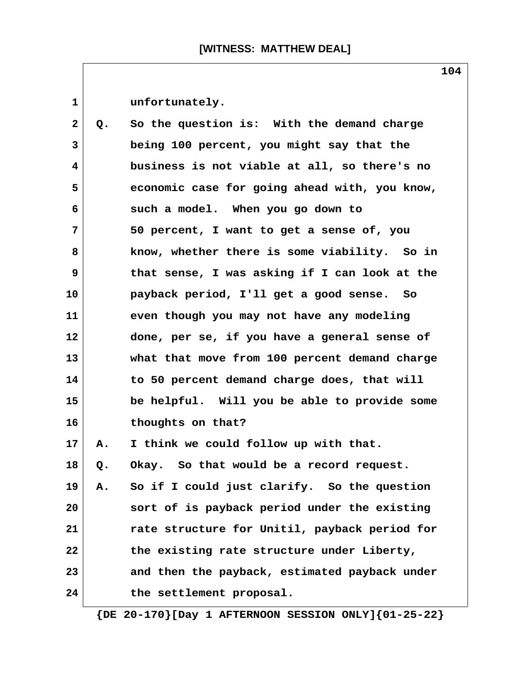| $\mathbf 1$  |    | unfortunately.                                |
|--------------|----|-----------------------------------------------|
| $\mathbf{2}$ | Q. | So the question is: With the demand charge    |
| 3            |    | being 100 percent, you might say that the     |
| 4            |    | business is not viable at all, so there's no  |
| 5            |    | economic case for going ahead with, you know, |
| 6            |    | such a model. When you go down to             |
| 7            |    | 50 percent, I want to get a sense of, you     |
| 8            |    | know, whether there is some viability. So in  |
| 9            |    | that sense, I was asking if I can look at the |
| 10           |    | payback period, I'll get a good sense. So     |
| 11           |    | even though you may not have any modeling     |
| 12           |    | done, per se, if you have a general sense of  |
| 13           |    | what that move from 100 percent demand charge |
| 14           |    | to 50 percent demand charge does, that will   |
| 15           |    | be helpful. Will you be able to provide some  |
| 16           |    | thoughts on that?                             |
| $17 \,$      | Α. | I think we could follow up with that.         |
| 18           | Q. | So that would be a record request.<br>Okay.   |
| 19           | А. | So if I could just clarify. So the question   |
| 20           |    | sort of is payback period under the existing  |
| 21           |    | rate structure for Unitil, payback period for |
| 22           |    | the existing rate structure under Liberty,    |
| 23           |    | and then the payback, estimated payback under |
| 24           |    | the settlement proposal.                      |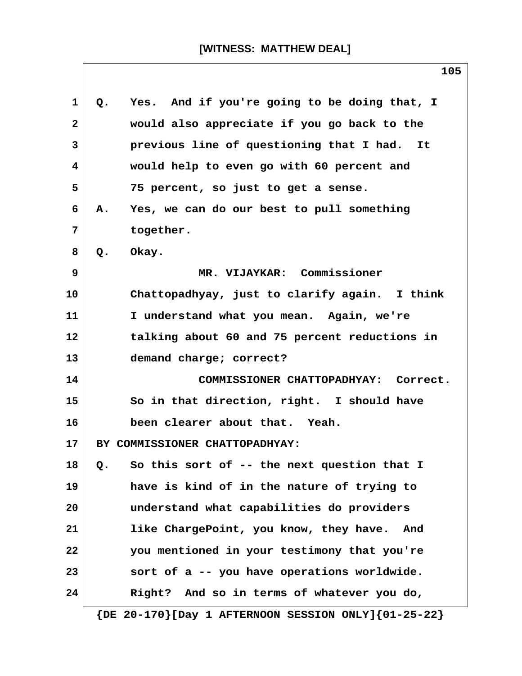| $\mathbf{1}$      | Yes. And if you're going to be doing that, I<br>$Q_{\bullet}$ |
|-------------------|---------------------------------------------------------------|
| $\mathbf{2}$      | would also appreciate if you go back to the                   |
| 3                 | previous line of questioning that I had. It                   |
| $\overline{4}$    | would help to even go with 60 percent and                     |
| 5                 | 75 percent, so just to get a sense.                           |
| 6                 | Yes, we can do our best to pull something<br>Α.               |
| 7                 | together.                                                     |
| 8                 | Okay.<br>Q.                                                   |
| 9                 | MR. VIJAYKAR: Commissioner                                    |
| 10                | Chattopadhyay, just to clarify again. I think                 |
| 11                | I understand what you mean. Again, we're                      |
| $12 \overline{ }$ | talking about 60 and 75 percent reductions in                 |
| 13                | demand charge; correct?                                       |
| 14                | COMMISSIONER CHATTOPADHYAY: Correct.                          |
| 15                | So in that direction, right. I should have                    |
| 16                | been clearer about that. Yeah.                                |
| 17                | BY COMMISSIONER CHATTOPADHYAY:                                |
| 18                | So this sort of -- the next question that I<br>Q.             |
| 19                | have is kind of in the nature of trying to                    |
| 20                | understand what capabilities do providers                     |
| 21                | like ChargePoint, you know, they have.<br>And                 |
| 22                | you mentioned in your testimony that you're                   |
| 23                | sort of a -- you have operations worldwide.                   |
| 24                | Right? And so in terms of whatever you do,                    |
|                   | $\{DE 20-170\}$ [Day 1 AFTERNOON SESSION ONLY] $\{01-25-22\}$ |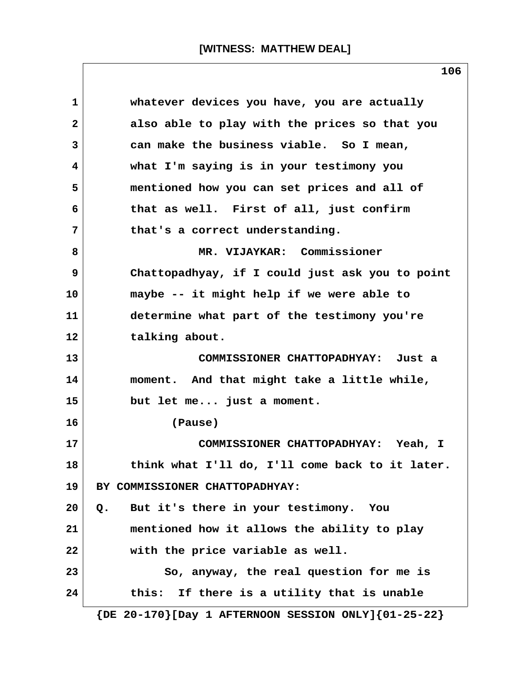| 1            | whatever devices you have, you are actually     |
|--------------|-------------------------------------------------|
| $\mathbf{2}$ | also able to play with the prices so that you   |
| 3            | can make the business viable. So I mean,        |
| 4            | what I'm saying is in your testimony you        |
| 5            | mentioned how you can set prices and all of     |
| 6            | that as well. First of all, just confirm        |
| 7            | that's a correct understanding.                 |
| 8            | MR. VIJAYKAR: Commissioner                      |
| 9            | Chattopadhyay, if I could just ask you to point |
| 10           | maybe -- it might help if we were able to       |
| 11           | determine what part of the testimony you're     |
| 12           | talking about.                                  |
| 13           | COMMISSIONER CHATTOPADHYAY: Just a              |
| 14           | moment. And that might take a little while,     |
| 15           | but let me just a moment.                       |
| 16           | (Pause)                                         |
| 17           | COMMISSIONER CHATTOPADHYAY: Yeah, I             |
| 18           | think what I'll do, I'll come back to it later. |
| 19           | BY COMMISSIONER CHATTOPADHYAY:                  |
| 20           | But it's there in your testimony. You<br>$Q$ .  |
| 21           | mentioned how it allows the ability to play     |
| 22           | with the price variable as well.                |
| 23           | So, anyway, the real question for me is         |
| 24           | If there is a utility that is unable<br>this:   |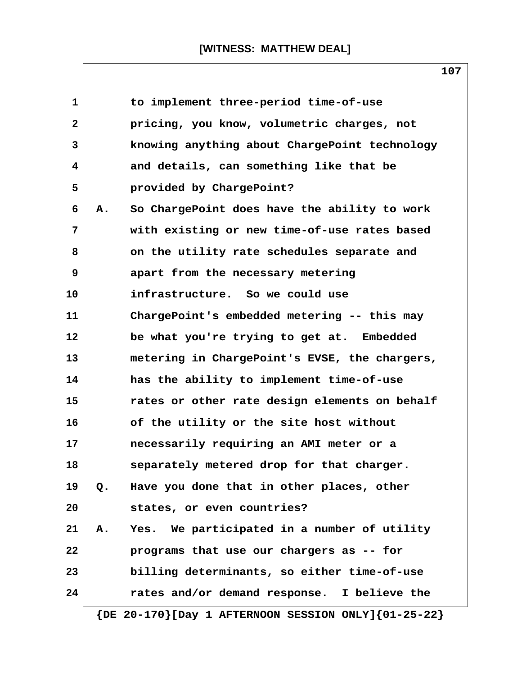| $\mathbf{1}$ |    | to implement three-period time-of-use                         |
|--------------|----|---------------------------------------------------------------|
| 2            |    | pricing, you know, volumetric charges, not                    |
| 3            |    | knowing anything about ChargePoint technology                 |
| 4            |    | and details, can something like that be                       |
| 5            |    | provided by ChargePoint?                                      |
| 6            | Α. | So ChargePoint does have the ability to work                  |
| 7            |    | with existing or new time-of-use rates based                  |
| 8            |    | on the utility rate schedules separate and                    |
| 9            |    | apart from the necessary metering                             |
| 10           |    | infrastructure. So we could use                               |
| 11           |    | ChargePoint's embedded metering -- this may                   |
| 12           |    | be what you're trying to get at. Embedded                     |
| 13           |    | metering in ChargePoint's EVSE, the chargers,                 |
| 14           |    | has the ability to implement time-of-use                      |
| 15           |    | rates or other rate design elements on behalf                 |
| 16           |    | of the utility or the site host without                       |
| 17           |    | necessarily requiring an AMI meter or a                       |
| 18           |    | separately metered drop for that charger.                     |
| 19           | Q. | Have you done that in other places, other                     |
| 20           |    | states, or even countries?                                    |
| 21           | Α. | Yes. We participated in a number of utility                   |
| 22           |    | programs that use our chargers as -- for                      |
| 23           |    | billing determinants, so either time-of-use                   |
| 24           |    | rates and/or demand response. I believe the                   |
|              |    | $\{DE 20-170\}$ [Day 1 AFTERNOON SESSION ONLY] $\{01-25-22\}$ |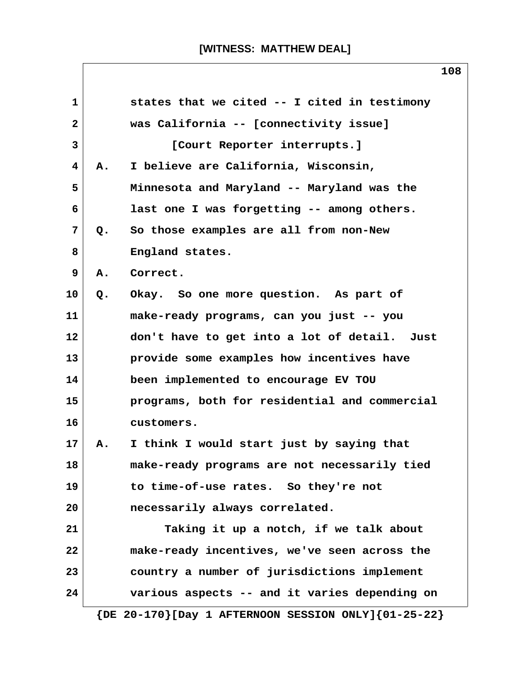|              |    | 108                                                           |
|--------------|----|---------------------------------------------------------------|
| $\mathbf{1}$ |    | states that we cited -- I cited in testimony                  |
| $\mathbf{2}$ |    | was California -- [connectivity issue]                        |
| 3            |    | [Court Reporter interrupts.]                                  |
| 4            | Α. | I believe are California, Wisconsin,                          |
| 5            |    | Minnesota and Maryland -- Maryland was the                    |
| 6            |    | last one I was forgetting -- among others.                    |
| 7            | Q. | So those examples are all from non-New                        |
| 8            |    | England states.                                               |
| 9            | Α. | Correct.                                                      |
| 10           | Q. | Okay. So one more question. As part of                        |
| 11           |    | make-ready programs, can you just -- you                      |
| 12           |    | don't have to get into a lot of detail. Just                  |
| 13           |    | provide some examples how incentives have                     |
| 14           |    | been implemented to encourage EV TOU                          |
| 15           |    | programs, both for residential and commercial                 |
| 16           |    | customers.                                                    |
| 17           | А. | I think I would start just by saying that                     |
| 18           |    | make-ready programs are not necessarily tied                  |
| 19           |    | to time-of-use rates. So they're not                          |
| 20           |    | necessarily always correlated.                                |
| 21           |    | Taking it up a notch, if we talk about                        |
| 22           |    | make-ready incentives, we've seen across the                  |
| 23           |    | country a number of jurisdictions implement                   |
| 24           |    | various aspects -- and it varies depending on                 |
|              |    | $\{DE 20-170\}$ [Day 1 AFTERNOON SESSION ONLY] $\{01-25-22\}$ |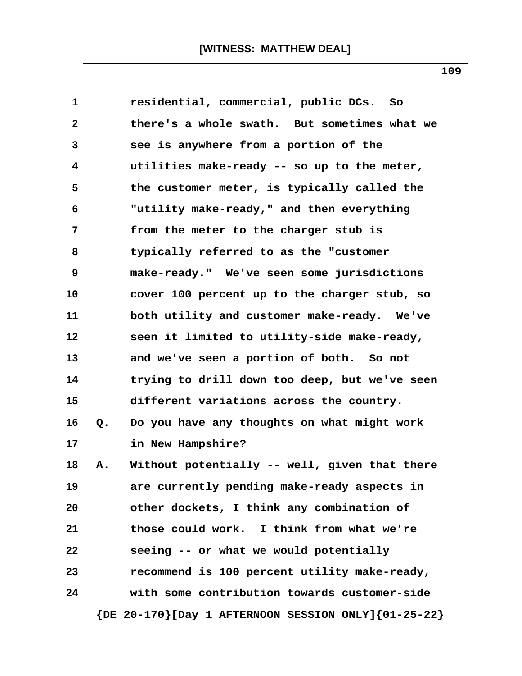| $\mathbf 1$ |                                              | residential, commercial, public DCs. So                       |  |  |
|-------------|----------------------------------------------|---------------------------------------------------------------|--|--|
| 2           |                                              | there's a whole swath. But sometimes what we                  |  |  |
| 3           | see is anywhere from a portion of the        |                                                               |  |  |
| 4           | utilities make-ready -- so up to the meter,  |                                                               |  |  |
| 5           | the customer meter, is typically called the  |                                                               |  |  |
| 6           | "utility make-ready," and then everything    |                                                               |  |  |
| 7           |                                              | from the meter to the charger stub is                         |  |  |
| 8           |                                              | typically referred to as the "customer                        |  |  |
| 9           |                                              | make-ready." We've seen some jurisdictions                    |  |  |
| 10          |                                              | cover 100 percent up to the charger stub, so                  |  |  |
| 11          |                                              | both utility and customer make-ready. We've                   |  |  |
| 12          |                                              | seen it limited to utility-side make-ready,                   |  |  |
| 13          |                                              | and we've seen a portion of both. So not                      |  |  |
| 14          |                                              | trying to drill down too deep, but we've seen                 |  |  |
| 15          |                                              | different variations across the country.                      |  |  |
| 16          | Q.                                           | Do you have any thoughts on what might work                   |  |  |
| 17          |                                              | in New Hampshire?                                             |  |  |
| 18          | Α.                                           | Without potentially -- well, given that there                 |  |  |
| 19          |                                              | are currently pending make-ready aspects in                   |  |  |
| 20          |                                              | other dockets, I think any combination of                     |  |  |
| 21          |                                              | those could work. I think from what we're                     |  |  |
| 22          |                                              | seeing -- or what we would potentially                        |  |  |
| 23          | recommend is 100 percent utility make-ready, |                                                               |  |  |
| 24          |                                              | with some contribution towards customer-side                  |  |  |
|             |                                              | $\{DE 20-170\}$ [Day 1 AFTERNOON SESSION ONLY] $\{01-25-22\}$ |  |  |

**109**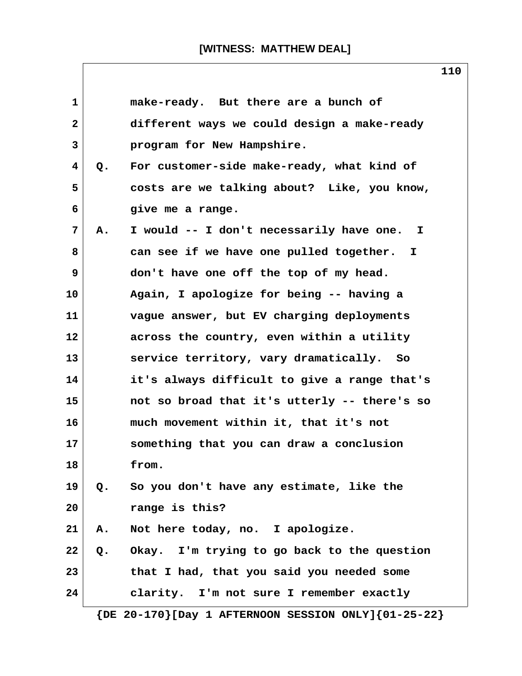| 1                       |               | make-ready. But there are a bunch of                          |
|-------------------------|---------------|---------------------------------------------------------------|
| $\mathbf{2}$            |               | different ways we could design a make-ready                   |
| 3                       |               | program for New Hampshire.                                    |
| $\overline{\mathbf{4}}$ | Q.            | For customer-side make-ready, what kind of                    |
| 5                       |               | costs are we talking about? Like, you know,                   |
| 6                       |               | give me a range.                                              |
| 7                       | A.            | I would -- I don't necessarily have one. I                    |
| 8                       |               | can see if we have one pulled together. I                     |
| 9                       |               | don't have one off the top of my head.                        |
| 10                      |               | Again, I apologize for being -- having a                      |
| 11                      |               | vague answer, but EV charging deployments                     |
| 12                      |               | across the country, even within a utility                     |
| 13                      |               | service territory, vary dramatically. So                      |
| 14                      |               | it's always difficult to give a range that's                  |
| 15                      |               | not so broad that it's utterly -- there's so                  |
| 16                      |               | much movement within it, that it's not                        |
| 17                      |               | something that you can draw a conclusion                      |
| 18                      |               | from.                                                         |
| 19                      | $Q_{\bullet}$ | So you don't have any estimate, like the                      |
| 20                      |               | range is this?                                                |
| 21                      | Α.            | Not here today, no. I apologize.                              |
| 22                      | Q.            | Okay. I'm trying to go back to the question                   |
| 23                      |               | that I had, that you said you needed some                     |
| 24                      |               | clarity. I'm not sure I remember exactly                      |
|                         |               | $\{DE 20-170\}$ [Day 1 AFTERNOON SESSION ONLY] $\{01-25-22\}$ |

**110**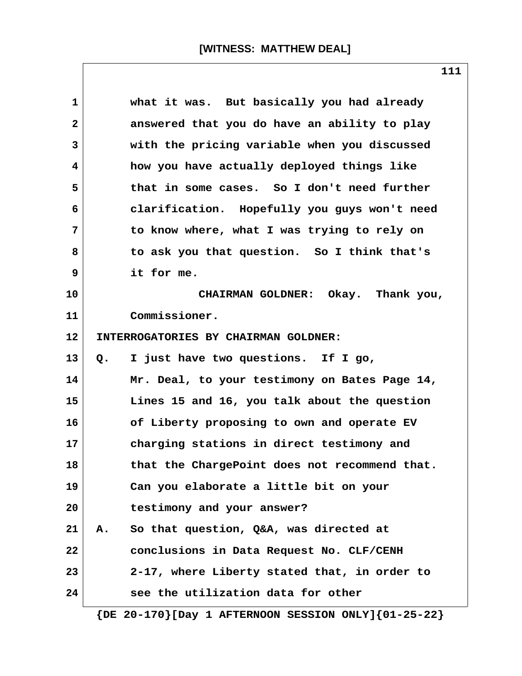| $\mathbf{1}$ | what it was. But basically you had already    |
|--------------|-----------------------------------------------|
| 2            | answered that you do have an ability to play  |
| 3            | with the pricing variable when you discussed  |
| 4            | how you have actually deployed things like    |
| 5            | that in some cases. So I don't need further   |
| 6            | clarification. Hopefully you guys won't need  |
| 7            | to know where, what I was trying to rely on   |
| 8            | to ask you that question. So I think that's   |
| 9            | it for me.                                    |
| 10           | CHAIRMAN GOLDNER: Okay. Thank you,            |
| 11           | Commissioner.                                 |
| 12           | INTERROGATORIES BY CHAIRMAN GOLDNER:          |
| 13           | I just have two questions. If I go,<br>Q.     |
| 14           | Mr. Deal, to your testimony on Bates Page 14, |
| 15           | Lines 15 and 16, you talk about the question  |
| 16           | of Liberty proposing to own and operate EV    |
| 17           | charging stations in direct testimony and     |
| 18           | that the ChargePoint does not recommend that. |
| 19           | Can you elaborate a little bit on your        |
| 20           | testimony and your answer?                    |
| 21           | So that question, Q&A, was directed at<br>А.  |
| 22           | conclusions in Data Request No. CLF/CENH      |
| 23           | 2-17, where Liberty stated that, in order to  |
| 24           | see the utilization data for other            |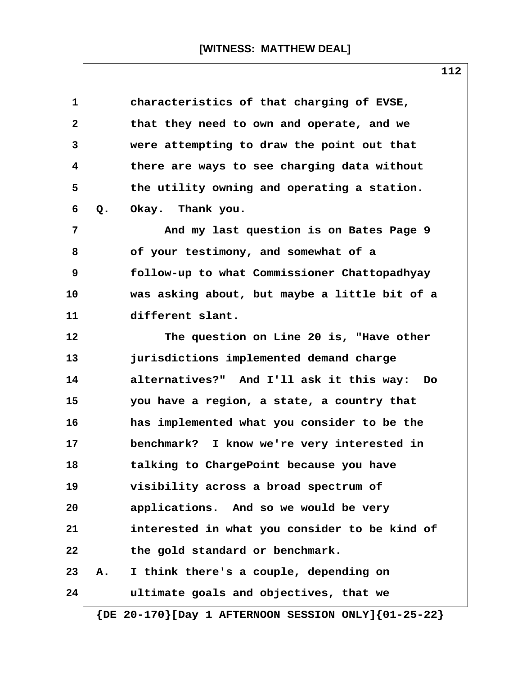|                                             | characteristics of that charging of EVSE,       |  |  |
|---------------------------------------------|-------------------------------------------------|--|--|
|                                             | that they need to own and operate, and we       |  |  |
|                                             | were attempting to draw the point out that      |  |  |
| there are ways to see charging data without |                                                 |  |  |
|                                             | the utility owning and operating a station.     |  |  |
| Q.                                          | Okay. Thank you.                                |  |  |
|                                             | And my last question is on Bates Page 9         |  |  |
|                                             | of your testimony, and somewhat of a            |  |  |
|                                             | follow-up to what Commissioner Chattopadhyay    |  |  |
|                                             | was asking about, but maybe a little bit of a   |  |  |
|                                             | different slant.                                |  |  |
|                                             | The question on Line 20 is, "Have other         |  |  |
|                                             | jurisdictions implemented demand charge         |  |  |
|                                             | alternatives?" And I'll ask it this way:<br>Do. |  |  |
|                                             | you have a region, a state, a country that      |  |  |
|                                             | has implemented what you consider to be the     |  |  |
|                                             | benchmark? I know we're very interested in      |  |  |
|                                             | talking to ChargePoint because you have         |  |  |
|                                             | visibility across a broad spectrum of           |  |  |
|                                             | applications. And so we would be very           |  |  |
|                                             | interested in what you consider to be kind of   |  |  |
|                                             | the gold standard or benchmark.                 |  |  |
| Α.                                          | I think there's a couple, depending on          |  |  |
|                                             | ultimate goals and objectives, that we          |  |  |
|                                             |                                                 |  |  |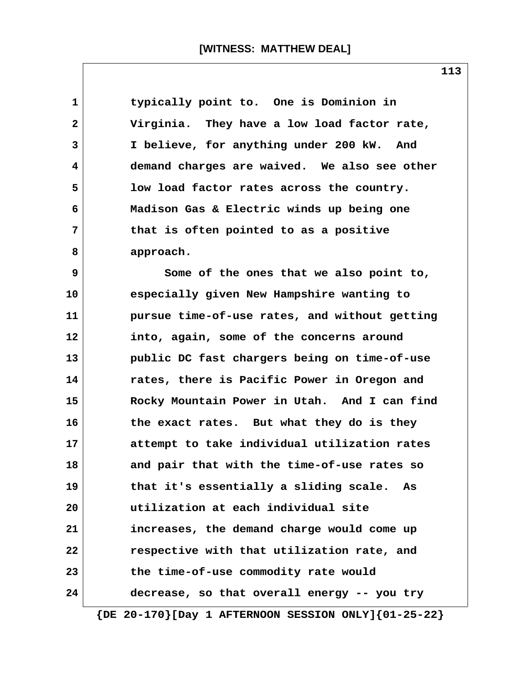| $\mathbf 1$  | typically point to. One is Dominion in        |
|--------------|-----------------------------------------------|
| $\mathbf{2}$ | Virginia. They have a low load factor rate,   |
| 3            | I believe, for anything under 200 kW. And     |
| 4            | demand charges are waived. We also see other  |
| 5            | low load factor rates across the country.     |
| 6            | Madison Gas & Electric winds up being one     |
| 7            | that is often pointed to as a positive        |
| 8            | approach.                                     |
| 9            | Some of the ones that we also point to,       |
| 10           | especially given New Hampshire wanting to     |
| 11           | pursue time-of-use rates, and without getting |
| 12           | into, again, some of the concerns around      |
| 13           | public DC fast chargers being on time-of-use  |
| 14           | rates, there is Pacific Power in Oregon and   |
| 15           | Rocky Mountain Power in Utah. And I can find  |
| 16           | the exact rates. But what they do is they     |
| 17           | attempt to take individual utilization rates  |
| 18           | and pair that with the time-of-use rates so   |
| 19           | that it's essentially a sliding scale. As     |
| 20           | utilization at each individual site           |
| 21           | increases, the demand charge would come up    |
| 22           | respective with that utilization rate, and    |
| 23           | the time-of-use commodity rate would          |
| 24           | decrease, so that overall energy -- you try   |
|              |                                               |

**113**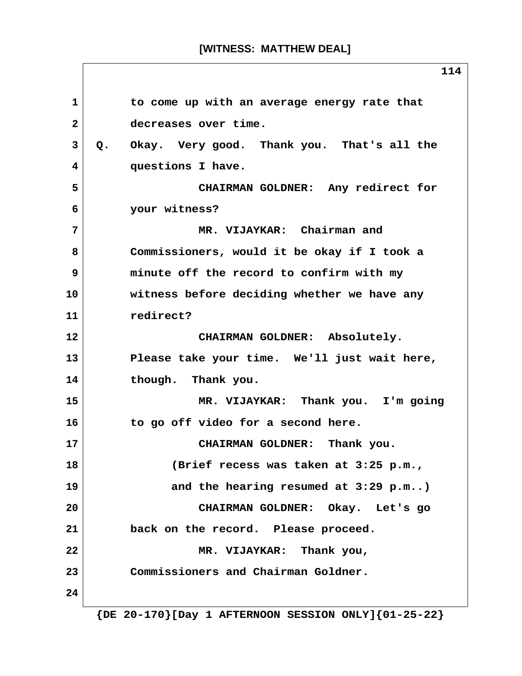# **[WITNESS: MATTHEW DEAL]**

 **1 to come up with an average energy rate that 2 decreases over time. 3 Q. Okay. Very good. Thank you. That's all the 4 questions I have. 5 CHAIRMAN GOLDNER: Any redirect for 6 your witness? 7 MR. VIJAYKAR: Chairman and 8 Commissioners, would it be okay if I took a 9 minute off the record to confirm with my 10 witness before deciding whether we have any 11 redirect? 12 CHAIRMAN GOLDNER: Absolutely. 13 Please take your time. We'll just wait here, 14 though. Thank you. 15 MR. VIJAYKAR: Thank you. I'm going 16 to go off video for a second here. 17 CHAIRMAN GOLDNER: Thank you. 18 (Brief recess was taken at 3:25 p.m., 19 and the hearing resumed at 3:29 p.m..) 20 CHAIRMAN GOLDNER: Okay. Let's go 21 back on the record. Please proceed. 22 MR. VIJAYKAR: Thank you, 23 Commissioners and Chairman Goldner. 24**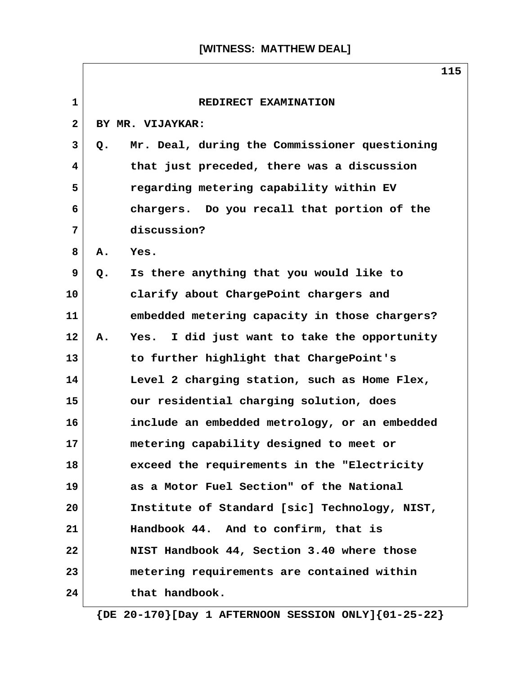| $\mathbf{1}$ | REDIRECT EXAMINATION                                  |
|--------------|-------------------------------------------------------|
| $\mathbf{2}$ | BY MR. VIJAYKAR:                                      |
| 3            | Mr. Deal, during the Commissioner questioning<br>Q.   |
| 4            | that just preceded, there was a discussion            |
| 5            | regarding metering capability within EV               |
| 6            | chargers. Do you recall that portion of the           |
| 7            | discussion?                                           |
| 8            | Yes.<br>Α.                                            |
| 9            | Is there anything that you would like to<br>Q.        |
| 10           | clarify about ChargePoint chargers and                |
| 11           | embedded metering capacity in those chargers?         |
| 12           | I did just want to take the opportunity<br>А.<br>Yes. |
| 13           | to further highlight that ChargePoint's               |
| 14           | Level 2 charging station, such as Home Flex,          |
| 15           | our residential charging solution, does               |
| 16           | include an embedded metrology, or an embedded         |
| 17           | metering capability designed to meet or               |
| 18           | exceed the requirements in the "Electricity           |
| 19           | as a Motor Fuel Section" of the National              |
| 20           | Institute of Standard [sic] Technology, NIST,         |
| 21           | Handbook 44. And to confirm, that is                  |
| 22           | NIST Handbook 44, Section 3.40 where those            |
| 23           | metering requirements are contained within            |
| 24           | that handbook.                                        |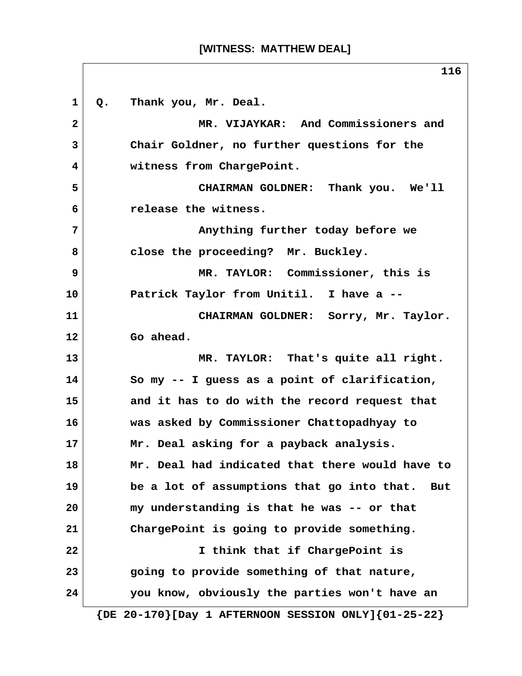# **[WITNESS: MATTHEW DEAL]**

1 Q. Thank you, Mr. Deal.  **2 MR. VIJAYKAR: And Commissioners and 3 Chair Goldner, no further questions for the 4 witness from ChargePoint. 5 CHAIRMAN GOLDNER: Thank you. We'll 6 release the witness. 7 Anything further today before we 8 close the proceeding? Mr. Buckley. 9 MR. TAYLOR: Commissioner, this is 10 Patrick Taylor from Unitil. I have a -- 11 CHAIRMAN GOLDNER: Sorry, Mr. Taylor. 12 Go ahead. 13 MR. TAYLOR: That's quite all right. 14 So my -- I guess as a point of clarification, 15 and it has to do with the record request that 16 was asked by Commissioner Chattopadhyay to 17 Mr. Deal asking for a payback analysis. 18 Mr. Deal had indicated that there would have to 19 be a lot of assumptions that go into that. But 20 my understanding is that he was -- or that 21 ChargePoint is going to provide something. 22 I think that if ChargePoint is 23 going to provide something of that nature, 24 you know, obviously the parties won't have an {DE 20-170}[Day 1 AFTERNOON SESSION ONLY]{01-25-22}**

**116**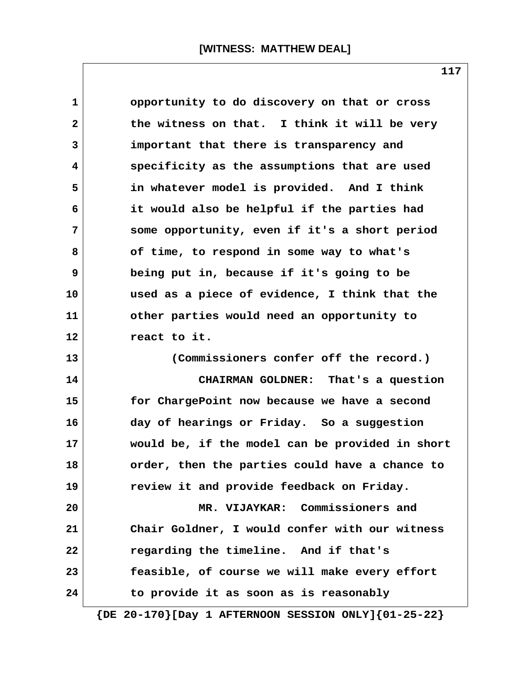| $\mathbf{1}$   | opportunity to do discovery on that or cross    |
|----------------|-------------------------------------------------|
| $\mathbf{2}$   | the witness on that. I think it will be very    |
| 3              | important that there is transparency and        |
| $\overline{4}$ | specificity as the assumptions that are used    |
| 5              | in whatever model is provided. And I think      |
| 6              | it would also be helpful if the parties had     |
| 7              | some opportunity, even if it's a short period   |
| 8              | of time, to respond in some way to what's       |
| 9              | being put in, because if it's going to be       |
| 10             | used as a piece of evidence, I think that the   |
| 11             | other parties would need an opportunity to      |
| 12             | react to it.                                    |
| 13             | (Commissioners confer off the record.)          |
| 14             | CHAIRMAN GOLDNER: That's a question             |
| 15             | for ChargePoint now because we have a second    |
| 16             | day of hearings or Friday. So a suggestion      |
| 17             | would be, if the model can be provided in short |
| 18             | order, then the parties could have a chance to  |
| 19             | review it and provide feedback on Friday.       |
| 20             | MR. VIJAYKAR: Commissioners and                 |
| 21             | Chair Goldner, I would confer with our witness  |
| 22             | regarding the timeline. And if that's           |
| 23             | feasible, of course we will make every effort   |
| 24             | to provide it as soon as is reasonably          |
|                |                                                 |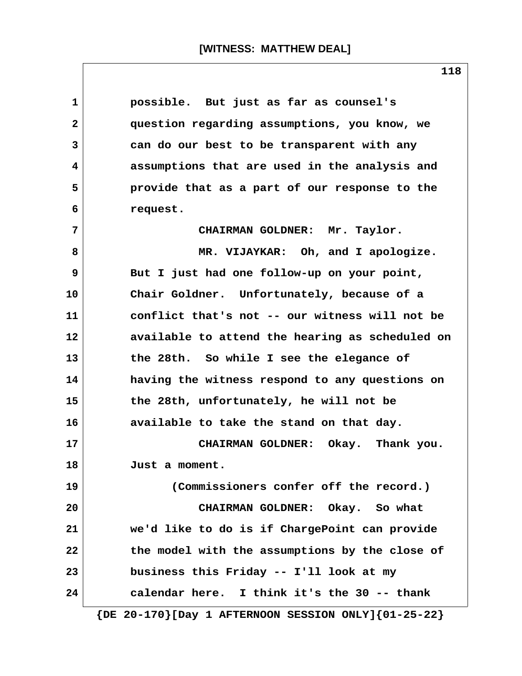| 1  | possible. But just as far as counsel's          |  |  |  |  |
|----|-------------------------------------------------|--|--|--|--|
| 2  | question regarding assumptions, you know, we    |  |  |  |  |
| 3  | can do our best to be transparent with any      |  |  |  |  |
| 4  | assumptions that are used in the analysis and   |  |  |  |  |
| 5  | provide that as a part of our response to the   |  |  |  |  |
| 6  | request.                                        |  |  |  |  |
| 7  | CHAIRMAN GOLDNER: Mr. Taylor.                   |  |  |  |  |
| 8  | MR. VIJAYKAR: Oh, and I apologize.              |  |  |  |  |
| 9  | But I just had one follow-up on your point,     |  |  |  |  |
| 10 | Chair Goldner. Unfortunately, because of a      |  |  |  |  |
| 11 | conflict that's not -- our witness will not be  |  |  |  |  |
| 12 | available to attend the hearing as scheduled on |  |  |  |  |
| 13 | the 28th. So while I see the elegance of        |  |  |  |  |
| 14 | having the witness respond to any questions on  |  |  |  |  |
| 15 | the 28th, unfortunately, he will not be         |  |  |  |  |
| 16 | available to take the stand on that day.        |  |  |  |  |
| 17 | CHAIRMAN GOLDNER: Okay. Thank you.              |  |  |  |  |
| 18 | Just a moment.                                  |  |  |  |  |
| 19 | (Commissioners confer off the record.)          |  |  |  |  |
| 20 | CHAIRMAN GOLDNER: Okay. So what                 |  |  |  |  |
| 21 | we'd like to do is if ChargePoint can provide   |  |  |  |  |
| 22 | the model with the assumptions by the close of  |  |  |  |  |
| 23 | business this Friday -- I'll look at my         |  |  |  |  |
| 24 | calendar here. I think it's the 30 -- thank     |  |  |  |  |

**118**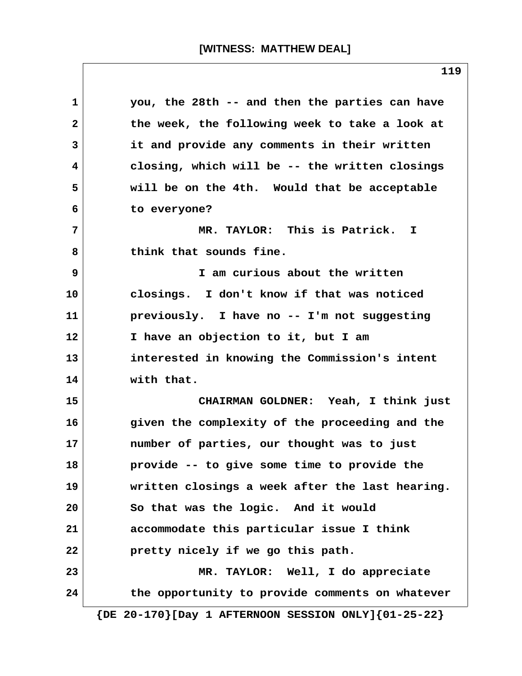**1 you, the 28th -- and then the parties can have 2 the week, the following week to take a look at 3 it and provide any comments in their written 4 closing, which will be -- the written closings 5 will be on the 4th. Would that be acceptable 6 to everyone? 7 MR. TAYLOR: This is Patrick. I 8 think that sounds fine. 9 I am curious about the written 10 closings. I don't know if that was noticed 11 previously. I have no -- I'm not suggesting 12 I have an objection to it, but I am 13 interested in knowing the Commission's intent 14 with that. 15 CHAIRMAN GOLDNER: Yeah, I think just 16 given the complexity of the proceeding and the 17 number of parties, our thought was to just 18 provide -- to give some time to provide the 19 written closings a week after the last hearing. 20 So that was the logic. And it would 21 accommodate this particular issue I think 22 pretty nicely if we go this path. 23 MR. TAYLOR: Well, I do appreciate 24 the opportunity to provide comments on whatever {DE 20-170}[Day 1 AFTERNOON SESSION ONLY]{01-25-22}**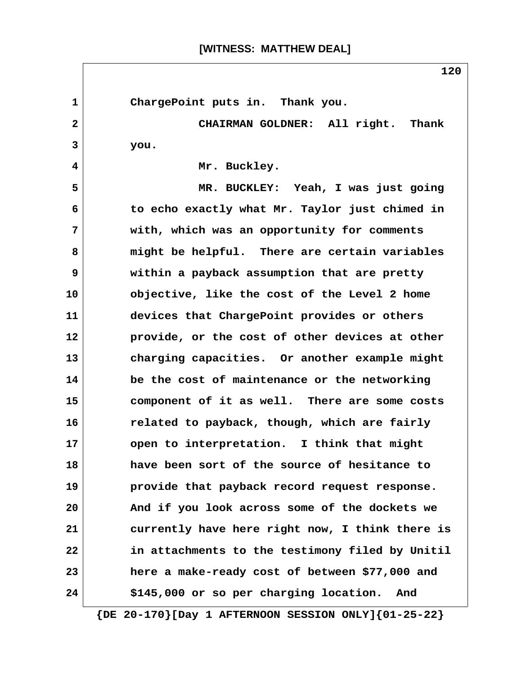# **[WITNESS: MATTHEW DEAL]**

1 ChargePoint puts in. Thank you.  **2 CHAIRMAN GOLDNER: All right. Thank 3 you. 4 Mr. Buckley. 5 MR. BUCKLEY: Yeah, I was just going 6 to echo exactly what Mr. Taylor just chimed in 7 with, which was an opportunity for comments 8 might be helpful. There are certain variables 9 within a payback assumption that are pretty 10 objective, like the cost of the Level 2 home 11 devices that ChargePoint provides or others 12 provide, or the cost of other devices at other 13 charging capacities. Or another example might 14 be the cost of maintenance or the networking 15 component of it as well. There are some costs 16 related to payback, though, which are fairly 17 open to interpretation. I think that might 18 have been sort of the source of hesitance to 19 provide that payback record request response. 20 And if you look across some of the dockets we 21 currently have here right now, I think there is 22 in attachments to the testimony filed by Unitil 23 here a make-ready cost of between \$77,000 and 24 \$145,000 or so per charging location. And**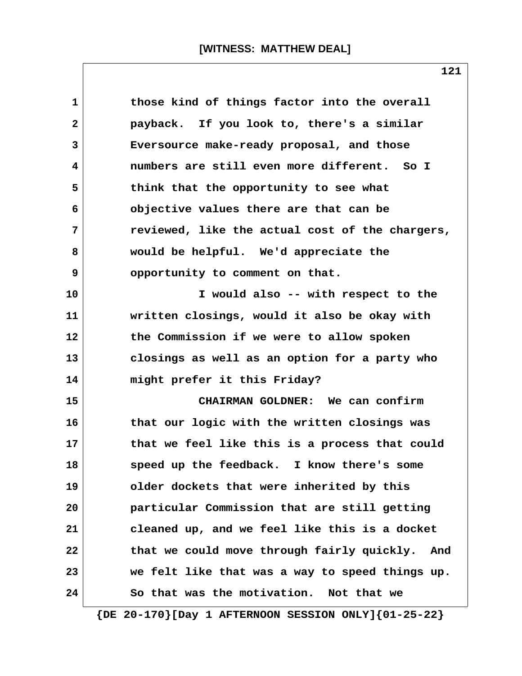**1 those kind of things factor into the overall 2 payback. If you look to, there's a similar 3 Eversource make-ready proposal, and those 4 numbers are still even more different. So I 5 think that the opportunity to see what 6 objective values there are that can be 7 reviewed, like the actual cost of the chargers, 8 would be helpful. We'd appreciate the 9** opportunity to comment on that. **10 I would also -- with respect to the 11 written closings, would it also be okay with 12 the Commission if we were to allow spoken 13 closings as well as an option for a party who 14 might prefer it this Friday? 15 CHAIRMAN GOLDNER: We can confirm 16 that our logic with the written closings was 17 that we feel like this is a process that could 18 speed up the feedback. I know there's some 19 older dockets that were inherited by this 20 particular Commission that are still getting 21 cleaned up, and we feel like this is a docket 22 that we could move through fairly quickly. And 23 we felt like that was a way to speed things up. 24 So that was the motivation. Not that we**

 **{DE 20-170}[Day 1 AFTERNOON SESSION ONLY]{01-25-22}**

**121**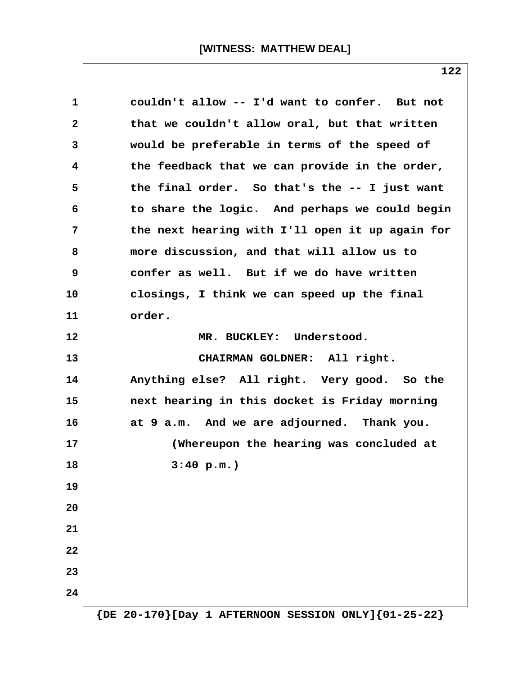| 1            | couldn't allow -- I'd want to confer. But not   |
|--------------|-------------------------------------------------|
| $\mathbf{2}$ | that we couldn't allow oral, but that written   |
| 3            | would be preferable in terms of the speed of    |
| 4            | the feedback that we can provide in the order,  |
| 5            | the final order. So that's the -- I just want   |
| 6            | to share the logic. And perhaps we could begin  |
| 7            | the next hearing with I'll open it up again for |
| 8            | more discussion, and that will allow us to      |
| 9            | confer as well. But if we do have written       |
| 10           | closings, I think we can speed up the final     |
| 11           | order.                                          |
| 12           | MR. BUCKLEY: Understood.                        |
| 13           | CHAIRMAN GOLDNER: All right.                    |
| 14           | Anything else? All right. Very good. So the     |
| 15           | next hearing in this docket is Friday morning   |
| 16           | at 9 a.m. And we are adjourned. Thank you.      |
| 17           | (Whereupon the hearing was concluded at         |
| 18           | 3:40 p.m.                                       |
| 19           |                                                 |
| 20           |                                                 |
| 21           |                                                 |
| 22           |                                                 |
| 23           |                                                 |
| 24           |                                                 |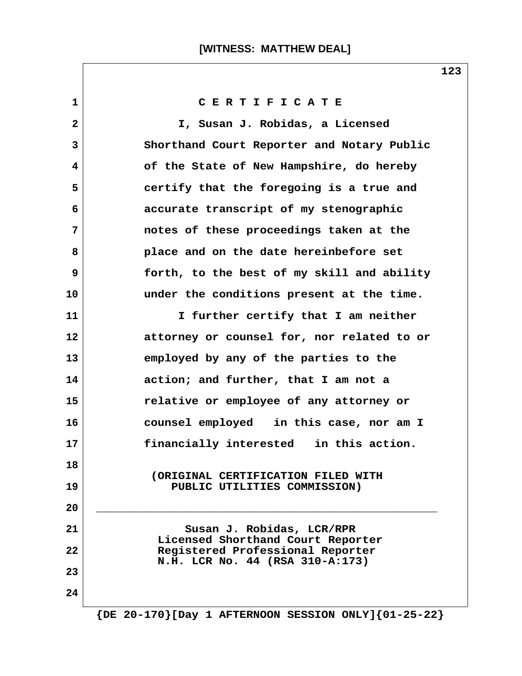| $\mathbf{1}$ | CERTIFICATE                                                         |
|--------------|---------------------------------------------------------------------|
| $\mathbf{2}$ | I, Susan J. Robidas, a Licensed                                     |
| 3            | Shorthand Court Reporter and Notary Public                          |
| 4            | of the State of New Hampshire, do hereby                            |
| 5            | certify that the foregoing is a true and                            |
| 6            | accurate transcript of my stenographic                              |
| 7            | notes of these proceedings taken at the                             |
| 8            | place and on the date hereinbefore set                              |
| 9            | forth, to the best of my skill and ability                          |
| 10           | under the conditions present at the time.                           |
| 11           | I further certify that I am neither                                 |
| 12           | attorney or counsel for, nor related to or                          |
| 13           | employed by any of the parties to the                               |
| 14           | action; and further, that I am not a                                |
| 15           | relative or employee of any attorney or                             |
| 16           | counsel employed in this case, nor am I                             |
| 17           | financially interested in this action.                              |
| 18           | (ORIGINAL CERTIFICATION FILED WITH                                  |
| 19           | PUBLIC UTILITIES COMMISSION)                                        |
| 20           |                                                                     |
| 21           | Susan J. Robidas, LCR/RPR<br>Licensed Shorthand Court Reporter      |
| 22           | Registered Professional Reporter<br>N.H. LCR No. 44 (RSA 310-A:173) |
| 23           |                                                                     |
| 24           |                                                                     |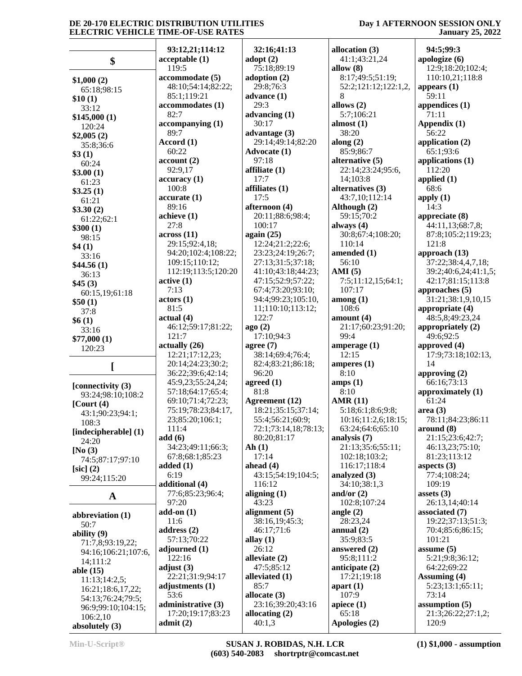# **Day 1 AFTERNOON SESSION ONLY January 25, 2022**

|                                         | 93:12,21;114:12                  | 32:16;41:13                     | allocation (3)                | 94:5;99:3                          |
|-----------------------------------------|----------------------------------|---------------------------------|-------------------------------|------------------------------------|
| \$                                      | acceptable(1)                    | adopt $(2)$                     | 41:1;43:21,24                 | apologize (6)                      |
|                                         | 119:5                            | 75:18;89:19                     | allow $(8)$                   | 12:9;18:20;102:4;                  |
| \$1,000(2)                              | accommodate (5)                  | adoption $(2)$                  | 8:17;49:5;51:19;              | 110:10,21;118:8                    |
| 65:18;98:15                             | 48:10;54:14;82:22;               | 29:8;76:3                       | 52:2;121:12;122:1,2,          | appears $(1)$                      |
| \$10(1)                                 | 85:1;119:21                      | advance $(1)$                   | 8                             | 59:11                              |
| 33:12                                   | accommodates (1)                 | 29:3                            | allows $(2)$                  | appendices (1)                     |
| \$145,000(1)                            | 82:7                             | advancing $(1)$                 | 5:7;106:21                    | 71:11                              |
| 120:24                                  | accompanying (1)                 | 30:17                           | almost $(1)$                  | Appendix (1)                       |
| \$2,005(2)                              | 89:7                             | advantage $(3)$                 | 38:20                         | 56:22                              |
| 35:8;36:6                               | Accord (1)                       | 29:14;49:14;82:20               | along $(2)$                   | application $(2)$                  |
| \$3(1)                                  | 60:22                            | Advocate (1)                    | 85:9;86:7                     | 65:1;93:6                          |
| 60:24                                   | account(2)                       | 97:18                           | alternative (5)               | applications (1)<br>112:20         |
| \$3.00(1)                               | 92:9,17<br>accuracy(1)           | affiliate $(1)$<br>17:7         | 22:14;23:24;95:6,<br>14;103:8 | applied $(1)$                      |
| 61:23                                   | 100:8                            | affiliates $(1)$                | alternatives (3)              | 68:6                               |
| \$3.25(1)                               | accurate(1)                      | 17:5                            | 43:7,10;112:14                | apply $(1)$                        |
| 61:21                                   | 89:16                            | afternoon (4)                   | Although (2)                  | 14:3                               |
| \$3.30(2)                               | achieve (1)                      | 20:11;88:6;98:4;                | 59:15:70:2                    | appreciate $(8)$                   |
| 61:22;62:1                              | 27:8                             | 100:17                          | always $(4)$                  | 44:11,13;68:7,8;                   |
| \$300(1)<br>98:15                       | across(11)                       | again $(25)$                    | 30:8;67:4;108:20;             | 87:8;105:2;119:23;                 |
| \$4(1)                                  | 29:15;92:4,18;                   | 12:24;21:2;22:6;                | 110:14                        | 121:8                              |
| 33:16                                   | 94:20;102:4;108:22;              | 23:23;24:19;26:7;               | amended (1)                   | approach (13)                      |
| \$44.56(1)                              | 109:15;110:12;                   | 27:13;31:5;37:18;               | 56:10                         | 37:22;38:4,4,7,18;                 |
| 36:13                                   | 112:19;113:5;120:20              | 41:10;43:18;44:23;              | AMI $(5)$                     | 39:2;40:6,24;41:1,5;               |
| \$45(3)                                 | active(1)                        | 47:15;52:9;57:22;               | 7:5;11:12,15;64:1;            | 42:17;81:15;113:8                  |
| 60:15,19;61:18                          | 7:13                             | 67:4;73:20;93:10;               | 107:17                        | approaches $(5)$                   |
| \$50(1)                                 | actors (1)                       | 94:4;99:23;105:10,              | among(1)                      | 31:21;38:1,9,10,15                 |
| 37:8                                    | 81:5                             | 11;110:10;113:12;               | 108:6                         | appropriate (4)                    |
| \$6(1)                                  | actual(4)                        | 122:7                           | amount $(4)$                  | 48:5,8;49:23,24                    |
| 33:16                                   | 46:12;59:17;81:22;               | ago(2)                          | 21:17;60:23;91:20;            | appropriately $(2)$                |
| \$77,000(1)                             | 121:7                            | 17:10:94:3                      | 99:4                          | 49:6;92:5                          |
| 120:23                                  | actually (26)<br>12:21;17:12,23; | agree $(7)$<br>38:14;69:4;76:4; | amperage $(1)$<br>12:15       | approved (4)<br>17:9;73:18;102:13, |
|                                         | 20:14;24:23;30:2;                | 82:4;83:21;86:18;               | amperes $(1)$                 | 14                                 |
|                                         | 36:22;39:6;42:14;                | 96:20                           | 8:10                          | approving $(2)$                    |
|                                         | 45:9,23;55:24,24;                | agreed $(1)$                    | amps(1)                       | 66:16:73:13                        |
| [connectivity (3)                       | 57:18;64:17;65:4;                | 81:8                            | 8:10                          | approximately (1)                  |
| 93:24;98:10;108:2<br>$[$ Court $(4)$    | 69:10;71:4;72:23;                | <b>Agreement</b> (12)           | <b>AMR (11)</b>               | 61:24                              |
| 43:1;90:23;94:1;                        | 75:19;78:23;84:17,               | 18:21;35:15;37:14;              | 5:18;6:1;8:6;9:8;             | area(3)                            |
| 108:3                                   | 23;85:20;106:1;                  | 55:4;56:21;60:9;                | 10:16;11:2,6;18:15;           | 78:11;84:23;86:11                  |
| [indecipherable] (1)                    | 111:4                            | 72:1;73:14,18;78:13;            | 63:24;64:6;65:10              | around (8)                         |
| 24:20                                   | add(6)                           | 80:20;81:17                     | analysis $(7)$                | 21:15;23:6;42:7;                   |
| [No $(3)$                               | 34:23;49:11;66:3;                | Ah(1)                           | 21:13;35:6;55:11;             | 46:13,23;75:10;                    |
| 74:5;87:17;97:10                        | 67:8;68:1;85:23                  | 17:14                           | 102:18;103:2;                 | 81:23;113:12                       |
| $[sic]$ $(2)$                           | added $(1)$                      | ahead $(4)$                     | 116:17;118:4                  | aspects $(3)$                      |
| 99:24;115:20                            | 6:19                             | 43:15;54:19;104:5;              | analyzed (3)                  | 77:4;108:24;                       |
|                                         | additional (4)                   | 116:12                          | 34:10;38:1,3                  | 109:19<br>assets $(3)$             |
| $\mathbf A$                             | 77:6;85:23;96:4;<br>97:20        | aligning $(1)$<br>43:23         | and/or $(2)$<br>102:8;107:24  | 26:13,14;40:14                     |
|                                         | $add-on(1)$                      | alignment $(5)$                 | angle $(2)$                   | associated (7)                     |
| abbreviation (1)                        | 11:6                             | 38:16,19;45:3;                  | 28:23,24                      | 19:22;37:13;51:3;                  |
| 50:7                                    | address(2)                       | 46:17;71:6                      | annual $(2)$                  | 70:4;85:6;86:15;                   |
| ability $(9)$                           | 57:13;70:22                      | allay $(1)$                     | 35:9;83:5                     | 101:21                             |
| 71:7,8;93:19,22;<br>94:16;106:21;107:6, | adjourned $(1)$                  | 26:12                           | answered (2)                  | assume $(5)$                       |
|                                         | 122:16                           | alleviate $(2)$                 | 95:8;111:2                    | 5:21;9:8;36:12;                    |
| 14:111:2<br>able $(15)$                 | adjust $(3)$                     | 47:5;85:12                      | anticipate $(2)$              | 64:22;69:22                        |
| 11:13;14:2,5;                           | 22:21;31:9;94:17                 | alleviated (1)                  | 17:21;19:18                   | Assuming (4)                       |
| 16:21;18:6,17,22;                       | adjustments (1)                  | 85:7                            | apart $(1)$                   | 5:23;13:1;65:11;                   |
| 54:13;76:24;79:5;                       | 53:6                             | allocate $(3)$                  | 107:9                         | 73:14                              |
| 96:9:99:10:104:15:                      | administrative (3)               | 23:16;39:20;43:16               | apiece $(1)$                  | assumption $(5)$                   |
| 106:2,10                                | 17:20;19:17;83:23                | allocating $(2)$                | 65:18                         | 21:3;26:22;27:1,2;                 |
| absolutely $(3)$                        | admit(2)                         | 40:1,3                          | Apologies (2)                 | 120:9                              |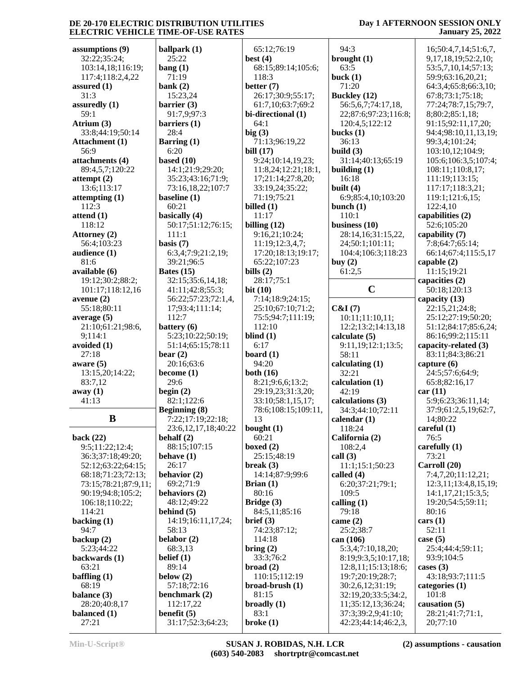### **Day 1 AFTERNOON SESSION ONLY January 25, 2022**

**assumptions (9)** 32:22;35:24; 103:14,18;116:19; 117:4;118:2,4,22 **assured (1)** 31:3 **assuredly (1)** 59:1 **Atrium (3)** 33:8;44:19;50:14 **Attachment (1)** 56:9 **attachments (4)** 89:4,5,7;120:22 **attempt (2)** 13:6;113:17 **attempting (1)** 112:3 **attend (1)** 118:12 **Attorney (2)** 56:4;103:23 **audience (1)** 81:6 **available (6)** 19:12;30:2;88:2; 101:17;118:12,16 **avenue (2)** 55:18;80:11 **average (5)** 21:10;61:21;98:6, 9;114:1 **avoided (1)** 27:18 **aware (5)** 13:15,20;14:22; 83:7,12 **away (1)** 41:13 **B back (22)** 9:5;11:22;12:4; 36:3;37:18;49:20; 52:12;63:22;64:15; 68:18;71:23;72:13; 73:15;78:21;87:9,11; 90:19;94:8;105:2; 106:18;110:22; 114:21 **backing (1)** 94:7 **backup (2)** 5:23;44:22 **backwards (1)** 63:21 **baffling (1)** 68:19 **balance (3)** 28:20;40:8,17 **balanced (1)**

**ballpark (1)** 25:22 **bang (1)** 71:19 **bank (2)** 15:23,24 **barrier (3)** 91:7,9;97:3 **barriers (1)** 28:4 **Barring (1)** 6:20 **based (10)** 14:1;21:9;29:20; 35:23;43:16;71:9; 73:16,18,22;107:7 **baseline (1)** 60:21 **basically (4)** 50:17;51:12;76:15; 111:1 **basis (7)** 6:3,4;7:9;21:2,19; 39:21;96:5 **Bates (15)** 32:15;35:6,14,18; 41:11;42:8;55:3; 56:22;57:23;72:1,4, 17;93:4;111:14; 112:7 **battery (6)** 5:23;10:22;50:19; 51:14;65:15;78:11 **bear (2)** 20:16;63:6 **become (1)** 29:6 **begin (2)** 82:1;122:6 **Beginning (8)** 7:22;17:19;22:18; 23:6,12,17,18;40:22 **behalf (2)** 88:15;107:15 **behave (1)** 26:17 **behavior (2)** 69:2;71:9 **behaviors (2)** 48:12;49:22 **behind (5)** 14:19;16:11,17,24; 58:13 **belabor (2)** 68:3,13 **belief (1)** 89:14 **below (2)** 57:18;72:16 **benchmark (2)** 112:17,22 **benefit (5)** 31:17;52:3;64:23; 65:12;76:19 **best (4)** 118:3 **better (7)** 26:17;30:9;55:17; 61:7,10;63:7;69:2 **bi-directional (1)** 64:1 **big (3)** 71:13;96:19,22 **bill (17)** 9:24;10:14,19,23; 17;21:14;27:8,20; 33:19,24;35:22; 71:19;75:21 **billed (1)** 11:17 **billing (12)** 9:16,21;10:24; 11:19;12:3,4,7; 65:22;107:23 **bills (2)** 28:17;75:1 **bit (10)** 7:14;18:9;24:15; 25:10;67:10;71:2; 75:5;94:7;111:19; 112:10 **blind (1)** 6:17 **board (1)** 94:20 **both (16)** 8:21;9:6,6;13:2; 29:19,23;31:3,20; 33:10;58:1,15,17; 13 **bought (1)** 60:21 **boxed (2)** 25:15;48:19 **break (3)** 14:14;87:9;99:6 **Brian (1)** 80:16 **Bridge (3)** 84:5,11;85:16 **brief (3)** 74:23;87:12; 114:18 **bring (2)** 33:3;76:2 **broad (2)** 110:15;112:19 **broad-brush (1)** 81:15 **broadly (1)** 83:1 **broke (1)**

 68:15;89:14;105:6; 11:8,24;12:21;18:1, 17:20;18:13;19:17; 78:6;108:15;109:11, 94:3 **brought (1)** 63:5 **buck (1)** 71:20 **Buckley (12)** 56:5,6,7;74:17,18, 22;87:6;97:23;116:8; 120:4,5;122:12 **bucks (1)** 36:13 **build (3)** 31:14;40:13;65:19 **building (1)** 16:18 **built (4)** 6:9;85:4,10;103:20 **bunch (1)** 110:1 **business (10)** 28:14,16;31:15,22, 24;50:1;101:11; 104:4;106:3;118:23 **buy (2)** 61:2,5 **C&I (7)** 10:11;11:10,11; 12:2;13:2;14:13,18 **calculate (5)** 9:11,19;12:1;13:5; 58:11 **calculating (1)** 32:21 **calculation (1)** 42:19 **calculations (3)** 34:3;44:10;72:11 **calendar (1)** 118:24 **California (2)** 108:2,4 **call (3)** 11:1;15:1;50:23 **called (4)** 6:20;37:21;79:1; 109:5 **calling (1)** 79:18 **came (2)** 25:2;38:7 **can (106)** 5:3,4;7:10,18,20; 8:19;9:3,5;10:17,18; 12:8,11;15:13;18:6; 19:7;20:19;28:7; 30:2,6,12;31:19; 32:19,20;33:5;34:2, 11;35:12,13;36:24; 37:3;39:2,9;41:10; 42:23;44:14;46:2,3,

 $\begin{array}{ccc} \textbf{C} & \quad & \quad \end{array}$  5 16;50:4,7,14;51:6,7, 9,17,18,19;52:2,10; 53:5,7,10,14;57:13; 59:9;63:16,20,21; 64:3,4;65:8;66:3,10; 67:8;73:1;75:18; 77:24;78:7,15;79:7, 8;80:2;85:1,18; 91:15;92:11,17,20; 94:4;98:10,11,13,19; 99:3,4;101:24; 103:10,12;104:9; 105:6;106:3,5;107:4; 108:11;110:8,17; 111:19;113:15; 117:17;118:3,21; 119:1;121:6,15; 122:4,10 **capabilities (2)** 52:6;105:20 **capability (7)** 7:8;64:7;65:14; 66:14;67:4;115:5,17 **capable (2)** 11:15;19:21 **capacities (2)** 50:18;120:13 **capacity (13)** 22:15,21;24:8; 25:12;27:19;50:20; 51:12;84:17;85:6,24; 86:16;99:2;115:11 **capacity-related (3)** 83:11;84:3;86:21 **capture (6)** 24:5;57:6;64:9; 65:8;82:16,17 **car (11)** 5:9;6:23;36:11,14; 37:9;61:2,5,19;62:7, 14;80:22 **careful (1)** 76:5 **carefully (1)** 73:21 **Carroll (20)** 7:4,7,20;11:12,21; 12:3,11;13:4,8,15,19; 14:1,17,21;15:3,5; 19:20;54:5;59:11; 80:16 **cars (1)** 52:11 **case (5)** 25:4;44:4;59:11; 93:9;104:5 **cases (3)** 43:18;93:7;111:5 **categories (1)** 101:8 **causation (5)** 28:21;41:7;71:1, 20;77:10

27:21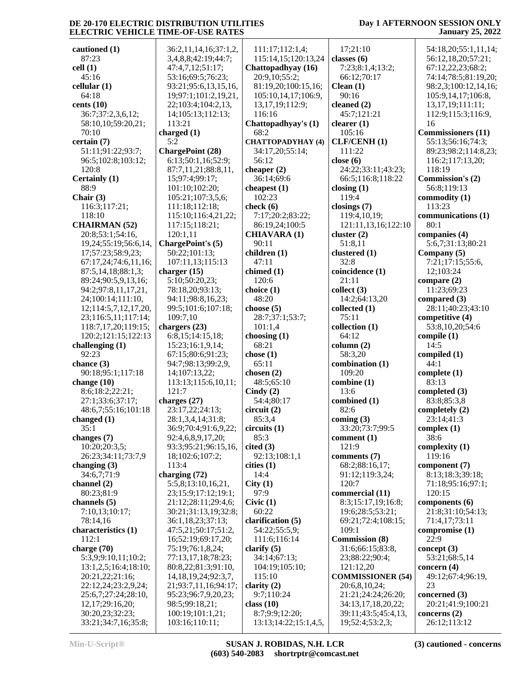### **Day 1 AFTERNOON SESSION ONLY January 25, 2022**

**cautioned (1)** 87:23 **cell (1)** 45:16 **cellular (1)** 64:18 **cents (10)** 36:7;37:2,3,6,12; 58:10,10;59:20,21; 70:10 **certain (7)** 51:11;91:22;93:7; 96:5;102:8;103:12; 120:8 **Certainly (1)** 88:9 **Chair (3)** 116:3;117:21; 118:10 **CHAIRMAN (52)** 20:8;53:1;54:16, 19,24;55:19;56:6,14, 17;57:23;58:9,23; 67:17,24;74:6,11,16; 87:5,14,18;88:1,3; 89:24;90:5,9,13,16; 94:2;97:8,11,17,21, 24;100:14;111:10, 12;114:5,7,12,17,20, 23;116:5,11;117:14; 118:7,17,20;119:15; 120:2;121:15;122:13 **challenging (1)** 92:23 **chance (3)** 90:18;95:1;117:18 **change (10)** 8:6;18:2;22:21; 27:1;33:6;37:17; 48:6,7;55:16;101:18 **changed (1)** 35:1 **changes (7)** 10:20;20:3,5; 26:23;34:11;73:7,9 **changing (3)** 34:6,7;71:9 **channel (2)** 80:23;81:9 **channels (5)** 7:10,13;10:17; 78:14,16 **characteristics (1)** 112:1 **charge (70)** 5:3,9;9:10,11;10:2; 13:1,2,5;16:4;18:10; 20:21,22;21:16; 22:12,24;23:2,9,24; 25:6,7;27:24;28:10, 12,17;29:16,20; 30:20,23;32:23; 33:21;34:7,16;35:8; 113:21 **charged (1)** 5:2 120:1,11 **charger (15)** 109:7,10 **chargers (23)** 121:7 **charges (27)** 113:4 **charging (72)**

 36:2,11,14,16;37:1,2, 3,4,8,8;42:19;44:7; 47:4,7,12;51:17; 53:16;69:5;76:23; 93:21;95:6,13,15,16, 19;97:1;101:2,19,21, 22;103:4;104:2,13, 14;105:13;112:13; **ChargePoint (28)** 6:13;50:1,16;52:9; 87:7,11,21;88:8,11, 15;97:4;99:17; 101:10;102:20; 105:21;107:3,5,6; 111:18;112:18; 115:10;116:4,21,22; 117:15;118:21; **ChargePoint's (5)** 50:22;101:13; 107:11,13;115:13 5:10;50:20,23; 78:18,20;93:13; 94:11;98:8,16,23; 99:5;101:6;107:18; 6:8,15;14:15,18; 15:23;16:1,9,14; 67:15;80:6;91:23; 94:7;98:13;99:2,9, 14;107:13,22; 113:13;115:6,10,11; 23:17,22;24:13; 28:1,3,4,14;31:8; 36:9;70:4;91:6,9,22; 92:4,6,8,9,17,20; 93:3;95:21;96:15,16, 18;102:6;107:2; 5:5,8;13:10,16,21, 23;15:9;17:12;19:1; 21:12;28:11;29:4,6; 30:21;31:13,19;32:8; 36:1,18,23;37:13; 47:5,21;50:17;51:2, 16;52:19;69:17,20; 75:19;76:1,8,24; 77:13,17,18;78:23; 80:8,22;81:3;91:10, 14,18,19,24;92:3,7, 21;93:7,11,16;94:17; 95:23;96:7,9,20,23; 98:5;99:18,21; 100:19;101:1,21; 103:16;110:11; 111:17;112:1,4; 115:14,15;120:13,24 **Chattopadhyay (16)** 20:9,10;55:2; 81:19,20;100:15,16; 105:10,14,17;106:9, 13,17,19;112:9; 116:16 **Chattopadhyay's (1)** 68:2 **CHATTOPADYHAY (4)** 34:17,20;55:14; 56:12 **cheaper (2)** 36:14;69:6 **cheapest (1)** 102:23 **check (6)** 7:17;20:2;83:22; 86:19,24;100:5 **CHIAVARA (1)** 90:11 **children (1)** 47:11 **chimed (1)** 120:6 **choice (1)** 48:20 **choose (5)** 28:7;37:1;53:7; 101:1,4 **choosing (1)** 68:21 **chose (1)** 65:11 **chosen (2)** 48:5;65:10 **Cindy (2)** 54:4;80:17 **circuit (2)** 85:3,4 **circuits (1)** 85:3 **cited (3)** 92:13;108:1,1 **cities (1)** 14:4 **City (1)** 97:9 **Civic (1)** 60:22 **clarification (5)** 54:22;55:5,9; 111:6;116:14 **clarify (5)** 34:14;67:13; 104:19;105:10; 115:10 **clarity (2)** 9:7;110:24 **class (10)** 8:7;9:9;12:20; 13:13;14:22;15:1,4,5,

 17;21:10 **classes (6)** 7:23;8:1,4;13:2; 66:12;70:17 **Clean (1)** 90:16 **cleaned (2)** 45:7;121:21 **clearer (1)** 105:16 **CLF/CENH (1)** 111:22 **close (6)** 24:22;33:11;43:23; 66:5;116:8;118:22 **closing (1)** 119:4 **closings (7)** 119:4,10,19; 121:11,13,16;122:10 **cluster (2)** 51:8,11 **clustered (1)** 32:8 **coincidence (1)** 21:11 **collect (3)** 14:2;64:13,20 **collected (1)** 75:11 **collection (1)** 64:12 **column (2)** 58:3,20 **combination (1)** 109:20 **combine (1)** 13:6 **combined (1)** 82:6 **coming (3)** 33:20;73:7;99:5 **comment (1)** 121:9 **comments (7)** 68:2;88:16,17; 91:12;119:3,24; 120:7 **commercial (11)** 8:3;15:17,19;16:8; 19:6;28:5;53:21; 69:21;72:4;108:15; 109:1 **Commission (8)** 31:6;66:15;83:8, 23;88:22;90:4; 121:12,20 **COMMISSIONER (54)** 20:6,8,10,24; 21:21;24:24;26:20; 34:13,17,18,20,22; 39:11;43:5;45:4,13, 19;52:4;53:2,3;

 54:18,20;55:1,11,14; 56:12,18,20;57:21; 67:12,22,23;68:2; 74:14;78:5;81:19,20; 98:2,3;100:12,14,16; 105:9,14,17;106:8, 13,17,19;111:11; 112:9;115:3;116:9, 16 **Commissioners (11)** 55:13;56:16;74:3; 89:23;98:2;114:8,23; 116:2;117:13,20; 118:19 **Commission's (2)** 56:8;119:13 **commodity (1)** 113:23 **communications (1)** 80:1 **companies (4)** 5:6,7;31:13;80:21 **Company (5)** 7:21;17:15;55:6, 12;103:24 **compare (2)** 11:23;69:23 **compared (3)** 28:11;40:23;43:10 **competitive (4)** 53:8,10,20;54:6 **compile (1)** 14:5 **compiled (1)** 44:1 **complete (1)** 83:13 **completed (3)** 83:8;85:3,8 **completely (2)** 23:14;41:3 **complex (1)** 38:6 **complexity (1)** 119:16 **component (7)** 8:13;18:3;39:18; 71:18;95:16;97:1; 120:15 **components (6)** 21:8;31:10;54:13; 71:4,17;73:11 **compromise (1)**  $22:9$ **concept (3)** 53:21;68:5,14 **concern (4)** 49:12;67:4;96:19, 23 **concerned (3)** 20:21;41:9;100:21 **concerns (2)**

26:12;113:12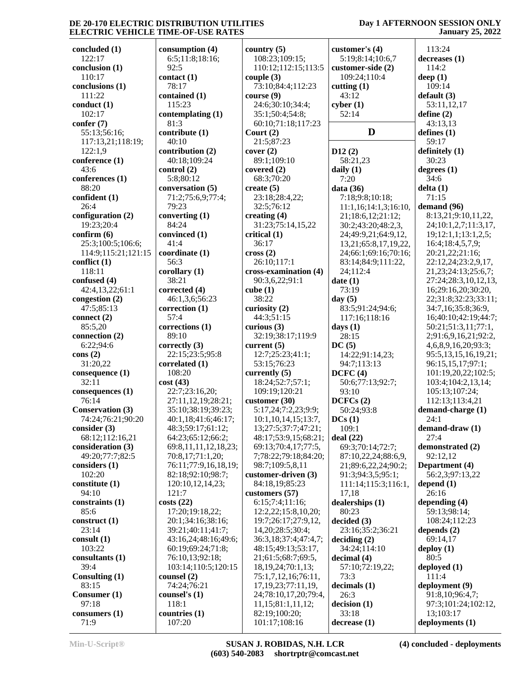### **Day 1 AFTERNOON SESSION ONLY January 25, 2022**

**concluded (1)** 122:17 **conclusion (1)** 110:17 **conclusions (1)** 111:22 **conduct (1)** 102:17 **confer (7)** 55:13;56:16; 117:13,21;118:19; 122:1,9 **conference (1)** 43:6 **conferences (1)** 88:20 **confident (1)** 26:4 **configuration (2)** 19:23;20:4 **confirm (6)** 25:3;100:5;106:6; 114:9;115:21;121:15 **conflict (1)** 118:11 **confused (4)** 42:4,13,22;61:1 **congestion (2)** 47:5;85:13 **connect (2)** 85:5,20 **connection (2)** 6:22;94:6 **cons (2)** 31:20,22 **consequence (1)** 32:11 **consequences (1)** 76:14 **Conservation (3)** 74:24;76:21;90:20 **consider (3)** 68:12;112:16,21 **consideration (3)** 49:20;77:7;82:5 **considers (1)** 102:20 **constitute (1)** 94:10 **constraints (1)** 85:6 **construct (1)** 23:14 **consult (1)** 103:22 **consultants (1)** 39:4 **Consulting (1)** 83:15 **Consumer (1)** 97:18 **consumers (1)** 71:9

**consumption (4)** 6:5;11:8;18:16; 92:5 **contact (1)** 78:17 **contained (1)** 115:23 **contemplating (1)** 81:3 **contribute (1)** 40:10 **contribution (2)** 40:18;109:24 **control (2)** 5:8;80:12 **conversation (5)** 71:2;75:6,9;77:4; 79:23 **converting (1)** 84:24 **convinced (1)** 41:4 **coordinate (1)** 56:3 **corollary (1)** 38:21 **corrected (4)** 46:1,3,6;56:23 **correction (1)** 57:4 **corrections (1)** 89:10 **correctly (3)** 22:15;23:5;95:8 **correlated (1)** 108:20 **cost (43)** 22:7;23:16,20; 27:11,12,19;28:21; 35:10;38:19;39:23; 40:1,18;41:6;46:17; 48:3;59:17;61:12; 64:23;65:12;66:2; 69:8,11,11,12,18,23; 70:8,17;71:1,20; 76:11;77:9,16,18,19; 82:18;92:10;98:7; 120:10,12,14,23; 121:7 **costs (22)** 17:20;19:18,22; 20:1;34:16;38:16; 39:21;40:11;41:7; 43:16,24;48:16;49:6; 60:19;69:24;71:8; 76:10,13;92:18; 103:14;110:5;120:15 **counsel (2)** 74:24;76:21 **counsel's (1)** 118:1 **countries (1)**

107:20

**country (5)** 108:23;109:15; 110:12;112:15;113:5 **couple (3)** 73:10;84:4;112:23 **course (9)** 24:6;30:10;34:4; 35:1;50:4;54:8; 60:10;71:18;117:23 **Court (2)** 21:5;87:23 **cover (2)** 89:1;109:10 **covered (2)** 68:3;70:20 **create (5)** 23:18;28:4,22; 32:5;76:12 **creating (4)** 31:23;75:14,15,22 **critical (1)** 36:17 **cross (2)** 26:10;117:1 **cross-examination (4)** 90:3,6,22;91:1 **cube (1)** 38:22 **curiosity (2)** 44:3;51:15 **curious (3)** 32:19;38:17;119:9 **current (5)** 12:7;25:23;41:1; 53:15;76:23 **currently (5)** 18:24;52:7;57:1; 109:19;120:21 **customer (30)** 5:17,24;7:2,23;9:9; 10:1,10,14,15;13:7, 13;27:5;37:7;47:21; 48:17;53:9,15;68:21; 69:13;70:4,17;77:5, 7;78:22;79:18;84:20; 98:7;109:5,8,11 **customer-driven (3)** 84:18,19;85:23 **customers (57)** 6:15;7:4;11:16; 12:2,22;15:8,10,20; 19:7;26:17;27:9,12, 14,20;28:5;30:4; 36:3,18;37:4;47:4,7; 48:15;49:13;53:17, 21;61:5;68:7;69:5, 18,19,24;70:1,13; 75:1,7,12,16;76:11, 17,19,23;77:11,19, 24;78:10,17,20;79:4, 11,15;81:1,11,12; 82:19;100:20; 101:17;108:16

| customer's $(4)$                         | 113:24                           |
|------------------------------------------|----------------------------------|
| 5:19;8:14;10:6,7                         | decreases (1)                    |
| customer-side (2)                        | 114:2                            |
| 109:24;110:4                             | deep $(1)$                       |
| cutting $(1)$                            | 109:14                           |
| 43:12                                    | default (3)                      |
| cyber(1)                                 | 53:11,12,17                      |
| 52:14                                    | define $(2)$                     |
|                                          | 43:13,13                         |
| D                                        | defines $(1)$                    |
|                                          | 59:17                            |
| D12(2)                                   | definitely (1)                   |
| 58:21,23                                 | 30:23                            |
| daily $(1)$                              | degrees $(1)$                    |
| 7:20                                     | 34:6                             |
| data (36)                                | delta (1)                        |
| 7:18;9:8;10:18;                          | 71:15                            |
| 11:1,16;14:1,3;16:10,                    | demand (96)                      |
| 21;18:6,12;21:12;                        | 8:13,21;9:10,1                   |
| 30:2;43:20;48:2,3,                       | 24;10:1,2,7;11                   |
| 24;49:9,21;64:9,12,                      | 19;12:1,1;13:1                   |
| 13,21;65:8,17,19,22,                     | 16:4;18:4,5,7,9                  |
| 24;66:1;69:16;70:16;                     | 20:21,22;21:16                   |
| 83:14;84:9;111:22,                       | 22:12,24;23:2,                   |
| 24;112:4                                 | 21, 23; 24: 13; 25               |
| date $(1)$                               | 27:24;28:3,10,                   |
| 73:19                                    | 16;29:16,20;30                   |
| day $(5)$                                | 22;31:8;32:23;                   |
| 83:5;91:24;94:6;                         | 34:7,16;35:8;3                   |
| 117:16;118:16                            | 16;40:10;42:19                   |
| days $(1)$                               | 50:21;51:3,11;                   |
| 28:15                                    | 2;91:6,9,16,21                   |
| DC(5)                                    | 4,6,8,9,16,20;9                  |
| 14:22;91:14,23;                          | 95:5,13,15,16,                   |
| 94:7;113:13<br>DCFC (4)                  | 96:15,15,17;97                   |
|                                          | 101:19,20,22;1                   |
| 50:6;77:13;92:7;                         | 103:4;104:2,13                   |
| 93:10                                    | 105:13;107:24                    |
| DCFCs(2)                                 | 112:13;113:4,2                   |
| 50:24;93:8                               | demand-charge                    |
| DCs(1)                                   | 24:1                             |
| 109:1                                    | demand-draw (1                   |
| deal(22)                                 | 27:4                             |
| 69:3;70:14;72:7;                         | demonstrated (2                  |
| 87:10,22,24;88:6,9,                      | 92:12,12                         |
| 21;89:6,22,24;90:2;<br>91:3;94:3,5;95:1; | Department (4)<br>56:2,3;97:13,2 |
| 111:14;115:3;116:1,                      | depend $(1)$                     |
| 17,18                                    | 26:16                            |
| dealerships (1)                          | depending (4)                    |
| 80:23                                    | 59:13;98:14;                     |
| decided (3)                              | 108:24;112:23                    |
| 23:16;35:2;36:21                         | depends (2)                      |
| deciding (2)                             | 69:14,17                         |
| 34:24;114:10                             | deploy $(1)$                     |
| decimal (4)                              | 80:5                             |
| 57:10;72:19,22;                          | deployed (1)                     |
| 73:3                                     | 111:4                            |
| decimals (1)                             | deployment (9)                   |
| 26:3                                     | 91:8,10;96:4,7                   |
| decision (1)                             | 97:3;101:24;10                   |
| 33:18                                    | 13;103:17                        |
| decrease(1)                              | deployments (1)                  |
|                                          |                                  |

**D defines (1)** 113:24 **decreases (1)** 114:2 **deep (1)** 109:14 **default (3)** 53:11,12,17 **define (2)** 43:13,13 59:17 **definitely (1)** 30:23 **degrees (1)** 34:6 **delta (1)** 71:15 **demand (96)** 8:13,21;9:10,11,22, 24;10:1,2,7;11:3,17, 19;12:1,1;13:1,2,5; 16:4;18:4,5,7,9; 20:21,22;21:16; 22:12,24;23:2,9,17, 21,23;24:13;25:6,7; 27:24;28:3,10,12,13, 16;29:16,20;30:20, 22;31:8;32:23;33:11; 34:7,16;35:8;36:9, 16;40:10;42:19;44:7; 50:21;51:3,11;77:1, 2;91:6,9,16,21;92:2, 4,6,8,9,16,20;93:3; 95:5,13,15,16,19,21; 96:15,15,17;97:1; 101:19,20,22;102:5; 103:4;104:2,13,14; 105:13;107:24; 112:13;113:4,21 **demand-charge (1)** 24:1 **demand-draw (1)** 27:4 **demonstrated (2)** 92:12,12 **Department (4)** 56:2,3;97:13,22 **depend (1)** 26:16 **depending (4)** 59:13;98:14; 108:24;112:23 **depends (2)** 69:14,17 **deploy (1)** 80:5 **deployed (1)** 111:4 **deployment (9)** 91:8,10;96:4,7; 97:3;101:24;102:12, 13;103:17

**(4) concluded - deployments**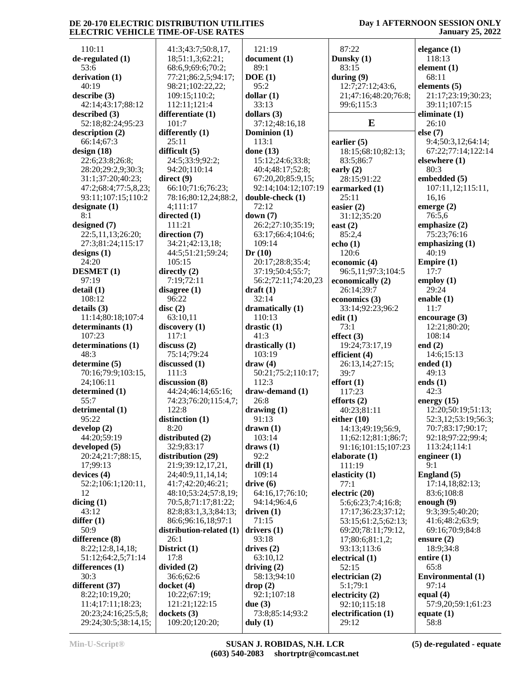110:11 **de-regulated (1)** 53:6 **derivation (1)** 40:19 **describe (3)** 42:14;43:17;88:12 **described (3)** 52:18;82:24;95:23 **description (2)** 66:14;67:3 **design (18)** 22:6;23:8;26:8; 28:20;29:2,9;30:3; 31:1;37:20;40:23; 47:2;68:4;77:5,8,23; 93:11;107:15;110:2 **designate (1)**  $8.1$ **designed (7)** 22:5,11,13;26:20; 27:3;81:24;115:17 **designs (1)** 24:20 **DESMET (1)** 97:19 **detail (1)** 108:12 **details (3)** 11:14;80:18;107:4 **determinants (1)** 107:23 **determinations (1)** 48:3 **determine (5)** 70:16;79:9;103:15, 24;106:11 **determined (1)** 55:7 **detrimental (1)** 95:22 **develop (2)** 44:20;59:19 **developed (5)** 20:24;21:7;88:15, 17;99:13 **devices (4)** 52:2;106:1;120:11, 12 **dicing (1)** 43:12 **differ (1)** 50:9 **difference (8)** 8:22;12:8,14,18; 51:12;64:2,5;71:14 **differences (1)** 30:3 **different (37)** 8:22;10:19,20; 11:4;17:11;18:23; 20:23;24:16;25:5,8; 29:24;30:5;38:14,15;

 41:3;43:7;50:8,17, 18;51:1,3;62:21; 68:6,9;69:6;70:2; 77:21;86:2,5;94:17; 98:21;102:22,22; 109:15;110:2; 112:11;121:4 **differentiate (1)** 101:7 **differently (1)** 25:11 **difficult (5)** 24:5;33:9;92:2; 94:20;110:14 **direct (9)** 66:10;71:6;76:23; 78:16;80:12,24;88:2, 4;111:17 **directed (1)** 111:21 **direction (7)** 34:21;42:13,18; 44:5;51:21;59:24; 105:15 **directly (2)** 7:19;72:11 **disagree (1)** 96:22 **disc (2)** 63:10,11 **discovery (1)** 117:1 **discuss (2)** 75:14;79:24 **discussed (1)** 111:3 **discussion (8)** 44:24;46:14;65:16; 74:23;76:20;115:4,7; 122:8 **distinction (1)** 8:20 **distributed (2)** 32:9;83:17 **distribution (29)** 21:9;39:12,17,21, 24;40:9,11,14,14; 41:7;42:20;46:21; 48:10;53:24;57:8,19; 70:5,8;71:17;81:22; 82:8;83:1,3,3;84:13; 86:6;96:16,18;97:1 **distribution-related (1)** 26:1 **District (1)** 17:8 **divided (2)** 36:6;62:6 **docket (4)** 10:22;67:19; 121:21;122:15 **dockets (3)** 109:20;120:20;

 121:19 **document (1)** 89:1 **DOE (1)** 95:2 **dollar (1)** 33:13 **dollars (3)** 37:12;48:16,18 **Dominion (1)** 113:1 **done (13)** 15:12;24:6;33:8; 40:4;48:17;52:8; 67:20,20;85:9,15; 92:14;104:12;107:19 **double-check (1)** 72:12 **down (7)** 26:2;27:10;35:19; 63:17;66:4;104:6; 109:14 **Dr (10)** 20:17;28:8;35:4; 37:19;50:4;55:7; 56:2;72:11;74:20,23 **draft (1)** 32:14 **dramatically (1)** 110:13 **drastic (1)** 41:3 **drastically (1)** 103:19 **draw (4)** 50:21;75:2;110:17; 112:3 **draw-demand (1)** 26:8 **drawing (1)** 91:13 **drawn (1)** 103:14 **draws (1)** 92:2 **drill (1)** 109:14 **drive (6)** 64:16,17;76:10; 94:14;96:4,6 **driven (1)** 71:15 **drivers (1)** 93:18 **drives (2)** 63:10,12 **driving (2)** 58:13;94:10 **drop (2)** 92:1;107:18 **due (3)** 73:8;85:14;93:2 **duly (1)**

 87:22 **Dunsky (1)** 83:15 **during (9)** 12:7;27:12;43:6, 21;47:16;48:20;76:8; 99:6;115:3 **E earlier (5)** 18:15;68:10;82:13; 83:5;86:7 **early (2)** 28:15;91:22 **earmarked (1)** 25:11 **easier (2)** 31:12;35:20 **east (2)** 85:2,4 **echo (1)** 120:6 **economic (4)** 96:5,11;97:3;104:5 **economically (2)** 26:14;39:7 **economics (3)** 33:14;92:23;96:2 **edit (1)** 73:1 **effect (3)** 19:24;73:17,19 **efficient (4)** 26:13,14;27:15; 39:7 **effort (1)** 117:23 **efforts (2)** 40:23;81:11 **either (10)** 14:13;49:19;56:9, 11;62:12;81:1;86:7; 91:16;101:15;107:23 **elaborate (1)** 111:19 **elasticity (1)** 77:1 **electric (20)** 5:6;6:23;7:4;16:8; 17:17;36:23;37:12; 53:15;61:2,5;62:13; 69:20;78:11;79:12, 17;80:6;81:1,2; 93:13;113:6 **electrical (1)** 52:15 **electrician (2)** 5:1;79:1 **electricity (2)** 92:10;115:18 **electrification (1)** 29:12

**Day 1 AFTERNOON SESSION ONLY January 25, 2022**

**elegance (1)** 118:13 **element (1)** 68:11 **elements (5)** 21:17;23:19;30:23; 39:11;107:15 **eliminate (1)** 26:10 **else (7)** 9:4;50:3,12;64:14; 67:22;77:14;122:14 **elsewhere (1)** 80:3 **embedded (5)** 107:11,12;115:11, 16,16 **emerge (2)** 76:5,6 **emphasize (2)** 75:23;76:16 **emphasizing (1)**  $40:19$ **Empire (1)** 17:7 **employ (1)** 29:24 **enable (1)** 11:7 **encourage (3)** 12:21;80:20; 108:14 **end (2)** 14:6;15:13 **ended (1)** 49:13 **ends (1)** 42:3 **energy (15)** 12:20;50:19;51:13; 52:3,12;53:19;56:3; 70:7;83:17;90:17; 92:18;97:22;99:4; 113:24;114:1 **engineer (1)** 9:1 **England (5)** 17:14,18;82:13; 83:6;108:8 **enough (9)** 9:3;39:5;40:20; 41:6;48:2;63:9; 69:16;70:9;84:8 **ensure (2)** 18:9;34:8 **entire (1)** 65:8 **Environmental (1)** 97:14 **equal (4)** 57:9,20;59:1;61:23 **equate (1)** 58:8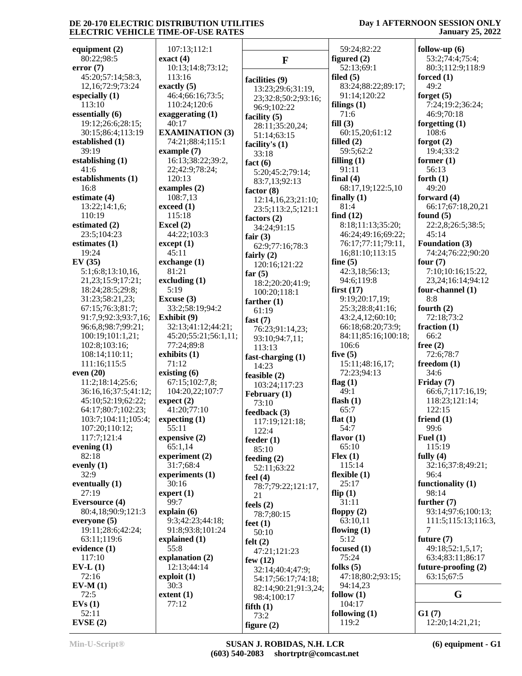40:17

45:11

81:21

5:19

71:12

55:11

30:16

99:7

55:8

30:3

77:12

### **Day 1 AFTERNOON SESSION ONLY January 25, 2022**

**equipment (2)** 80:22;98:5 **error (7)** 45:20;57:14;58:3, 12,16;72:9;73:24 **especially (1)** 113:10 **essentially (6)** 19:12;26:6;28:15; 30:15;86:4;113:19 **established (1)** 39:19 **establishing (1)** 41:6 **establishments (1)** 16:8 **estimate (4)** 13:22;14:1,6; 110:19 **estimated (2)** 23:5;104:23 **estimates (1)** 19:24 **EV (35)** 5:1;6:8;13:10,16, 21,23;15:9;17:21; 18:24;28:5;29:8; 31:23;58:21,23; 67:15;76:3;81:7; 91:7,9;92:3;93:7,16; 96:6,8;98:7;99:21; 100:19;101:1,21; 102:8;103:16; 108:14;110:11; 111:16;115:5 **even (20)** 11:2;18:14;25:6; 36:16,16;37:5;41:12; 45:10;52:19;62:22; 64:17;80:7;102:23; 103:7;104:11;105:4; 107:20;110:12; 117:7;121:4 **evening (1)** 82:18 **evenly (1)** 32:9 **eventually (1)** 27:19 **Eversource (4)** 80:4,18;90:9;121:3 **everyone (5)** 19:11;28:6;42:24; 63:11;119:6 **evidence (1)** 117:10 **EV-L (1)** 72:16 **EV-M (1)** 72:5 **EVs (1)** 52:11 **EVSE (2) exact (4) Excel (2)**

 107:13;112:1 10:13;14:8;73:12; 113:16 **exactly (5)** 46:4;66:16;73:5; 110:24;120:6 **exaggerating (1) EXAMINATION (3)** 74:21;88:4;115:1 **example (7)** 16:13;38:22;39:2, 22;42:9;78:24; 120:13 **examples (2)** 108:7,13 **exceed (1)** 115:18 44:22;103:3 **except (1) exchange (1) excluding (1) Excuse (3)** 33:2;58:19;94:2 **Exhibit (9)** 32:13;41:12;44:21; 45:20;55:21;56:1,11; 77:24;89:8 **exhibits (1) existing (6)** 67:15;102:7,8; 104:20,22;107:7 **expect (2)** 41:20;77:10 **expecting (1) expensive (2)** 65:1,14 **experiment (2)** 31:7;68:4 **experiments (1) expert (1) explain (6)** 9:3;42:23;44:18; 91:8;93:8;101:24 **explained (1) explanation (2)** 12:13;44:14 **exploit (1) extent (1) F facilities (9)** 13:23;29:6;31:19, 23;32:8;50:2;93:16; 96:9;102:22 **facility (5)** 28:11;35:20,24; 51:14;63:15 **facility's (1)** 33:18 **fact (6)** 5:20;45:2;79:14; 83:7,13;92:13 **factor (8)** 12:14,16,23;21:10; 23:5;113:2,5;121:1 **factors (2)** 34:24;91:15 **fair (3)** 62:9;77:16;78:3 **fairly (2)** 120:16;121:22 **far (5)** 18:2;20:20;41:9; 100:20;118:1 **farther (1)** 61:19 **fast (7)** 76:23;91:14,23; 93:10;94:7,11; 113:13 **fast-charging (1)** 14:23 **feasible (2)** 103:24;117:23 **February (1)** 73:10 **feedback (3)** 117:19;121:18; 122:4 **feeder (1)** 85:10 **feeding (2)** 52:11;63:22 **feel (4)** 78:7;79:22;121:17, 21 **feels (2)** 78:7;80:15 **feet (1)** 50:10 **felt (2)** 47:21;121:23 **few (12)** 32:14;40:4;47:9; 54:17;56:17;74:18; 82:14;90:21;91:3,24; 98:4;100:17 **fifth (1)** 73:2 **figure (2)**

 59:24;82:22 **figured (2)** 52:13;69:1 **filed (5)** 83:24;88:22;89:17; 91:14;120:22 **filings (1)** 71:6 **fill (3)** 60:15,20;61:12 **filled (2)** 59:5;62:2 **filling (1)** 91:11 **final (4)** 68:17,19;122:5,10 **finally (1)** 81:4 **find (12)** 8:18;11:13;35:20; 46:24;49:16;69:22; 76:17;77:11;79:11, 16;81:10;113:15 **fine (5)** 42:3,18;56:13; 94:6;119:8 **first (17)** 9:19;20:17,19; 25:3;28:8;41:16; 43:2,4,12;60:10; 66:18;68:20;73:9; 84:11;85:16;100:18; 106:6 **five (5)** 15:11;48:16,17; 72:23;94:13 **flag (1)** 49:1 **flash (1)** 65:7 **flat (1)** 54:7 **flavor (1)** 65:10 **Flex (1)** 115:14 **flexible (1)** 25:17 **flip (1)** 31:11 **floppy (2)** 63:10,11 **flowing (1)** 5:12 **focused (1)** 75:24 **folks (5)** 47:18;80:2;93:15; 94:14,23 **follow (1)** 104:17 **following (1)** 119:2

**follow-up (6)** 53:2;74:4;75:4; 80:3;112:9;118:9 **forced (1)** 49:2 **forget (5)** 7:24;19:2;36:24; 46:9;70:18 **forgetting (1)** 108:6 **forgot (2)** 19:4;33:2 **former (1)** 56:13 **forth (1)** 49:20 **forward (4)** 66:17;67:18,20,21 **found (5)** 22:2,8;26:5;38:5; 45:14 **Foundation (3)** 74:24;76:22;90:20 **four (7)** 7:10;10:16;15:22, 23,24;16:14;94:12 **four-channel (1)** 8:8 **fourth (2)** 72:18;73:2 **fraction (1)** 66:2 **free (2)** 72:6;78:7 **freedom (1)** 34:6 **Friday (7)** 66:6,7;117:16,19; 118:23;121:14; 122:15 **friend (1)** 99:6 **Fuel (1)** 115:19 **fully (4)** 32:16;37:8;49:21; 96:4 **functionality (1)** 98:14 **further (7)** 93:14;97:6;100:13; 111:5;115:13;116:3, 7 **future (7)** 49:18;52:1,5,17; 63:4;83:11;86:17 **future-proofing (2)** 63:15;67:5 **G G1 (7)**

12:20;14:21,21;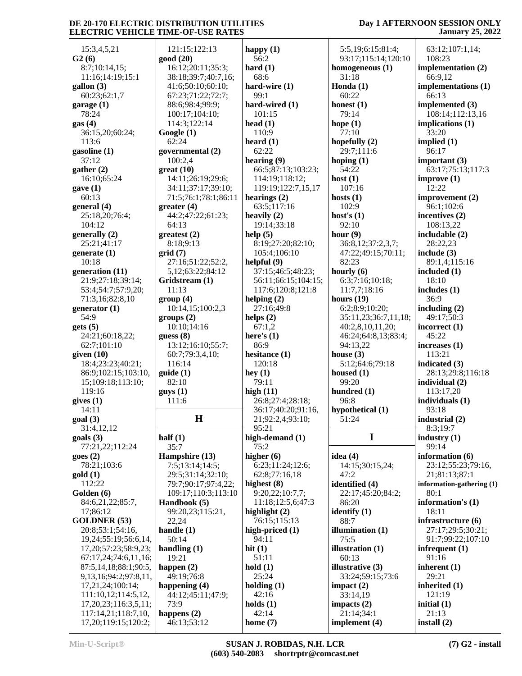### **Day 1 AFTERNOON SESSION ONLY January 25, 2022**

 15:3,4,5,21 **G2 (6)** 8:7;10:14,15; 11:16;14:19;15:1 **gallon (3)** 60:23;62:1,7 **garage (1)** 78:24 **gas (4)** 36:15,20;60:24; 113:6 **gasoline (1)** 37:12 **gather (2)** 16:10;65:24 **gave (1)** 60:13 **general (4)** 25:18,20;76:4; 104:12 **generally (2)** 25:21;41:17 **generate (1)** 10:18 **generation (11)** 21:9;27:18;39:14; 53:4;54:7;57:9,20; 71:3,16;82:8,10 **generator (1)** 54:9 **gets (5)** 24:21;60:18,22; 62:7;101:10 **given (10)** 18:4;23:23;40:21; 86:9;102:15;103:10, 15;109:18;113:10; 119:16 **gives (1)** 14:11 **goal (3)** 31:4,12,12 **goals (3)** 77:21,22;112:24 **goes (2)** 78:21;103:6 **gold (1)** 112:22 **Golden (6)** 84:6,21,22;85:7, 17;86:12 **GOLDNER (53)** 20:8;53:1;54:16, 19,24;55:19;56:6,14, 17,20;57:23;58:9,23; 67:17,24;74:6,11,16; 87:5,14,18;88:1;90:5, 9,13,16;94:2;97:8,11, 17,21,24;100:14; 111:10,12;114:5,12, 17,20,23;116:3,5,11; 117:14,21;118:7,10, 17,20;119:15;120:2;

| 121:15;122:13         | happy $(1)$          | 5:5,19;6:15;81:4            |
|-----------------------|----------------------|-----------------------------|
| good (20)             | 56:2                 | 93:17;115:14;12             |
| 16:12;20:11;35:3;     | hard $(1)$           | homogeneous $(1)$           |
|                       | 68:6                 |                             |
| 38:18;39:7;40:7,16;   |                      | 31:18                       |
| 41:6;50:10;60:10;     | hard-wire (1)        | Honda (1)                   |
| 67:23;71:22;72:7;     | 99:1                 | 60:22                       |
| 88:6;98:4;99:9;       | hard-wired (1)       | honest $(1)$                |
| 100:17;104:10;        | 101:15               | 79:14                       |
| 114:3;122:14          | head $(1)$           | hope $(1)$                  |
| Google(1)             | 110:9                | 77:10                       |
| 62:24                 | heard $(1)$          | hopefully (2)               |
| governmental (2)      | 62:22                | 29:7;111:6                  |
| 100:2,4               | hearing $(9)$        | hoping $(1)$                |
| $gr$ eat $(10)$       | 66:5;87:13;103:23;   | 54:22                       |
| 14:11;26:19;29:6;     | 114:19;118:12;       | host $(1)$                  |
| 34:11;37:17;39:10;    | 119:19;122:7,15,17   | 107:16                      |
| 71:5;76:1;78:1;86:11  | hearings $(2)$       | hosts $(1)$                 |
| greater(4)            | 63:5;117:16          | 102:9                       |
| 44:2;47:22;61:23;     | heavily $(2)$        | host's $(1)$                |
|                       |                      |                             |
| 64:13                 | 19:14;33:18          | 92:10                       |
| greatest (2)          | help $(5)$           | hour $(9)$                  |
| 8:18;9:13             | 8:19;27:20;82:10;    | 36:8,12;37:2,3,7            |
| grid(7)               | 105:4;106:10         | 47:22;49:15;70:             |
| 27:16;51:22;52:2,     | helpful (9)          | 82:23                       |
| 5,12;63:22;84:12      | 37:15;46:5;48:23;    | hourly $(6)$                |
| Gridstream (1)        | 56:11;66:15;104:15;  | 6:3;7:16;10:18;             |
| 11:13                 | 117:6;120:8;121:8    | 11:7,7;18:16                |
| group(4)              | helping $(2)$        | hours $(19)$                |
| 10:14,15;100:2,3      | 27:16;49:8           | 6:2;8:9;10:20;              |
| groups (2)            | helps $(2)$          | 35:11,23;36:7,1             |
| 10:10;14:16           | 67:1,2               | 40:2,8,10,11,20;            |
| guess(8)              | here's $(1)$         | 46:24;64:8,13;8             |
| 13:12;16:10;55:7;     | 86:9                 | 94:13,22                    |
| 60:7;79:3,4,10;       | hesitance (1)        | house $(3)$                 |
| 116:14                | 120:18               | 5:12;64:6;79:18             |
| guide (1)             | hey $(1)$            | housed (1)                  |
| 82:10                 | 79:11                | 99:20                       |
| $g$ uys $(1)$         | high $(11)$          | hundred (1)                 |
| 111:6                 | 26:8;27:4;28:18;     | 96:8                        |
|                       | 36:17;40:20;91:16,   | hypothetical (1)            |
| Н                     | 21;92:2,4;93:10;     | 51:24                       |
|                       | 95:21                |                             |
| half $(1)$            | high-demand (1)      | I                           |
| 35:7                  | 75:2                 |                             |
| Hampshire (13)        | higher $(6)$         | idea (4)                    |
| 7:5;13:14;14:5;       | 6:23;11:24;12:6;     | 14:15;30:15,24;             |
| 29:5;31:14;32:10;     | 62:8;77:16,18        | 47:2                        |
| 79:7;90:17;97:4,22;   | highest $(8)$        | identified (4)              |
| 109:17;110:3;113:10   | 9:20,22;10:7,7;      | 22:17;45:20;84:             |
| Handbook (5)          | 11:18;12:5,6;47:3    | 86:20                       |
| 99:20,23;115:21,      | highlight $(2)$      | identify $(1)$              |
| 22,24                 | 76:15;115:13         | 88:7                        |
| handle $(1)$          | high-priced $(1)$    | illumination $(1)$          |
| 50:14                 | 94:11                | 75:5                        |
| handling $(1)$        | hit $(1)$            | illustration (1)            |
| 19:21                 | 51:11                | 60:13                       |
|                       | hold(1)              | illustrative $(3)$          |
| happen $(2)$          | 25:24                |                             |
| 49:19;76:8            | holding $(1)$        | 33:24;59:15;73:             |
| happening $(4)$       |                      | impact $(2)$                |
| 44:12;45:11;47:9;     | 42:16                | 33:14,19                    |
| 73:9<br>happens $(2)$ | holds $(1)$<br>42:14 | impacts $(2)$               |
|                       |                      |                             |
| 46:13;53:12           | home $(7)$           | 21:14;34:1<br>implement (4) |

 5:5,19;6:15;81:4; 93:17;115:14;120:10 **homogeneous (1)** 31:18 **Honda (1)** 60:22 **honest (1)** 79:14 **hope (1)** 77:10 **hopefully (2)** 29:7;111:6 **hoping (1)** 54:22 **host (1) hosts (1)** 102:9 **host's (1)** 92:10 **hour (9)** 36:8,12;37:2,3,7; 47:22;49:15;70:11; 82:23 **hourly (6)** 6:3;7:16;10:18; 11:7,7;18:16 **hours (19)** 6:2;8:9;10:20; 35:11,23;36:7,11,18; 40:2,8,10,11,20; 46:24;64:8,13;83:4; 94:13,22 **house (3)** 5:12;64:6;79:18 **housed (1)** 99:20 **hundred (1)** 96:8 **hypothetical (1)** 51:24 **I idea (4)** 14:15;30:15,24; 47:2 **identified (4)** 22:17;45:20;84:2; 86:20 **identify (1)** 88:7 **illumination (1)** 75:5 **illustration (1)** 60:13 **illustrative (3)** 33:24;59:15;73:6 **impact (2)** 33:14,19 **impacts (2)** 21:14;34:1 **implement (4)**

 63:12;107:1,14; 108:23 **implementation (2)** 66:9,12 **implementations (1)** 66:13 **implemented (3)** 108:14;112:13,16 **implications (1)** 33:20 **implied (1)** 96:17 **important (3)** 63:17;75:13;117:3 **improve (1)** 12:22 **improvement (2)** 96:1;102:6 **incentives (2)** 108:13,22 **includable (2)** 28:22,23 **include (3)** 89:1,4;115:16 **included (1)** 18:10 **includes (1)** 36:9 **including (2)** 49:17;50:3 **incorrect (1)** 45:22 **increases (1)** 113:21 **indicated (3)** 28:13;29:8;116:18 **individual (2)** 113:17,20 **individuals (1)** 93:18 **industrial (2)** 8:3;19:7 **industry (1)** 99:14 **information (6)** 23:12;55:23;79:16, 21;81:13;87:1 **information-gathering (1)** 80:1 **information's (1)** 18:11 **infrastructure (6)** 27:17;29:5;30:21; 91:7;99:22;107:10 **infrequent (1)** 91:16 **inherent (1)** 29:21 **inherited (1)** 121:19 **initial (1)** 21:13 **install (2)**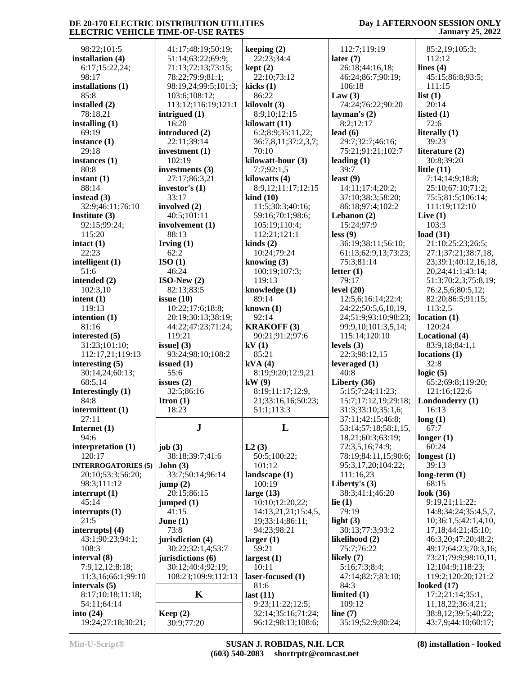### 98:22;101:5 **installation (4)** 6:17;15:22,24; 98:17 **installations (1)** 85:8 **installed (2)** 78:18,21 **installing (1)** 69:19 **instance (1)** 29:18 **instances (1)** 80:8 **instant (1)** 88:14 **instead (3)** 32:9;46:11;76:10 **Institute (3)** 92:15;99:24; 115:20 **intact (1)** 22:23 **intelligent (1)** 51:6 **intended (2)** 102:3,10 **intent (1)** 119:13 **intention (1)** 81:16 **interested (5)** 31:23;101:10; 112:17,21;119:13 **interesting (5)** 30:14,24;60:13; 68:5,14 **Interestingly (1)** 84:8 **intermittent (1)** 27:11 **Internet (1)** 94:6 **interpretation (1)** 120:17 **INTERROGATORIES (5)** 20:10;53:3;56:20; 98:3;111:12 **interrupt (1)** 45:14 **interrupts (1)** 21:5 **interrupts] (4)** 43:1;90:23;94:1; 108:3 **interval (8)** 7:9,12,12;8:18; 11:3,16;66:1;99:10 **intervals (5)** 8:17;10:18;11:18; 54:11;64:14 **into (24) job (3)**

| 41:17;48:19;50:19;                     | keeping $(2)$                   |
|----------------------------------------|---------------------------------|
| 51:14;63:22;69:9;                      | 22:23;34:4                      |
| 71:13;72:13;73:15;                     | kept(2)                         |
| 78:22;79:9;81:1;                       | 22:10;73:12                     |
| 98:19,24;99:5;101:3;                   | kicks (1)                       |
| 103:6;108:12;                          | 86:22                           |
| 113:12;116:19;121:1                    | kilovolt (3)                    |
| intrigued (1)                          | 8:9,10;12:15                    |
| 16:20                                  | kilowatt (11)                   |
| introduced (2)                         | 6:2;8:9;35:11,22;               |
| 22:11;39:14                            | 36:7,8,11;37:2,3,7;<br>70:10    |
| investment (1)<br>102:19               | kilowatt-hour (3)               |
| investments (3)                        | 7:7;92:1,5                      |
| 27:17;86:3,21                          | kilowatts (4)                   |
| investor's (1)                         | 8:9,12;11:17;12:15              |
| 33:17                                  | $\boldsymbol{\text{kind}}$ (10) |
| involved (2)                           | 11:5;30:3;40:16;                |
| 40:5;101:11                            | 59:16;70:1;98:6;                |
| involvement (1)                        | 105:19;110:4;                   |
| 88:13                                  | 112:21;121:1                    |
| Irving $(1)$                           | kinds $(2)$                     |
| 62:2                                   | 10:24;79:24                     |
| ISO(1)                                 | knowing $(3)$                   |
| 46:24                                  | 100:19;107:3;                   |
| $ISO-New(2)$                           | 119:13                          |
| 82:13;83:5                             | knowledge (1)                   |
| issue $(10)$                           | 89:14                           |
| 10:22;17:6;18:8;<br>20:19;30:13;38:19; | known $(1)$<br>92:14            |
| 44:22;47:23;71:24;                     | <b>KRAKOFF</b> (3)              |
| 119:21                                 | 90:21;91:2;97:6                 |
| issue] $(3)$                           | kV(1)                           |
| 93:24;98:10;108:2                      | 85:21                           |
| issued (1)                             | kVA(4)                          |
| 55:6                                   | 8:19;9:20;12:9,21               |
| issues $(2)$                           | kW(9)                           |
| 32:5;86:16                             | 8:19;11:17;12:9,                |
| Itron $(1)$                            | 21;33:16,16;50:23;              |
| 18:23                                  | 51:1;113:3                      |
| J                                      | L                               |
|                                        |                                 |
| job(3)                                 | L2(3)                           |
| 38:18;39:7;41:6                        | 50:5;100:22;                    |
| John(3)                                | 101:12                          |
| 33:7;50:14;96:14                       | landscape (1)                   |
| jump(2)                                | 100:19                          |
| 20:15;86:15                            | large $(13)$                    |
| jumped (1)                             | 10:10;12:20,22;                 |
| 41:15                                  | 14:13,21,21;15:4,5,             |
| June $(1)$<br>73:8                     | 19;33:14;86:11;<br>94:23;98:21  |
| jurisdiction (4)                       | larger(1)                       |
| 30:22;32:1,4;53:7                      | 59:21                           |
| jurisdictions (6)                      | largest(1)                      |
| 30:12;40:4;92:19;                      | 10:11                           |
| 108:23;109:9;112:13                    | laser-focused (1)               |
|                                        | 81:6                            |
| K                                      | last(11)                        |
|                                        | 9:23;11:22;12:5;                |
| Keep(2)                                | 32:14;35:16;71:24;              |

| keeping (2)                            | 112:7;119:19                              |                |
|----------------------------------------|-------------------------------------------|----------------|
| 22:23;34:4                             | later $(7)$                               |                |
| kept(2)                                | 26:18;44:16,18;                           | lir            |
| 22:10;73:12                            | 46:24;86:7;90:19;                         |                |
| kicks (1)<br>86:22                     | 106:18<br>Law $(3)$                       | lis            |
| kilovolt (3)                           | 74:24;76:22;90:20                         |                |
| 8:9,10;12:15                           | layman's $(2)$                            | lis            |
| kilowatt (11)                          | 8:2;12:17                                 |                |
| 6:2;8:9;35:11,22;                      | lead $(6)$                                | lit            |
| 36:7,8,11;37:2,3,7;                    | 29:7;32:7;46:16;                          |                |
| 70:10                                  | 75:21;91:21;102:7                         | lit            |
| kilowatt-hour (3)<br>7:7;92:1,5        | leading $(1)$<br>39:7                     | lit            |
| kilowatts (4)                          | least $(9)$                               |                |
| 8:9,12;11:17;12:15                     | 14:11;17:4;20:2;                          |                |
| kind (10)                              | 37:10;38:3;58:20;                         |                |
| 11:5;30:3;40:16;                       | 86:18;97:4;102:2                          |                |
| 59:16;70:1;98:6;                       | Lebanon (2)                               | Li             |
| 105:19;110:4;                          | 15:24:97:9                                | $\mathbf{lo}$  |
| 112:21;121:1<br>kinds(2)               | less(9)<br>36:19;38:11;56:10;             |                |
| 10:24;79:24                            | 61:13;62:9,13;73:23;                      |                |
| knowing (3)                            | 75:3:81:14                                |                |
| 100:19;107:3;                          | letter $(1)$                              |                |
| 119:13                                 | 79:17                                     |                |
| knowledge (1)                          | level $(20)$                              |                |
| 89:14                                  | 12:5,6;16:14;22:4;<br>24:22;50:5,6,10,19, |                |
| known (1)<br>92:14                     | 24;51:9;93:10;98:23;                      | lo             |
| <b>KRAKOFF (3)</b>                     | 99:9,10;101:3,5,14;                       |                |
| 90:21;91:2;97:6                        | 115:14;120:10                             | L              |
| kV (1)                                 | levels $(3)$                              |                |
| 85:21                                  | 22:3;98:12,15                             | lo             |
| kVA (4)                                | leveraged (1)                             |                |
| 8:19;9:20;12:9,21<br>kW(9)             | 40:8<br>Liberty (36)                      | lo             |
| 8:19;11:17;12:9,                       | 5:15;7:24;11:23;                          |                |
| 21;33:16,16;50:23;                     | 15:7;17:12,19;29:18;                      | L)             |
| 51:1;113:3                             | 31:3;33:10;35:1,6;                        |                |
|                                        | 37:11;42:15;46:8;                         | $\overline{a}$ |
| L                                      | 53:14;57:18;58:1,15,                      |                |
| L2(3)                                  | 18,21;60:3;63:19;<br>72:3,5,16;74:9;      | lo:            |
| 50:5;100:22;                           | 78:19;84:11,15;90:6;                      | lo:            |
| 101:12                                 | 95:3,17,20;104:22;                        |                |
| landscape (1)                          | 111:16,23                                 | lo:            |
| 100:19                                 | Liberty's (3)                             |                |
| large (13)                             | 38:3;41:1;46:20                           | l0             |
| 10:10;12:20,22;                        | lie $(1)$                                 |                |
| 14:13,21,21;15:4,5,<br>19;33:14;86:11; | 79:19<br>light $(3)$                      |                |
| 94:23;98:21                            | 30:13;77:3;93:2                           |                |
| larger (1)                             | likelihood (2)                            |                |
| 59:21                                  | 75:7;76:22                                |                |
| largest (1)                            | likely (7)                                |                |
| 10:11                                  | 5:16;7:3;8:4;                             |                |
| laser-focused (1)<br>81:6              | 47:14;82:7;83:10;<br>84:3                 | $\mathbf{I}$   |
| last (11)                              | limited (1)                               |                |
| 9:23;11:22;12:5;                       | 109:12                                    |                |
| 32:14:35:16:71:24                      | line $(7)$                                |                |

### **Day 1 AFTERNOON SESSION ONLY January 25, 2022**

 85:2,19;105:3; 112:12 **lines (4)** 45:15;86:8;93:5; 111:15 **list (1)** 20:14 **listed (1)** 72:6 **literally (1)** 39:23 **literature (2)** 30:8;39:20 **little (11)** 7:14;14:9;18:8; 25:10;67:10;71:2; 75:5;81:5;106:14; 111:19;112:10 **Live (1)** 103:3 **load (31)** 21:10;25:23;26:5; 27:1;37:21;38:7,18, 23;39:1;40:12,16,18, 20,24;41:1;43:14; 51:3;70:2,3;75:8,19; 76:2,5,6;80:5,12; 82:20;86:5;91:15; 113:2,5 **location (1)** 120:24 **Locational (4)** 83:9,18;84:1,1 **locations (1)** 32:8 **logic (5)** 65:2;69:8;119:20; 121:16;122:6 **Londonderry (1)** 16:13 **long (1)** 67:7 **longer (1)** 60:24 **longest (1)** 39:13 **long-term (1)** 68:15 **look (36)** 9:19,21;11:22; 14:8;34:24;35:4,5,7, 10;36:1,5;42:1,4,10, 17,18;44:21;45:10; 46:3,20;47:20;48:2; 49:17;64:23;70:3,16; 73:21;79:9;98:10,11, 12;104:9;118:23; 119:2;120:20;121:2 **looked (17)** 17:2;21:14;35:1, 11,18,22;36:4,21; 38:8,12;39:5;40:22; 43:7,9;44:10;60:17;

19:24;27:18;30:21;

30:9;77:20

96:12;98:13;108:6;

35:19;52:9;80:24;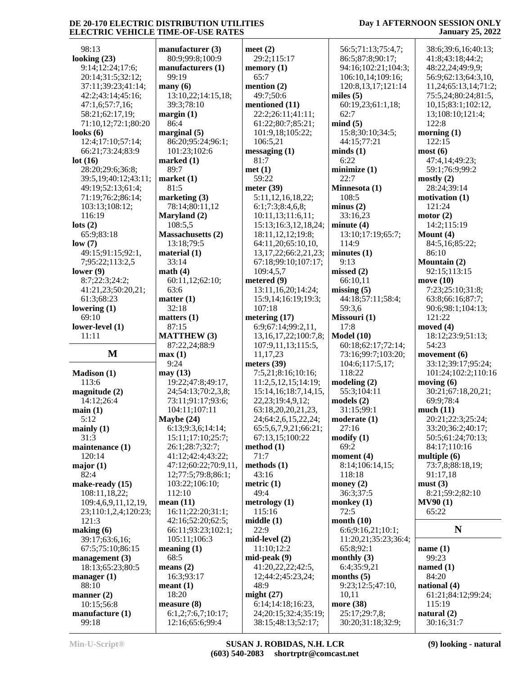#### 98:13 **looking (23)** 9:14;12:24;17:6; 20:14;31:5;32:12; 37:11;39:23;41:14; 42:2;43:14;45:16; 47:1,6;57:7,16; 58:21;62:17,19; 71:10,12;72:1;80:20 **looks (6)** 12:4;17:10;57:14; 66:21;73:24;83:9 **lot (16)** 28:20;29:6;36:8; 39:5,19;40:12;43:11; 49:19;52:13;61:4; 71:19;76:2;86:14; 103:13;108:12; 116:19 **lots (2)** 65:9;83:18 **low (7)** 49:15;91:15;92:1, 7;95:22;113:2,5 **lower (9)** 8:7;22:3;24:2; 41:21,23;50:20,21; 61:3;68:23 **lowering (1)** 69:10 **lower-level (1)** 11:11  $\mathbf{M}$  | **max** (1) **Madison (1)** 113:6 **magnitude (2)** 14:12;26:4 **main (1)** 5:12 **mainly (1)** 31:3 **maintenance (1)** 120:14 **major (1)** 82:4 **make-ready (15)** 108:11,18,22; 109:4,6,9,11,12,19, 23;110:1,2,4;120:23; 121:3 **making (6)** 39:17;63:6,16; 67:5;75:10;86:15 **management (3)** 18:13;65:23;80:5 **manager (1)** 88:10 **manner (2)** 10:15;56:8 **manufacture (1)** 99:18  $manufactu$ 80:9:99:8 manufactu 99:19 **many (6)** 13:10,22; 39:3;78:10 **margin (1)** 86:4 **marginal (5)** 86:20;95 101:23;10 **marked (1)** 89:7 **market (1)** 81:5 **marketing (3)** 78:14;80 **Maryland (2)** 108:5,5 **Massachus** 13:18:79 **material (1)** 33:14 **math (4)** 60:11,12; 63:6 **matter (1)** 32:18 **matters (1)** 87:15 **MATTHE** 87:22,24; 9:24 **may (13)** 19:22;47 24:54:13 73:11;91: 104:11;10 **Maybe (24)**  $6:13;9:3;$ 15:11:17 26:1:28:7 41:12;42: 47:12;60: 12;77:5;7 103:22;10 112:10 **mean (11)** 16:11;22 42:16:52 66:11:93 105:11;10 **meaning (1)** 68:5 **means (2)** 16:3;93:17 **meant (1)** 18:20 **measure (8)**  $6:1,2;7:6$ 12:16:65

| rer (3)                        | meet $(2)$                 |
|--------------------------------|----------------------------|
| 3;100:9                        | 29:2;115:17                |
|                                |                            |
| rers (1)                       | memory $(1)$               |
|                                | 65:7                       |
|                                |                            |
|                                | mention $(2)$              |
| ;14:15,18;                     | 49:7;50:6                  |
|                                |                            |
| $\overline{0}$                 | mentioned (11)             |
|                                | 22:2;26:11;41:11;          |
|                                |                            |
|                                | 61:22;80:7;85:21;          |
| 5)                             | 101:9,18;105:22;           |
|                                |                            |
| :24;96:1;                      | 106:5,21                   |
| 02:6                           | message(1)                 |
|                                |                            |
|                                | 81:7                       |
|                                | met(1)                     |
|                                |                            |
|                                | 59:22                      |
|                                | meter $(39)$               |
|                                |                            |
| (3)                            | 5:11,12,16,18,22;          |
| :11,12                         | 6:1;7:3;8:4,6,8;           |
|                                |                            |
| (2)                            | 10:11,13;11:6,11;          |
|                                | 15:13;16:3,12,18,24;       |
|                                |                            |
| etts(2)                        | 18:11,12,12;19:8;          |
|                                | 64:11,20;65:10,10,         |
| :5                             |                            |
| $\mathcal{E}$                  | 13, 17, 22; 66: 2, 21, 23; |
|                                |                            |
|                                | 67:18;99:10;107:17;        |
|                                | 109:4,5,7                  |
|                                | metered (9)                |
| ;62:10;                        |                            |
|                                | 13:11,16,20;14:24;         |
|                                | 15:9,14;16:19;19:3;        |
|                                |                            |
|                                | 107:18                     |
|                                | metering (17)              |
|                                |                            |
|                                | 6:9;67:14;99:2,11,         |
| W(3)                           | 13, 16, 17, 22; 100: 7, 8; |
|                                |                            |
| ;88:9                          | 107:9,11,13;115:5,         |
|                                |                            |
|                                | 11,17,23                   |
|                                | meters (39)                |
|                                |                            |
|                                | 7:5,21;8:16;10:16;         |
| :8;49:17,                      | 11:2,5,12,15;14:19;        |
| (70:2,3,8)                     | 15:14, 16:18:7, 14, 15,    |
|                                |                            |
| :17;93:6;                      | 22, 23; 19: 4, 9, 12;      |
| 07:11                          | 63:18,20,20,21,23,         |
|                                |                            |
| )                              | 24;64:2,6,15,22,24;        |
| 6;14:14;                       | 65:5,6,7,9,21;66:21;       |
|                                |                            |
| :10;25:7;                      | 67:13,15;100:22            |
| 7:32:7                         | method (1)                 |
|                                |                            |
| :4;43:22;                      | 71:7                       |
|                                | methods (1)                |
|                                |                            |
| :22;70:9,11,                   |                            |
| 9:8;86:1;                      | 43:16                      |
|                                |                            |
| 06:10;                         | metric $(1)$               |
|                                | 49:4                       |
|                                |                            |
|                                | metrology (1)              |
| :20;31:1;                      | 115:16                     |
|                                |                            |
| :20;62:5;                      | middle (1)                 |
| :23;102:1;                     | 22:9                       |
| 06:3                           | $mid-level (2)$            |
|                                |                            |
| )                              | 11:10;12:2                 |
|                                | mid-peak (9)               |
|                                |                            |
|                                | 41:20,22,22;42:5,          |
|                                | 12;44:2;45:23,24;          |
|                                |                            |
|                                | 48:9                       |
|                                | might $(27)$               |
|                                |                            |
|                                | 6:14;14:18;16:23,          |
|                                | 24;20:15;32:4;35:19;       |
| .7<br>)<br>7;10:17;<br>:6;99:4 | 38:15;48:13;52:17;         |

### **Day 1 AFTERNOON SESSION ONLY January 25, 2022**

 56:5;71:13;75:4,7; 86:5;87:8;90:17; 94:16;102:21;104:3; 106:10,14;109:16; 120:8,13,17;121:14 **miles (5)** 60:19,23;61:1,18; 62:7 **mind (5)** 15:8;30:10;34:5; 44:15;77:21 **minds (1)** 6:22 **minimize (1)** 22:7 **Minnesota (1)** 108:5 **minus (2)** 33:16,23 **minute (4)** 13:10;17:19;65:7; 114:9 **minutes (1)** 9:13 **missed (2)** 66:10,11 **missing (5)** 44:18;57:11;58:4; 59:3,6 **Missouri (1)** 17:8 **Model (10)** 60:18;62:17;72:14; 73:16;99:7;103:20; 104:6;117:5,17; 118:22 **modeling (2)** 55:3;104:11 **models (2)** 31:15;99:1 **moderate (1)** 27:16 **modify (1)** 69:2 **moment (4)** 8:14;106:14,15; 118:18 **money (2)** 36:3;37:5 **monkey (1)** 72:5 **month (10)** 6:6;9:16,21;10:1; 11:20,21;35:23;36:4; 65:8;92:1 **monthly (3)** 6:4;35:9,21 **months (5)** 9:23;12:5;47:10, 10,11 **more (38)** 25:17;29:7,8; 30:20;31:18;32:9; 30:16;31:7

 38:6;39:6,16;40:13; 41:8;43:18;44:2; 48:22,24;49:9,9; 56:9;62:13;64:3,10, 11,24;65:13,14;71:2; 75:5,24;80:24;81:5, 10,15;83:1;102:12, 13;108:10;121:4; 122:8 **morning (1)** 122:15 **most (6)** 47:4,14;49:23; 59:1;76:9;99:2 **mostly (2)** 28:24;39:14 **motivation (1)** 121:24 **motor (2)** 14:2;115:19 **Mount (4)** 84:5,16;85:22; 86:10 **Mountain (2)** 92:15;113:15 **move (10)** 7:23;25:10;31:8; 63:8;66:16;87:7; 90:6;98:1;104:13; 121:22 **moved (4)** 18:12;23:9;51:13; 54:23 **movement (6)** 33:12;39:17;95:24; 101:24;102:2;110:16 **moving (6)** 30:21;67:18,20,21; 69:9;78:4 **much (11)** 20:21;22:3;25:24; 33:20;36:2;40:17; 50:5;61:24;70:13; 84:17;110:16 **multiple (6)** 73:7,8;88:18,19; 91:17,18 **must (3)** 8:21;59:2;82:10 **MV90 (1)** 65:22 **N name (1)** 99:23 **named (1)** 84:20 **national (4)** 61:21;84:12;99:24; 115:19 **natural (2)**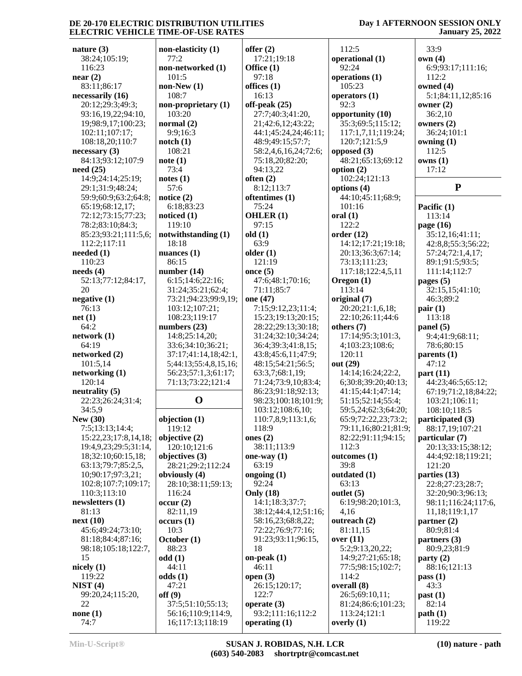### **Day 1 AFTERNOON SESSION ONLY January 25, 2022**

| nature $(3)$             | non-elasticity (1)    | offer $(2)$          | 112:5                | 33:9                 |
|--------------------------|-----------------------|----------------------|----------------------|----------------------|
| 38:24;105:19;            | 77:2                  | 17:21;19:18          | operational (1)      | own(4)               |
|                          |                       |                      |                      |                      |
| 116:23                   | non-networked (1)     | Office (1)           | 92:24                | 6:9;93:17;111:16;    |
| near $(2)$               | 101:5                 | 97:18                | operations (1)       | 112:2                |
| 83:11;86:17              | $non-New(1)$          | offices $(1)$        | 105:23               | owned (4)            |
| necessarily (16)         | 108:7                 | 16:13                | operators $(1)$      | 5:1;84:11,12;85:16   |
| 20:12;29:3;49:3;         | non-proprietary (1)   | off-peak (25)        | 92:3                 | owner $(2)$          |
| 93:16,19,22;94:10,       | 103:20                | 27:7;40:3;41:20,     | opportunity (10)     | 36:2,10              |
| 19;98:9,17;100:23;       | normal $(2)$          | 21;42:6,12;43:22;    | 35:3:69:5:115:12:    | owners $(2)$         |
| 102:11;107:17;           | 9:9;16:3              | 44:1;45:24,24;46:11; | 117:1,7,11;119:24;   | 36:24;101:1          |
| 108:18,20;110:7          | notch(1)              | 48:9;49:15:57:7;     | 120:7;121:5,9        | owning $(1)$         |
|                          |                       |                      |                      |                      |
| necessary(3)             | 108:21                | 58:2,4,6,16,24;72:6; | opposed (3)          | 112:5                |
| 84:13;93:12;107:9        | note(1)               | 75:18,20;82:20;      | 48:21;65:13;69:12    | owns(1)              |
| need(25)                 | 73:4                  | 94:13,22             | option $(2)$         | 17:12                |
| 14:9;24:14;25:19;        | notes(1)              | often $(2)$          | 102:24;121:13        |                      |
| 29:1;31:9;48:24;         | 57:6                  | 8:12;113:7           | options (4)          | ${\bf P}$            |
| 59:9;60:9;63:2;64:8;     | notice $(2)$          | oftentimes (1)       | 44:10;45:11;68:9;    |                      |
| 65:19;68:12,17;          | 6:18;83:23            | 75:24                | 101:16               | Pacific (1)          |
| 72:12;73:15;77:23;       | noticed $(1)$         | OHLER $(1)$          | oral(1)              | 113:14               |
| 78:2;83:10;84:3;         | 119:10                | 97:15                | 122:2                | page (16)            |
| 85:23;93:21;111:5,6;     | notwithstanding (1)   | old(1)               | order(12)            | 35:12,16;41:11;      |
| 112:2;117:11             | 18:18                 | 63:9                 | 14:12;17:21;19:18;   | 42:8,8;55:3;56:22;   |
|                          |                       | older $(1)$          | 20:13;36:3;67:14;    |                      |
| needed $(1)$             | nuances $(1)$         |                      |                      | 57:24;72:1,4,17;     |
| 110:23                   | 86:15                 | 121:19               | 73:13;111:23;        | 89:1;91:5;93:5;      |
| needs(4)                 | number $(14)$         | once $(5)$           | 117:18;122:4,5,11    | 111:14;112:7         |
| 52:13;77:12;84:17,       | 6:15;14:6;22:16;      | 47:6;48:1;70:16;     | Oregon $(1)$         | pages $(5)$          |
| 20                       | 31:24;35:21;62:4;     | 71:11;85:7           | 113:14               | 32:15,15;41:10;      |
| negative (1)             | 73:21;94:23;99:9,19;  | one (47)             | original (7)         | 46:3;89:2            |
| 76:13                    | 103:12;107:21;        | 7:15;9:12,23;11:4;   | 20:20;21:1,6,18;     | pair(1)              |
| net(1)                   | 108:23;119:17         | 15:23;19:13;20:15;   | 22:10;26:11;44:6     | 113:18               |
| 64:2                     | numbers $(23)$        | 28:22;29:13;30:18;   | others $(7)$         | panel $(5)$          |
| network (1)              | 14:8;25:14,20;        | 31:24;32:10;34:24;   | 17:14;95:3;101:3,    | 9:4;41:9;68:11;      |
| 64:19                    | 33:6;34:10;36:21;     | 36:4;39:3;41:8,15;   | 4;103:23;108:6;      | 78:6;80:15           |
| networked (2)            | 37:17;41:14,18;42:1,  | 43:8;45:6,11;47:9;   | 120:11               | parents (1)          |
| 101:5,14                 |                       |                      |                      |                      |
|                          | 5;44:13;55:4,8,15,16; | 48:15;54:21;56:5;    | out (29)             | 47:12                |
| networking(1)            | 56:23;57:1,3;61:17;   | 63:3,7;68:1,19;      | 14:14;16:24;22:2,    | part $(11)$          |
| 120:14                   | 71:13;73:22;121:4     | 71:24;73:9,10;83:4;  | 6;30:8;39:20;40:13;  | 44:23;46:5;65:12;    |
| neutrality (5)           |                       | 86:23;91:18;92:13;   | 41:15;44:1;47:14;    | 67:19;71:2,18;84:22; |
| 22:23;26:24;31:4;        | $\mathbf 0$           | 98:23;100:18;101:9;  | 51:15:52:14:55:4;    | 103:21;106:11;       |
| 34:5,9                   |                       | 103:12;108:6,10;     | 59:5,24;62:3;64:20;  | 108:10;118:5         |
| <b>New (30)</b>          | objection (1)         | 110:7,8,9;113:1,6;   | 65:9;72:22,23;73:2;  | participated (3)     |
| 7:5;13:13;14:4;          | 119:12                | 118:9                | 79:11,16;80:21;81:9; | 88:17,19;107:21      |
| 15:22, 23; 17:8, 14, 18; | objective (2)         | ones $(2)$           | 82:22;91:11;94:15;   | particular (7)       |
| 19:4,9,23;29:5;31:14,    | 120:10;121:6          | 38:11;113:9          | 112:3                | 20:13;33:15;38:12;   |
| 18;32:10;60:15,18;       | objectives (3)        | one-way $(1)$        | outcomes(1)          | 44:4;92:18;119:21;   |
| 63:13;79:7;85:2,5,       | 28:21;29:2;112:24     | 63:19                | 39:8                 | 121:20               |
| 10;90:17;97:3,21;        | obviously (4)         |                      | outdated (1)         | parties (13)         |
|                          |                       | ongoing $(1)$        |                      |                      |
| 102:8;107:7;109:17;      | 28:10;38:11;59:13;    | 92:24                | 63:13                | 22:8;27:23;28:7;     |
| 110:3;113:10             | 116:24                | <b>Only</b> (18)     | outlet $(5)$         | 32:20;90:3;96:13;    |
| newsletters $(1)$        | occur(2)              | 14:1;18:3;37:7;      | 6:19;98:20;101:3,    | 98:11;116:24;117:6,  |
| 81:13                    | 82:11,19              | 38:12;44:4,12;51:16; | 4,16                 | 11,18;119:1,17       |
| next(10)                 | occurs(1)             | 58:16,23;68:8,22;    | outreach (2)         | partner $(2)$        |
| 45:6;49:24;73:10;        | 10:3                  | 72:22;76:9;77:16;    | 81:11,15             | 80:9;81:4            |
| 81:18;84:4;87:16;        | October (1)           | 91:23;93:11;96:15,   | over $(11)$          | partners (3)         |
| 98:18;105:18;122:7,      | 88:23                 | 18                   | 5:2;9:13,20,22;      | 80:9,23;81:9         |
| 15                       | odd(1)                | on-peak $(1)$        | 14:9;27:21;65:18;    | party(2)             |
| nicely $(1)$             | 44:11                 | 46:11                | 77:5;98:15;102:7;    | 88:16;121:13         |
| 119:22                   | odds(1)               | open $(3)$           | 114:2                | pass $(1)$           |
| NIST(4)                  | 47:21                 | 26:15;120:17;        | overall (8)          | 43:3                 |
|                          |                       |                      |                      |                      |
| 99:20,24;115:20,         | off(9)                | 122:7                | 26:5;69:10,11;       | past(1)              |
| 22                       | 37:5;51:10;55:13;     | operate $(3)$        | 81:24;86:6;101:23;   | 82:14                |
| none $(1)$               | 56:16;110:9;114:9,    | 93:2;111:16;112:2    | 113:24;121:1         | path(1)              |
| 74:7                     | 16;117:13;118:19      | operating $(1)$      | overly $(1)$         | 119:22               |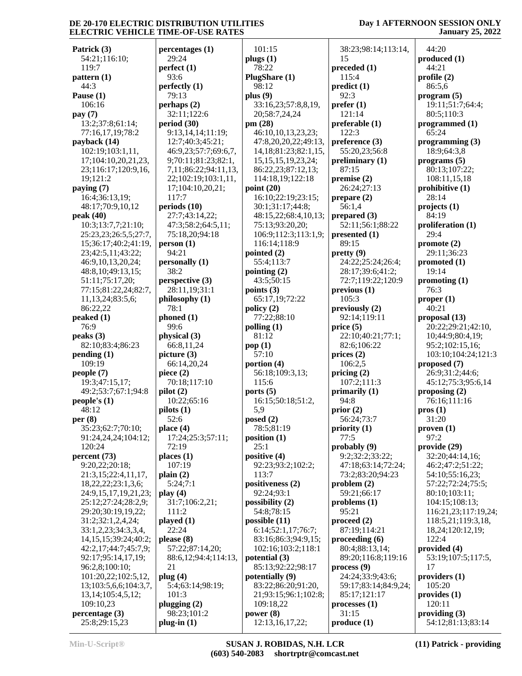### **Day 1 AFTERNOON SESSION ONLY January 25, 2022**

**Patrick (3)** 54:21;116:10; 119:7 **pattern (1)** 44:3 **Pause (1)** 106:16 **pay (7)** 13:2;37:8;61:14; 77:16,17,19;78:2 **payback (14)** 102:19;103:1,11, 17;104:10,20,21,23, 23;116:17;120:9,16, 19;121:2 **paying (7)** 16:4;36:13,19; 48:17;70:9,10,12 **peak (40)** 10:3;13:7,7;21:10; 25:23,23;26:5,5;27:7, 15;36:17;40:2;41:19, 23;42:5,11;43:22; 46:9,10,13,20,24; 48:8,10;49:13,15; 51:11;75:17,20; 77:15;81:22,24;82:7, 11,13,24;83:5,6; 86:22,22 **peaked (1)** 76:9 **peaks (3)** 82:10;83:4;86:23 **pending (1)** 109:19 **people (7)** 19:3;47:15,17; 49:2;53:7;67:1;94:8 **people's (1)** 48:12 **per (8)** 35:23;62:7;70:10; 91:24,24,24;104:12; 120:24 **percent (73)** 9:20,22;20:18; 21:3,15;22:4,11,17, 18,22,22;23:1,3,6; 24:9,15,17,19,21,23; 25:12;27:24;28:2,9; 29:20;30:19,19,22; 31:2;32:1,2,4,24; 33:1,2,23;34:3,3,4, 14,15,15;39:24;40:2; 42:2,17;44:7;45:7,9; 92:17;95:14,17,19; 96:2,8;100:10; 101:20,22;102:5,12, 13;103:5,6,6;104:3,7, 13,14;105:4,5,12; 109:10,23 **percentage (3)** 25:8;29:15,23

**percentages (1)** 29:24 **perfect (1)** 93:6 **perfectly (1)** 79:13 **perhaps (2)** 32:11;122:6 **period (30)** 9:13,14,14;11:19; 12:7;40:3;45:21; 46:9,23;57:7;69:6,7, 9;70:11;81:23;82:1, 7,11;86:22;94:11,13, 22;102:19;103:1,11, 17;104:10,20,21; 117:7 **periods (10)** 27:7;43:14,22; 47:3;58:2;64:5,11; 75:18,20;94:18 **person (1)** 94:21 **personally (1)** 38:2 **perspective (3)** 28:11,19;31:1 **philosophy (1)** 78:1 **phoned (1)** 99:6 **physical (3)** 66:8,11,24 **picture (3)** 66:14,20,24 **piece (2)** 70:18;117:10 **pilot (2)** 10:22;65:16 **pilots (1)** 52:6 **place (4)** 17:24;25:3;57:11; 72:19 **places (1)** 107:19 **plain (2)** 5:24;7:1 **play (4)** 31:7;106:2,21; 111:2 **played (1)** 22:24 **please (8)** 57:22;87:14,20; 88:6,12;94:4;114:13, 21 **plug (4)** 5:4;63:14;98:19; 101:3 **plugging (2)** 98:23;101:2 **plug-in (1)** 101:15 **plugs (1)** 78:22 **PlugShare (1)** 98:12 **plus (9) pm (28) point (20) pointed (2) pointing (2) points (3) policy (2) polling (1)** 81:12 **pop (1)** 57:10 **portion (4)** 115:6 **ports (5)** 5,9 **posed (2) position (1)**  $25:1$ **positive (4)** 113:7 **possibility (2) possible (11) potential (3) potentially (9) power (8)**

 33:16,23;57:8,8,19, 20;58:7,24,24 46:10,10,13,23,23; 47:8,20,20,22;49:13, 14,18;81:23;82:1,15, 15,15,15,19,23,24; 86:22,23;87:12,13; 114:18,19;122:18 16:10;22:19;23:15; 30:1;31:17;44:8; 48:15,22;68:4,10,13; 75:13;93:20,20; 106:9;112:3;113:1,9; 116:14;118:9 55:4;113:7 43:5;50:15 65:17,19;72:22 77:22;88:10 56:18;109:3,13; 16:15;50:18;51:2, 78:5;81:19 92:23;93:2;102:2; **positiveness (2)** 92:24;93:1 54:8;78:15 6:14;52:1,17;76:7; 83:16;86:3;94:9,15; 102:16;103:2;118:1 85:13;92:22;98:17 83:22;86:20;91:20, 21;93:15;96:1;102:8; 109:18,22 12:13,16,17,22;

 38:23;98:14;113:14, 15 **preceded (1)** 115:4 **predict (1)** 92:3 **prefer (1)** 121:14 **preferable (1)** 122:3 **preference (3)** 55:20,23;56:8 **preliminary (1)** 87:15 **premise (2)** 26:24;27:13 **prepare (2)** 56:1,4 **prepared (3)** 52:11;56:1;88:22 **presented (1)** 89:15 **pretty (9)** 24:22;25:24;26:4; 28:17;39:6;41:2; 72:7;119:22;120:9 **previous (1)**  $105.3$ **previously (2)** 92:14;119:11 **price (5)** 22:10;40:21;77:1; 82:6;106:22 **prices (2)** 106:2,5 **pricing (2)** 107:2;111:3 **primarily (1)** 94:8 **prior (2)** 56:24;73:7 **priority (1)** 77:5 **probably (9)** 9:2;32:2;33:22; 47:18;63:14;72:24; 73:2;83:20;94:23 **problem (2)** 59:21;66:17 **problems (1)** 95:21 **proceed (2)** 87:19;114:21 **proceeding (6)** 80:4;88:13,14; 89:20;116:8;119:16 **process (9)** 24:24;33:9;43:6; 59:17;83:14;84:9,24; 85:17;121:17 **processes (1)** 31:15 **produce (1)**

 44:20 **produced (1)** 44:21 **profile (2)** 86:5,6 **program (5)** 19:11;51:7;64:4; 80:5;110:3 **programmed (1)** 65:24 **programming (3)** 18:9;64:3,8 **programs (5)** 80:13;107:22; 108:11,15,18 **prohibitive (1)** 28:14 **projects (1)** 84:19 **proliferation (1)** 29:4 **promote (2)** 29:11;36:23 **promoted (1)** 19:14 **promoting (1)** 76:3 **proper (1)** 40:21 **proposal (13)** 20:22;29:21;42:10, 10;44:9;80:4,19; 95:2;102:15,16; 103:10;104:24;121:3 **proposed (7)** 26:9;31:2;44:6; 45:12;75:3;95:6,14 **proposing (2)** 76:16;111:16 **pros (1)** 31:20 **proven (1)** 97:2 **provide (29)** 32:20;44:14,16; 46:2;47:2;51:22; 54:10;55:16,23; 57:22;72:24;75:5; 80:10;103:11; 104:15;108:13; 116:21,23;117:19,24; 118:5,21;119:3,18, 18,24;120:12,19; 122:4 **provided (4)** 53:19;107:5;117:5, 17 **providers (1)** 105:20 **provides (1)** 120:11 **providing (3)** 54:12;81:13;83:14

**Min-U-Script® SUSAN J. ROBIDAS, N.H. LCR (603) 540-2083 shortrptr@comcast.net** **(11) Patrick - providing**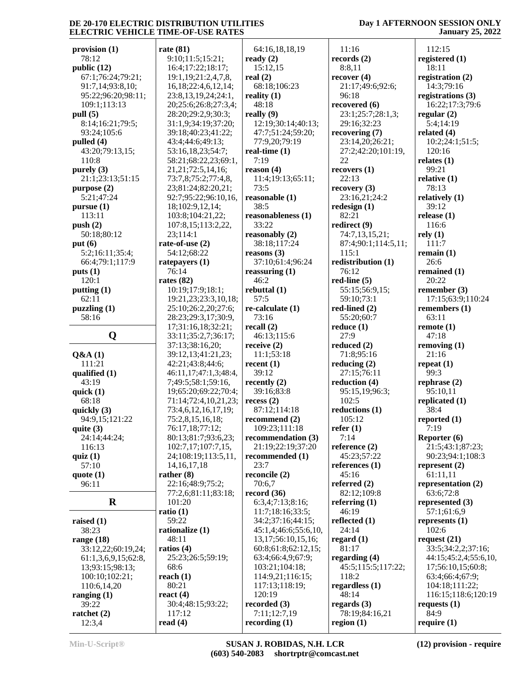### **Day 1 AFTERNOON SESSION ONLY January 25, 2022**

| provision (1)       | rate $(81)$                                                                                                                                                                                                                     |
|---------------------|---------------------------------------------------------------------------------------------------------------------------------------------------------------------------------------------------------------------------------|
| 78:12               | 9:10;11:5;15:21;                                                                                                                                                                                                                |
| public (12)         | 16:4;17:22;18:17;                                                                                                                                                                                                               |
| 67:1;76:24;79:21;   | 19:1, 19:21:2, 4, 7, 8                                                                                                                                                                                                          |
| 91:7,14;93:8,10;    | 16, 18; 22: 4, 6, 12, 14                                                                                                                                                                                                        |
|                     |                                                                                                                                                                                                                                 |
| 95:22;96:20;98:11;  | 23:8,13,19,24;24:                                                                                                                                                                                                               |
| 109:1;113:13        | 20;25:6;26:8;27:3                                                                                                                                                                                                               |
| pull (5)            | 28:20;29:2,9;30:3                                                                                                                                                                                                               |
| 8:14;16:21;79:5;    | 31:1,9;34:19;37:2                                                                                                                                                                                                               |
| 93:24;105:6         | 39:18;40:23;41:22                                                                                                                                                                                                               |
|                     |                                                                                                                                                                                                                                 |
| pulled (4)          | 43:4;44:6;49:13;                                                                                                                                                                                                                |
| 43:20;79:13,15;     | 53:16,18,23;54:7;                                                                                                                                                                                                               |
| 110:8               | 58:21;68:22,23;69                                                                                                                                                                                                               |
| purely (3)          | 21, 21; 72: 5, 14, 16;                                                                                                                                                                                                          |
| 21:1;23:13;51:15    | 73:7,8;75:2;77:4,8                                                                                                                                                                                                              |
|                     | 23;81:24;82:20,21                                                                                                                                                                                                               |
| purpose (2)         |                                                                                                                                                                                                                                 |
| 5:21;47:24          | 92:7;95:22;96:10,                                                                                                                                                                                                               |
| pursue(1)           | 18;102:9,12,14;                                                                                                                                                                                                                 |
| 113:11              | 103:8;104:21,22;                                                                                                                                                                                                                |
| push(2)             | 107:8,15;113:2,22                                                                                                                                                                                                               |
|                     |                                                                                                                                                                                                                                 |
| 50:18;80:12         | 23;114:1                                                                                                                                                                                                                        |
| put $(6)$           | rate-of-use $(2)$                                                                                                                                                                                                               |
| 5:2;16:11;35:4;     | 54:12;68:22                                                                                                                                                                                                                     |
| 66:4;79:1;117:9     | ratepayers (1)                                                                                                                                                                                                                  |
| puts(1)             | 76:14                                                                                                                                                                                                                           |
| 120:1               |                                                                                                                                                                                                                                 |
|                     | rates $(82)$                                                                                                                                                                                                                    |
| putting (1)         | 10:19;17:9;18:1;                                                                                                                                                                                                                |
| 62:11               | 19:21,23;23:3,10,                                                                                                                                                                                                               |
| puzzling (1)        | 25:10;26:2,20;27:                                                                                                                                                                                                               |
| 58:16               | 28:23;29:3,17;30:                                                                                                                                                                                                               |
|                     | 17;31:16,18;32:21                                                                                                                                                                                                               |
|                     |                                                                                                                                                                                                                                 |
| Q                   | 33:11;35:2,7;36:1                                                                                                                                                                                                               |
|                     |                                                                                                                                                                                                                                 |
|                     | 37:13;38:16,20;                                                                                                                                                                                                                 |
|                     |                                                                                                                                                                                                                                 |
| Q&A(1)              |                                                                                                                                                                                                                                 |
| 111:21              | 42:21;43:8;44:6;                                                                                                                                                                                                                |
| qualified (1)       |                                                                                                                                                                                                                                 |
| 43:19               |                                                                                                                                                                                                                                 |
| quick $(1)$         |                                                                                                                                                                                                                                 |
| 68:18               |                                                                                                                                                                                                                                 |
|                     |                                                                                                                                                                                                                                 |
| quickly (3)         |                                                                                                                                                                                                                                 |
| 94:9,15;121:22      |                                                                                                                                                                                                                                 |
| quite (3)           | 76:17,18;77:12;                                                                                                                                                                                                                 |
| 24:14;44:24;        |                                                                                                                                                                                                                                 |
| 116:13              |                                                                                                                                                                                                                                 |
| quiz $(1)$          |                                                                                                                                                                                                                                 |
|                     |                                                                                                                                                                                                                                 |
| 57:10               | 14, 16, 17, 18                                                                                                                                                                                                                  |
| quote $(1)$         | 39:12,13;41:21,23<br>46:11,17;47:1,3;48<br>7;49:5;58:1;59:16<br>19;65:20;69:22;70<br>71:14;72:4,10,21,<br>73:4,6,12,16,17,19<br>75:2,8,15,16,18;<br>80:13;81:7;93:6,2<br>102:7,17;107:7,15<br>24;108:19;113:5,1<br>rather $(8)$ |
| 96:11               | 22:16;48:9;75:2;                                                                                                                                                                                                                |
|                     |                                                                                                                                                                                                                                 |
| R                   | 77:2,6;81:11;83:1<br>101:20                                                                                                                                                                                                     |
|                     | ratio $(1)$                                                                                                                                                                                                                     |
|                     | 59:22                                                                                                                                                                                                                           |
| raised $(1)$        |                                                                                                                                                                                                                                 |
| 38:23               | rationalize (1)                                                                                                                                                                                                                 |
| range $(18)$        | 48:11                                                                                                                                                                                                                           |
| 33:12,22;60:19,24;  | ratios $(4)$                                                                                                                                                                                                                    |
| 61:1,3,6,9,15;62:8, |                                                                                                                                                                                                                                 |
| 13;93:15;98:13;     | 68:6                                                                                                                                                                                                                            |
|                     | 25:23;26:5;59:19;                                                                                                                                                                                                               |
| 100:10;102:21;      | reach $(1)$                                                                                                                                                                                                                     |
| 110:6,14,20         | 80:21                                                                                                                                                                                                                           |
| ranging $(1)$       | react $(4)$                                                                                                                                                                                                                     |
| 39:22               | 30:4;48:15;93:22;                                                                                                                                                                                                               |
| ratchet (2)         | 117:12                                                                                                                                                                                                                          |

| rate (81)                 | 64:16,18,18,19            | 11:16               |
|---------------------------|---------------------------|---------------------|
| 9:10;11:5;15:21;          | ready $(2)$               | records (2)         |
| 16:4;17:22;18:17;         |                           |                     |
|                           | 15:12,15                  | 8:8,11              |
| 19:1, 19:21:2, 4, 7, 8,   | real $(2)$                | recover(4)          |
| 16, 18; 22: 4, 6, 12, 14; | 68:18;106:23              | 21:17;49:6;92:6;    |
| 23:8,13,19,24;24:1,       | reality $(1)$             | 96:18               |
| 20;25:6;26:8;27:3,4;      | 48:18                     | recovered $(6)$     |
| 28:20;29:2,9;30:3;        | really (9)                | 23:1;25:7;28:1,3;   |
| 31:1,9;34:19;37:20;       | 12:19;30:14;40:13;        | 29:16;32:23         |
| 39:18;40:23;41:22;        | 47:7;51:24;59:20;         | recovering (7)      |
| 43:4;44:6;49:13;          | 77:9,20;79:19             | 23:14,20;26:21;     |
| 53:16,18,23;54:7;         | real-time $(1)$           | 27:2;42:20;101:19,  |
| 58:21;68:22,23;69:1,      | 7:19                      |                     |
|                           |                           | 22                  |
| 21, 21; 72: 5, 14, 16;    | reason $(4)$              | recovery (1)        |
| 73:7,8;75:2;77:4,8,       | 11:4;19:13;65:11;         | 22:13               |
| 23;81:24;82:20,21;        | 73:5                      | recovery(3)         |
| 92:7;95:22;96:10,16,      | reasonable (1)            | 23:16,21;24:2       |
| 18;102:9,12,14;           | 38:5                      | redesign $(1)$      |
| 103:8;104:21,22;          | reasonableness (1)        | 82:21               |
| 107:8,15;113:2,22,        | 33:22                     | redirect (9)        |
| 23;114:1                  | reasonably (2)            | 74:7,13,15,21;      |
| rate-of-use (2)           | 38:18;117:24              | 87:4;90:1;114:5,11; |
| 54:12;68:22               | reasons $(3)$             | 115:1               |
|                           |                           |                     |
| ratepayers (1)            | 37:10;61:4;96:24          | redistribution (1)  |
| 76:14                     | reassuring $(1)$          | 76:12               |
| rates (82)                | 46:2                      | red-line $(5)$      |
| 10:19;17:9;18:1;          | rebuttal $(1)$            | 55:15;56:9,15;      |
| 19:21,23;23:3,10,18;      | 57:5                      | 59:10;73:1          |
| 25:10;26:2,20;27:6;       | $re\text{-}calculate (1)$ | red-lined $(2)$     |
| 28:23;29:3,17;30:9,       | 73:16                     | 55:20;60:7          |
| 17;31:16,18;32:21;        | recall $(2)$              | reduce $(1)$        |
| 33:11;35:2,7;36:17;       | 46:13;115:6               | 27:9                |
| 37:13;38:16,20;           | receive $(2)$             | reduced (2)         |
| 39:12,13;41:21,23;        | 11:1;53:18                | 71:8;95:16          |
| 42:21;43:8;44:6;          | recent (1)                | reducing $(2)$      |
| 46:11,17;47:1,3;48:4,     |                           |                     |
|                           | 39:12                     | 27:15;76:11         |
| 7;49:5;58:1;59:16,        | recently $(2)$            | reduction (4)       |
| 19;65:20;69:22;70:4;      | 39:16;83:8                | 95:15,19;96:3;      |
| 71:14;72:4,10,21,23;      | recess(2)                 | 102:5               |
| 73:4,6,12,16,17,19;       | 87:12;114:18              | reductions (1)      |
| 75:2,8,15,16,18;          | recommend $(2)$           | 105:12              |
| 76:17,18;77:12;           | 109:23;111:18             | refer $(1)$         |
| 80:13;81:7;93:6,23;       | recommendation (3)        | 7:14                |
| 102:7,17;107:7,15,        | 21:19;22:19;37:20         | reference $(2)$     |
| 24;108:19;113:5,11,       | recommended (1)           | 45:23;57:22         |
| 14, 16, 17, 18            | 23:7                      | references $(1)$    |
| rather (8)                | reconcile (2)             | 45:16               |
| 22:16;48:9;75:2;          | 70:6,7                    | referred $(2)$      |
| 77:2,6;81:11;83:18;       | record(36)                | 82:12;109:8         |
|                           |                           |                     |
| 101:20                    | 6:3,4;7:13;8:16;          | referring $(1)$     |
| ratio (1)                 | 11:7;18:16;33:5;          | 46:19               |
| 59:22                     | 34:2;37:16;44:15;         | reflected (1)       |
| rationalize (1)           | 45:1,4;46:6;55:6,10,      | 24:14               |
| 48:11                     | 13, 17; 56: 10, 15, 16;   | regard $(1)$        |
| ratios (4)                | 60:8;61:8;62:12,15;       | 81:17               |
| 25:23;26:5;59:19;         | 63:4;66:4,9;67:9;         | regarding $(4)$     |
| 68:6                      | 103:21;104:18;            | 45:5;115:5;117:22;  |
| reach (1)                 | 114:9,21;116:15;          | 118:2               |
| 80:21                     | 117:13;118:19;            | regardless $(1)$    |
| react (4)                 | 120:19                    | 48:14               |
| 30:4;48:15;93:22;         | recorded $(3)$            | regards $(3)$       |
|                           |                           |                     |
| 117:12                    | 7:11;12:7,19              | 78:19;84:16,21      |
| read (4)                  | recording $(1)$           | region $(1)$        |

 112:15 **registered (1)** 18:11 **registration (2)** 14:3;79:16 **registrations (3)** 16:22;17:3;79:6 **regular (2)** 5:4;14:19 **related (4)** 10:2;24:1;51:5; 120:16 **relates (1)** 99:21 **relative (1)** 78:13 **relatively (1)** 39:12 **release (1)** 116:6 **rely (1)** 111:7 **remain (1)** 26:6 **remained (1)** 20:22 **remember (3)** 17:15;63:9;110:24 **remembers (1)** 63:11 **remote (1)** 47:18 **removing (1)** 21:16 **repeat (1)** 99:3 **rephrase (2)** 95:10,11 **replicated (1)** 38:4 **reported (1)** 7:19 **Reporter (6)** 21:5;43:1;87:23; 90:23;94:1;108:3 **represent (2)** 61:11,11 **representation (2)** 63:6;72:8 **represented (3)** 57:1;61:6,9 **represents (1)** 102:6 **request (21)** 33:5;34:2,2;37:16; 44:15;45:2,4;55:6,10, 17;56:10,15;60:8; 63:4;66:4;67:9; 104:18;111:22; 116:15;118:6;120:19 **requests (1)** 84:9 **require (1)**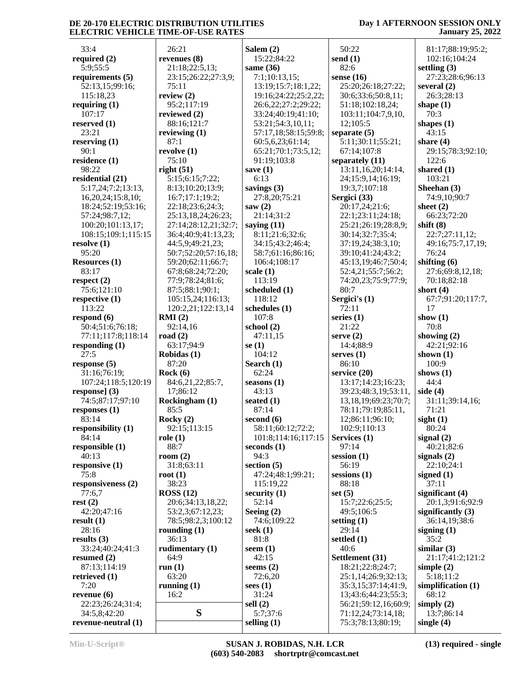## **Day 1 AFTERNOON SESSION ONLY January 25, 2022**

| 33:4                 | 26:21                | Salem $(2)$          | 50:22                      | 81:17;88:19;95:2;    |
|----------------------|----------------------|----------------------|----------------------------|----------------------|
| required $(2)$       | revenues $(8)$       | 15:22;84:22          | send $(1)$                 | 102:16;104:24        |
|                      |                      |                      | 82:6                       | settling $(3)$       |
| 5:9;55:5             | 21:18;22:5,13;       | same $(36)$          |                            |                      |
| requirements $(5)$   | 23:15;26:22;27:3,9;  | 7:1;10:13,15;        | sense $(16)$               | 27:23;28:6;96:13     |
| 52:13,15;99:16;      | 75:11                | 13:19;15:7;18:1,22;  | 25:20;26:18;27:22;         | several $(2)$        |
| 115:18,23            | review $(2)$         | 19:16;24:22;25:2,22; | 30:6;33:6;50:8,11;         | 26:3;28:13           |
| requiring $(1)$      | 95:2;117:19          | 26:6,22;27:2;29:22;  | 51:18;102:18,24;           | shape $(1)$          |
| 107:17               | reviewed (2)         | 33:24;40:19;41:10;   | 103:11;104:7,9,10,         | 70:3                 |
| reserved $(1)$       | 88:16;121:7          | 53:21;54:3,10,11;    | 12;105:5                   | shapes $(1)$         |
| 23:21                | reviewing $(1)$      | 57:17,18;58:15;59:8; | separate $(5)$             | 43:15                |
| reserving $(1)$      | 87:1                 | 60:5,6,23;61:14;     | 5:11;30:11;55:21;          | share $(4)$          |
| 90:1                 | revolve $(1)$        | 65:21;70:1;73:5,12;  | 67:14;107:8                | 29:15;78:3;92:10;    |
| residence (1)        | 75:10                | 91:19;103:8          | separately (11)            | 122:6                |
| 98:22                | right $(51)$         | save $(1)$           | 13:11,16,20;14:14,         | shared $(1)$         |
| residential (21)     | 5:15;6:15;7:22;      | 6:13                 | 24;15:9,14;16:19;          | 103:21               |
| 5:17,24;7:2;13:13,   | 8:13;10:20;13:9;     | savings (3)          | 19:3,7;107:18              | Sheehan (3)          |
| 16,20,24;15:8,10;    | 16:7;17:1;19:2;      | 27:8,20;75:21        | Sergici (33)               | 74:9,10;90:7         |
| 18:24;52:19;53:16;   | 22:18;23:6;24:3;     | saw $(2)$            | 20:17,24;21:6;             | sheet $(2)$          |
| 57:24;98:7,12;       | 25:13,18,24;26:23;   | 21:14;31:2           | 22:1;23:11;24:18;          | 66:23;72:20          |
| 100:20;101:13,17;    | 27:14;28:12,21;32:7; | saying $(11)$        | 25:21;26:19;28:8,9;        | shift $(8)$          |
| 108:15;109:1;115:15  | 36:4;40:9;41:13,23;  | 8:11;21:6;32:6;      | 30:14;32:7;35:4;           | 22:7;27:11,12;       |
| resolve $(1)$        | 44:5,9;49:21,23;     | 34:15;43:2;46:4;     | 37:19,24;38:3,10;          | 49:16;75:7,17,19;    |
| 95:20                | 50:7;52:20;57:16,18; | 58:7;61:16;86:16;    | 39:10;41:24;43:2;          | 76:24                |
| <b>Resources</b> (1) | 59:20;62:11;66:7;    | 106:4;108:17         | 45:13,19;46:7;50:4;        | shifting $(6)$       |
| 83:17                | 67:8;68:24;72:20;    | scale $(1)$          | 52:4,21;55:7;56:2;         | 27:6;69:8,12,18;     |
| respect $(2)$        | 77:9;78:24;81:6;     | 113:19               | 74:20,23;75:9;77:9;        | 70:18;82:18          |
| 75:6;121:10          | 87:5;88:1;90:1;      | scheduled (1)        | 80:7                       | short $(4)$          |
| respective $(1)$     | 105:15,24;116:13;    | 118:12               | Sergici's $(1)$            | 67:7;91:20;117:7,    |
| 113:22               | 120:2,21;122:13,14   | schedules (1)        | 72:11                      | 17                   |
| respond $(6)$        | RMI(2)               | 107:8                | series $(1)$               | show $(1)$           |
| 50:4;51:6;76:18;     | 92:14,16             | school $(2)$         | 21:22                      | 70:8                 |
| 77:11;117:8;118:14   | road $(2)$           | 47:11,15             | serve $(2)$                | showing $(2)$        |
| responding $(1)$     | 63:17;94:9           | se $(1)$             | 14:4;88:9                  | 42:21;92:16          |
| 27:5                 | Robidas (1)          | 104:12               | serves $(1)$               | shown $(1)$          |
| response $(5)$       | 87:20                | Search $(1)$         | 86:10                      | 100:9                |
| 31:16;76:19;         | Rock(6)              | 62:24                | service (20)               | shows $(1)$          |
| 107:24;118:5;120:19  | 84:6,21,22;85:7,     | seasons $(1)$        | 13:17;14:23;16:23;         | 44:4                 |
| response] $(3)$      | 17;86:12             | 43:13                | 39:23;48:3,19;53:11,       | side $(4)$           |
| 74:5;87:17;97:10     | Rockingham (1)       | seated $(1)$         | 13, 18, 19; 69: 23; 70: 7; | 31:11;39:14,16;      |
| responses $(1)$      | 85:5                 | 87:14                | 78:11;79:19;85:11,         | 71:21                |
| 83:14                | Rocky $(2)$          | second $(6)$         | 12;86:11;96:10;            | sight(1)             |
| responsibility (1)   | 92:15;113:15         | 58:11;60:12;72:2;    | 102:9;110:13               | 80:24                |
| 84:14                | role(1)              | 101:8;114:16;117:15  | Services (1)               | signal $(2)$         |
| responsible (1)      | 88:7                 | seconds $(1)$        | 97:14                      | 40:21;82:6           |
| 40:13                | room $(2)$           | 94:3                 | session $(1)$              | signals $(2)$        |
| responsive $(1)$     | 31:8;63:11           | section $(5)$        | 56:19                      | 22:10;24:1           |
| 75:8                 | root(1)              | 47:24;48:1;99:21;    | $s$ essions $(1)$          | signed (1)           |
| responsiveness (2)   | 38:23                | 115:19,22            | 88:18                      | 37:11                |
| 77:6,7               | ROSS(12)             | security $(1)$       | set $(5)$                  | significant (4)      |
| rest(2)              | 20:6;34:13,18,22;    | 52:14                | 15:7;22:6;25:5;            | 20:1,3;91:6;92:9     |
| 42:20;47:16          | 53:2,3;67:12,23;     | Seeing $(2)$         | 49:5;106:5                 | significantly (3)    |
| result(1)            | 78:5;98:2,3;100:12   | 74:6;109:22          | setting $(1)$              | 36:14,19;38:6        |
| 28:16                | rounding $(1)$       | seek $(1)$           | 29:14                      | signing $(1)$        |
| results $(3)$        | 36:13                | 81:8                 | settled (1)                | 35:2                 |
| 33:24;40:24;41:3     | rudimentary (1)      | seem $(1)$           | 40:6                       | similar(3)           |
| resumed $(2)$        | 64:9                 | 42:15                | Settlement (31)            | 21:17;41:2;121:2     |
| 87:13;114:19         | run $(1)$            | seems $(2)$          | 18:21;22:8;24:7;           | simple $(2)$         |
| retrieved (1)        | 63:20                | 72:6,20              | 25:1,14;26:9;32:13;        | 5:18;11:2            |
| 7:20                 | running $(1)$        | sees $(1)$           | 35:3,15;37:14;41:9,        | simplification $(1)$ |
| revenue $(6)$        | 16:2                 | 31:24                | 13;43:6;44:23;55:3;        | 68:12                |
| 22:23;26:24;31:4;    |                      | sell $(2)$           | 56:21;59:12,16;60:9;       | simply $(2)$         |
| 34:5,8;42:20         | S                    | 5:7;37:6             | 71:12,24;73:14,18;         | 13:7;86:14           |
| revenue-neutral (1)  |                      | selling $(1)$        | 75:3;78:13;80:19;          | single $(4)$         |
|                      |                      |                      |                            |                      |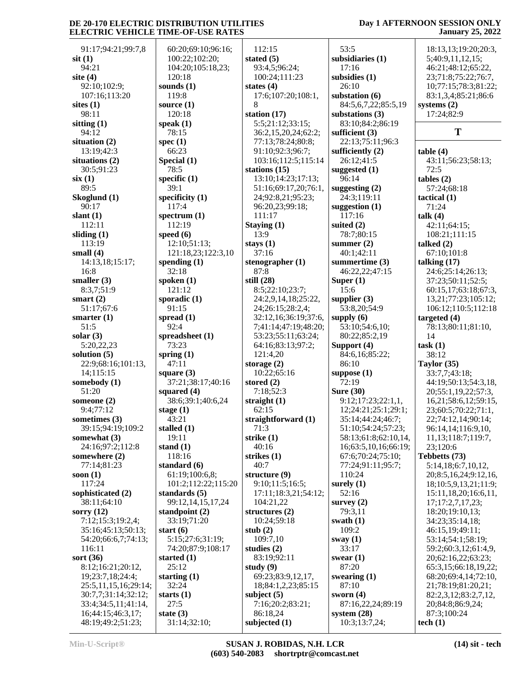### **Day 1 AFTERNOON SESSION ONLY January 25, 2022**

| 91:17;94:21;99:7,8           | 60:20;69:10;96:16;    | 112:15               | 53:5                                   | 18:13,13;19:20;20:3,                          |
|------------------------------|-----------------------|----------------------|----------------------------------------|-----------------------------------------------|
| $s$ it $(1)$                 | 100:22;102:20;        | stated $(5)$         | subsidiaries (1)                       | 5;40:9,11,12,15;                              |
| 94:21                        | 104:20;105:18,23;     | 93:4,5;96:24;        | 17:16                                  | 46:21;48:12;65:22,                            |
| site $(4)$                   | 120:18                | 100:24;111:23        | subsidies (1)                          | 23;71:8;75:22;76:7,                           |
| 92:10;102:9;                 | sounds $(1)$          | states $(4)$         | 26:10                                  | 10;77:15;78:3;81:22;                          |
| 107:16;113:20                | 119:8                 | 17:6;107:20;108:1,   | substation (6)                         | 83:1,3,4;85:21;86:6                           |
| sites $(1)$                  | source $(1)$          | 8                    | 84:5,6,7,22;85:5,19                    | systems $(2)$                                 |
| 98:11                        | 120:18                | station (17)         | substations (3)                        | 17:24;82:9                                    |
| sitting $(1)$                | speak $(1)$           | 5:5;21:12;33:15;     | 83:10;84:2;86:19                       |                                               |
| 94:12                        | 78:15                 | 36:2,15,20,24;62:2;  | sufficient $(3)$                       | T                                             |
| situation (2)                | spec $(1)$            | 77:13;78:24;80:8;    | 22:13;75:11;96:3                       |                                               |
| 13:19;42:3                   | 66:23                 | 91:10;92:3;96:7;     | sufficiently $(2)$                     | table(4)                                      |
| situations (2)               | Special (1)           | 103:16;112:5;115:14  | 26:12;41:5                             | 43:11;56:23;58:13;                            |
| 30:5;91:23                   | 78:5                  | stations (15)        | suggested $(1)$                        | 72:5                                          |
| six(1)                       | specific $(1)$        | 13:10;14:23;17:13;   | 96:14                                  | tables (2)                                    |
| 89:5                         | 39:1                  | 51:16;69:17,20;76:1, | suggesting $(2)$                       | 57:24;68:18                                   |
| Skoglund (1)                 | specificity $(1)$     | 24;92:8,21;95:23;    | 24:3;119:11                            | tactical $(1)$                                |
| 90:17                        | 117:4                 | 96:20,23;99:18;      | suggestion $(1)$                       | 71:24                                         |
| slant $(1)$                  | spectrum $(1)$        | 111:17               | 117:16                                 | talk (4)                                      |
| 112:11                       | 112:19                | Staying (1)          | suited $(2)$                           | 42:11;64:15;                                  |
| sliding $(1)$                | speed $(6)$           | 13:9                 | 78:7;80:15                             | 108:21;111:15                                 |
| 113:19                       | 12:10;51:13;          | stays $(1)$          | summer $(2)$                           | talked $(2)$                                  |
| small $(4)$                  | 121:18,23;122:3,10    | 37:16                | 40:1;42:11                             | 67:10;101:8                                   |
| 14:13,18;15:17;              | spending $(1)$        | stenographer $(1)$   | summertime (3)                         | talking $(17)$                                |
| 16:8                         | 32:18                 | 87:8                 | 46:22,22;47:15                         | 24:6;25:14;26:13;                             |
| smaller $(3)$                | spoken $(1)$          | still $(28)$         | Super $(1)$                            | 37:23;50:11;52:5;                             |
| 8:3,7;51:9                   | 121:12                | 8:5;22:10;23:7;      | 15:6                                   | 60:15,17;63:18;67:3,                          |
| smart $(2)$                  | sporadic $(1)$        | 24:2,9,14,18;25:22,  | supplier $(3)$                         | 13,21;77:23;105:12;                           |
| 51:17;67:6                   | 91:15                 | 24;26:15;28:2,4;     | 53:8,20;54:9                           | 106:12;110:5;112:18                           |
| smarter $(1)$                | spread $(1)$          | 32:12,16;36:19;37:6, | supply $(6)$                           | targeted (4)                                  |
| 51:5                         | 92:4                  | 7;41:14;47:19;48:20; | 53:10;54:6,10;                         | 78:13;80:11;81:10,                            |
| solar $(3)$                  | spreadsheet (1)       | 53:23;55:11;63:24;   | 80:22;85:2,19                          | 14                                            |
| 5:20,22,23                   | 73:23                 | 64:16;83:13;97:2;    | Support (4)                            | task(1)                                       |
| solution $(5)$               | spring $(1)$          | 121:4,20             | 84:6,16;85:22;                         | 38:12                                         |
| 22:9;68:16;101:13,           | 47:11                 | storage $(2)$        | 86:10                                  | Taylor (35)                                   |
| 14;115:15                    | square $(3)$          | 10:22;65:16          | suppose $(1)$                          | 33:7,7;43:18;                                 |
| somebody (1)                 | 37:21;38:17;40:16     | stored $(2)$         | 72:19                                  | 44:19;50:13;54:3,18,                          |
| 51:20                        | squared $(4)$         | 7:18;52:3            | <b>Sure (30)</b>                       | 20;55:1,19,22;57:3,                           |
| someone (2)                  | 38:6;39:1;40:6,24     | straight $(1)$       | 9:12;17:23;22:1,1,                     | 16,21;58:6,12;59:15,                          |
| 9:4;77:12                    | stage $(1)$           | 62:15                | 12;24:21;25:1;29:1;                    | 23;60:5;70:22;71:1,                           |
| sometimes (3)                | 43:21                 | straightforward (1)  | 35:14;44:24;46:7;                      | 22;74:12,14;90:14;                            |
| 39:15;94:19;109:2            | stalled $(1)$         | 71:3                 | 51:10;54:24;57:23;                     | 96:14,14;116:9,10,                            |
| somewhat $(3)$               | 19:11                 | strike (1)           | 58:13;61:8;62:10,14,                   | 11, 13; 118: 7; 119: 7,                       |
| 24:16;97:2;112:8             | stand $(1)$<br>118:16 | 40:16                | 16;63:5,10,16;66:19;                   | 23;120:6                                      |
| somewhere (2)<br>77:14;81:23 | standard $(6)$        | strikes (1)<br>40:7  | 67:6;70:24;75:10;<br>77:24;91:11;95:7; | Tebbetts (73)<br>5:14,18;6:7,10,12,           |
| soon $(1)$                   | 61:19;100:6,8;        | structure (9)        | 110:24                                 | 20;8:5,16,24;9:12,16,                         |
| 117:24                       | 101:2;112:22;115:20   | 9:10;11:5;16:5;      | surely $(1)$                           |                                               |
| sophisticated (2)            | standards $(5)$       | 17:11;18:3,21;54:12; | 52:16                                  | 18;10:5,9,13,21;11:9;<br>15:11,18,20;16:6,11, |
| 38:11;64:10                  | 99:12,14,15,17,24     | 104:21,22            | survey $(2)$                           | 17;17:2,7,17,23;                              |
| sorry $(12)$                 | standpoint $(2)$      | structures $(2)$     | 79:3,11                                | 18:20;19:10,13;                               |
| 7:12;15:3;19:2,4;            | 33:19;71:20           | 10:24;59:18          | swath $(1)$                            | 34:23;35:14,18;                               |
| 35:16;45:13;50:13;           | start $(6)$           | stub $(2)$           | 109:2                                  | 46:15,19;49:11;                               |
| 54:20;66:6,7;74:13;          | 5:15;27:6;31:19;      | 109:7,10             | sway $(1)$                             | 53:14;54:1;58:19;                             |
| 116:11                       | 74:20;87:9;108:17     | studies $(2)$        | 33:17                                  | 59:2;60:3,12;61:4,9,                          |
| sort $(36)$                  | started $(1)$         | 83:19;92:11          | swear $(1)$                            | 20;62:16,22;63:23;                            |
| 8:12;16:21;20:12,            | 25:12                 | study $(9)$          | 87:20                                  | 65:3,15;66:18,19,22;                          |
| 19;23:7,18;24:4;             | starting $(1)$        | 69:23;83:9,12,17,    | swearing $(1)$                         | 68:20;69:4,14;72:10,                          |
| 25:5, 11, 15, 16; 29: 14;    | 32:24                 | 18;84:1,2,23;85:15   | 87:10                                  | 21;78:19;81:20,21;                            |
| 30:7,7;31:14;32:12;          | starts $(1)$          | subject $(5)$        | sworn $(4)$                            | 82:2,3,12;83:2,7,12,                          |
| 33:4;34:5,11;41:14,          | 27:5                  | 7:16;20:2;83:21;     | 87:16,22,24;89:19                      | 20;84:8;86:9,24;                              |
| 16;44:15;46:3,17;            | state $(3)$           | 86:18,24             | system $(28)$                          | 87:3;100:24                                   |
| 48:19;49:2;51:23;            | 31:14;32:10;          | subjected $(1)$      | 10:3;13:7,24;                          | tech $(1)$                                    |
|                              |                       |                      |                                        |                                               |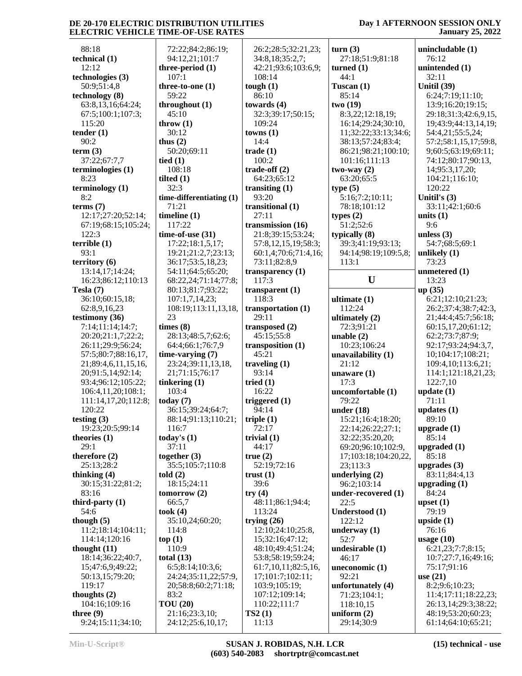### **Day 1 AFTERNOON SESSION ONLY January 25, 2022**

| 88:18                      | 72:22;84:2;86:1          |
|----------------------------|--------------------------|
| technical (1)              | 94:12,21;101:7           |
| 12:12                      | three-period (1)         |
| technologies (3)           | 107:1                    |
| 50:9;51:4,8                | three-to-one $(1)$       |
| technology (8)             | 59:22                    |
| 63:8,13,16;64:24;          | throughout (1)           |
| 67:5;100:1;107:3;          | 45:10                    |
| 115:20                     | throw $(1)$              |
| tender $(1)$               | 30:12                    |
| 90:2                       | thus $(2)$               |
| term (3)                   | 50:20;69:11              |
| 37:22;67:7,7               | tied $(1)$               |
| terminologies (1)<br>8:23  | 108:18                   |
| terminology (1)            | tilted $(1)$<br>32:3     |
| 8:2                        | time-differentiatin      |
| terms $(7)$                | 71:21                    |
| 12:17;27:20;52:14;         | timeline (1)             |
| 67:19;68:15;105:24;        | 117:22                   |
| 122:3                      | time-of-use $(31)$       |
| terrible(1)                | 17:22;18:1,5,17          |
| 93:1                       | 19:21;21:2,7;23          |
| territory (6)              | 36:17;53:5,18,2          |
| 13:14,17;14:24;            | 54:11;64:5;65:2          |
| 16:23;86:12;110:13         | 68:22,24;71:14;          |
| Tesla (7)                  | 80:13;81:7;93:2          |
| 36:10;60:15,18;            | 107:1,7,14,23;           |
| 62:8,9,16,23               | 108:19;113:11,1          |
| testimony (36)             | 23                       |
| 7:14;11:14;14:7;           | times (8)                |
| 20:20;21:1,7;22:2;         | 28:13;48:5,7;62          |
| 26:11;29:9;56:24;          | 64:4;66:1;76:7,9         |
| 57:5;80:7;88:16,17,        | time-varying (7)         |
| 21;89:4,6,11,15,16,        | 23:24;39:11,13,          |
| 20;91:5,14;92:14;          | 21;71:15;76:17           |
| 93:4;96:12;105:22;         | tinkering (1)            |
| 106:4,11,20;108:1;         | 103:4                    |
| 111:14,17,20;112:8;        | today $(7)$              |
| 120:22                     | 36:15;39:24;64:          |
| testing (3)                | 88:14;91:13;110          |
| 19:23;20:5;99:14           | 116:7                    |
| theories (1)               | today's $(1)$            |
| 29:1                       | 37:11                    |
| therefore (2)              | together (3)             |
| 25:13;28:2                 | 35:5;105:7;110:          |
| thinking $(4)$             | $\text{told}(2)$         |
| 30:15;31:22;81:2;<br>83:16 | 18:15;24:11              |
| third-party $(1)$          | tomorrow $(2)$<br>66:5,7 |
| 54:6                       | took(4)                  |
| though $(5)$               | 35:10,24;60:20;          |
| 11:2;18:14;104:11;         | 114:8                    |
| 114:14;120:16              | top(1)                   |
| thought (11)               | 110:9                    |
| 18:14;36:22;40:7,          | total $(13)$             |
| 15;47:6,9;49:22;           | 6:5;8:14;10:3,6;         |
| 50:13,15;79:20;            | 24:24;35:11,22;          |
| 119:17                     | 20;58:8;60:2;71          |
| thoughts (2)               | 83:2                     |
| 104:16;109:16              | <b>TOU</b> (20)          |
| three $(9)$                | 21:16;23:3,10;           |
| 9:24;15:11;34:10;          | 24:12;25:6,10,1          |

 $4:2;86:19;$ 1:101:7 **threethe** (1)  $ut(1)$  $9:11$ **the-differentiating (1) time se** (31)  $8:1,5,17;$  $1:2,7;23:13;$  $3:5,18,23;$ 4:5;65:20; 4;71:14;77:8; 80:13;81:7;93:22;  $.14.23$ ; 113:11,13,18,  $8:5.7:62:6$ :  $6:1;76:7,9$ **time** (7) 23:24;39:11,13,18, 5:76:17 **tinkering (1)** 9:24;64:7; 1:13;110:21; **(3)**  35:5;105:7;110:8 4:11  $\mathbf{v}(2)$ 4:60:20: 4:10:3,6; 24:24;35:11,22;57:9,  $3;60:2;71:18;$  $3:3.10$ :  $25:6,10,17;$  26:2;28:5;32:21,23; 34:8,18;35:2,7; 42:21;93:6;103:6,9; 108:14 **tough (1)** 86:10 **towards (4)** 32:3;39:17;50:15; 109:24 **towns (1)** 14:4 **trade (1)** 100:2 **trade-off (2)** 64:23;65:12 **transiting (1)** 93:20 **transitional (1)** 27:11 **transmission (16)** 21:8;39:15;53:24; 57:8,12,15,19;58:3; 60:1,4;70:6;71:4,16; 73:11;82:8,9 **transparency (1)** 117:3 **transparent (1)** 118:3 **transportation (1)** 29:11 **transposed (2)** 45:15;55:8 **transposition (1)** 45:21 **traveling (1)** 93:14 **tried (1)** 16:22 **triggered (1)** 94:14 **triple (1)** 72:17 **trivial (1)** 44:17 **true (2)** 52:19;72:16 **trust (1)** 39:6 **try (4)** 48:11;86:1;94:4; 113:24 **trying (26)** 12:10;24:10;25:8, 15;32:16;47:12; 48:10;49:4;51:24; 53:8;58:19;59:24; 61:7,10,11;82:5,16, 17;101:7;102:11; 103:9;105:19; 107:12;109:14; 110:22;111:7 **TS2 (1)** 11:13

**turn (3)** 27:18;51:9;81:18 **turned (1)** 44:1 **Tuscan (1)** 85:14 **two (19)** 8:3,22;12:18,19; 16:14;29:24;30:10, 11;32:22;33:13;34:6; 38:13;57:24;83:4; 86:21;98:21;100:10; 101:16;111:13 **two-way (2)** 63:20;65:5 **type (5)** 5:16;7:2;10:11; 78:18;101:12 **types (2)** 51:2;52:6 **typically (8)** 39:3;41:19;93:13; 94:14;98:19;109:5,8; 113:1 **U ultimate (1)** 112:24 **ultimately (2)** 72:3;91:21 **unable (2)** 10:23;106:24 **unavailability (1)** 21:12 **unaware (1)** 17:3 **uncomfortable (1)** 79:22 **under (18)** 15:21;16:4;18:20; 22:14;26:22;27:1; 32:22;35:20,20; 69:20;96:10;102:9, 17;103:18;104:20,22, 23;113:3 **underlying (2)** 96:2;103:14 **under-recovered (1)** 22:5 **Understood (1)** 122:12 **underway (1)** 52:7 **undesirable (1)** 46:17 **uneconomic (1)** 92:21 **unfortunately (4)** 71:23;104:1; 118:10,15 **uniform (2)** 29:14;30:9

**unincludable (1)** 76:12 **unintended (1)** 32:11 **Unitil (39)** 6:24;7:19;11:10; 13:9;16:20;19:15; 29:18;31:3;42:6,9,15, 19;43:9;44:13,14,19; 54:4,21;55:5,24; 57:2;58:1,15,17;59:8, 9;60:5;63:19;69:11; 74:12;80:17;90:13, 14;95:3,17,20; 104:21;116:10; 120:22 **Unitil's (3)** 33:11;42:1;60:6 **units (1)** 9:6 **unless (3)** 54:7;68:5;69:1 **unlikely (1)** 73:23 **unmetered (1)** 13:23 **up (35)** 6:21;12:10;21:23; 26:2;37:4;38:7;42:3, 21;44:4;45:7;56:18; 60:15,17,20;61:12; 62:2;73:7;87:9; 92:17;93:24;94:3,7, 10;104:17;108:21; 109:4,10;113:6,21; 114:1;121:18,21,23; 122:7,10 **update (1)** 71:11 **updates (1)** 89:10 **upgrade (1)** 85:14 **upgraded (1)** 85:18 **upgrades (3)** 83:11;84:4,13 **upgrading (1)** 84:24 **upset (1)** 79:19 **upside (1)** 76:16 **usage (10)** 6:21,23;7:7;8:15; 10:7;27:7,16;49:16; 75:17;91:16 **use (21)** 8:2;9:6;10:23; 11:4;17:11;18:22,23; 26:13,14;29:3;38:22; 48:19;53:20;60:23; 61:14;64:10;65:21;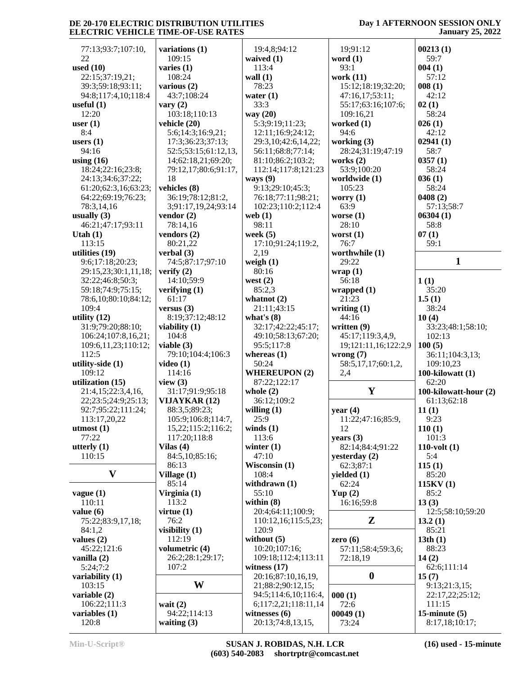## **Day 1 AFTERNOON SESSION ONLY January 25, 2022**

| 77:13;93:7;107:10,     | variations (1)                | 19:4,8;94:12                         | 19;91:12               | 00213(1)                          |
|------------------------|-------------------------------|--------------------------------------|------------------------|-----------------------------------|
| 22                     | 109:15                        | waived $(1)$                         | word $(1)$             | 59:7                              |
| used (10)              | varies $(1)$                  | 113:4                                | 93:1                   | 004(1)                            |
| 22:15;37:19,21;        | 108:24                        | wall $(1)$                           | work $(11)$            | 57:12                             |
| 39:3;59:18;93:11;      | various $(2)$                 | 78:23                                | 15:12;18:19;32:20;     | 008(1)                            |
| 94:8;117:4,10;118:4    | 43:7;108:24                   | water $(1)$                          | 47:16,17;53:11;        | 42:12                             |
| useful $(1)$           | vary $(2)$                    | 33:3                                 | 55:17;63:16;107:6;     | 02(1)                             |
| 12:20                  | 103:18;110:13                 | way (20)                             | 109:16,21              | 58:24                             |
| user $(1)$             | vehicle (20)                  | 5:3;9:19;11:23;                      | worked (1)             | 026(1)                            |
| 8:4                    | 5:6;14:3;16:9,21;             | 12:11;16:9;24:12;                    | 94:6                   | 42:12                             |
| users $(1)$            | 17:3;36:23;37:13;             | 29:3,10;42:6,14,22;                  | working $(3)$          | 02941(1)                          |
| 94:16                  | 52:5;53:15;61:12,13,          | 56:11;68:8;77:14;                    | 28:24;31:19;47:19      | 58:7                              |
| using $(16)$           | 14;62:18,21;69:20;            | 81:10;86:2;103:2;                    | works $(2)$            | 0357(1)                           |
|                        |                               |                                      |                        |                                   |
| 18:24;22:16;23:8;      | 79:12,17;80:6;91:17,          | 112:14;117:8;121:23                  | 53:9;100:20            | 58:24                             |
| 24:13;34:6;37:22;      | 18                            | ways $(9)$                           | worldwide (1)          | 036(1)                            |
| 61:20;62:3,16;63:23;   | vehicles (8)                  | 9:13;29:10;45:3;                     | 105:23                 | 58:24                             |
| 64:22;69:19;76:23;     | 36:19;78:12;81:2,             | 76:18;77:11;98:21;                   | worry $(1)$            | 0408(2)                           |
| 78:3,14,16             | 3;91:17,19,24;93:14           | 102:23;110:2;112:4                   | 63:9                   | 57:13;58:7                        |
| usually $(3)$          | vendor $(2)$                  | web $(1)$                            | worse $(1)$            | 06304(1)                          |
| 46:21;47:17;93:11      | 78:14,16                      | 98:11                                | 28:10                  | 58:8                              |
| Utah $(1)$             | vendors $(2)$                 | week $(5)$                           | worst $(1)$            | 07(1)                             |
| 113:15                 | 80:21,22                      | 17:10;91:24;119:2,                   | 76:7                   | 59:1                              |
| utilities $(19)$       | verbal $(3)$                  | 2,19                                 | worthwhile (1)         |                                   |
| 9:6;17:18;20:23;       | 74:5;87:17;97:10              | weigh $(1)$                          | 29:22                  | $\mathbf{1}$                      |
| 29:15,23;30:1,11,18;   | verify $(2)$                  | 80:16                                | wrap(1)                |                                   |
| 32:22;46:8;50:3;       | 14:10:59:9                    | west $(2)$                           | 56:18                  | 1(1)                              |
| 59:18;74:9;75:15;      | verifying $(1)$               | 85:2,3                               | wrapped $(1)$          | 35:20                             |
| 78:6,10;80:10;84:12;   | 61:17                         | whatnot $(2)$                        | 21:23                  | 1.5(1)                            |
| 109:4                  |                               | 21:11;43:15                          |                        | 38:24                             |
|                        | versus $(3)$                  |                                      | writing $(1)$<br>44:16 |                                   |
| utility $(12)$         | 8:19;37:12;48:12              | what's $(8)$                         |                        | 10(4)                             |
| 31:9;79:20;88:10;      | viability (1)                 | 32:17;42:22;45:17;                   | written (9)            | 33:23;48:1;58:10;                 |
| 106:24;107:8,16,21;    | 104:8                         |                                      |                        |                                   |
|                        |                               | 49:10;58:13;67:20;                   | 45:17;119:3,4,9,       | 102:13                            |
| 109:6,11,23;110:12;    | viable $(3)$                  | 95:5;117:8                           | 19;121:11,16;122:2,9   | 100(5)                            |
| 112:5                  | 79:10;104:4;106:3             | whereas $(1)$                        | wrong $(7)$            | 36:11;104:3,13;                   |
| utility-side (1)       | video $(1)$                   | 50:24                                | 58:5,17,17;60:1,2,     | 109:10,23                         |
| 109:12                 | 114:16                        | <b>WHEREUPON (2)</b>                 | 2,4                    | 100-kilowatt $(1)$                |
| utilization (15)       | view $(3)$                    | 87:22;122:17                         |                        | 62:20                             |
|                        |                               |                                      | Y                      |                                   |
| 21:4,15;22:3,4,16,     | 31:17;91:9;95:18              | whole $(2)$                          |                        | 100-kilowatt-hour (2)             |
| 22;23:5;24:9;25:13;    | VIJAYKAR (12)                 | 36:12;109:2                          |                        | 61:13;62:18                       |
| 92:7;95:22;111:24;     | 88:3,5;89:23;                 | willing $(1)$                        | year $(4)$             | 11(1)                             |
| 113:17,20,22           | 105:9;106:8;114:7,            | 25:9                                 | 11:22;47:16;85:9,      | 9:23                              |
| utmost $(1)$           | 15,22;115:2;116:2;            | winds $(1)$                          | 12                     | 110(1)                            |
| 77:22                  | 117:20;118:8                  | 113:6                                | years $(3)$            | 101:3                             |
| utterly $(1)$          | Vilas $(4)$                   | winter $(1)$                         | 82:14;84:4;91:22       | $110$ -volt $(1)$                 |
| 110:15                 | 84:5,10;85:16;                | 47:10                                | yesterday (2)          | 5:4                               |
|                        | 86:13                         | Wisconsin (1)                        | 62:3;87:1              | 115(1)                            |
| $\mathbf{V}$           | Village $(1)$                 | 108:4                                | yielded (1)            | 85:20                             |
|                        | 85:14                         | withdrawn $(1)$                      | 62:24                  | 115KV(1)                          |
| vague(1)               | Virginia (1)                  | 55:10                                | Yup $(2)$              | 85:2                              |
| 110:11                 | 113:2                         | within $(8)$                         | 16:16;59:8             | 13(3)                             |
| value $(6)$            | virtue $(1)$                  | 20:4;64:11;100:9;                    |                        | 12:5;58:10;59:20                  |
| 75:22;83:9,17,18;      | 76:2                          | 110:12,16;115:5,23;                  | ${\bf z}$              | 13.2(1)                           |
| 84:1,2                 | visibility $(1)$              | 120:9                                |                        | 85:21                             |
| values $(2)$           | 112:19                        | without $(5)$                        | zero $(6)$             | 13th(1)                           |
|                        |                               | 10:20;107:16;                        |                        |                                   |
| 45:22;121:6            | volumetric (4)                |                                      | 57:11;58:4;59:3,6;     | 88:23                             |
| vanilla (2)            | 26:2;28:1;29:17;              | 109:18;112:4;113:11                  | 72:18,19               | 14(2)                             |
| 5:24;7:2               | 107:2                         | witness $(17)$                       |                        | 62:6;111:14                       |
| variability $(1)$      |                               | 20:16;87:10,16,19,                   | $\boldsymbol{0}$       | 15(7)                             |
| 103:15                 | W                             | 21;88:2;90:12,15;                    |                        | 9:13;21:3,15;                     |
| variable (2)           |                               | 94:5;114:6,10;116:4,                 | 000(1)                 | 22:17,22;25:12;                   |
| 106:22;111:3           | wait $(2)$                    | 6;117:2,21;118:11,14                 | 72:6                   | 111:15                            |
| variables (1)<br>120:8 | 94:22;114:13<br>waiting $(3)$ | witnesses $(6)$<br>20:13;74:8,13,15, | 00049(1)<br>73:24      | 15-minute $(5)$<br>8:17,18;10:17; |